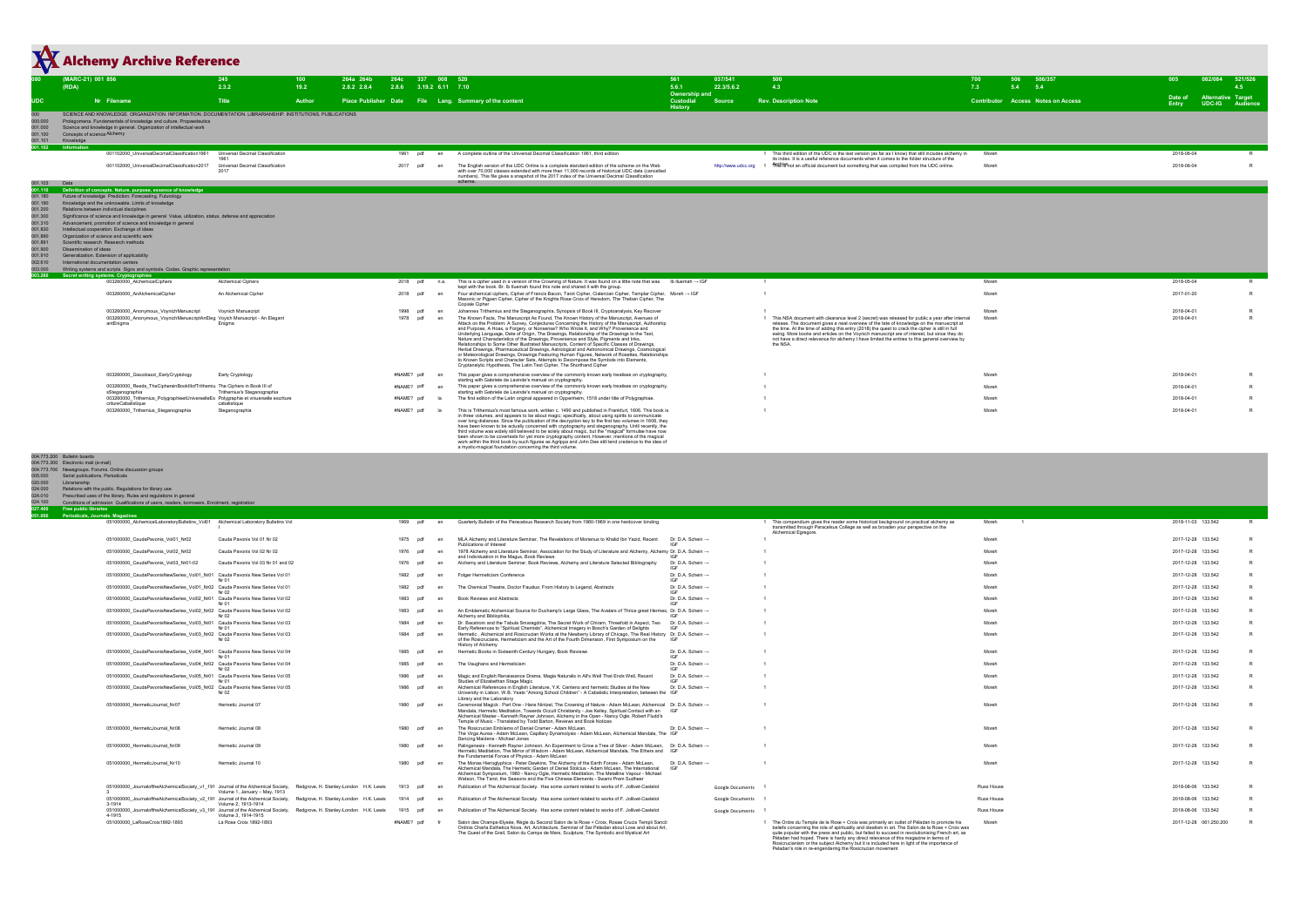| (RDA)                                                     | (MARC-21) 001 856                                                                                                                                                                                                          | 245                                                                        | 100<br>264a 264b    | 264c                       | 337 008 520 |                                                                                                                                                                                                                                                                                                                                  | 561                                  | 037/541            | 500                                                                                                                                                                                                      | 506/357<br>506<br>700                     | 082/084<br>005                                            | 521/526      |
|-----------------------------------------------------------|----------------------------------------------------------------------------------------------------------------------------------------------------------------------------------------------------------------------------|----------------------------------------------------------------------------|---------------------|----------------------------|-------------|----------------------------------------------------------------------------------------------------------------------------------------------------------------------------------------------------------------------------------------------------------------------------------------------------------------------------------|--------------------------------------|--------------------|----------------------------------------------------------------------------------------------------------------------------------------------------------------------------------------------------------|-------------------------------------------|-----------------------------------------------------------|--------------|
|                                                           |                                                                                                                                                                                                                            | 2.3.2                                                                      | 19.2<br>2.8.2 2.8.4 | 2.8.6 3.19.2 6.11 7.10     |             |                                                                                                                                                                                                                                                                                                                                  | 5.6.1<br>Ownership and               | 22.3/5.6.2         | 4.3                                                                                                                                                                                                      | 7.3<br>5.4<br>5.4                         |                                                           | 4.5          |
| <b>UDC</b>                                                | Nr Filename                                                                                                                                                                                                                | <b>Title</b>                                                               | Author              |                            |             | Place Publisher Date File Lang. Summary of the content                                                                                                                                                                                                                                                                           | Custodial<br><b>History</b>          | <b>Source</b>      | <b>Rev. Description Note</b>                                                                                                                                                                             | <b>Contributor Access Notes on Access</b> | Alternative Target<br>Date of<br>UDC-IG Audience<br>Entry |              |
| 000.000                                                   | SCIENCE AND KNOWLEDGE. ORGANIZATION. INFORMATION. DOCUMENTATION. LIBRARIANSHIP. INSTITUTIONS. PUBLICATIONS<br>Prolegomena. Fundamentals of knowledge and culture. Propaedeutics                                            |                                                                            |                     |                            |             |                                                                                                                                                                                                                                                                                                                                  |                                      |                    |                                                                                                                                                                                                          |                                           |                                                           |              |
| 001.000<br>001.100                                        | Science and knowledge in general. Organization of intellectual work<br>Concepts of science Alchemy                                                                                                                         |                                                                            |                     |                            |             |                                                                                                                                                                                                                                                                                                                                  |                                      |                    |                                                                                                                                                                                                          |                                           |                                                           |              |
| 001.101<br>Knowledge<br>001.102<br>Information            |                                                                                                                                                                                                                            |                                                                            |                     |                            |             |                                                                                                                                                                                                                                                                                                                                  |                                      |                    |                                                                                                                                                                                                          |                                           |                                                           |              |
|                                                           | 001102000_UniversalDecimalClassification1961                                                                                                                                                                               | Universal Decimal Classification                                           |                     | 1961 pdf                   | en          | A complete outline of the Universal Decimal Classification 1961, third edition                                                                                                                                                                                                                                                   |                                      |                    | 1 This third edition of the UDC is the last version (as far as I know) that still includes alchemy in<br>its index. It is a useful reference documents when it comes to the folder structure of the      | Moreh                                     | 2018-06-04                                                |              |
|                                                           | 001102000_UniversalDecimalClassification2017                                                                                                                                                                               | Universal Decimal Classification<br>2017                                   |                     | 2017                       |             | The English version of the UDC Online is a complete standard edition of the scheme on the Web<br>with over 70,000 classes extended with more than 11,000 records of historical UDC data (cancelled                                                                                                                               |                                      |                    | http://www.udcc.org 1 NHPs NS an official document but something that was compiled from the UDC online.                                                                                                  | Moreh                                     | 2018-06-04                                                |              |
| 001.103<br>Data                                           |                                                                                                                                                                                                                            |                                                                            |                     |                            |             | numbers). This file gives a snapshot of the 2017 index of the Universal Decimal Classification<br>scheme.                                                                                                                                                                                                                        |                                      |                    |                                                                                                                                                                                                          |                                           |                                                           |              |
| 001.110<br>001.180                                        | Definition of concepts. Nature, purpose, essence of knowledge<br>Future of knowledge Prediction. Forecasting. Futurology                                                                                                   |                                                                            |                     |                            |             |                                                                                                                                                                                                                                                                                                                                  |                                      |                    |                                                                                                                                                                                                          |                                           |                                                           |              |
| 001.190<br>001.200                                        | Knowledge and the unknowable. Limits of knowledge<br>Relations between individual disciplines                                                                                                                              |                                                                            |                     |                            |             |                                                                                                                                                                                                                                                                                                                                  |                                      |                    |                                                                                                                                                                                                          |                                           |                                                           |              |
| 001.300<br>001.310                                        | Significance of science and knowledge in general Value, utilization, status, defense and appreciation<br>Advancement, promotion of science and knowledge in general                                                        |                                                                            |                     |                            |             |                                                                                                                                                                                                                                                                                                                                  |                                      |                    |                                                                                                                                                                                                          |                                           |                                                           |              |
| 001.830<br>001.890                                        | Intellectual cooperation. Exchange of ideas<br>Organization of science and scientific work                                                                                                                                 |                                                                            |                     |                            |             |                                                                                                                                                                                                                                                                                                                                  |                                      |                    |                                                                                                                                                                                                          |                                           |                                                           |              |
| 001.891<br>001.900<br>Dissemination of ideas              | Scientific research Research methods                                                                                                                                                                                       |                                                                            |                     |                            |             |                                                                                                                                                                                                                                                                                                                                  |                                      |                    |                                                                                                                                                                                                          |                                           |                                                           |              |
| 001.910<br>002.610                                        | Generalization. Extension of applicability<br>International documentation centers                                                                                                                                          |                                                                            |                     |                            |             |                                                                                                                                                                                                                                                                                                                                  |                                      |                    |                                                                                                                                                                                                          |                                           |                                                           |              |
| 003.000<br>003.260                                        | Writing systems and scripts Signs and symbols. Codes. Graphic representation<br>Secret writing systems. Cryptographies                                                                                                     |                                                                            |                     |                            |             |                                                                                                                                                                                                                                                                                                                                  |                                      |                    |                                                                                                                                                                                                          |                                           |                                                           |              |
|                                                           | 003260000_AlchemicalCiphers                                                                                                                                                                                                | Alchemical Ciphers                                                         |                     | 2018 pdf                   | n.a.        | This is a cipher used in a version of the Crowning of Nature. It was found on a little note that was Ib Iluemah → IGF<br>kept with the book. Br. Ib Iluemah found this note and shared it with the group.                                                                                                                        |                                      |                    |                                                                                                                                                                                                          | Moreh                                     | 2018-05-04                                                |              |
|                                                           | 003260000_AnAlchemicalCipher                                                                                                                                                                                               | An Alchemical Cipher                                                       |                     | 2018 pdf                   |             | Four alchemical ciphers, Cipher of Francis Bacon, Tarot Cipher, Cistercian Cipher, Templar Cipher, Moreh → IGF<br>Masonic or Pigpen Cipher, Cipher of the Knights Rose Croix of Heredom, The Theban Cipher, The<br>Copiale Cipher                                                                                                |                                      |                    |                                                                                                                                                                                                          | Moreh                                     | 2017-01-20                                                |              |
|                                                           | 003260000_Anonymous_VoynichManuscript<br>003260000_Anonymous_VoynichManuscriptAnEleg Voyich Manuscript - An Elegant                                                                                                        | <b>Vovnich Manuscript</b>                                                  |                     | 1998 pdf<br>1978 pdf       | en<br>en    | Johannes Trithemius and the Steganographia, Synopsis of Book III, Cryptoanalysis, Key Recover<br>The Known Facts, The Manuscript As Found, The Known History of the Manuscript, Avenues of                                                                                                                                       |                                      |                    | 1 This NSA document with clearance level 2 (secret) was released for public a year after internal                                                                                                        | Moreh<br>Moreh                            | 2018-04-01<br>2018-04-01                                  | $\mathbb{R}$ |
|                                                           | antEnigma                                                                                                                                                                                                                  | Enigma                                                                     |                     |                            |             | Attack on the Problem: A Survey, Conjectures Concerning the History of the Manuscript, Authorship<br>and Purpose, A Hoax, a Forgery, or Nonsense? Who Wrote It, and Why? Provenience and                                                                                                                                         |                                      |                    | release. The document gives a neat overview of the tate of knowledge on the manuscript at<br>the time. At the time of adding this entry (2018) the quest to crack the cipher is still in full            |                                           |                                                           |              |
|                                                           |                                                                                                                                                                                                                            |                                                                            |                     |                            |             | Underlying Language, Date of Origin, The Drawings, Relationship of the Drawings to the Text,<br>Nature and Characteristics of the Drawings, Provenience and Style, Pigments and Inks,<br>Relationships to Some Other Illustrated Manuscripts, Content of Specific Classes of Drawings,                                           |                                      |                    | swing. More books and articles on the Voynich manuscript are of interest, but since they do<br>not have a direct relevance for alchemy I have limited the entries to this general overview by<br>the NSA |                                           |                                                           |              |
|                                                           |                                                                                                                                                                                                                            |                                                                            |                     |                            |             | Herbal Drawings, Pharmaceutical Drawings, Astrological and Astronomical Drawings, Cosmological<br>or Meteorological Drawings, Drawings Featuring Human Figures, Network of Rosettes, Relationships                                                                                                                               |                                      |                    |                                                                                                                                                                                                          |                                           |                                                           |              |
|                                                           |                                                                                                                                                                                                                            |                                                                            |                     |                            |             | to Known Scripts and Character Sets. Attempts to Decompose the Symbols into Elements.<br>Cryptanalytic Hypothesis, The Latin Text Cipher, The Shorthand Cipher                                                                                                                                                                   |                                      |                    |                                                                                                                                                                                                          |                                           |                                                           |              |
|                                                           | 003260000_Giacobazzi_EarlyCryptology                                                                                                                                                                                       | Early Cryptology                                                           |                     | #NAME? pdf                 | en          | This paper gives a comprehensive overview of the commonly known early treatises on cryptography,<br>starting with Gabriele de Lavinde's manual on cryptography.                                                                                                                                                                  |                                      |                    |                                                                                                                                                                                                          | Moreh                                     | 2018-04-01                                                |              |
|                                                           | 003260000_Reeds_TheCiphersinBookIIIofTrithemiu The Ciphers in Book III of<br>sSteganographia                                                                                                                               | Trithemius's Steganographia                                                |                     | #NAME? pdf                 |             | This paper gives a comprehensive overview of the commonly known early treatises on cryptography,<br>starting with Gabriele de Lavinde's manual on cryptography.                                                                                                                                                                  |                                      |                    |                                                                                                                                                                                                          | Moreh                                     | 2018-04-01                                                |              |
|                                                           | 003260000_Trithemius_PolygraphieetUniverselleEs Polygraphie et vniuerselle escriture<br>critureCabalistique                                                                                                                | cabalistique                                                               |                     | #NAMF? ndf                 |             | The first edition of the Latin original appeared in Oppenheim, 1518 under title of Polygraphiae                                                                                                                                                                                                                                  |                                      |                    |                                                                                                                                                                                                          | Moreh                                     | 2018-04-01                                                | R            |
|                                                           | 003260000_Trithemius_Steganographia                                                                                                                                                                                        | Steganographia                                                             |                     | #NAME? pdf                 | - la        | This is Trithemius's most famous work, written c. 1490 and published in Frankfurt, 1606. This book is<br>in three volumes, and appears to be about magic; specifically, about using spirits to communicate<br>over long distances. Since the publication of the decryption key to the first two volumes in 1606, they            |                                      |                    |                                                                                                                                                                                                          | Moreh                                     | 2018-04-01                                                | $\mathsf{R}$ |
|                                                           |                                                                                                                                                                                                                            |                                                                            |                     |                            |             | have been known to be actually concerned with cryptography and steganography. Until recently, the<br>third volume was widely still believed to be solely about magic, but the "magical" formulae have now                                                                                                                        |                                      |                    |                                                                                                                                                                                                          |                                           |                                                           |              |
|                                                           |                                                                                                                                                                                                                            |                                                                            |                     |                            |             | been shown to be covertexts for yet more cryptography content. However, mentions of the magical<br>work within the third book by such figures as Agrippa and John Dee still lend credence to the idea of<br>a mystic-magical foundation concerning the third volume.                                                             |                                      |                    |                                                                                                                                                                                                          |                                           |                                                           |              |
| 020.000<br>Librarianship<br>024.000<br>024.010<br>024.100 | Relations with the public. Regulations for library use<br>Prescribed uses of the library. Rules and regulations in general<br>Conditions of admission Qualifications of users, readers, borrowers. Enrolment, registration |                                                                            |                     |                            |             |                                                                                                                                                                                                                                                                                                                                  |                                      |                    |                                                                                                                                                                                                          |                                           |                                                           |              |
| 027.400<br>Free public libraries<br>051.000               | Periodicals, Journals, Magazines                                                                                                                                                                                           |                                                                            |                     |                            |             |                                                                                                                                                                                                                                                                                                                                  |                                      |                    |                                                                                                                                                                                                          |                                           |                                                           |              |
|                                                           | 051000000_AlchemicalLaboratoryBulletins_Vol01 Alchemical Laboratory Bulletins Vol                                                                                                                                          |                                                                            |                     | 1969 pdf                   |             | en Quarterly Bulletin of the Paracelsus Research Society from 1960-1969 in one hardcover binding.                                                                                                                                                                                                                                |                                      |                    | 1 This compendium gives the reader some historical background on practical alchemy as<br>transmitted through Paracelsus College as well as broaden your perspective on the<br>Alchemical Egregore.       | Moreh<br>- 1                              | 2018-11-03 133.542                                        |              |
|                                                           | 051000000_CaudaPavonis_Vol01_Nr02                                                                                                                                                                                          | Cauda Pavonis Vol 01 Nr 02                                                 |                     | 1975 pdf                   | en          | MLA Alchemy and Literature Seminar, The Revelations of Morienus to Khalid Ibn Yazid, Recent<br>Publications of Interest                                                                                                                                                                                                          | Dr. D.A. Schein $\rightarrow$        |                    |                                                                                                                                                                                                          | Moreh                                     | 2017-12-28 133.542                                        |              |
|                                                           | 051000000_CaudaPavonis_Vol02_Nr02                                                                                                                                                                                          | Cauda Pavonis Vol 02 Nr 02                                                 |                     | 1976 pdf                   | en          | 1978 Alchemy and Literature Seminar, Association for the Study of Literature and Alchemy, Alchemy Dr. D.A. Schein →<br>and Individuation in the Magus, Book Reviews                                                                                                                                                              | IGF                                  |                    |                                                                                                                                                                                                          | Moreh                                     | 2017-12-28 133.542                                        |              |
|                                                           | 051000000_CaudaPavonis_Vol03_Nr01-02                                                                                                                                                                                       | Cauda Pavonis Vol 03 Nr 01 and 02                                          |                     | 1976<br>pdf                | en          | Alchemy and Literature Seminar, Book Reviews, Alchemy and Literature Selected Bibliography                                                                                                                                                                                                                                       | Dr. D.A. Schein →<br>IGF             |                    |                                                                                                                                                                                                          | Moreh                                     | 2017-12-28 133.542                                        |              |
|                                                           | 051000000_CaudaPavonisNewSeries_Vol01_Nr01 Cauda Pavonis New Series Vol 01                                                                                                                                                 |                                                                            |                     | 1982                       |             | Folger Hermeticism Conference                                                                                                                                                                                                                                                                                                    | Dr. D.A. Schein →                    |                    |                                                                                                                                                                                                          | Moreh                                     | 2017-12-28 133.542                                        |              |
|                                                           | 051000000_CaudaPavonisNewSeries_Vol01_Nr02 Cauda Pavonis New Series Vol 01                                                                                                                                                 | Nr 02                                                                      |                     |                            |             |                                                                                                                                                                                                                                                                                                                                  |                                      |                    |                                                                                                                                                                                                          | Moreh                                     |                                                           |              |
|                                                           |                                                                                                                                                                                                                            |                                                                            |                     | 1982<br>pdf                |             | The Chemical Theatre, Doctor Faustus: From History to Legend, Abstracts                                                                                                                                                                                                                                                          | Dr. D.A. Schein $\rightarrow$<br>IGF |                    |                                                                                                                                                                                                          |                                           | 2017-12-28 133.542                                        |              |
|                                                           |                                                                                                                                                                                                                            | 051000000_CaudaPavonisNewSeries_Vol02_Nr01 Cauda Pavonis New Series Vol 02 |                     | 1983 pdf                   | en          | Book Reviews and Abstracts                                                                                                                                                                                                                                                                                                       | Dr. D.A. Schein $\rightarrow$        |                    |                                                                                                                                                                                                          | Moreh                                     | 2017-12-28 133.542                                        |              |
|                                                           | 051000000_CaudaPavonisNewSeries_Vol02_Nr02 Cauda Pavonis New Series Vol 02                                                                                                                                                 | Nr 02                                                                      |                     | 1983 pdf                   | en          | An Emblematic Alchemical Source for Duchamp's Large Glass, The Avatars of Thrice great Hermes, Dr. D.A. Schein $\rightarrow$<br>Alchemy and Bibliophilia,                                                                                                                                                                        |                                      |                    |                                                                                                                                                                                                          | Moreh                                     | 2017-12-28 133.542                                        |              |
|                                                           | 051000000_CaudaPavonisNewSeries_Vol03_Nr01  Cauda Pavonis New Series Vol 03<br>051000000_CaudaPavonisNewSeries_Vol03_Nr02 Cauda Pavonis New Series Vol 03                                                                  |                                                                            |                     | 1984<br>pdf<br>1984<br>pdf | en          | Dr. Bacstrom and the Tabula Smaragdina, The Secret Work of Chiram, Threefold in Aspect, Two Dr. D.A. Schein →<br>Early References to "Spiritual Chemists", Alchemical Imagery in Bosch's Garden of Delights<br>Hermetic, Alchemical and Rosicrucian Works at the Newberry Library of Chicago, The Real History Dr. D.A. Schein → | IGF                                  |                    |                                                                                                                                                                                                          | Moreh<br>Moreh                            | 2017-12-28 133.542<br>2017-12-28 133.542                  |              |
|                                                           |                                                                                                                                                                                                                            | Nr 02                                                                      |                     |                            |             | of the Rosicrucians, Hermeticism and the Art of the Fourth Dimension, First Symposium on the<br>History of Alchemy                                                                                                                                                                                                               | <b>IGF</b>                           |                    |                                                                                                                                                                                                          |                                           |                                                           |              |
|                                                           | 051000000_CaudaPavonisNewSeries_Vol04_Nr01 Cauda Pavonis New Series Vol 04                                                                                                                                                 |                                                                            |                     | 1985<br>pdf                | en          | Hermetic Books in Sixteenth-Century Hungary, Book Reviews                                                                                                                                                                                                                                                                        | Dr. D.A. Schein $\rightarrow$<br>IGE |                    |                                                                                                                                                                                                          | Moreh                                     | 2017-12-28 133.542                                        |              |
|                                                           | 051000000_CaudaPavonisNewSeries_Vol04_Nr02 Cauda Pavonis New Series Vol 04                                                                                                                                                 | Nr 02                                                                      |                     | 1985<br>pdf                |             | The Vaughans and Hermeticism                                                                                                                                                                                                                                                                                                     | Dr. D.A. Schein →<br>IGF             |                    |                                                                                                                                                                                                          | Moreh                                     | 2017-12-28 133.542                                        |              |
|                                                           | 051000000_CaudaPavonisNewSeries_Vol05_Nr01  Cauda Pavonis New Series Vol 05                                                                                                                                                |                                                                            |                     | 1986<br>pdf                |             | Magic and English Renaissance Drama, Magia Naturalis in All's Well That Ends Well, Recent<br>Studies of Elizabethan Stage Magic                                                                                                                                                                                                  | Dr. D.A. Schein $\rightarrow$        |                    |                                                                                                                                                                                                          | Moreh                                     | 2017-12-28 133.542                                        |              |
|                                                           | 051000000_CaudaPavonisNewSeries_Vol05_Nr02 Cauda Pavonis New Series Vol 05                                                                                                                                                 | Nr 02                                                                      |                     | 1986<br>pdf                | en          | Alchemical References in English Literature, Y.K. Centeno and hermetic Studies at the New<br>University in Lisbon, W.B. Yeats "Among School Children" - A Cabalistic Interpretation, between the IGF<br>Library and the Laboratory                                                                                               | Dr. D.A. Schein →                    |                    |                                                                                                                                                                                                          | Moreh                                     | 2017-12-28 133.542                                        |              |
|                                                           | 051000000_HermeticJournal_Nr07                                                                                                                                                                                             | Hermetic Journal 07                                                        |                     | 1980<br>pdf                | en          | Ceremonial Magick : Part One - Hans Nintzel, The Crowning of Nature - Adam McLean, Alchemical Dr. D.A. Schein →<br>Mandala, Hermetic Meditation, Towards Occult Christianity - Joe Kelley, Spiritual Contact with an IGF                                                                                                         |                                      |                    |                                                                                                                                                                                                          | Moreh                                     | 2017-12-28 133.542                                        |              |
|                                                           |                                                                                                                                                                                                                            |                                                                            |                     |                            |             | Alchemical Master - Kenneth Rayner Johnson, Alchemy in the Open - Nancy Ogle, Robert Fludd's<br>Temple of Music - Translated by Todd Barton, Reviews and Book Notices                                                                                                                                                            |                                      |                    |                                                                                                                                                                                                          |                                           |                                                           |              |
|                                                           | 051000000_HermeticJournal_Nr08                                                                                                                                                                                             | Hermetic Journal 08                                                        |                     | 1980 pdf                   | en          | The Rosicrucian Emblems of Daniel Cramer - Adam McLean,<br>The Virga Aurea - Adam McLean, Capillary Dynamolysis - Adam McLean, Alchemical Mandala, The IGF                                                                                                                                                                       | Dr. D.A. Schein $\rightarrow$        |                    |                                                                                                                                                                                                          | Moreh                                     | 2017-12-28 133.542                                        |              |
|                                                           | 051000000_HermeticJournal_Nr09                                                                                                                                                                                             | Hermetic Journal 09                                                        |                     | 1980<br>pdf                |             | Dancing Maidens - Michael Jones<br>Palingenesis - Kenneth Rayner Johnson, An Experiment to Grow a Tree of Silver - Adam McLean, Dr. D.A. Schein →                                                                                                                                                                                |                                      |                    |                                                                                                                                                                                                          | Moreh                                     | 2017-12-28 133.542                                        |              |
|                                                           | 051000000_HermeticJournal_Nr10                                                                                                                                                                                             | Hermetic Journal 10                                                        |                     | 1980 pdf                   | en          | Hermetic Meditation, The Mirror of Wisdom - Adam McLean, Alchemical Mandala, The Ethers and IGF<br>the Fundamental Forces of Physics - Adam McLean<br>The Monas Hieroglyphica - Peter Dawkins, The Alchemy of the Earth Forces - Adam McLean,                                                                                    | Dr. D.A. Schein $\rightarrow$        |                    |                                                                                                                                                                                                          | Moreh                                     | 2017-12-28 133.542                                        |              |
|                                                           |                                                                                                                                                                                                                            |                                                                            |                     |                            |             | Alchemical Mandala, The Hermetic Garden of Daniel Stolcius - Adam McLean, The International<br>Alchemical Symposium, 1980 - Nancy Ogle, Hermetic Meditation, The Metalline Vapour - Michael                                                                                                                                      | <b>IGF</b>                           |                    |                                                                                                                                                                                                          |                                           |                                                           |              |
|                                                           | 051000000_JournaloftheAlchemicalSociety_v1_191 Journal of the Alchemical Society, Redgrove, H. Stanley London H.K. Lewis                                                                                                   |                                                                            |                     | 1913<br>pdf                | en          | Watson, The Tarot, the Seasons and the Five Chinese Elements - Swami Prem Sudheer<br>Publication of The Alchemical Society. Has some content related to works of F. Jollivet-Castelot                                                                                                                                            |                                      | Google Documents 1 |                                                                                                                                                                                                          | Russ House                                | 2018-08-06 133.542                                        |              |
|                                                           | 051000000_JournaloftheAlchemicalSociety_v2_191 Journal of the Alchemical Society, Redgrove, H. Stanley London H.K. Lewis<br>3-1914                                                                                         | Volume 1, January - May, 1913<br>Volume 2, 1913-1914                       |                     | 1914 pdf                   | en          | Publication of The Alchemical Society. Has some content related to works of F. Jollivet-Castelot                                                                                                                                                                                                                                 |                                      | Google Documents   |                                                                                                                                                                                                          | Russ House                                | 2018-08-06 133.542                                        |              |
|                                                           | 051000000_JournaloftheAlchemicalSociety_v3_191 Journal of the Alchemical Society, Redgrove, H. Stanley London H.K. Lewis<br>4-1915<br>051000000_LaRoseCroix1892-1893                                                       | Volume 3, 1914-1915<br>La Rose Croix 1892-1893                             |                     | 1915 pdf<br>#NAME? pdf     | en          | Publication of The Alchemical Society. Has some content related to works of F. Jollivet-Castelot<br>Salon des Champs-Elysée, Règle du Second Salon de la Rose + Croix, Rosae Crucis Templi Sancti                                                                                                                                |                                      | Google Documents   | 1 The Ordre du Temple de la Rose + Croix was primarily an outlet of Péladan to promote his                                                                                                               | Russ House<br>Moreh                       | 2018-08-06 133.542<br>2017-12-28 061.250.200              | R            |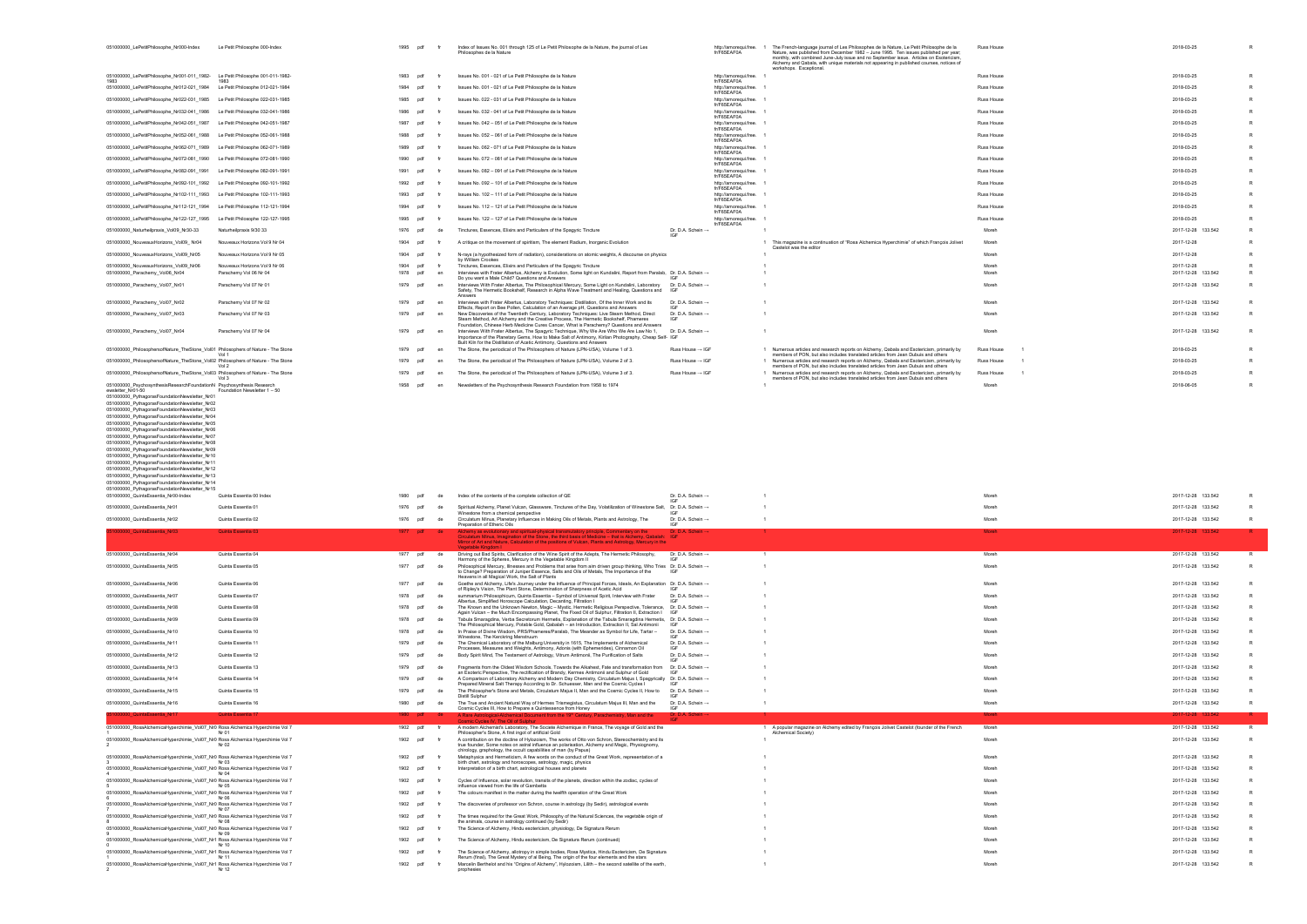| http://amorequi.free. 1<br>fr/F65EAF0A |                | The French-language journal of Les Philosophes de la Nature, Le Petit Philosophe de la<br>Nature, was published from December 1982 - June 1995. Ten issues published per year;<br>monthly, with combined June-July issue and no September issue. Articles on Esotericism,<br>Alchemy and Qabala, with unique materials not appearing in published courses, notices of<br>workshops. Exceptional. | Russ House        |              | 2018-03-25                       | R                 |
|----------------------------------------|----------------|--------------------------------------------------------------------------------------------------------------------------------------------------------------------------------------------------------------------------------------------------------------------------------------------------------------------------------------------------------------------------------------------------|-------------------|--------------|----------------------------------|-------------------|
| http://amorequi.free. 1<br>fr/F65EAF0A |                |                                                                                                                                                                                                                                                                                                                                                                                                  | Russ House        |              | 2018-03-25                       | R                 |
| http://amorequi.free. 1<br>fr/F65EAF0A |                |                                                                                                                                                                                                                                                                                                                                                                                                  | Russ House        |              | 2018-03-25                       | R                 |
| http://amorequi.free.<br>fr/F65EAF0A   |                |                                                                                                                                                                                                                                                                                                                                                                                                  | Russ House        |              | 2018-03-25                       | $\mathsf R$       |
| http://amorequi.free. 1<br>fr/F65EAF0A |                |                                                                                                                                                                                                                                                                                                                                                                                                  | Russ House        |              | 2018-03-25                       | R                 |
| http://amorequi.free. 1<br>fr/F65EAF0A |                |                                                                                                                                                                                                                                                                                                                                                                                                  | Russ House        |              | 2018-03-25                       | R                 |
| http://amorequi.free. 1<br>fr/F65EAF0A |                |                                                                                                                                                                                                                                                                                                                                                                                                  | Russ House        |              | 2018-03-25                       | $\mathsf{R}$      |
| http://amorequi.free.<br>fr/F65EAF0A   |                |                                                                                                                                                                                                                                                                                                                                                                                                  | <b>Russ House</b> |              | 2018-03-25                       | $\mathsf{R}$      |
| http://amorequi.free. 1<br>fr/F65EAF0A |                |                                                                                                                                                                                                                                                                                                                                                                                                  | Russ House        |              | 2018-03-25                       | R                 |
| http://amorequi.free. 1<br>fr/F65EAF0A |                |                                                                                                                                                                                                                                                                                                                                                                                                  | Russ House        |              | 2018-03-25                       | R                 |
| http://amorequi.free. 1<br>fr/F65EAF0A |                |                                                                                                                                                                                                                                                                                                                                                                                                  | Russ House        |              | 2018-03-25                       | R                 |
| http://amorequi.free.<br>fr/F65EAF0A   |                |                                                                                                                                                                                                                                                                                                                                                                                                  | Russ House        |              | 2018-03-25                       | R                 |
| http://amorequi.free. 1<br>fr/F65EAF0A |                |                                                                                                                                                                                                                                                                                                                                                                                                  | Russ House        |              | 2018-03-25                       | $\mathsf R$       |
| http://amorequi.free.<br>fr/F65EAF0A   |                |                                                                                                                                                                                                                                                                                                                                                                                                  | Russ House        |              | 2018-03-25                       | R                 |
|                                        | 1              |                                                                                                                                                                                                                                                                                                                                                                                                  | Moreh             |              | 2017-12-28 133.542               | R                 |
|                                        |                | 1 This magazine is a continuation of "Rosa Alchemica Hyperchimie" of which François Jolivet<br>Castelot was the editor                                                                                                                                                                                                                                                                           | Moreh             |              | 2017-12-28                       | R                 |
|                                        | 1              |                                                                                                                                                                                                                                                                                                                                                                                                  | Moreh             |              | 2017-12-28                       | R                 |
|                                        | -1<br>-1       |                                                                                                                                                                                                                                                                                                                                                                                                  | Moreh<br>Moreh    |              | 2017-12-28<br>2017-12-28 133.542 | R<br>$\mathsf{R}$ |
|                                        | -1             |                                                                                                                                                                                                                                                                                                                                                                                                  | Moreh             |              | 2017-12-28 133.542               | R                 |
|                                        |                |                                                                                                                                                                                                                                                                                                                                                                                                  |                   |              |                                  |                   |
|                                        | -1             |                                                                                                                                                                                                                                                                                                                                                                                                  | Moreh             |              | 2017-12-28 133.542               | R                 |
|                                        | 1              |                                                                                                                                                                                                                                                                                                                                                                                                  | Moreh             |              | 2017-12-28 133.542               | R                 |
|                                        | ٠              |                                                                                                                                                                                                                                                                                                                                                                                                  | Moreh             |              | 2017-12-28 133.542               | R                 |
|                                        |                | 1 Numerous articles and research reports on Alchemy, Qabala and Esotericism, primarily by<br>members of PON, but also includes translated articles from Jean Dubuis and others                                                                                                                                                                                                                   | <b>Russ House</b> | 1            | 2018-03-25                       | $\mathsf{R}$      |
|                                        | $\mathbf{1}$   | Numerous articles and research reports on Alchemy, Qabala and Esotericism, primarily by<br>members of PON, but also includes translated articles from Jean Dubuis and others                                                                                                                                                                                                                     | Russ House        | 1            | 2018-03-25                       | R                 |
|                                        | $\mathbf{1}$   | Numerous articles and research reports on Alchemy, Qabala and Esotericism, primarily by<br>members of PON, but also includes translated articles from Jean Dubuis and others                                                                                                                                                                                                                     | Russ House        | $\mathbf{1}$ | 2018-03-25                       | R                 |
|                                        | $\overline{1}$ |                                                                                                                                                                                                                                                                                                                                                                                                  | Moreh             |              | 2018-06-05                       | $\mathsf R$       |
|                                        |                |                                                                                                                                                                                                                                                                                                                                                                                                  |                   |              |                                  |                   |

|                                                                                                                                                                |                                                         |                            |          |                                                                                                                                                                                                                                                                                                                |                                      |                                        | which can lo-bary issue and no oeptenhoor issue. F<br>Alchemy and Qabala, with unique materials not appearing in published courses, notices of<br>workshops. Exceptional.      |                   |                          |
|----------------------------------------------------------------------------------------------------------------------------------------------------------------|---------------------------------------------------------|----------------------------|----------|----------------------------------------------------------------------------------------------------------------------------------------------------------------------------------------------------------------------------------------------------------------------------------------------------------------|--------------------------------------|----------------------------------------|--------------------------------------------------------------------------------------------------------------------------------------------------------------------------------|-------------------|--------------------------|
| 051000000_LePetitPhilosophe_Nr001-011_1982-                                                                                                                    | Le Petit Philosophe 001-011-1982-<br>1983               | pdf<br>1983                | fr       | Issues No. 001 - 021 of Le Petit Philosophe de la Nature                                                                                                                                                                                                                                                       |                                      | http://amorequi.free. 1<br>fr/F65EAF0A |                                                                                                                                                                                | Russ House        | 2018-03-25               |
| 051000000_LePetitPhilosophe_Nr012-021_1984 Le Petit Philosophe 012-021-1984                                                                                    |                                                         | pdf                        |          | Issues No. 001 - 021 of Le Petit Philosophe de la Nature                                                                                                                                                                                                                                                       |                                      | http://amorequi.free. 1<br>fr/F65EAF0A |                                                                                                                                                                                | Russ House        | 2018-03-25               |
| 051000000_LePetitPhilosophe_Nr022-031_1985 Le Petit Philosophe 022-031-1985                                                                                    |                                                         | pdf<br>1985                |          | Issues No. 022 - 031 of Le Petit Philosophe de la Nature                                                                                                                                                                                                                                                       |                                      | http://amorequi.free.<br>fr/F65EAF0A   |                                                                                                                                                                                | Russ House        | 2018-03-25               |
| 051000000_LePetitPhilosophe_Nr032-041_1986 Le Petit Philosophe 032-041-1986                                                                                    |                                                         | pdf                        | fr       | Issues No. 032 - 041 of Le Petit Philosophe de la Nature                                                                                                                                                                                                                                                       |                                      | http://amorequi.free. 1<br>fr/F65EAF0A |                                                                                                                                                                                | <b>Russ House</b> | 2018-03-25               |
| 051000000_LePetitPhilosophe_Nr042-051_1987 Le Petit Philosophe 042-051-1987                                                                                    |                                                         | pdf<br>1987                |          | Issues No. 042 - 051 of Le Petit Philosophe de la Nature                                                                                                                                                                                                                                                       |                                      | http://amorequi.free.<br>fr/F65EAF0A   |                                                                                                                                                                                | Russ House        | 2018-03-25               |
| 051000000_LePetitPhilosophe_Nr052-061_1988 Le Petit Philosophe 052-061-1988                                                                                    |                                                         | pdf                        |          | Issues No. 052 - 061 of Le Petit Philosophe de la Nature                                                                                                                                                                                                                                                       |                                      | http://amorequi.free. 1<br>fr/F65EAF0A |                                                                                                                                                                                | Russ House        | 2018-03-25               |
| 051000000_LePetitPhilosophe_Nr062-071_1989 Le Petit Philosophe 062-071-1989                                                                                    |                                                         | 1989<br>pdf                |          | Issues No. 062 - 071 of Le Petit Philosophe de la Nature                                                                                                                                                                                                                                                       |                                      | http://amorequi.free. 1<br>fr/F65EAF0A |                                                                                                                                                                                | Russ House        | 2018-03-25               |
| 051000000_LePetitPhilosophe_Nr072-081_1990 Le Petit Philosophe 072-081-1990                                                                                    |                                                         | 1990<br>pdf                |          | Issues No. 072 - 081 of Le Petit Philosophe de la Nature                                                                                                                                                                                                                                                       |                                      | http://amorequi.free. 1<br>fr/F65EAF0A |                                                                                                                                                                                | Russ House        | 2018-03-25               |
| 051000000_LePetitPhilosophe_Nr082-091_1991 Le Petit Philosophe 082-091-1991                                                                                    |                                                         | pdf                        |          | Issues No. 082 - 091 of Le Petit Philosophe de la Nature                                                                                                                                                                                                                                                       |                                      | http://amorequi.free. 1<br>fr/F65EAF0A |                                                                                                                                                                                | Russ House        | 2018-03-25               |
| 051000000_LePetitPhilosophe_Nr092-101_1992 Le Petit Philosophe 092-101-1992                                                                                    |                                                         | 1992<br>pdf                |          | Issues No. 092 - 101 of Le Petit Philosophe de la Nature                                                                                                                                                                                                                                                       |                                      | http://amorequi.free.<br>fr/F65EAF0A   |                                                                                                                                                                                | Russ House        | 2018-03-25               |
| 051000000_LePetitPhilosophe_Nr102-111_1993 Le Petit Philosophe 102-111-1993                                                                                    |                                                         | pdf<br>1993                |          | Issues No. 102 - 111 of Le Petit Philosophe de la Nature                                                                                                                                                                                                                                                       |                                      | http://amorequi.free. 1<br>fr/F65EAF0A |                                                                                                                                                                                | Russ House        | 2018-03-25               |
| 051000000_LePetitPhilosophe_Nr112-121_1994 Le Petit Philosophe 112-121-1994                                                                                    |                                                         | 1994<br>pdf                |          | Issues No. 112 - 121 of Le Petit Philosophe de la Nature                                                                                                                                                                                                                                                       |                                      | http://amoregui.free. 1<br>fr/F65EAF0A |                                                                                                                                                                                | Russ House        | 2018-03-25               |
| 051000000_LePetitPhilosophe_Nr122-127_1995 Le Petit Philosophe 122-127-1995                                                                                    |                                                         | 1995<br>pdf                |          | Issues No. 122 - 127 of Le Petit Philosophe de la Nature                                                                                                                                                                                                                                                       |                                      | http://amorequi.free.<br>fr/F65EAF0A   |                                                                                                                                                                                | <b>Russ House</b> | 2018-03-25               |
| 051000000_Naturheilpraxis_Vol09_Nr30-33                                                                                                                        | Naturheilpraxis 9/30 33                                 | 1976<br>pdf                | de       | Tinctures, Essences, Elixirs and Particulars of the Spagyric Tincture                                                                                                                                                                                                                                          | Dr. D.A. Schein →<br>IGF             |                                        |                                                                                                                                                                                | Moreh             | 2017-12-28               |
| 051000000_NouveauxHorizons_Vol09_Nr04                                                                                                                          | Nouveaux Horizons Vol 9 Nr 04                           | 1904<br>pdf                | fr       | A critique on the movement of spiritism, The element Radium, Inorganic Evolution                                                                                                                                                                                                                               |                                      |                                        | 1 This magazine is a continuation of "Rosa Alchemica Hyperchimie" of which François Jolivet<br>Castelot was the editor                                                         | Moreh             | 2017-12-28               |
| 051000000_NouveauxHorizons_Vol09_Nr05                                                                                                                          | Nouveaux Horizons Vol 9 Nr 05                           | 1904<br>pdf                | fr       | N-rays (a hypothesized form of radiation), considerations on atomic weights, A discourse on physics<br>by William Crookes                                                                                                                                                                                      |                                      |                                        |                                                                                                                                                                                | Moreh             | 2017-12-28               |
| 051000000_NouveauxHorizons_Vol09_Nr06<br>051000000_Parachemy_Vol06_Nr04                                                                                        | Nouveaux Horizons Vol 9 Nr 06<br>Parachemy Vol 06 Nr 04 | 1904<br>pdf<br>1978<br>pdf | fr<br>en | Tinctures, Essences, Elixirs and Particulars of the Spagyric Tincture<br>Interviews with Frater Albertus, Alchemy is Evolution, Some light on Kundalini, Report from Paralab, Dr. D.A. Schein →                                                                                                                |                                      |                                        |                                                                                                                                                                                | Moreh<br>Moreh    | 2017-12-28<br>2017-12-28 |
| 051000000_Parachemy_Vol07_Nr01                                                                                                                                 | Parachemy Vol 07 Nr 01                                  | 1979<br>pdf                | en       | Do you want a Male Child? Questions and Answers<br>Interviews With Frater Albertus, The Philosophical Mercury, Some Light on Kundalini, Laboratory Dr. D.A. Schein →                                                                                                                                           | <b>IGF</b>                           |                                        |                                                                                                                                                                                | Moreh             | 2017-12-28               |
|                                                                                                                                                                |                                                         |                            |          | Safety, The Hermetic Bookshelf, Research in Alpha Wave Treatment and Healing, Questions and IGF<br>Answers                                                                                                                                                                                                     |                                      |                                        |                                                                                                                                                                                |                   |                          |
| 051000000_Parachemy_Vol07_Nr02                                                                                                                                 | Parachemy Vol 07 Nr 02                                  | 1979<br>pdf                | en       | Interviews with Frater Albertus, Laboratory Techniques: Distillation, Of the Inner Work and its<br>Effects, Report on Bee Pollen, Calculation of an Average pH, Questions and Answers                                                                                                                          | Dr. D.A. Schein →                    |                                        | $\mathbf{1}$                                                                                                                                                                   | Moreh             | 2017-12-28               |
| 051000000_Parachemy_Vol07_Nr03                                                                                                                                 | Parachemy Vol 07 Nr 03                                  | 1979<br>pdf                | en       | New Discoveries of the Twentieth Century, Laboratory Techniques: Live Steam Method, Direct<br>Steam Method, Art Alchemy and the Creative Process, The Hermetic Bookshelf, Phameres                                                                                                                             | Dr. D.A. Schein →<br>ורו             |                                        |                                                                                                                                                                                | Moreh             | 2017-12-28               |
| 051000000_Parachemy_Vol07_Nr04                                                                                                                                 | Parachemy Vol 07 Nr 04                                  | 1979<br>pdf                | en       | Foundation, Chinese Herb Medicine Cures Cancer, What is Parachemy? Questions and Answers<br>Interviews With Frater Albertus, The Spagyric Technique, Why We Are Who We Are Law No 1, Dr. D.A. Schein →                                                                                                         |                                      |                                        | $\overline{1}$                                                                                                                                                                 | Moreh             | 2017-12-28               |
|                                                                                                                                                                |                                                         |                            |          | Importance of the Planetary Gems, How to Make Salt of Antimony, Kirlian Photography, Cheap Self- IGF<br>Built Kiln for the Distillation of Acetic Antimony, Questions and Answers                                                                                                                              |                                      |                                        |                                                                                                                                                                                |                   |                          |
| 051000000_PhilosophersofNature_TheStone_Vol01 Philosophers of Nature - The Stone                                                                               | Vol 1                                                   | 1979 pdf                   | en       | The Stone, the periodical of The Philosophers of Nature (LPN-USA), Volume 1 of 3.                                                                                                                                                                                                                              | Russ House $\rightarrow$ IGF         |                                        | 1 Numerous articles and research reports on Alchemy, Qabala and Esotericism, primarily by<br>members of PON, but also includes translated articles from Jean Dubuis and others | Russ House        | 2018-03-25               |
| 051000000_PhilosophersofNature_TheStone_Vol02 Philosophers of Nature - The Stone                                                                               | Vol 2                                                   | 1979<br>pdf                | en       | The Stone, the periodical of The Philosophers of Nature (LPN-USA), Volume 2 of 3.                                                                                                                                                                                                                              | Russ House $\rightarrow$ IGF         |                                        | 1 Numerous articles and research reports on Alchemy, Qabala and Esotericism, primarily by<br>members of PON, but also includes translated articles from Jean Dubuis and others | Russ House        | 2018-03-25               |
| 051000000_PhilosophersofNature_TheStone_Vol03 Philosophers of Nature - The Stone                                                                               | Vol 3                                                   | 1979<br>pdf                | en       | The Stone, the periodical of The Philosophers of Nature (LPN-USA), Volume 3 of 3.                                                                                                                                                                                                                              | Russ House $\rightarrow$ IGF         |                                        | 1 Numerous articles and research reports on Alchemy, Qabala and Esotericism, primarily by<br>members of PON, but also includes translated articles from Jean Dubuis and others | <b>Russ House</b> | 2018-03-25               |
| 051000000_PsychosynthesisResearchFoundationN Psychosynthesis Research<br>ewsletter Nr01-50                                                                     | Foundation Newsletter 1 - 50                            | 1958<br>pdf                |          | Newsletters of the Psychosynthesis Research Foundation from 1958 to 1974                                                                                                                                                                                                                                       |                                      |                                        |                                                                                                                                                                                | Moreh             | 2018-06-05               |
| 051000000_PythagorasFoundationNewsletter_Nr01                                                                                                                  |                                                         |                            |          |                                                                                                                                                                                                                                                                                                                |                                      |                                        |                                                                                                                                                                                |                   |                          |
| 051000000_PythagorasFoundationNewsletter_Nr02<br>051000000_PythagorasFoundationNewsletter_Nr03                                                                 |                                                         |                            |          |                                                                                                                                                                                                                                                                                                                |                                      |                                        |                                                                                                                                                                                |                   |                          |
| 051000000_PythagorasFoundationNewsletter_Nr04<br>051000000_PythagorasFoundationNewsletter_Nr05                                                                 |                                                         |                            |          |                                                                                                                                                                                                                                                                                                                |                                      |                                        |                                                                                                                                                                                |                   |                          |
| 051000000_PythagorasFoundationNewsletter_Nr06                                                                                                                  |                                                         |                            |          |                                                                                                                                                                                                                                                                                                                |                                      |                                        |                                                                                                                                                                                |                   |                          |
| 051000000_PythagorasFoundationNewsletter_Nr07<br>051000000_PythagorasFoundationNewsletter_Nr08                                                                 |                                                         |                            |          |                                                                                                                                                                                                                                                                                                                |                                      |                                        |                                                                                                                                                                                |                   |                          |
| 051000000_PythagorasFoundationNewsletter_Nr09                                                                                                                  |                                                         |                            |          |                                                                                                                                                                                                                                                                                                                |                                      |                                        |                                                                                                                                                                                |                   |                          |
| 051000000_PythagorasFoundationNewsletter_Nr10                                                                                                                  |                                                         |                            |          |                                                                                                                                                                                                                                                                                                                |                                      |                                        |                                                                                                                                                                                |                   |                          |
| 051000000_PythagorasFoundationNewsletter_Nr11                                                                                                                  |                                                         |                            |          |                                                                                                                                                                                                                                                                                                                |                                      |                                        |                                                                                                                                                                                |                   |                          |
| 051000000_PythagorasFoundationNewsletter_Nr12                                                                                                                  |                                                         |                            |          |                                                                                                                                                                                                                                                                                                                |                                      |                                        |                                                                                                                                                                                |                   |                          |
| 051000000_PythagorasFoundationNewsletter_Nr13<br>051000000 PythagorasFoundationNewsletter Nr14                                                                 |                                                         |                            |          |                                                                                                                                                                                                                                                                                                                |                                      |                                        |                                                                                                                                                                                |                   |                          |
| 051000000 PythagorasFoundationNewsletter Nr15<br>051000000_QuintaEssentia_Nr00-Index                                                                           | Quinta Essentia 00 Index                                | 1980 pdf                   | de       | Index of the contents of the complete collection of QE                                                                                                                                                                                                                                                         | Dr. D.A. Schein →                    |                                        |                                                                                                                                                                                | Moreh             | 2017-12-28               |
|                                                                                                                                                                | Quinta Essentia 01                                      |                            | de       |                                                                                                                                                                                                                                                                                                                | IGI                                  |                                        |                                                                                                                                                                                | Moreh             | 2017-12-28               |
| 051000000_QuintaEssentia_Nr01                                                                                                                                  | Quinta Essentia 02                                      | 1976 pdf<br>1976<br>pdf    | de       | Spiritual Alchemy, Planet Vulcan, Glassware, Tinctures of the Day, Volatilization of Winestone Salt, Dr. D.A. Schein →<br>Winestone from a chemical perspective                                                                                                                                                | IGF<br>Dr. D.A. Schein $\rightarrow$ |                                        | $\overline{1}$                                                                                                                                                                 | Moreh             | 2017-12-28               |
| 051000000_QuintaEssentia_Nr02<br>51000000 QuintaEssentia Nr03                                                                                                  | <b>Quinta Essentia 03</b>                               |                            |          | Circulatum Minus, Planetary Influences in Making Oils of Metals, Plants and Astrology, The<br>Preparation of Etheric Oils                                                                                                                                                                                      | IGF<br>Dr. D.A. Schein $\rightarrow$ |                                        |                                                                                                                                                                                | Moreh             |                          |
|                                                                                                                                                                |                                                         | 1977 pdf de                |          | Alchemy as evolutionary and spiritual-physical transmutatory principle, Commentary on the<br>Circulatum Minus, Imagination of the Stone, the third basis of Medicine - that is Alchemy, Qabalah: IGF<br>Mirror of Art and Nature, Calculation of the positions of Vulcan, Plants and Astrology, Mercury in the |                                      |                                        |                                                                                                                                                                                |                   | 2017-12-28               |
|                                                                                                                                                                | Quinta Essentia 04                                      | 1977<br>pdf                | de       | Vegetable Kingdom                                                                                                                                                                                                                                                                                              | Dr. D.A. Schein →                    |                                        |                                                                                                                                                                                | Moreh             |                          |
| 051000000_QuintaEssentia_Nr04                                                                                                                                  |                                                         | 1977<br>pdf                | de       | Driving out Bad Spirits, Clarification of the Wine Spirit of the Adepts, The Hermetic Philosophy,<br>Harmony of the Spheres, Mercury in the Vegetable Kingdom II                                                                                                                                               |                                      |                                        |                                                                                                                                                                                | Moreh             | 2017-12-28               |
| 051000000_QuintaEssentia_Nr05                                                                                                                                  | Quinta Essentia 05                                      |                            |          | Philosophical Mercury, Illnesses and Problems that arise from aim driven group thinking, Who Tries Dr. D.A. Schein →<br>to Change? Preparation of Juniper Essence, Salts and Oils of Metals, The Importance of the                                                                                             | IGF                                  |                                        |                                                                                                                                                                                |                   | 2017-12-28               |
| 051000000_QuintaEssentia_Nr06                                                                                                                                  | Quinta Essentia 06                                      | 1977<br>pdf                | de       | Heavens in all Magical Work, the Salt of Plants<br>Goethe and Alchemy, Life's Journey under the Influence of Principal Forces, Ideals, An Explanation Dr. D.A. Schein →                                                                                                                                        | IGF                                  |                                        |                                                                                                                                                                                | Moreh             | 2017-12-28               |
| 051000000_QuintaEssentia_Nr07                                                                                                                                  | Quinta Essentia 07                                      | 1978<br>pdf                | de       | of Ripley's Vision, The Plant Stone, Determination of Sharpness of Acetic Acid<br>summarium Philosophicum, Quinta Essentia - Symbol of Universal Spirit, Interview with Frater                                                                                                                                 | Dr. D.A. Schein →<br>IGF             |                                        |                                                                                                                                                                                | Moreh             | 2017-12-28               |
| 051000000_QuintaEssentia_Nr08                                                                                                                                  | Quinta Essentia 08                                      | 1978<br>pdf                | de       | Albertus, Simplified Horoscope Calculation, Decanting, Filtration I<br>The Known and the Unknown Newton, Magic - Mystic, Hermetic Religious Perspective, Tolerance, Dr. D.A. Schein →                                                                                                                          |                                      |                                        |                                                                                                                                                                                | Moreh             | 2017-12-28               |
| 051000000_QuintaEssentia_Nr09                                                                                                                                  | Quinta Essentia 09                                      | 1978 pdf                   | de       | Again Vulcan - the Much Encompassing Planet, The Fixed Oil of Sulphur, Filtration II, Extraction I    IGF<br>Tabula Smaragdina, Verba Secretorum Hermetis, Explanation of the Tabula Smaragdina Hermetis, Dr. D.A. Schein →                                                                                    |                                      |                                        |                                                                                                                                                                                | Moreh             | 2017-12-28               |
| 051000000_QuintaEssentia_Nr10                                                                                                                                  | Quinta Essentia 10                                      | 1978<br>pdf                | de       | The Philosophical Mercury, Potable Gold, Qabalah - an Introduction, Extraction II, Sal Antimonii [GF<br>In Praise of Divine Wisdom, PRS/Phameres/Paralab, The Meander as Symbol for Life, Tartar -                                                                                                             | Dr. D.A. Schein →                    |                                        |                                                                                                                                                                                | Moreh             | 2017-12-28               |
| 051000000_QuintaEssentia_Nr11                                                                                                                                  | Quinta Essentia 11                                      | 1979<br>pdf                | de       | Ninestone, The Kerckring Menstruum<br>The Chemical Laboratory of the Malburg University in 1615, The Implements of Alchemical                                                                                                                                                                                  | <b>IGF</b><br>Dr. D.A. Schein →      |                                        |                                                                                                                                                                                | Moreh             | 2017-12-28               |
| 051000000 QuintaEssentia Nr12                                                                                                                                  | Quinta Essentia 12                                      | 1979<br>pdf                | de       | Processes, Measures and Weights, Antimony, Adonis (with Ephemerides), Cinnamon Oil<br>Body Spirit Mind, The Testament of Astrology, Vitrum Antimonii, The Purification of Salts                                                                                                                                | IGF<br>Dr. D.A. Schein →             |                                        |                                                                                                                                                                                | Moreh             | 2017-12-28               |
| 051000000_QuintaEssentia_Nr13                                                                                                                                  | Quinta Essentia 13                                      | 1979<br>pdf                | de       | Fragments from the Oldest Wisdom Schools. Towards the Alkahest. Fate and transformation from Dr. D.A. Schein →                                                                                                                                                                                                 | IGF                                  |                                        |                                                                                                                                                                                | Moreh             | 2017-12-28               |
|                                                                                                                                                                |                                                         | 1979                       | de       | an Esoteric Perspective, The rectification of Brandy, Kermes Antimonii and Sulphur of Gold                                                                                                                                                                                                                     | IGF                                  |                                        |                                                                                                                                                                                | Moreh             |                          |
| 051000000_QuintaEssentia_Nr14                                                                                                                                  | Quinta Essentia 14                                      | pdf                        |          | A Comparison of Laboratory Alchemy and Modern Day Chemistry, Circulatum Majus I, Spagyrically Dr. D.A. Schein -><br>Prepared Mineral Salt Therapy According to Dr. Schuesser, Man and the Cosmic Cycles I                                                                                                      | IGF                                  |                                        |                                                                                                                                                                                |                   | 2017-12-28               |
| 051000000_QuintaEssentia_Nr15                                                                                                                                  | Quinta Essentia 15                                      | 1979<br>pdf                | de       | The Philosopher's Stone and Metals, Circulatum Majus II, Man and the Cosmic Cycles II, How to<br>Distill Sulphur                                                                                                                                                                                               | Dr. D.A. Schein →                    |                                        |                                                                                                                                                                                | Moreh             | 2017-12-28               |
| 051000000_QuintaEssentia_Nr16                                                                                                                                  | Quinta Essentia 16                                      | 1980 pdf                   | de       | The True and Ancient Natural Way of Hermes Trismegistus, Circulatum Majus III, Man and the<br>Cosmic Cycles III, How to Prepare a Quintessence from Honey                                                                                                                                                      | Dr. D.A. Schein →<br>IGF             |                                        |                                                                                                                                                                                | Moreh             | 2017-12-28               |
| 000000 QuintaEssentia Nr17                                                                                                                                     | Quinta Essentia 17                                      | 1980 pdf                   |          | A Rare Astrological-Alchemical Document from the 19th Century, Parachemistry, Man and the<br>V. The Oil of                                                                                                                                                                                                     | Dr. D.A. Schein $\rightarrow$        |                                        |                                                                                                                                                                                | <b>Moreh</b>      | 2017-12-28               |
| 051000000_RosaAlchemicaHyperchimie_Vol07_Nr0 Rosa Alchemica Hyperchimie Vol 7                                                                                  | Nr 01                                                   | 1902 pdf                   |          | A modern Alchemist's Laboratory, The Societe Alchemique in France, The voyage of Gold and the<br>Philosopher's Stone, A first ingot of artificial Gold                                                                                                                                                         |                                      |                                        | 1 A popular magazine on Alchemy edited by François Jolivet Castelot (founder of the French<br>Alchemical Society)                                                              | Moreh             | 2017-12-28               |
| 051000000_RosaAlchemicaHyperchimie_Vol07_Nr0 Rosa Alchemica Hyperchimie Vol 7                                                                                  | Nr 02                                                   | 1902<br>pdf                | fr       | A contribution on the doctine of Hylozoism, The works of Otto von Schron, Stereochemistry and its<br>true founder, Some notes on astral influence an polarisation, Alchemy and Magic, Physiognomy,                                                                                                             |                                      |                                        |                                                                                                                                                                                | Moreh             | 2017-12-28               |
| 051000000_RosaAlchemicaHyperchimie_Vol07_Nr0 Rosa Alchemica Hyperchimie Vol 7                                                                                  |                                                         | 1902<br>pdf                | fr       | chirology, graphology, the occult capabilities of man (by Papus)<br>Metaphysics and Hermeticism, A few words on the conduct of the Great Work, representation of a                                                                                                                                             |                                      |                                        |                                                                                                                                                                                | Moreh             | 2017-12-28               |
| 051000000_RosaAlchemicaHyperchimie_Vol07_Nr0 Rosa Alchemica Hyperchimie Vol 7                                                                                  | Nr 03                                                   | 1902<br>pdf                | fr       | birth chart, astrology and horoscopes, astrology, magic, physics<br>Interpretation of a birth chart, astrological houses and planets                                                                                                                                                                           |                                      |                                        |                                                                                                                                                                                | Moreh             | 2017-12-28               |
| 051000000_RosaAlchemicaHyperchimie_Vol07_Nr0 Rosa Alchemica Hyperchimie Vol 7                                                                                  | Nr 04                                                   | 1902<br>pdf                | fr       | Cycles of Influence, solar revolution, transits of the planets, direction within the zodiac, cycles of                                                                                                                                                                                                         |                                      |                                        |                                                                                                                                                                                | Moreh             | 2017-12-28               |
| 051000000_RosaAlchemicaHyperchimie_Vol07_Nr0 Rosa Alchemica Hyperchimie Vol 7                                                                                  | Nr 05                                                   | 1902<br>pdf                | fr       | influence viewed from the life of Gambetta<br>The colours manifest in the matter during the twelfth operation of the Great Work                                                                                                                                                                                |                                      |                                        |                                                                                                                                                                                | Moreh             | 2017-12-28               |
|                                                                                                                                                                | Nr 06                                                   |                            | fr       |                                                                                                                                                                                                                                                                                                                |                                      |                                        |                                                                                                                                                                                |                   |                          |
| 051000000_RosaAlchemicaHyperchimie_Vol07_Nr0 Rosa Alchemica Hyperchimie Vol 7                                                                                  | Nr 07                                                   | 1902 pdf                   |          | The discoveries of professor von Schron, course in astrology (by Sedir), astrological events                                                                                                                                                                                                                   |                                      |                                        |                                                                                                                                                                                | Moreh             | 2017-12-28               |
| 051000000_RosaAlchemicaHyperchimie_Vol07_Nr0 Rosa Alchemica Hyperchimie Vol 7                                                                                  | Nr 08                                                   | 1902<br>pdf                |          | The times required for the Great Work, Philosophy of the Natural Sciences, the vegetable origin of<br>the animals, course in astrology continued (by Sedir)                                                                                                                                                    |                                      |                                        |                                                                                                                                                                                | Moreh             | 2017-12-28               |
| 051000000_RosaAlchemicaHyperchimie_Vol07_Nr0 Rosa Alchemica Hyperchimie Vol 7                                                                                  | Nr 09                                                   | 1902<br>pdf                | fr       | The Science of Alchemy, Hindu esotericism, physiology, De Signatura Rerum                                                                                                                                                                                                                                      |                                      |                                        |                                                                                                                                                                                | Moreh             | 2017-12-28               |
| 051000000_RosaAlchemicaHyperchimie_Vol07_Nr1 Rosa Alchemica Hyperchimie Vol 7                                                                                  | Nr 10                                                   | 1902<br>pdf                | fr       | The Science of Alchemy, Hindu esotericism, De Signatura Rerum (continued)                                                                                                                                                                                                                                      |                                      |                                        |                                                                                                                                                                                | Moreh             | 2017-12-28               |
| 051000000_RosaAlchemicaHyperchimie_Vol07_Nr1 Rosa Alchemica Hyperchimie Vol 7<br>051000000_RosaAlchemicaHyperchimie_Vol07_Nr1 Rosa Alchemica Hyperchimie Vol 7 | Nr 11                                                   | 1902<br>pdf<br>1902 pdf    | fr<br>fr | The Science of Alchemy, allotropy in simple bodies, Rosa Mystica, Hindu Esotericism, De Signatura<br>Rerum (final), The Great Mystery of al Being, The origin of the four elements and the stars<br>Marcelin Berthelot and his "Origins of Alchemy", Hylozoism, Lilith - the second satellite of the earth,    |                                      |                                        |                                                                                                                                                                                | Moreh<br>Moreh    | 2017-12-28<br>2017-12-28 |

051000000\_LePetitPhilosophe\_Mr000-Index Le Petit Philosophe 000-Index pdf index and the set of the Subsophes de la Nature index of the Petit Philosophes de la Nature, the journal of Les<br>Philosophes de la Nature de la Natur

|                                                                                          | Moreh          |                    | 2017-12-28 133.542                       | $\mathsf{R}$ |                            |
|------------------------------------------------------------------------------------------|----------------|--------------------|------------------------------------------|--------------|----------------------------|
|                                                                                          | Moreh          |                    | 2017-12-28 133.542                       | $\sf R$      |                            |
|                                                                                          | Moreh          |                    | 2017-12-28 133.542                       |              | $\mathsf R$                |
|                                                                                          | Moreh          |                    | 2017-12-28 133.542                       |              | $\mathbb{R}$               |
|                                                                                          |                |                    |                                          |              |                            |
|                                                                                          | Moreh          |                    | 2017-12-28 133.542                       |              | $\overline{R}$             |
|                                                                                          | Moreh          |                    | 2017-12-28 133.542                       |              | R                          |
|                                                                                          | Moreh          |                    | 2017-12-28 133.542                       | $\mathsf{R}$ |                            |
|                                                                                          | Moreh          |                    | 2017-12-28 133.542                       |              | $\mathsf R$                |
|                                                                                          | Moreh          |                    | 2017-12-28 133.542                       |              | $\mathsf{R}$               |
|                                                                                          | Moreh          |                    | 2017-12-28 133.542                       |              | $\mathsf R$                |
|                                                                                          | Moreh          |                    | 2017-12-28 133.542                       | $\sf R$      |                            |
|                                                                                          | Moreh          |                    | 2017-12-28 133.542                       |              | $\mathsf R$                |
|                                                                                          | Moreh          |                    | 2017-12-28 133.542                       |              | $\mathsf{R}$               |
|                                                                                          | Moreh          |                    | 2017-12-28 133.542                       |              | $\mathsf R$                |
|                                                                                          | Moreh          |                    | 2017-12-28 133.542                       |              | $\mathsf R$                |
|                                                                                          |                |                    |                                          |              |                            |
|                                                                                          | Moreh          | 2017-12-28 133.542 |                                          |              | $\mathsf R$                |
|                                                                                          | Moreh          |                    | 2017-12-28 133.542                       |              | R                          |
|                                                                                          | Moreh          |                    | 2017-12-28 133.542                       |              | $\mathsf{R}$               |
| A popular magazine on Alchemy edited by François Jolivet Castelot (founder of the French | Moreh          |                    | 2017-12-28 133.542                       |              | $\mathsf{R}$               |
| Alchemical Society)                                                                      | Moreh          |                    | 2017-12-28 133.542                       |              | R                          |
|                                                                                          |                |                    |                                          |              |                            |
|                                                                                          | Moreh          |                    | 2017-12-28 133.542                       |              | $\mathsf R$                |
|                                                                                          | Moreh          |                    | 2017-12-28 133.542                       |              | $\mathsf{R}$               |
|                                                                                          | Moreh          |                    | 2017-12-28 133.542                       |              | $\mathsf{R}$               |
|                                                                                          | Moreh          |                    | 2017-12-28 133.542                       | $\sf R$      |                            |
|                                                                                          | Moreh          |                    | 2017-12-28 133.542                       |              | $\mathsf R$                |
|                                                                                          | Moreh          |                    | 2017-12-28 133.542                       |              | $\mathsf{R}$               |
|                                                                                          | Moreh          |                    | 2017-12-28 133.542                       |              | $\mathsf R$                |
|                                                                                          | Moreh          |                    | 2017-12-28 133.542                       | $\mathsf{R}$ |                            |
|                                                                                          | Moreh<br>Moreh |                    | 2017-12-28 133.542<br>2017-12-28 133.542 |              | $\mathsf R$<br>$\mathsf R$ |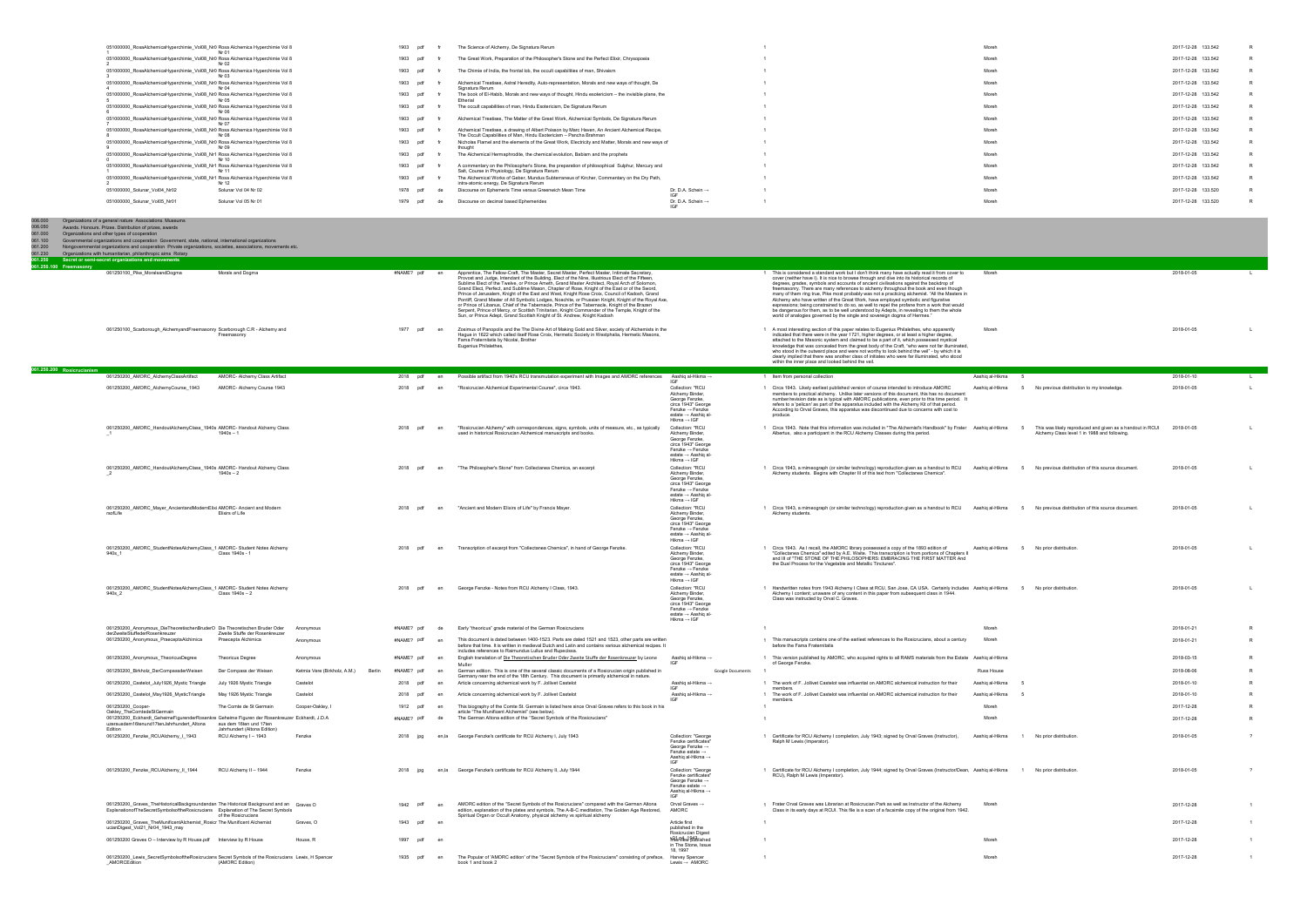| 051000000 RosaAlchemicaHyperchimie Vol08 Nr0 Rosa Alchemica Hyperchimie Vol 8 |                      | 1903 pdf    |     | The Science of Alchemy, De Signatura Rerum                                                                                                                           |                                      | Moreh | 2017-12-28 133.542 |  |
|-------------------------------------------------------------------------------|----------------------|-------------|-----|----------------------------------------------------------------------------------------------------------------------------------------------------------------------|--------------------------------------|-------|--------------------|--|
| 051000000 RosaAlchemicaHyperchimie Vol08 Nr0 Rosa Alchemica Hyperchimie Vol 8 |                      | 1903 pdf    |     | The Great Work, Preparation of the Philosopher's Stone and the Perfect Elixir, Chrysopoeia                                                                           |                                      | Moreh | 2017-12-28 133.542 |  |
| 051000000 RosaAlchemicaHyperchimie Vol08 Nr0 Rosa Alchemica Hyperchimie Vol 8 |                      | 1903 pdf    |     | The Chimie of India, the frontal lob, the occult capabilities of man, Shivaism                                                                                       |                                      | Moreh | 2017-12-28 133.542 |  |
| 051000000 RosaAlchemicaHyperchimie Vol08 Nr0 Rosa Alchemica Hyperchimie Vol 8 |                      | 1903 pdf    |     | Alchemical Treatises, Astral Heredity, Auto-representation, Morals and new ways of thought, De<br>Signatura Rerum                                                    |                                      | Moreh | 2017-12-28 133.542 |  |
| 051000000 RosaAlchemicaHyperchimie Vol08 Nr0 Rosa Alchemica Hyperchimie Vol 8 |                      | 1903 pdf    |     | The book of El-Habib, Morals and new ways of thought, Hindu esotericism - the invisible plane, the<br>Etherial                                                       |                                      | Moreh | 2017-12-28 133.542 |  |
| 051000000 RosaAlchemicaHyperchimie Vol08 Nr0 Rosa Alchemica Hyperchimie Vol 8 |                      | 1903        | pdf | The occult capabilities of man, Hindu Esotericism, De Signatura Rerum                                                                                                |                                      | Moreh | 2017-12-28 133.542 |  |
| 051000000 RosaAlchemicaHyperchimie Vol08 Nr0 Rosa Alchemica Hyperchimie Vol 8 |                      | 1903        | pdf | Alchemical Treatises, The Matter of the Great Work, Alchemical Symbols, De Signatura Rerum                                                                           |                                      | Moreh | 2017-12-28 133.542 |  |
| 051000000 RosaAlchemicaHyperchimie Vol08 Nr0 Rosa Alchemica Hyperchimie Vol 8 |                      | 1903 pdf    |     | Alchemical Treatises, a drawing of Albert Poisson by Marc Haven, An Ancient Alchemical Recipe,<br>The Occult Capabilities of Man. Hindu Esotericism - Pancha Brahman |                                      | Moreh | 2017-12-28 133.542 |  |
| 051000000 RosaAlchemicaHyperchimie Vol08 Nr0 Rosa Alchemica Hyperchimie Vol 8 |                      | 1903        | pdf | Nicholas Flamel and the elements of the Great Work, Electricity and Matter, Morals and new ways of<br>thought                                                        |                                      | Moreh | 2017-12-28 133.542 |  |
| 051000000 RosaAlchemicaHyperchimie Vol08 Nr1 Rosa Alchemica Hyperchimie Vol 8 |                      | 1903<br>pdf |     | The Alchemical Hermaphrodite, the chemical evolution, Babism and the prophets                                                                                        |                                      | Moreh | 2017-12-28 133.542 |  |
| 051000000 RosaAlchemicaHyperchimie Vol08 Nr1 Rosa Alchemica Hyperchimie Vol 8 |                      | 1903 pdf    |     | A commentary on the Philosopher's Stone, the preparation of philosophical Sulphur, Mercury and<br>Salt, Course in Physiology, De Signatura Rerum                     |                                      | Moreh | 2017-12-28 133.542 |  |
| 051000000 RosaAlchemicaHyperchimie Vol08 Nr1 Rosa Alchemica Hyperchimie Vol 8 | Nr 12                | 1903 pdf    |     | The Alchemical Works of Geber, Mundus Subterraneus of Kircher, Commentary on the Dry Path,<br>intra-atomic energy, De Signatura Rerum                                |                                      | Moreh | 2017-12-28 133.542 |  |
| 051000000_Solunar_Vol04_Nr02                                                  | Solunar Vol 04 Nr 02 | 1978 pdf    |     | Discourse on Ephemeris Time versus Greenwich Mean Time                                                                                                               | Dr. D.A. Schein $\rightarrow$        | Moreh | 2017-12-28 133.520 |  |
| 051000000_Solunar_Vol05_Nr01                                                  | Solunar Vol 05 Nr 01 | 1979        |     | Discourse on decimal based Ephemerides                                                                                                                               | Dr. D.A. Schein $\rightarrow$<br>IGE | Moreh | 2017-12-28 133.520 |  |
|                                                                               |                      |             |     |                                                                                                                                                                      |                                      |       |                    |  |

| 006.000<br>006.050<br>061.000<br>061.100<br>061.200 | Organizations of a general nature Associations. Museums<br>Awards. Honours. Prizes. Distribution of prizes, awards<br>Organizations and other types of cooperation<br>Governmental organizations and cooperation Government, state, national, international organizations<br>Nongovernmental organizations and cooperation Private organizations, societies, associations, movements etc. |                                                         |                                        |               |       |                                                                                                                                                                                                                                                                                                                                                                                                                                                                                                                                                                                                                                                                                                                                                                                                                                                                                              |                                                                                                                                                              |                                                                                                                                                                                                                                                                                                                                                                                                                                                                                                                                                                                                                                                                                                                                                                                                                                                     |                   |                                                                                                                      |            |                |
|-----------------------------------------------------|-------------------------------------------------------------------------------------------------------------------------------------------------------------------------------------------------------------------------------------------------------------------------------------------------------------------------------------------------------------------------------------------|---------------------------------------------------------|----------------------------------------|---------------|-------|----------------------------------------------------------------------------------------------------------------------------------------------------------------------------------------------------------------------------------------------------------------------------------------------------------------------------------------------------------------------------------------------------------------------------------------------------------------------------------------------------------------------------------------------------------------------------------------------------------------------------------------------------------------------------------------------------------------------------------------------------------------------------------------------------------------------------------------------------------------------------------------------|--------------------------------------------------------------------------------------------------------------------------------------------------------------|-----------------------------------------------------------------------------------------------------------------------------------------------------------------------------------------------------------------------------------------------------------------------------------------------------------------------------------------------------------------------------------------------------------------------------------------------------------------------------------------------------------------------------------------------------------------------------------------------------------------------------------------------------------------------------------------------------------------------------------------------------------------------------------------------------------------------------------------------------|-------------------|----------------------------------------------------------------------------------------------------------------------|------------|----------------|
| 061.230<br>061.250                                  | Organizations with humanitarian, philanthropic aims Rotary<br>Secret or semi-secret organizations and movements                                                                                                                                                                                                                                                                           |                                                         |                                        |               |       |                                                                                                                                                                                                                                                                                                                                                                                                                                                                                                                                                                                                                                                                                                                                                                                                                                                                                              |                                                                                                                                                              |                                                                                                                                                                                                                                                                                                                                                                                                                                                                                                                                                                                                                                                                                                                                                                                                                                                     |                   |                                                                                                                      |            |                |
| 061.250.100 Freemasonry                             | 061250100_Pike_MoralsandDogma                                                                                                                                                                                                                                                                                                                                                             | Morals and Dogma                                        |                                        | #NAME? pdf en |       | Apprentice, The Fellow-Craft, The Master, Secret Master, Perfect Master, Intimate Secretary,<br>Provost and Judge, Intendant of the Building, Elect of the Nine, Illustrious Elect of the Fifteen,<br>Sublime Elect of the Twelve, or Prince Ameth, Grand Master Architect, Royal Arch of Solomon<br>Grand Elect, Perfect, and Sublime Mason, Chapter of Rose, Knight of the East or of the Sword,<br>Prince of Jerusalem, Knight of the East and West, Knight Rose Croix, Council of Kadosh, Grand<br>Pontiff, Grand Master of All Symbolic Lodges, Noachite, or Prussian Knight, Knight of the Royal Axe,<br>or Prince of Libanus, Chief of the Tabernacle, Prince of the Tabernacle, Knight of the Brazen<br>Serpent, Prince of Mercy, or Scottish Trinitarian, Knight Commander of the Temple, Knight of the<br>Sun, or Prince Adept, Grand Scottish Knight of St. Andrew, Knight Kadosh |                                                                                                                                                              | 1 This is considered a standard work but I don't think many have actually read it from cover to<br>cover (neither have I). It is nice to browse through and dive into its historical records of<br>degrees, grades, symbols and accounts of ancient civilisations against the backdrop of<br>freemasonry. There are many references to alchemy throughout the book and even though<br>many of them ring true, Pike most probably was not a practicing alchemist. "All the Masters in<br>Alchemy who have written of the Great Work, have employed symbolic and figurative<br>expressions; being constrained to do so, as well to repel the profane from a work that would<br>be dangerous for them, as to be well understood by Adepts, in revealing to them the whole<br>world of analogies governed by the single and sovereign dogma of Hermes." | Moreh             |                                                                                                                      | 2018-01-05 | $\blacksquare$ |
|                                                     | 061250100_Scarborough_AlchemyandFreemasonry Scarborough C.R - Alchemy and                                                                                                                                                                                                                                                                                                                 | Freemasonry                                             |                                        | 1977 pdf      | en    | Zosimus of Panopolis and the The Divine Art of Making Gold and Silver, society of Alchemists in the<br>Hague in 1622 which called itself Rose Croix, Hermetic Society in Westphalia, Hermetic Masons,<br>Fama Fraternitatis by Nicolai, Brother<br>Eugenius Philalethes,                                                                                                                                                                                                                                                                                                                                                                                                                                                                                                                                                                                                                     |                                                                                                                                                              | 1 A most interesting section of this paper relates to Eugenius Philalethes, who apparently<br>indicated that there were in the year 1721, higher degrees, or at least a higher degree,<br>attached to the Masonic system and claimed to be a part of it, which possessed mystical<br>knowledge that was concealed from the great body of the Craft, "who were not far illuminated,<br>who stood in the outward place and were not worthy to look behind the veil" - by which it is<br>clearly implied that there was another class of initiates who were far illuminated, who stood<br>within the inner place and looked behind the veil.                                                                                                                                                                                                           | Moreh             |                                                                                                                      | 2018-01-05 |                |
| 061.250.200 Rosicrucianism                          | 061250200_AMORC_AlchemyClassArtifact                                                                                                                                                                                                                                                                                                                                                      | AMORC- Alchemy Class Artifact                           |                                        | 2018 pdf      | en    | Possible artifact from 1940's RCU transmutation experiment with Images and AMORC references                                                                                                                                                                                                                                                                                                                                                                                                                                                                                                                                                                                                                                                                                                                                                                                                  | Aashiq al-Hikma →                                                                                                                                            | 1 Item from personal collection                                                                                                                                                                                                                                                                                                                                                                                                                                                                                                                                                                                                                                                                                                                                                                                                                     | Aashiq al-Hikma   |                                                                                                                      | 2018-01-10 |                |
|                                                     | 061250200_AMORC_AlchemyCourse_1943                                                                                                                                                                                                                                                                                                                                                        | AMORC- Alchemy Course 1943                              |                                        | 2018 pdf      | en    | "Rosicrucian Alchemical Experimental Course", circa 1943.                                                                                                                                                                                                                                                                                                                                                                                                                                                                                                                                                                                                                                                                                                                                                                                                                                    | Collection: "RCU<br>Alchemy Binder<br>George Fenzke.<br>circa 1943" George<br>$Fenzke \rightarrow Fenzke$<br>estate → Aashiq al-<br>$Hikma \rightarrow IGF$  | 1 Circa 1943. Likely earliest published version of course intended to introduce AMORC<br>members to practical alchemy. Unlike later versions of this document, this has no document<br>number/revision date as is typical with AMORC publications, even prior to this time period. It<br>refers to a 'pelican' as part of the apparatus included with the Alchemy Kit of that period.<br>According to Orval Graves, this apparatus was discontinued due to concerns with cost to<br>produce.                                                                                                                                                                                                                                                                                                                                                        | Aashiq al-Hikma   | 5 No previous distribution to my knowledge                                                                           | 2018-01-05 | $\mathsf{L}$   |
|                                                     | 061250200_AMORC_HandoutAlchemyClass_1940s AMORC-Handout Alchemy Class                                                                                                                                                                                                                                                                                                                     | $1940s - 1$                                             |                                        | 2018 pdf      | en    | "Rosicrucian Alchemy" with correspondences, signs, symbols, units of measure, etc., as typically<br>used in historical Rosicrucian Alchemical manuscripts and books.                                                                                                                                                                                                                                                                                                                                                                                                                                                                                                                                                                                                                                                                                                                         | Collection: "RCU<br>Alchemy Binder,<br>George Fenzke,<br>circa 1943" George<br>Fenzke $\rightarrow$ Fenzke<br>estate → Aashiq al-<br>Hikma $\rightarrow$ IGF | 1 Circa 1943. Note that this information was included in "The Alchemist's Handbook" by Frater Aashiq al-Hikma<br>Albertus, also a participant in the RCU Alchemy Classes during this period.                                                                                                                                                                                                                                                                                                                                                                                                                                                                                                                                                                                                                                                        |                   | This was likely reproduced and given as a handout in RCUI 2018-01-05<br>Alchemy Class level 1 in 1988 and following. |            |                |
|                                                     | 061250200_AMORC_HandoutAlchemyClass_1940s AMORC-Handout Alchemy Class                                                                                                                                                                                                                                                                                                                     | $1940s - 2$                                             |                                        | 2018 pdf      | en    | "The Philosopher's Stone" from Collectanea Chemica, an excerpt                                                                                                                                                                                                                                                                                                                                                                                                                                                                                                                                                                                                                                                                                                                                                                                                                               | Collection: "RCU<br>Alchemy Binder,<br>George Fenzke,<br>circa 1943" George<br>Fenzke → Fenzke<br>estate → Aashiq al-<br>$Hikma \rightarrow IGF$             | 1 Circa 1943, a mimeograph (or similar technology) reproduction given as a handout to RCU Aashig al-Hikma<br>Alchemy students. Begins with Chapter III of this text from "Collectanea Chemica"                                                                                                                                                                                                                                                                                                                                                                                                                                                                                                                                                                                                                                                      |                   | No previous distribution of this source document.                                                                    | 2018-01-05 |                |
|                                                     | 061250200_AMORC_Mayer_AncientandModernElixi AMORC- Ancient and Modern<br>rsofLife                                                                                                                                                                                                                                                                                                         | Elixirs of Life                                         |                                        | 2018 pdf      | en    | "Ancient and Modern Elixirs of Life" by Francis Mayer.                                                                                                                                                                                                                                                                                                                                                                                                                                                                                                                                                                                                                                                                                                                                                                                                                                       | Collection: "RCU<br>Alchemy Binder.<br>George Fenzke.<br>circa 1943" George<br>Fenzke → Fenzke<br>estate → Aashig al-<br>$Hikma \rightarrow IGF$             | 1 Circa 1943, a mimeograph (or similar technology) reproduction given as a handout to RCU Aashiq al-Hikma<br>Alchemy students.                                                                                                                                                                                                                                                                                                                                                                                                                                                                                                                                                                                                                                                                                                                      |                   | 5 No previous distribution of this source document.                                                                  | 2018-01-05 |                |
|                                                     | 061250200 AMORC StudentNotesAlchemyClass 1 AMORC- Student Notes Alchemy<br>940s 1                                                                                                                                                                                                                                                                                                         | Class 1940s - 1                                         |                                        | 2018 pdf      | en    | Transcription of excerpt from "Collectanea Chemica", in hand of George Fenzke.                                                                                                                                                                                                                                                                                                                                                                                                                                                                                                                                                                                                                                                                                                                                                                                                               | Collection: "RCU<br>Alchemy Binder<br>George Fenzke,<br>circa 1943" George<br>Fenzke $\rightarrow$ Fenzke<br>estate → Aashig al-<br>Hikma $\rightarrow$ IGF  | 1 Circa 1943. As I recall, the AMORC library possessed a copy of the 1893 edition of<br>"Collectanea Chemica" edited by A.E. Waite. This transcription is from portions of Chapters II<br>and III of "THE STONE OF THE PHILOSOPHERS: EMBRACING THE FIRST MATTER And<br>the Dual Process for the Vegetable and Metallic Tinctures"                                                                                                                                                                                                                                                                                                                                                                                                                                                                                                                   | Aashiq al-Hikma   | No prior distribution.<br>- 5                                                                                        | 2018-01-05 |                |
|                                                     | 061250200_AMORC_StudentNotesAlchemyClass_1 AMORC-Student Notes Alchemy<br>940s 2                                                                                                                                                                                                                                                                                                          | Class 1940s - 2                                         |                                        | 2018 pdf      |       | George Fenzke - Notes from RCU Alchemy I Class, 1943.                                                                                                                                                                                                                                                                                                                                                                                                                                                                                                                                                                                                                                                                                                                                                                                                                                        | Collection: "RCU<br>Alchemy Binder,<br>George Fenzke,<br>circa 1943" George<br>Fenzke $\rightarrow$ Fenzke<br>estate → Aashiq al-<br>$Hikma \rightarrow IGF$ | 1 Handwritten notes from 1943 Alchemy I Class at RCU, San Jose, CA USA. Certainly includes Aashiq al-Hikma<br>Alchemy I content; unaware of any content in this paper from subsequent class in 1944.<br>Class was instructed by Orval C. Graves.                                                                                                                                                                                                                                                                                                                                                                                                                                                                                                                                                                                                    |                   | 5 No prior distribution                                                                                              | 2018-01-05 |                |
|                                                     | 061250200_Anonymous_DieTheoretischenBruderO Die Theoretischen Bruder Oder                                                                                                                                                                                                                                                                                                                 |                                                         | Anonymous                              | #NAME? pdf    |       | Early "theoricus" grade material of the German Rosicrucians                                                                                                                                                                                                                                                                                                                                                                                                                                                                                                                                                                                                                                                                                                                                                                                                                                  |                                                                                                                                                              |                                                                                                                                                                                                                                                                                                                                                                                                                                                                                                                                                                                                                                                                                                                                                                                                                                                     | Moreh             |                                                                                                                      | 2018-01-21 |                |
|                                                     | derZweiteStuffederRosenkreuzer<br>061250200_Anonymous_PraeceptaAlchimica                                                                                                                                                                                                                                                                                                                  | Zweite Stuffe der Rosenkreuzer<br>Praecepta Alchimica   | Anonymous                              | #NAME? pdf    | en    | This document is dated between 1400-1523. Parts are dated 1521 and 1523, other parts are written<br>before that time. It is written in medieval Dutch and Latin and contains various alchemical recipes. It<br>includes references to Raimundus Lullus and Rupecissa                                                                                                                                                                                                                                                                                                                                                                                                                                                                                                                                                                                                                         |                                                                                                                                                              | 1 This manuscripts contains one of the earliest references to the Rosicrucians, about a century<br>before the Fama Fraternitatis                                                                                                                                                                                                                                                                                                                                                                                                                                                                                                                                                                                                                                                                                                                    | Moreh             |                                                                                                                      | 2018-01-21 | $\mathsf{R}$   |
|                                                     | 061250200_Anonymous_TheoricusDegree                                                                                                                                                                                                                                                                                                                                                       | <b>Theoricus Degree</b>                                 | Anonymous                              | #NAME? pdf    | en    | English translation of Die Theoretischen Bruder Oder Zweite Stuffe der Rosenkreuzer by Leone                                                                                                                                                                                                                                                                                                                                                                                                                                                                                                                                                                                                                                                                                                                                                                                                 | Aashiq al-Hikma →<br><b>IGE</b>                                                                                                                              | 1 This version published by AMORC, who acquired rights to all RAMS materials from the Estate Aashiq al-Hikma<br>of George Fenzke.                                                                                                                                                                                                                                                                                                                                                                                                                                                                                                                                                                                                                                                                                                                   |                   |                                                                                                                      | 2018-03-15 |                |
|                                                     | 061250200_Birkholz_DerCompassderWeisen                                                                                                                                                                                                                                                                                                                                                    | Der Compass der Weisen                                  | Ketmia Vere (Birkholz, A.M.)<br>Berlin | #NAME? pdf    | en    | German edition. This is one of the several classic documents of a Rosicrucian origin published in<br>Germany near the end of the 18th Century. This document is primarily alchemical in nature.                                                                                                                                                                                                                                                                                                                                                                                                                                                                                                                                                                                                                                                                                              | Google Documents                                                                                                                                             |                                                                                                                                                                                                                                                                                                                                                                                                                                                                                                                                                                                                                                                                                                                                                                                                                                                     | <b>Russ House</b> |                                                                                                                      | 2018-08-06 |                |
|                                                     | 061250200_Castelot_July1926_Mystic Triangle                                                                                                                                                                                                                                                                                                                                               | July 1926 Mystic Triangle                               | Castelot                               | 2018 pdf      | en    | Article concerning alchemical work by F. Jollivet Castelot                                                                                                                                                                                                                                                                                                                                                                                                                                                                                                                                                                                                                                                                                                                                                                                                                                   | Aashiq al-Hikma →<br>IGF                                                                                                                                     | 1 The work of F. Jollivet Castelot was influential on AMORC alchemical instruction for their<br>members.                                                                                                                                                                                                                                                                                                                                                                                                                                                                                                                                                                                                                                                                                                                                            | Aashiq al-Hikma   |                                                                                                                      | 2018-01-10 |                |
|                                                     | 061250200_Castelot_May1926_MysticTriangle                                                                                                                                                                                                                                                                                                                                                 | May 1926 Mystic Triangle                                | Castelot                               | 2018 pdf      | en    | Article concerning alchemical work by F. Jollivet Castelot                                                                                                                                                                                                                                                                                                                                                                                                                                                                                                                                                                                                                                                                                                                                                                                                                                   | Aashiq al-Hikma →<br>IGE                                                                                                                                     | 1 The work of F. Jollivet Castelot was influential on AMORC alchemical instruction for their<br>members.                                                                                                                                                                                                                                                                                                                                                                                                                                                                                                                                                                                                                                                                                                                                            | Aashiq al-Hikma   |                                                                                                                      | 2018-01-10 |                |
|                                                     | 061250200_Cooper-                                                                                                                                                                                                                                                                                                                                                                         | The Comte de St Germain                                 | Cooper-Oakley, I                       | 1912 pdf      | en    | This biography of the Comte St. Germain is listed here since Orval Graves refers to this book in his<br>igent wichenist (see below)                                                                                                                                                                                                                                                                                                                                                                                                                                                                                                                                                                                                                                                                                                                                                          |                                                                                                                                                              | $\overline{1}$                                                                                                                                                                                                                                                                                                                                                                                                                                                                                                                                                                                                                                                                                                                                                                                                                                      | Moreh             |                                                                                                                      | 2017-12-28 | $\mathsf{R}$   |
|                                                     | 061250200_Eckhardt_GeheimeFigurenderRosenkre Geheime Figuren der Rosenkreuzer Eckhardt, J.D.A<br>uzerausdem16tenund17tenJahrhundert_Altona<br><b>F</b> dition                                                                                                                                                                                                                             | aus dem 16ten und 17ten<br>Jahrhundert (Altona Edition) |                                        | #NAME? pdf    | de    | The German Altona edition of the "Secret Symbols of the Rosicrucians"                                                                                                                                                                                                                                                                                                                                                                                                                                                                                                                                                                                                                                                                                                                                                                                                                        |                                                                                                                                                              | $\overline{1}$                                                                                                                                                                                                                                                                                                                                                                                                                                                                                                                                                                                                                                                                                                                                                                                                                                      | Moreh             |                                                                                                                      | 2017-12-28 |                |
|                                                     | 061250200_Fenzke_RCUAlchemy_I_1943                                                                                                                                                                                                                                                                                                                                                        | RCU Alchemy I - 1943                                    | Fenzke                                 | 2018 jpg      |       | en,la George Fenzke's certificate for RCU Alchemy I, July 1943                                                                                                                                                                                                                                                                                                                                                                                                                                                                                                                                                                                                                                                                                                                                                                                                                               | Collection: "George<br>Fenzke certificates'<br>George Fenzke $\rightarrow$<br>Fenzke estate $\rightarrow$<br>Aashiq al-Hikma →<br>IGF                        | 1 Certificate for RCU Alchemy I completion, July 1943; signed by Orval Graves (Instructor),<br>Ralph M Lewis (Imperator).                                                                                                                                                                                                                                                                                                                                                                                                                                                                                                                                                                                                                                                                                                                           | Aashiq al-Hikma   | 1 No prior distribution.                                                                                             | 2018-01-05 |                |
|                                                     | 061250200_Fenzke_RCUAlchemy_II_1944                                                                                                                                                                                                                                                                                                                                                       | RCU Alchemy II - 1944                                   | Fenzke                                 | 2018 ipa      | en.la | George Fenzke's certificate for RCU Alchemy II, July 1944                                                                                                                                                                                                                                                                                                                                                                                                                                                                                                                                                                                                                                                                                                                                                                                                                                    | Collection: "George<br>Fenzke certificates'<br>George Fenzke →<br>Fenzke estate $\rightarrow$<br>Aashiq al-Hikma →<br>IGF                                    | 1 Certificate for RCU Alchemy I completion, July 1944; signed by Orval Graves (Instructor/Dean, Aashiq al-Hikma<br>RCU), Ralph M Lewis (Imperator).                                                                                                                                                                                                                                                                                                                                                                                                                                                                                                                                                                                                                                                                                                 |                   | 1 No prior distribution                                                                                              | 2018-01-05 |                |
|                                                     | 061250200 Graves TheHistoricalBackgroundandan The Historical Background and an Graves O<br>ExplanationofTheSecretSymbolsoftheRosicrucians Explanation of The Secret Symbols                                                                                                                                                                                                               | of the Rosicrucians                                     |                                        | 1942<br>ndf   | en    | AMORC edition of the "Secret Symbols of the Rosicrucians" compared with the German Altona<br>edition, explanation of the plates and symbols, The A-B-C meditation, The Golden Age Restored,<br>Spiritual Organ or Occult Anatomy, physical alchemy vs spiritual alchemy                                                                                                                                                                                                                                                                                                                                                                                                                                                                                                                                                                                                                      | Orval Graves →<br>AMORC                                                                                                                                      | 1 Frater Orval Graves was Librarian at Rosicrucian Park as well as Instructor of the Alchemy<br>Class in its early days at RCUI. This file is a scan of a facsimile copy of the original from 1942.                                                                                                                                                                                                                                                                                                                                                                                                                                                                                                                                                                                                                                                 | Moreh             |                                                                                                                      | 2017-12-28 |                |
|                                                     | 061250200_Graves_TheMunificentAlchemist_Rosicr The Munificent Alchemist<br>ucianDigest_Vol21_Nr04_1943_may                                                                                                                                                                                                                                                                                |                                                         | Graves, O                              | 1943 pdf      |       |                                                                                                                                                                                                                                                                                                                                                                                                                                                                                                                                                                                                                                                                                                                                                                                                                                                                                              | Article first<br>published in the                                                                                                                            | $\overline{1}$                                                                                                                                                                                                                                                                                                                                                                                                                                                                                                                                                                                                                                                                                                                                                                                                                                      |                   |                                                                                                                      | 2017-12-28 |                |
|                                                     | 061250200 Graves O - Interview by R House.pdf Interview by R House                                                                                                                                                                                                                                                                                                                        |                                                         | House, R                               | 1997 pdf      | en    |                                                                                                                                                                                                                                                                                                                                                                                                                                                                                                                                                                                                                                                                                                                                                                                                                                                                                              | Rosicrucian Digest<br>MilerMew Stiblished<br>in The Stone, Issue                                                                                             |                                                                                                                                                                                                                                                                                                                                                                                                                                                                                                                                                                                                                                                                                                                                                                                                                                                     | Moreh             |                                                                                                                      | 2017-12-28 |                |
|                                                     | 061250200 Lewis SecretSymbolsoftheRosicrucians Secret Symbols of the Rosicrucians Lewis, H Spencer<br>AMORCEdition                                                                                                                                                                                                                                                                        | (AMORC Edition)                                         |                                        | 1935 pdf      | en    | The Popular of 'AMORC edition' of the "Secret Symbols of the Rosicrucians" consisting of preface, Harvey Spencer<br>book 1 and book 2                                                                                                                                                                                                                                                                                                                                                                                                                                                                                                                                                                                                                                                                                                                                                        | 18, 1997<br>Lewis $\rightarrow$ AMORC                                                                                                                        | $\overline{1}$                                                                                                                                                                                                                                                                                                                                                                                                                                                                                                                                                                                                                                                                                                                                                                                                                                      | Moreh             |                                                                                                                      | 2017-12-28 |                |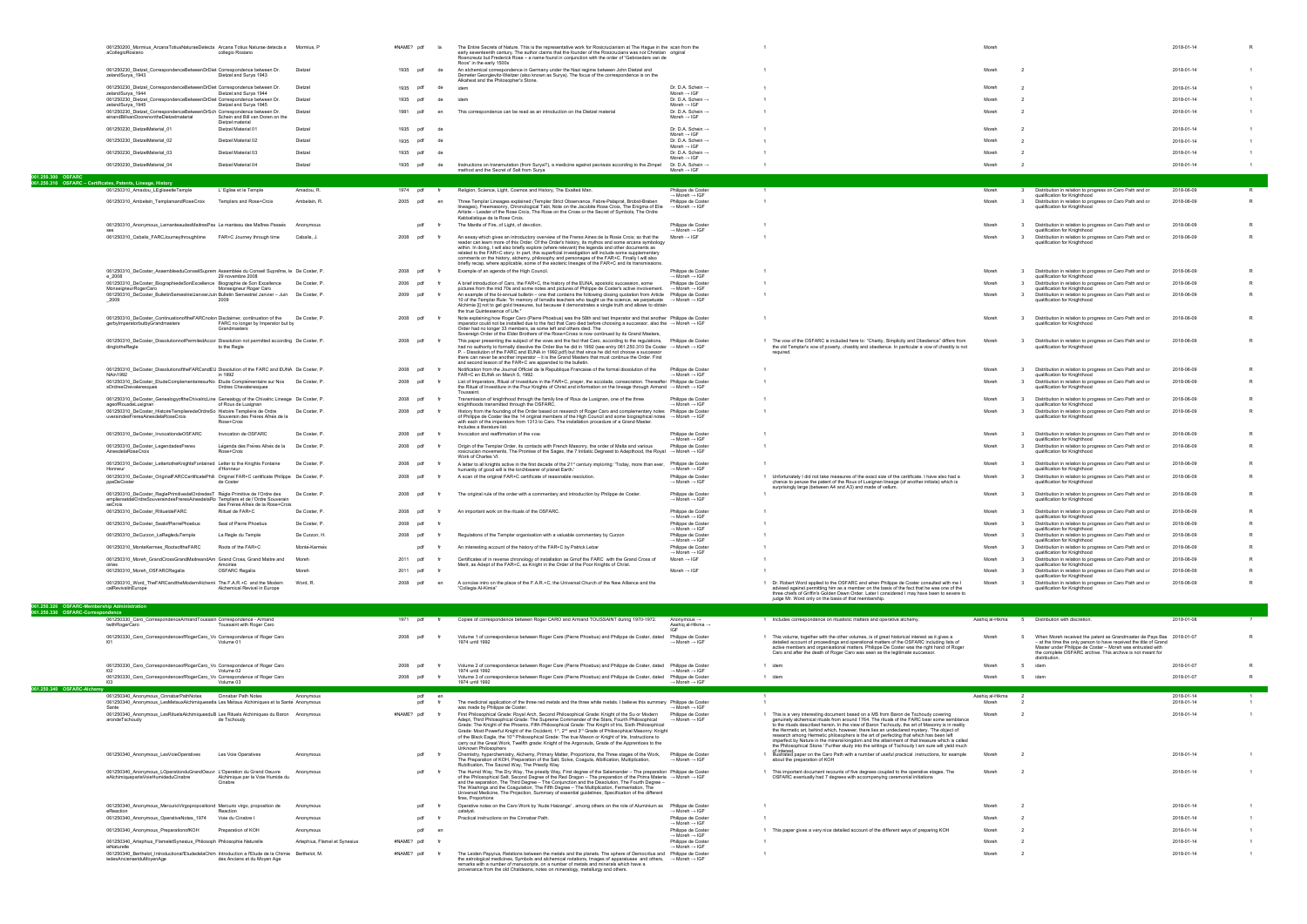|                                              | 061250200_Mormius_ArcanaTotiusNaturaeDetecta Arcana Totius Naturae detecta a Mormius, P<br>aCollegioRosiano                                                                  | collegio Rosiano                                          |                               | #NAME? pdf      |    | The Entire Secrets of Nature. This is the representative work for Rosicrucianism at The Hague in the scan from the<br>early seventeenth century. The author claims that the founder of the Rosicrucians was not Christian original<br>Roencreutz but Frederick Rose – a name found in conjunction with the order of "Gebroeders van de                                                                                                                                                                                                                                                                               |                                                                                        |                                                                                                                                                                                                                                                                                                                                                                                                                                                                                                                                                                                            |                                  |                                                                                                                                                                                                                                                                                        | 2018-01-14               |                |
|----------------------------------------------|------------------------------------------------------------------------------------------------------------------------------------------------------------------------------|-----------------------------------------------------------|-------------------------------|-----------------|----|----------------------------------------------------------------------------------------------------------------------------------------------------------------------------------------------------------------------------------------------------------------------------------------------------------------------------------------------------------------------------------------------------------------------------------------------------------------------------------------------------------------------------------------------------------------------------------------------------------------------|----------------------------------------------------------------------------------------|--------------------------------------------------------------------------------------------------------------------------------------------------------------------------------------------------------------------------------------------------------------------------------------------------------------------------------------------------------------------------------------------------------------------------------------------------------------------------------------------------------------------------------------------------------------------------------------------|----------------------------------|----------------------------------------------------------------------------------------------------------------------------------------------------------------------------------------------------------------------------------------------------------------------------------------|--------------------------|----------------|
|                                              | 061250230_Dietzel_CorrespondenceBetweenDrDiet Correspondence between Dr.<br>zelandSurya_1943                                                                                 | Dietzel and Surya 1943                                    | Dietzel                       | 1935<br>pdf     | de | Roos" in the early 1500s<br>An alchemical correspondence in Germany under the Nazi regime between John Dietzel and<br>Demeter Georgievitz-Weitzer (also known as Surya). The focus of the correspondence is on the                                                                                                                                                                                                                                                                                                                                                                                                   |                                                                                        |                                                                                                                                                                                                                                                                                                                                                                                                                                                                                                                                                                                            | Moreh                            |                                                                                                                                                                                                                                                                                        | 2018-01-14               |                |
|                                              | 061250230_Dietzel_CorrespondenceBetweenDrDiet Correspondence between Dr.                                                                                                     |                                                           | Dietzel                       | 1935<br>pdf     |    | Alkahest and the Philosopher's Stone.<br>idem                                                                                                                                                                                                                                                                                                                                                                                                                                                                                                                                                                        | Dr. D.A. Schein →                                                                      |                                                                                                                                                                                                                                                                                                                                                                                                                                                                                                                                                                                            | Moreh<br>$\overline{2}$          |                                                                                                                                                                                                                                                                                        | 2018-01-14               |                |
|                                              | zelandSurya_1944<br>061250230_Dietzel_CorrespondenceBetweenDrDiet Correspondence between Dr.                                                                                 | Dietzel and Surya 1944                                    | Dietze                        | 1935<br>pdf     |    |                                                                                                                                                                                                                                                                                                                                                                                                                                                                                                                                                                                                                      | Moreh $\rightarrow$ IGF<br>Dr. D.A. Schein →                                           |                                                                                                                                                                                                                                                                                                                                                                                                                                                                                                                                                                                            | Moreh                            |                                                                                                                                                                                                                                                                                        | 2018-01-14               |                |
|                                              | zelandSurya_1945                                                                                                                                                             | Dietzel and Surya 1945                                    |                               |                 |    |                                                                                                                                                                                                                                                                                                                                                                                                                                                                                                                                                                                                                      | Moreh $\rightarrow$ IGF                                                                |                                                                                                                                                                                                                                                                                                                                                                                                                                                                                                                                                                                            |                                  |                                                                                                                                                                                                                                                                                        |                          |                |
|                                              | 061250230_Dietzel_CorrespondenceBetweenDrSch Correspondence between Dr.<br>einandBillvanDoorenontheDietzelmaterial                                                           | Schein and Bill van Doren on the                          | Dietzel                       | 1981<br>pdf     |    | This correspondence can be read as an introduction on the Dietzel materia                                                                                                                                                                                                                                                                                                                                                                                                                                                                                                                                            | Dr. D.A. Schein $\rightarrow$<br>Moreh $\rightarrow$ IGF                               |                                                                                                                                                                                                                                                                                                                                                                                                                                                                                                                                                                                            | $\overline{2}$<br>Moreh          |                                                                                                                                                                                                                                                                                        | 2018-01-14               |                |
|                                              | 061250230_DietzelMaterial_01                                                                                                                                                 | Dietzel material<br>Dietzel Material 01                   | Dietzel                       | 1935<br>pdf     |    |                                                                                                                                                                                                                                                                                                                                                                                                                                                                                                                                                                                                                      | Dr. D.A. Schein →                                                                      |                                                                                                                                                                                                                                                                                                                                                                                                                                                                                                                                                                                            | Moreh                            |                                                                                                                                                                                                                                                                                        | 2018-01-14               |                |
|                                              | 061250230_DietzelMaterial_02                                                                                                                                                 | Dietzel Material 02                                       | Dietze                        | 1935            |    |                                                                                                                                                                                                                                                                                                                                                                                                                                                                                                                                                                                                                      | Moreh $\rightarrow$ IGF<br>Dr. D.A. Schein $\rightarrow$                               |                                                                                                                                                                                                                                                                                                                                                                                                                                                                                                                                                                                            | Morel                            |                                                                                                                                                                                                                                                                                        | 2018-01-14               |                |
|                                              | 061250230_DietzelMaterial_03                                                                                                                                                 | Dietzel Material 03                                       | Dietzel                       | 1935            |    |                                                                                                                                                                                                                                                                                                                                                                                                                                                                                                                                                                                                                      | Moreh $\rightarrow$ IGF<br>Dr. D.A. Schein $\rightarrow$<br>$\mathbf{1}$               |                                                                                                                                                                                                                                                                                                                                                                                                                                                                                                                                                                                            | Moreh                            |                                                                                                                                                                                                                                                                                        | 2018-01-14               | $\overline{1}$ |
|                                              | 061250230 DietzelMaterial 04                                                                                                                                                 | Dietzel Material 04                                       | Dietzel                       | 1935<br>pdf     | de | Instructions on transmutation (from Surya?), a medicine against psoriasis according to the Zimpel                                                                                                                                                                                                                                                                                                                                                                                                                                                                                                                    | Moreh $\rightarrow$ IGF<br>Dr. D.A. Schein →                                           |                                                                                                                                                                                                                                                                                                                                                                                                                                                                                                                                                                                            | Moreh                            |                                                                                                                                                                                                                                                                                        | 2018-01-14               | $\overline{1}$ |
| 061.250.300 OSFARC                           |                                                                                                                                                                              |                                                           |                               |                 |    | method and the Secret of Salt from Surya                                                                                                                                                                                                                                                                                                                                                                                                                                                                                                                                                                             | Moreh $\rightarrow$ IGF                                                                |                                                                                                                                                                                                                                                                                                                                                                                                                                                                                                                                                                                            |                                  |                                                                                                                                                                                                                                                                                        |                          |                |
|                                              | 061.250.310 OSFARC - Certificates, Patents, Lineage, History<br>061250310_Amadou_LEgliseetleTemple                                                                           | L' Eglise et le Temple                                    | Amadou, R.                    | 1974 pdf        |    | Religion, Science, Light, Cosmos and History, The Exalted Man.                                                                                                                                                                                                                                                                                                                                                                                                                                                                                                                                                       | Philippe de Coster<br>$\overline{1}$                                                   |                                                                                                                                                                                                                                                                                                                                                                                                                                                                                                                                                                                            | Moreh                            | Distribution in relation to progress on Caro Path and or                                                                                                                                                                                                                               | 2018-06-09               | R              |
|                                              | 061250310_Ambelain_TemplarsandRoseCroix                                                                                                                                      | Templars and Rose+Croix                                   | Ambelain, R.                  | 2005<br>pdf     |    | Three Templar Lineages explained (Templar Strict Observance, Fabre-Palaprat, Brobst-Braben                                                                                                                                                                                                                                                                                                                                                                                                                                                                                                                           | $\rightarrow$ Moreh $\rightarrow$ IGF<br>Philippe de Coster                            |                                                                                                                                                                                                                                                                                                                                                                                                                                                                                                                                                                                            | Moreh                            | qualification for Knighthood<br>Distribution in relation to progress on Caro Path and or                                                                                                                                                                                               | 2018-06-09               | R              |
|                                              | 061250310_Anonymous_LemanteaudesMaitresPas_Le manteau des Maîtres Passés                                                                                                     |                                                           |                               |                 |    | lineages), Freemasonry, Chronological Tabl, Note on the Jacobite Rose Croix, The Enigma of Elie<br>Artiste - Leader of the Rose Croix, The Rose on the Cross or the Secret of Symbols, The Ordre<br>Kabbalistique de la Rose Croix.                                                                                                                                                                                                                                                                                                                                                                                  | → Moreh → IGF                                                                          |                                                                                                                                                                                                                                                                                                                                                                                                                                                                                                                                                                                            | Moreh                            | qualification for Knighthood<br>Distribution in relation to progress on Caro Path and or                                                                                                                                                                                               |                          |                |
|                                              |                                                                                                                                                                              |                                                           | Anonymous                     | pdf<br>2008 pdf | fr | The Mantle of Fire, of Light, of devotion.<br>An essay which gives an introductory overview of the Freres Aines de la Rosie Croix; so that the                                                                                                                                                                                                                                                                                                                                                                                                                                                                       | Philippe de Coster<br>$\rightarrow$ Moreh $\rightarrow$ IGF<br>Moreh $\rightarrow$ IGF |                                                                                                                                                                                                                                                                                                                                                                                                                                                                                                                                                                                            | Moreh<br>$\overline{\mathbf{3}}$ | qualification for Knighthood<br>Distribution in relation to progress on Caro Path and or                                                                                                                                                                                               | 2018-06-09<br>2018-06-09 |                |
|                                              | 061250310_Cabalis_FARCJourneythroughtime FAR+C Journey through time                                                                                                          |                                                           | Cabalis, J                    |                 |    | reader can learn more of this Order. Of the Order's history, its mythos and some arcana symbology<br>within. In doing, I will also briefly explore (where relevant) the legenda and other documents as<br>related to the FAR+C story. In part, this superficial investigation will include some supplementary<br>comments on the history, alchemy, philosophy and personages of the FAR+C. Finally I will also                                                                                                                                                                                                       |                                                                                        |                                                                                                                                                                                                                                                                                                                                                                                                                                                                                                                                                                                            |                                  | qualification for Knighthood                                                                                                                                                                                                                                                           |                          |                |
|                                              | 061250310_DeCoster_AssembleeduConseilSuprem Assemblee du Conseil Supreme, le De Coster, P.                                                                                   |                                                           |                               | 2008 pdf        | fr | briefly recap, where applicable, some of the esoteric lineages of the FAR+C and its transmissions.<br>Example of an agenda of the High Council.                                                                                                                                                                                                                                                                                                                                                                                                                                                                      | Philippe de Coster                                                                     |                                                                                                                                                                                                                                                                                                                                                                                                                                                                                                                                                                                            | Moreh                            | Distribution in relation to progress on Caro Path and or                                                                                                                                                                                                                               | 2018-06-09               |                |
|                                              | e 2008<br>061250310_DeCoster_BiographiedeSonExcellence Biographie de Son Excellence                                                                                          | 29 novembre 2008                                          | De Coster, P                  | 2006<br>pdf     | fr | A brief introduction of Caro, the FAR+C, the history of the EUNA, apostolic succession, some                                                                                                                                                                                                                                                                                                                                                                                                                                                                                                                         | $\rightarrow$ Moreh $\rightarrow$ IGF<br>Philippe de Coster                            |                                                                                                                                                                                                                                                                                                                                                                                                                                                                                                                                                                                            | Moreh<br>$\mathbf{3}$            | qualification for Knighthood<br>Distribution in relation to progress on Caro Path and or                                                                                                                                                                                               | 2018-06-09               |                |
|                                              | MonseigneurRogerCaro<br>061250310 DeCoster BulletinSemestrielJanvierJuin Bulletin Semestriel Janvier - Juin De Coster, P                                                     | Monseigneur Roger Caro                                    |                               | 2009<br>pdf     |    | pictures from the mid 70s and some notes and pictures of Philippe de Coster's active involvement.<br>An example of the bi-annual bulletin - one that contains the following closing quotation from Article Philippe de Coster                                                                                                                                                                                                                                                                                                                                                                                        | $\rightarrow$ Moreh $\rightarrow$ IGF                                                  |                                                                                                                                                                                                                                                                                                                                                                                                                                                                                                                                                                                            | Moreh                            | qualification for Knighthood<br>Distribution in relation to progress on Caro Path and or                                                                                                                                                                                               | 2018-06-09               |                |
|                                              | $-2009$                                                                                                                                                                      | 2009                                                      |                               |                 |    | 10 of the Templar Rule: "In memory of Ismailis teachers who taught us the science, we perpetuate → Moreh → IGF<br>Alchimie [i] not to get gold treasures, but because it demonstrates a single truth and allows to obtain<br>the true Quintessence of Life."                                                                                                                                                                                                                                                                                                                                                         |                                                                                        |                                                                                                                                                                                                                                                                                                                                                                                                                                                                                                                                                                                            |                                  | qualification for Knighthood                                                                                                                                                                                                                                                           |                          |                |
|                                              | 061250310_DeCoster_ContinuationoftheFARCnolon Disclaimer, continuation of the De Coster, P.<br>gerbyImperatorbutbyGrandmasters                                               | FARC no longer by Imperator but by<br>Grandmasters        |                               | 2008 pdf        | fr | Note explaining how Roger Caro (Pierre Phoebus) was the 58th and last Imperator and that another Philippe de Coster<br>imperator could not be installed due to the fact that Caro died before choosing a successor, also the $\rightarrow$ Moreh $\rightarrow$ IGF<br>Order had no longer 33 members, as some left and others died. The<br>Sovereign Order of the Elder Brothers of the Rose+Cross is now continued by its Grand Masters                                                                                                                                                                             |                                                                                        |                                                                                                                                                                                                                                                                                                                                                                                                                                                                                                                                                                                            | Moreh<br>$\mathbf{3}$            | Distribution in relation to progress on Caro Path and or<br>qualification for Knighthood                                                                                                                                                                                               | 2018-06-09               |                |
|                                              | 061250310_DeCoster_DissolutionnotPermitedAccor Dissolution not permitted according De Coster, P.<br>dingtotheRegle                                                           | to the Regle                                              |                               | 2008 pdf        | fr | This paper presenting the subject of the vows and the fact that Caro, according to the regulations, Philippe de Coster<br>had no authority to formally dissolve the Order like he did in 1992 (see entry 061.250.310 De Coster → Moreh → IGF<br>P. - Dissolution of the FARC and EUNA in 1992.pdf) but that since he did not choose a successor<br>there can never be another imperator – it is the Grand Masters that must continue the Order. First                                                                                                                                                                |                                                                                        | 1 The vow of the OSFARC is included here to: "Charity, Simplicity and Obedience" differs from<br>the old Templar's vow of poverty, chastity and obedience. In particular a vow of chastity is not<br>required.                                                                                                                                                                                                                                                                                                                                                                             | Moreh                            | Distribution in relation to progress on Caro Path and or<br>qualification for Knighthood                                                                                                                                                                                               | 2018-06-09               |                |
|                                              | 061250310_DeCoster_DissolutionoftheFARCandEU Dissolution of the FARC and EUNA De Coster, P.                                                                                  |                                                           |                               | 2008 pdf        | fr | and second lesson of the FAR+C are appended to the bulletin.<br>Notification from the Journal Officiel de la Republique Francaise of the formal dissolution of the                                                                                                                                                                                                                                                                                                                                                                                                                                                   | Philippe de Coster                                                                     |                                                                                                                                                                                                                                                                                                                                                                                                                                                                                                                                                                                            | Moreh                            | Distribution in relation to progress on Caro Path and or                                                                                                                                                                                                                               | 2018-06-09               |                |
|                                              | NAin1992<br>061250310_DeCoster_EtudeComplementairesurNo Etude Complementaire sur Nos De Coster, P.                                                                           | in 1992                                                   |                               | 2008 pdf        | fr | FAR+C en EUNA on March 5, 1992.<br>List of Imperators, Ritual of Investiture in the FAR+C, prayer, the accolade, consecration. Thereafter Philippe de Coster                                                                                                                                                                                                                                                                                                                                                                                                                                                         | $\rightarrow$ Moreh $\rightarrow$ IGF                                                  |                                                                                                                                                                                                                                                                                                                                                                                                                                                                                                                                                                                            | Moreh<br>$\mathbf{3}$            | qualification for Knighthood<br>Distribution in relation to progress on Caro Path and or                                                                                                                                                                                               | 2018-06-09               |                |
|                                              | sOrdresChevaleresques                                                                                                                                                        | Ordres Chevaleresques                                     |                               |                 |    | the Ritual of Investiture in the Pour Knights of Christ and information on the lineage through Armand → Moreh → IGF<br>Toussaint                                                                                                                                                                                                                                                                                                                                                                                                                                                                                     |                                                                                        |                                                                                                                                                                                                                                                                                                                                                                                                                                                                                                                                                                                            |                                  | qualification for Knighthood                                                                                                                                                                                                                                                           |                          |                |
|                                              | 061250310_DeCoster_GenealogyoftheChivalricLine Genealogy of the Chivalric Lineage De Coster, P.<br>ageofRouxdeLusignan                                                       | of Roux de Lusignar                                       |                               | 2008 pdf        | fr | Transmission of knighthood through the family line of Roux de Lusignan, one of the three<br>knighthoods transmitted through the OSFARC.                                                                                                                                                                                                                                                                                                                                                                                                                                                                              | Philippe de Coster<br>$\rightarrow$ Moreh $\rightarrow$ IGF                            |                                                                                                                                                                                                                                                                                                                                                                                                                                                                                                                                                                                            | Moreh                            | Distribution in relation to progress on Caro Path and or<br>qualification for Knighthood                                                                                                                                                                                               | 2018-06-09               |                |
|                                              | 061250310_DeCoster_HistoireTemplieredeOrdreSo Histoire Templière de Ordre<br>uveraindesFreresAinesdelaRoseCroix                                                              | Souverain des Frères Alhes de la<br>Rose+Croix            | De Coster, F                  | 2008 pdf        | fr | History from the founding of the Order based on research of Roger Caro and complementary notes Philippe de Coster<br>of Philippe de Coster like the 14 original members of the High Council and some biographical notes $\rightarrow$ Moreh $\rightarrow$ IGF<br>with each of the imperators from 1313 to Caro. The installation procedure of a Grand Master.<br>Includes a literature list                                                                                                                                                                                                                          |                                                                                        |                                                                                                                                                                                                                                                                                                                                                                                                                                                                                                                                                                                            | Moreh                            | Distribution in relation to progress on Caro Path and or<br>qualification for Knighthood                                                                                                                                                                                               | 2018-06-09               |                |
|                                              | 061250310_DeCoster_InvocationdeOSFARC                                                                                                                                        | Invocation de OSFARC                                      | De Coster, F                  | 2008<br>pdf     | fr | Invocation and reaffirmation of the vow.                                                                                                                                                                                                                                                                                                                                                                                                                                                                                                                                                                             | Philippe de Coster<br>$\rightarrow$ Moreh $\rightarrow$ IGF                            |                                                                                                                                                                                                                                                                                                                                                                                                                                                                                                                                                                                            | Moreh<br>$\mathbf{3}$            | Distribution in relation to progress on Caro Path and or<br>qualification for Knighthood                                                                                                                                                                                               | 2018-06-09               |                |
|                                              | 061250310_DeCoster_LegendadesFreres<br>AinesdelaRoseCroix                                                                                                                    | Legenda des Freres Aines de la De Coster, P<br>Rose+Croix |                               | 2008<br>pdf     | fr | Origin of the Templar Order, its contacts with French Masonry, the order of Malta and various<br>rosicrucian movements, The Promise of the Sages, the 7 Initiatic Degreest to Adepthood, the Royal → Moreh → IGF                                                                                                                                                                                                                                                                                                                                                                                                     | Philippe de Coster                                                                     |                                                                                                                                                                                                                                                                                                                                                                                                                                                                                                                                                                                            | Moreh<br>$\overline{\mathbf{3}}$ | Distribution in relation to progress on Caro Path and or<br>qualification for Knighthood                                                                                                                                                                                               | 2018-06-09               |                |
|                                              | 061250310_DeCoster_LettertotheKnightsFontained Letter to the Knights Fontaine                                                                                                |                                                           | De Coster. F                  | 2008            | fr | Work of Charles VI.                                                                                                                                                                                                                                                                                                                                                                                                                                                                                                                                                                                                  | Philippe de Coster                                                                     |                                                                                                                                                                                                                                                                                                                                                                                                                                                                                                                                                                                            | Moreh<br>$\overline{\mathbf{3}}$ | Distribution in relation to progress on Caro Path and or                                                                                                                                                                                                                               | 2018-06-09               |                |
|                                              | Honneur                                                                                                                                                                      | d'Honneur                                                 |                               | pdf             |    | A letter to all knights active in the first decade of the 21 <sup>ª</sup> century imploring: 'Today, more than ever,<br>humanity of good will is the torchbearer of planet Earth."                                                                                                                                                                                                                                                                                                                                                                                                                                   | → Moreh → IGF                                                                          |                                                                                                                                                                                                                                                                                                                                                                                                                                                                                                                                                                                            |                                  | qualification for Knighthood                                                                                                                                                                                                                                                           |                          |                |
|                                              | 061250310_DeCoster_OriginalFARCCertificatePhili Original FAR+C certificate Philippe De Coster, P.<br>ppeDeCoster                                                             | de Coster                                                 |                               | 2008<br>pdf     |    | A scan of the original FAR+C certificate of reasonable resolution.                                                                                                                                                                                                                                                                                                                                                                                                                                                                                                                                                   | Philippe de Coster<br>$\rightarrow$ Moreh $\rightarrow$ IGF                            | 1 Unfortunately I did not take measures of the exact size of the certificate. I have also had a<br>chance to peruse the patent of the Roux of Lusignan lineage (of another initiate) which is                                                                                                                                                                                                                                                                                                                                                                                              | Moreh<br>$\overline{\mathbf{3}}$ | Distribution in relation to progress on Caro Path and or<br>qualification for Knighthood                                                                                                                                                                                               | 2018-06-09               |                |
|                                              | 061250310_DeCoster_ReglePrimitivedelOrdredesT Regle Primitive de l'Ordre des<br>empliersetdelOrdreSouveraindesFreresAinesdelaRo Templiers et de l'Ordre Souverain<br>seCroix | des Freres Aînes de la Rose+Croix                         | De Coster, P.                 | 2008<br>pdf     |    | The original rule of the order with a commentary and introduction by Philippe de Coster                                                                                                                                                                                                                                                                                                                                                                                                                                                                                                                              | Philippe de Coster<br>$\rightarrow$ Moreh $\rightarrow$ IGF                            | surprisingly large (between A4 and A3) and made of vellum.                                                                                                                                                                                                                                                                                                                                                                                                                                                                                                                                 | Moreh<br>$\mathbf{3}$            | Distribution in relation to progress on Caro Path and or<br>qualification for Knighthood                                                                                                                                                                                               | 2018-06-09               |                |
|                                              | 061250310_DeCoster_RlitueldeFARC                                                                                                                                             | Riituel de FAR+C                                          | De Coster, P.                 | 2008<br>ndf     |    | An important work on the rituals of the OSFARC.                                                                                                                                                                                                                                                                                                                                                                                                                                                                                                                                                                      | Philippe de Coster<br>$\rightarrow$ Moreh $\rightarrow$ IGF                            |                                                                                                                                                                                                                                                                                                                                                                                                                                                                                                                                                                                            | Moreh                            | Distribution in relation to progress on Caro Path and or<br>qualification for Knighthood                                                                                                                                                                                               | 2018-06-09               |                |
|                                              | 061250310_DeCoster_SealofPierrePhoebus                                                                                                                                       | Seal of Pierre Phoebus                                    | De Coster, F                  | 2008 pdf        |    |                                                                                                                                                                                                                                                                                                                                                                                                                                                                                                                                                                                                                      | Philippe de Coster<br>$\rightarrow$ Moreh $\rightarrow$ IGF                            |                                                                                                                                                                                                                                                                                                                                                                                                                                                                                                                                                                                            | Moreh                            | Distribution in relation to progress on Caro Path and or<br>qualification for Knighthood                                                                                                                                                                                               | 2018-06-09               |                |
|                                              | 061250310_DeCurzon_LaRegleduTemple                                                                                                                                           | La Regle du Temple                                        | De Curzon, H                  |                 |    | Regulations of the Templar organisation with a valuable commentary by Curzon                                                                                                                                                                                                                                                                                                                                                                                                                                                                                                                                         | Philippe de Coste                                                                      |                                                                                                                                                                                                                                                                                                                                                                                                                                                                                                                                                                                            |                                  | Distribution in relation to progress on Caro Path and or                                                                                                                                                                                                                               | 2018-06-09               |                |
|                                              | 061250310_MonteKermes_RootsoftheFARC                                                                                                                                         | Roots of the FAR+C                                        | Monte-Kermes                  | pdf             |    | An interesting account of the history of the FAR+C by Patrick Lebar                                                                                                                                                                                                                                                                                                                                                                                                                                                                                                                                                  | $\rightarrow$ Moreh $\rightarrow$ IGF<br>Philippe de Coster                            |                                                                                                                                                                                                                                                                                                                                                                                                                                                                                                                                                                                            | Moreh                            | qualification for Knighthood<br>Distribution in relation to progress on Caro Path and or                                                                                                                                                                                               | 2018-06-09               |                |
|                                              | 061250310 Moreh GrandCrossGrandMaitreandAm Grand Cross, Grand Maitre and                                                                                                     |                                                           | Moreh                         | 2011<br>pdf     |    | Certificates of in reverse chronology of installation as Gmof the FARC with the Grand Cross of                                                                                                                                                                                                                                                                                                                                                                                                                                                                                                                       | $\rightarrow$ Moreh $\rightarrow$ IGF<br>Moreh $\rightarrow$ IGF                       |                                                                                                                                                                                                                                                                                                                                                                                                                                                                                                                                                                                            | Moreh                            | qualification for Knighthood<br>Distribution in relation to progress on Caro Path and or<br>$\overline{\mathbf{3}}$                                                                                                                                                                    | 2018-06-09               |                |
|                                              | oiries<br>061250310_Moreh_OSFARCRegalia                                                                                                                                      | Amoiries<br>OSFARC Regalia                                | Moreh                         | 2011<br>pdf     |    | Merit, as Adept of the FAR+C, as Knight in the Order of the Poor Knights of Christ.                                                                                                                                                                                                                                                                                                                                                                                                                                                                                                                                  | Moreh $\rightarrow$ IGF                                                                |                                                                                                                                                                                                                                                                                                                                                                                                                                                                                                                                                                                            | Moreh<br>$\mathbf{3}$            | qualification for Knighthood<br>Distribution in relation to progress on Caro Path and or                                                                                                                                                                                               | 2018-06-09               |                |
|                                              | 061250310 Word TheFARCandtheModernAlchemi The F.A.R.+C and the Modern                                                                                                        |                                                           | Word, R                       | 2008<br>pdf     | en | A concise intro on the place of the F.A.R.+C, the Universal Church of the New Alliance and the                                                                                                                                                                                                                                                                                                                                                                                                                                                                                                                       |                                                                                        | 1 Dr. Robert Word applied to the OSFARC and when Philippe de Coster consulted with me I                                                                                                                                                                                                                                                                                                                                                                                                                                                                                                    | Moreh<br>$\mathbf{3}$            | qualification for Knighthood<br>Distribution in relation to progress on Caro Path and or                                                                                                                                                                                               | 2018-06-09               |                |
| 061.250.320 OSFARC-Membership Administration | calRevivalinEurope                                                                                                                                                           | Alchemical Revival in Europe                              |                               |                 |    | "Collegia Al-Kimia"                                                                                                                                                                                                                                                                                                                                                                                                                                                                                                                                                                                                  |                                                                                        | advised against permitting him as a member on the basis of the fact that he was one of the<br>three chiefs of Griffin's Golden Dawn Order. Later I considered I may have been to severe to<br>judge Mr. Word only on the basis of that membership                                                                                                                                                                                                                                                                                                                                          |                                  | qualification for Knighthood                                                                                                                                                                                                                                                           |                          |                |
| 061.250.330 OSFARC-Correspondence            | 061250330_Caro_CorrespondenceArmandToussain Correspondence - Armand                                                                                                          |                                                           |                               | 1971 pdf        |    | Copies of correspondence between Roger CARO and Armand TOUSSAINT during 1970-1972.                                                                                                                                                                                                                                                                                                                                                                                                                                                                                                                                   | Anonymous $\rightarrow$                                                                | 1 Includes correspondence on ritualistic matters and operative alchemy.                                                                                                                                                                                                                                                                                                                                                                                                                                                                                                                    |                                  | Aashiq al-Hikma 5 Distribution with discretion.                                                                                                                                                                                                                                        | 2018-01-08               |                |
|                                              | twithRogerCaro                                                                                                                                                               | Toussaint with Roger Caro                                 |                               |                 |    |                                                                                                                                                                                                                                                                                                                                                                                                                                                                                                                                                                                                                      | Aashiq al-Hikma →                                                                      |                                                                                                                                                                                                                                                                                                                                                                                                                                                                                                                                                                                            |                                  |                                                                                                                                                                                                                                                                                        |                          |                |
|                                              | 061250330_Caro_CorrespondenceofRogerCaro_Vo Correspondence of Roger Caro                                                                                                     | Volume 01                                                 |                               | 2008<br>ndf     |    | Volume 1 of correspondence between Roger Care (Pierre Phoebus) and Philippe de Coster, dated<br>1974 until 1992                                                                                                                                                                                                                                                                                                                                                                                                                                                                                                      | Philippe de Coster<br>$\rightarrow$ Moreh $\rightarrow$ IGF                            | 1 This volume, together with the other volumes, is of great historical interest as it gives a<br>detailed account of proceedings and operational matters of the OSFARC including lists of<br>active members and organisational matters. Philippe De Coster was the right hand of Roger<br>Caro and after the death of Roger Caro was seen as the legitimate successor.                                                                                                                                                                                                                     | Moreh                            | When Moreh received the patent as Grandmaster de Pays Bas 2018-01-07<br>- at the time the only person to have received the title of Grand<br>Master under Philippe de Coster - Moreh was entrusted with<br>the complete OSFARC archive. This archive is not meant for<br>distribution. |                          |                |
|                                              | 061250330_Caro_CorrespondenceofRogerCaro_Vo Correspondence of Roger Caro                                                                                                     |                                                           |                               | 2008<br>pdf     |    | Volume 2 of correspondence between Roger Care (Pierre Phoebus) and Philippe de Coster, dated<br>1974 until 1992                                                                                                                                                                                                                                                                                                                                                                                                                                                                                                      | Philippe de Coste<br>• Moreh → IGF                                                     | 1 idem                                                                                                                                                                                                                                                                                                                                                                                                                                                                                                                                                                                     | Moreh                            | idem                                                                                                                                                                                                                                                                                   | 2018-01-07               |                |
|                                              | 061250330_Caro_CorrespondenceofRogerCaro_Vo Correspondence of Roger Caro<br>10.3                                                                                             | Volume 03                                                 |                               | 2008 pdf        | fr | Volume 3 of correspondence between Roger Care (Pierre Phoebus) and Philippe de Coster, dated Philippe de Coster<br>1974 until 1992                                                                                                                                                                                                                                                                                                                                                                                                                                                                                   | $\rightarrow$ Moreh $\rightarrow$ IGF                                                  | 1 idem                                                                                                                                                                                                                                                                                                                                                                                                                                                                                                                                                                                     | Moreh                            | 5<br>idem                                                                                                                                                                                                                                                                              | 2018-01-07               |                |
| 061.250.340 OSFARC-Alchemy                   |                                                                                                                                                                              |                                                           |                               |                 |    |                                                                                                                                                                                                                                                                                                                                                                                                                                                                                                                                                                                                                      |                                                                                        |                                                                                                                                                                                                                                                                                                                                                                                                                                                                                                                                                                                            |                                  |                                                                                                                                                                                                                                                                                        |                          |                |
|                                              | 061250340_Anonymous_CinnabarPathNotes<br>061250340_Anonymous_LesMetauxAlchimiquesetla Les Metaux Alchimiques et la Sante Anonymous                                           | Cinnabar Path Notes                                       | Anonymous                     | pdf<br>pdf      | en | The medicinal application of the three red metals and the three white metals. I believe this summary Philippe de Coster                                                                                                                                                                                                                                                                                                                                                                                                                                                                                              |                                                                                        |                                                                                                                                                                                                                                                                                                                                                                                                                                                                                                                                                                                            | Aashiq al-Hikma<br>Moreh         |                                                                                                                                                                                                                                                                                        | 2018-01-14<br>2018-01-14 |                |
|                                              | Sante<br>061250340_Anonymous_LesRituelsAlchimiquesduB Les Rituels Alchimiques du Baron Anonymous                                                                             |                                                           |                               | #NAME? pdf      | fr | was made by Philippe de Coster<br>First Philosophical Grade: Royal Arch, Second Philosophical Grade: Knight of the Su or Modern                                                                                                                                                                                                                                                                                                                                                                                                                                                                                      | $\rightarrow$ Moreh $\rightarrow$ IGF<br>Philippe de Coster                            | 1 This is a very interesting document based on a MS from Baron de Tschoudy covering                                                                                                                                                                                                                                                                                                                                                                                                                                                                                                        | Moreh                            |                                                                                                                                                                                                                                                                                        | 2018-01-14               |                |
|                                              | arondeTschoudy                                                                                                                                                               | de Tschoudy                                               |                               |                 |    | Adept, Third Philosophical Grade: The Supreme Commander of the Stars, Fourth Philosophical<br>Grade: The Knight of the Phoenix, Fifth Philosophical Grade: The Knight of Iris, Sixth Philosophical<br>Grade: Most Powerful Knight of the Occident, 1st, 2nd and 3rd Grade of Philosophical Masonry: Knight<br>of the Black Eagle, the 10th Philosophical Grade: The true Mason or Knight of Iris, Instructions to<br>carry out the Great Work, Twelfth grade: Knight of the Argonauts, Grade of the Apprentices to the<br>Unknown Philosophers                                                                       | $\rightarrow$ Moreh $\rightarrow$ IGF                                                  | genuinely alchemical rituals from around 1764. The rituals of the FARC bear some semblance<br>to the rituals described herein. In the view of Baron Tschoudy, the art of Masonry is in reality<br>the Hermetic art, behind which, however, there lies an undeclared mystery. 'The object of<br>research among Hermetic philosophers is the art of perfecting that which has been left<br>imperfect by Nature in the mineral kingdom and the attainment of that treasure which is called<br>the Philosophical Stone.' Further study into the writings of Tschoudy I am sure will yield much |                                  |                                                                                                                                                                                                                                                                                        |                          |                |
|                                              | 061250340_Anonymous_LesVoieOperatives                                                                                                                                        | Les Voie Operatives                                       | Anonymous                     | pdf             |    | Chemistry, hyperchemistry, Alchemy, Primary Matter, Proportions, the Three stages of the Work,<br>The Preparation of KOH, Preparation of the Salt, Solve, Coagula, Albification, Multiplication,                                                                                                                                                                                                                                                                                                                                                                                                                     | Philippe de Coster<br>$\rightarrow$ Moreh $\rightarrow$ IGF                            | of interest.<br>Illustrated paper on the Caro Path with a number of useful practical instructions, for example<br>about the preparation of KOH                                                                                                                                                                                                                                                                                                                                                                                                                                             | Moreh                            |                                                                                                                                                                                                                                                                                        | 2018-01-14               |                |
|                                              | 061250340_Anonymous_LOperationduGrandOeuvr_L'Operation du Grand Oeuvre<br>eAlchimiqueparlaVoieHumideduCinabre                                                                | Alchimique par la Voie Humide du<br>Cinabre               | Anonymous                     | pdf             | fr | Rubification, The Sacred Way, The Priestly Way<br>The Humid Way, The Dry Way, The priestly Way, First degree of the Salamander - The preparation Philippe de Coster<br>of the Philosophical Salt, Second Degree of the Red Dragon - The preparation of the Prima Materia → Moreh → IGF<br>and the separation, The Third Degree - The Conjunction and the Dissolution, The Fourth Degree -<br>The Washings and the Coagulation, The Fifth Degree - The Multiplication, Fermentation, The<br>Universal Medicine, The Projection, Summary of essential guidelines, Specification of the different<br>fires, Proportions |                                                                                        | 1 This important document recounts of five degrees coupled to the operative stages. The<br>OSFARC eventually had 7 degrees with accompanying ceremonial initiations                                                                                                                                                                                                                                                                                                                                                                                                                        | Moreh<br>- 2                     |                                                                                                                                                                                                                                                                                        | 2018-01-14               |                |
|                                              | 061250340_Anonymous_MercurioVirgopropositiond Mercurio virgo, proposition de<br>eReaction                                                                                    | Reaction                                                  | Anonymous                     | pdf             |    | Operative notes on the Caro Work by 'Aude Haizange', among others on the role of Aluminium as Philippe de Coster                                                                                                                                                                                                                                                                                                                                                                                                                                                                                                     | $\rightarrow$ Moreh $\rightarrow$ IGF                                                  |                                                                                                                                                                                                                                                                                                                                                                                                                                                                                                                                                                                            | Moreh                            |                                                                                                                                                                                                                                                                                        | 2018-01-14               |                |
|                                              | 061250340_Anonymous_OperativeNotes_1974                                                                                                                                      | Voie du Cinabre I                                         | Anonymous                     | pdf             |    | Practical instructions on the Cinnabar Path.                                                                                                                                                                                                                                                                                                                                                                                                                                                                                                                                                                         | Philippe de Coster<br>$\rightarrow$ Moreh $\rightarrow$ IGF                            |                                                                                                                                                                                                                                                                                                                                                                                                                                                                                                                                                                                            | Moreh                            |                                                                                                                                                                                                                                                                                        | 2018-01-14               |                |
|                                              | 061250340_Anonymous_PreparationofKOH                                                                                                                                         | Preparation of KOH                                        | Anonymous                     | pdf             |    |                                                                                                                                                                                                                                                                                                                                                                                                                                                                                                                                                                                                                      | Philippe de Coster<br>$\rightarrow$ Moreh $\rightarrow$ IGF                            | 1 This paper gives a very nice detailed account of the different ways of preparing KOH                                                                                                                                                                                                                                                                                                                                                                                                                                                                                                     | Moreh                            |                                                                                                                                                                                                                                                                                        | 2018-01-14               |                |
|                                              | 061250340_Artephius_FlameletSynesius_Phliosoph Phliosophie Naturelle<br>ieNaturelle                                                                                          |                                                           | Artephius, Flamel et Synesius | #NAME? pdf      |    |                                                                                                                                                                                                                                                                                                                                                                                                                                                                                                                                                                                                                      | Philippe de Coster<br>$\rightarrow$ Moreh $\rightarrow$ IGF                            |                                                                                                                                                                                                                                                                                                                                                                                                                                                                                                                                                                                            | Morel                            |                                                                                                                                                                                                                                                                                        | 2018-01-14               |                |
|                                              | 061250340_Berthelot_Introductional'EtudedelaChim Introduction a l'Etude de la Chimie Berthelot, M.<br>iedesAnciensetduMoyenAge                                               | des Anciens et du Moyen Age                               |                               | #NAME? pdf      |    | The Leiden Papyrus, Relations between the metals and the planets. The sphere of Democritus and Philippe de Coster<br>the astrological medicines, Symbols and alchemical notations, Images of apparatuses and others, $\rightarrow$ Moreh $\rightarrow$ IGF<br>remarks with a number of manuscripts, on a number of metals and minerals which have a<br>provenance from the old Chaldeans, notes on mineralogy, metallurgy and others.                                                                                                                                                                                |                                                                                        |                                                                                                                                                                                                                                                                                                                                                                                                                                                                                                                                                                                            | Moreh                            |                                                                                                                                                                                                                                                                                        | 2018-01-14               |                |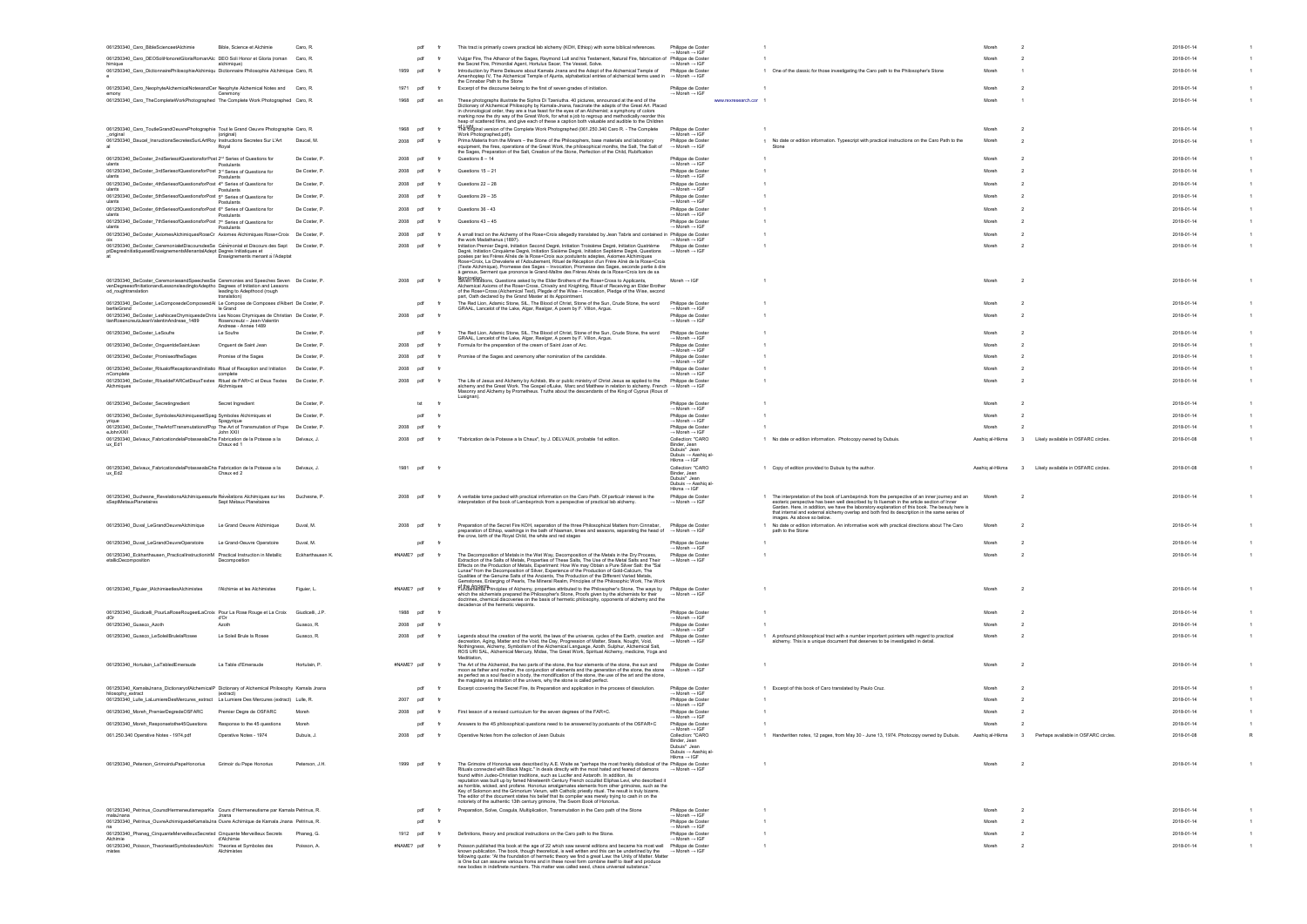| 061250340_Caro_BibleScienceetAlchimie                                                                                                                                                               | Bible, Science et Alchimie        | Caro, R.         | pdf           |    | This tract is primarily covers practical lab alchemy (KOH, Ethiop) with some biblical references.                                                                                                                                                                                                                                                                                                                                                                                                                                                                                                                                                                                                                                                                                                                                             | Philippe de Coster<br>→ Moreh → IGF                                                                 |                     |                                                                                                                                                                                                                                                                                                                                                                                                   | Moreh           |                                                                 | 2018-01-14 |  |
|-----------------------------------------------------------------------------------------------------------------------------------------------------------------------------------------------------|-----------------------------------|------------------|---------------|----|-----------------------------------------------------------------------------------------------------------------------------------------------------------------------------------------------------------------------------------------------------------------------------------------------------------------------------------------------------------------------------------------------------------------------------------------------------------------------------------------------------------------------------------------------------------------------------------------------------------------------------------------------------------------------------------------------------------------------------------------------------------------------------------------------------------------------------------------------|-----------------------------------------------------------------------------------------------------|---------------------|---------------------------------------------------------------------------------------------------------------------------------------------------------------------------------------------------------------------------------------------------------------------------------------------------------------------------------------------------------------------------------------------------|-----------------|-----------------------------------------------------------------|------------|--|
| 061250340_Caro_DEOSoliHonoretGloriaRomanAlc DEO Soli Honor et Gloria (roman Caro, R.                                                                                                                |                                   |                  | pdf           |    | Vulgar Fire, The Athanor of the Sages, Raymond Lull and his Testament, Natural Fire, fabrication of Philippe de Coster                                                                                                                                                                                                                                                                                                                                                                                                                                                                                                                                                                                                                                                                                                                        |                                                                                                     |                     |                                                                                                                                                                                                                                                                                                                                                                                                   | Moreh           |                                                                 | 2018-01-14 |  |
| himique<br>061250340_Caro_DictionnairePhilosophieAlchimiqu Dictionnaire Philosophie Alchimique Caro, R.                                                                                             | alchimique)                       |                  | 1959<br>pdf   |    | the Secret Fire, Primordial Agent, Hortulus Sacer, The Vessel, Solve.<br>Introduction by Pierre Deleuvre about Kamala Jnana and the Adept of the Alchemical Temple of                                                                                                                                                                                                                                                                                                                                                                                                                                                                                                                                                                                                                                                                         | $\rightarrow$ Moreh $\rightarrow$ IGF<br>Philippe de Coster                                         |                     | 1 One of the classic for those investigating the Caro path to the Philosopher's Stone                                                                                                                                                                                                                                                                                                             | Moreh           |                                                                 | 2018-01-14 |  |
|                                                                                                                                                                                                     |                                   |                  |               |    | Amenhoptep IV, The Alchemical Temple of Ajunta, alphabetical entries of alchemical terms used in   → Moreh → IGF<br>the Cinnabar Path to the Stone                                                                                                                                                                                                                                                                                                                                                                                                                                                                                                                                                                                                                                                                                            |                                                                                                     |                     |                                                                                                                                                                                                                                                                                                                                                                                                   |                 |                                                                 |            |  |
| 061250340_Caro_NeophyteAlchemicalNotesandCer Neophyte Alchemical Notes and Caro, R.                                                                                                                 |                                   |                  | 1971<br>pdf   |    | Excerpt of the discourse belong to the first of seven grades of initiation.                                                                                                                                                                                                                                                                                                                                                                                                                                                                                                                                                                                                                                                                                                                                                                   | Philippe de Coster                                                                                  |                     |                                                                                                                                                                                                                                                                                                                                                                                                   | Moreh           | $\overline{2}$                                                  | 2018-01-14 |  |
| emony<br>061250340_Caro_TheCompleteWorkPhotographed The Complete Work Photographed Caro, R.                                                                                                         | Ceremony                          |                  | 1968<br>pdf   | er | These photographs illustrate the Siphra Di Tzeniutha. 40 pictures, announced at the end of the                                                                                                                                                                                                                                                                                                                                                                                                                                                                                                                                                                                                                                                                                                                                                | $\rightarrow$ Moreh $\rightarrow$ IGF                                                               | www.rexresearch.cor |                                                                                                                                                                                                                                                                                                                                                                                                   | Moreh           |                                                                 | 2018-01-14 |  |
|                                                                                                                                                                                                     |                                   |                  |               |    | Dictionary of Alchemical Philosophy by Kamala-Jnana, fascinate the adepts of the Great Art. Placed<br>in chronological order, they are a true feast for the eyes of an Alchemist; a symphony of colors                                                                                                                                                                                                                                                                                                                                                                                                                                                                                                                                                                                                                                        |                                                                                                     |                     |                                                                                                                                                                                                                                                                                                                                                                                                   |                 |                                                                 |            |  |
|                                                                                                                                                                                                     |                                   |                  |               |    | marking now the dry way of the Great Work, for what a job to regroup and methodically reorder this                                                                                                                                                                                                                                                                                                                                                                                                                                                                                                                                                                                                                                                                                                                                            |                                                                                                     |                     |                                                                                                                                                                                                                                                                                                                                                                                                   |                 |                                                                 |            |  |
| 061250340_Caro_ToutleGrandOeuvrePhotographie Tout le Grand Oeuvre Photographie Caro, R.                                                                                                             |                                   |                  | 1968<br>pdf   |    | heap of scattered films, and give each of these a caption both valuable and audible to the Children<br>of Light in Version of the Complete Work Photographed (061.250.340 Caro R. - The Complete                                                                                                                                                                                                                                                                                                                                                                                                                                                                                                                                                                                                                                              | Philippe de Coster                                                                                  |                     |                                                                                                                                                                                                                                                                                                                                                                                                   | Moreh           | $\overline{2}$                                                  | 2018-01-14 |  |
| original                                                                                                                                                                                            | (original)                        | Daucel, M        |               |    | Work Photographed.pdf).<br>Prima Materia from the Miners - the Stone of the Philosophers, base materials and laboratory                                                                                                                                                                                                                                                                                                                                                                                                                                                                                                                                                                                                                                                                                                                       | $\rightarrow$ Moreh $\rightarrow$ IGF<br>Philippe de Coster                                         |                     |                                                                                                                                                                                                                                                                                                                                                                                                   | Moreh           |                                                                 |            |  |
| 061250340_Daucel_InsructionsSecretesSurLArtRoy Instructions Secretes Sur L'Art                                                                                                                      | Roval                             |                  | 2008 pdf      |    | equipment, the fires, operations of the Great Work, the philosophical months, the Salt, The Salt of                                                                                                                                                                                                                                                                                                                                                                                                                                                                                                                                                                                                                                                                                                                                           | $\rightarrow$ Moreh $\rightarrow$ IGF                                                               |                     | 1 No date or edition information. Typescript with practical instructions on the Caro Path to the                                                                                                                                                                                                                                                                                                  |                 | $\overline{2}$                                                  | 2018-01-14 |  |
| 061250340_DeCoster_2ndSeriesofQuestionsforPost 2nd Series of Questions for                                                                                                                          |                                   | De Coster, P     | 2008<br>pdf   |    | the Sages, Preparation of the Salt, Creation of the Stone, Perfection of the Child, Rubification<br>Questions $8 - 14$                                                                                                                                                                                                                                                                                                                                                                                                                                                                                                                                                                                                                                                                                                                        | Philippe de Coster                                                                                  |                     |                                                                                                                                                                                                                                                                                                                                                                                                   | Moreh           |                                                                 | 2018-01-14 |  |
| ulants                                                                                                                                                                                              | Postulants                        |                  |               |    |                                                                                                                                                                                                                                                                                                                                                                                                                                                                                                                                                                                                                                                                                                                                                                                                                                               | $\rightarrow$ Moreh $\rightarrow$ IGF                                                               |                     |                                                                                                                                                                                                                                                                                                                                                                                                   |                 |                                                                 |            |  |
| 061250340_DeCoster_3rdSeriesofQuestionsforPost 3rd Series of Questions for                                                                                                                          | Postulants                        | De Coster, P     | 2008<br>pdi   |    | Questions $15 - 21$                                                                                                                                                                                                                                                                                                                                                                                                                                                                                                                                                                                                                                                                                                                                                                                                                           | Philippe de Coster<br>→ Moreh → IGF                                                                 |                     |                                                                                                                                                                                                                                                                                                                                                                                                   | Moreh           | - 2                                                             | 2018-01-14 |  |
| 061250340_DeCoster_4thSeriesofQuestionsforPost 4th Series of Questions for<br>ulants                                                                                                                |                                   | De Coster, F     | 2008<br>pdf   |    | Questions 22 - 28                                                                                                                                                                                                                                                                                                                                                                                                                                                                                                                                                                                                                                                                                                                                                                                                                             | Philippe de Coster<br>$\rightarrow$ Moreh $\rightarrow$ IGF                                         |                     |                                                                                                                                                                                                                                                                                                                                                                                                   | Moreh           | $\overline{2}$                                                  | 2018-01-14 |  |
| 061250340_DeCoster_5thSeriesofQuestionsforPost 5th Series of Questions for                                                                                                                          | Postulants                        | De Coster, P     | 2008<br>pdf   |    | Questions $29 - 35$                                                                                                                                                                                                                                                                                                                                                                                                                                                                                                                                                                                                                                                                                                                                                                                                                           | Philippe de Coster                                                                                  |                     |                                                                                                                                                                                                                                                                                                                                                                                                   | Moreh           | $\overline{2}$                                                  | 2018-01-14 |  |
| ulants                                                                                                                                                                                              | Postulants                        |                  |               |    |                                                                                                                                                                                                                                                                                                                                                                                                                                                                                                                                                                                                                                                                                                                                                                                                                                               | $\rightarrow$ Moreh $\rightarrow$ IGF                                                               |                     |                                                                                                                                                                                                                                                                                                                                                                                                   |                 |                                                                 |            |  |
| 061250340_DeCoster_6thSeriesofQuestionsforPost 6th Series of Questions for<br>ulants                                                                                                                | Postulants                        | De Coster, P     | 2008<br>pdf   |    | Questions 36 - 43                                                                                                                                                                                                                                                                                                                                                                                                                                                                                                                                                                                                                                                                                                                                                                                                                             | Philippe de Coster<br>→ Moreh → IGF                                                                 |                     |                                                                                                                                                                                                                                                                                                                                                                                                   | Moreh           | $\overline{2}$                                                  | 2018-01-14 |  |
| 061250340_DeCoster_7thSeriesofQuestionsforPost 7th Series of Questions for<br>ulants                                                                                                                | Postulants                        | De Coster, P     | 2008<br>pdf   |    | Questions $43 - 45$                                                                                                                                                                                                                                                                                                                                                                                                                                                                                                                                                                                                                                                                                                                                                                                                                           | Philippe de Coster<br>$\rightarrow$ Moreh $\rightarrow$ IGF                                         |                     |                                                                                                                                                                                                                                                                                                                                                                                                   | Moreh           | $\overline{2}$                                                  | 2018-01-14 |  |
| 061250340_DeCoster_AxiomesAlchimiquesRoseCr Axiomes Alchimiques Rose+Croix De Coster, P                                                                                                             |                                   |                  | 2008 pdf      |    | A small tract on the Alchemy of the Rose+Croix allegedly translated by Jean Tabris and contained in Philippe de Coster                                                                                                                                                                                                                                                                                                                                                                                                                                                                                                                                                                                                                                                                                                                        |                                                                                                     |                     |                                                                                                                                                                                                                                                                                                                                                                                                   | Moreh           | $\overline{2}$                                                  | 2018-01-14 |  |
| 061250340 DeCoster CeremonialetDiscoursdesSe Cérémonial et Discours des Sept De Coster, P                                                                                                           |                                   |                  | 2008<br>pdf   |    | the work Madathanus (1897).<br>Initiation Premier Degré, Initiation Second Degré, Initiation Troisième Degré, Initiation Quatrième                                                                                                                                                                                                                                                                                                                                                                                                                                                                                                                                                                                                                                                                                                            | $\rightarrow$ Moreh $\rightarrow$ IGF<br>Philippe de Coster                                         |                     |                                                                                                                                                                                                                                                                                                                                                                                                   | Moreh           | $\overline{2}$                                                  | 2018-01-14 |  |
| ptDegresInitiatiquesetEnseignementsMenantalAdept Degres Initiatiques et                                                                                                                             | Enseignements menant a l'Adeptat  |                  |               |    | Degré, Initiation Cinquième Degré, Initiation Sixième Degré, Initiation Septième Degré, Questions → Moreh → IGF<br>posées par les Frères Aînés de la Rose+Croix aux postulants adeptes, Axiomes Alchimiques<br>.<br>Rose+Croix, La Chevalerie et l'Adoubement, Rituel de Réception d'un Frère Aîné de la Rose+Croix<br>(Texte Alchimique), Promesse des Sages - Invocation, Promesse des Sages, seconde partie à dire<br>à genoux, Serment que prononce le Grand-Maître des Frères Aînés de la Rose+Croix lors de sa                                                                                                                                                                                                                                                                                                                          |                                                                                                     |                     |                                                                                                                                                                                                                                                                                                                                                                                                   |                 |                                                                 |            |  |
| 061250340_DeCoster_CeremoniesandSpeechesSe Ceremonies and Speeches Seven De Coster, P.<br>venDegreesofInitiationandLessonsleadingtoAdeptho Degrees of Initiation and Lessons<br>od_roughtranslation | leading to Adepthood (rough       |                  | 2008<br>pdf   |    | Nomination, Questions asked by the Elder Brothers of the Rose+Cross to Applicants,<br>Alchemical Axioms of the Rose+Cross, Chivalry and Knighting, Ritual of Receiving an Elder Brother<br>of the Rose+Cross (Alchemical Text), Plegde of the Wise - Invocation, Pledge of the Wise, second                                                                                                                                                                                                                                                                                                                                                                                                                                                                                                                                                   | Moreh $\rightarrow$ IGF                                                                             |                     |                                                                                                                                                                                                                                                                                                                                                                                                   | Moreh           | $\overline{2}$                                                  | 2018-01-14 |  |
| 061250340_DeCoster_LeComposedeComposesdAI_Le Compose de Composes d'Albert_De Coster, P                                                                                                              | translation                       |                  | pdf           |    | part, Oath declared by the Grand Master at its Appointment.<br>The Red Lion, Adamic Stone, SIL, The Blood of Christ, Stone of the Sun, Crude Stone, the word                                                                                                                                                                                                                                                                                                                                                                                                                                                                                                                                                                                                                                                                                  | Philippe de Coster                                                                                  |                     |                                                                                                                                                                                                                                                                                                                                                                                                   | Moreh           | - 2                                                             | 2018-01-14 |  |
| bertleGrand                                                                                                                                                                                         | le Grand                          |                  |               |    | GRAAL, Lancelot of the Lake, Algar, Realgar, A poem by F. Villon, Argus.                                                                                                                                                                                                                                                                                                                                                                                                                                                                                                                                                                                                                                                                                                                                                                      | $\rightarrow$ Moreh $\rightarrow$ IGF                                                               |                     |                                                                                                                                                                                                                                                                                                                                                                                                   |                 |                                                                 |            |  |
| 061250340 DeCoster LesNocesChymiquesdeChris Les Noces Chymiques de Christian De Coster, P<br>tianRosencreutzJeanValentinAndreae 1489                                                                | Rosencreutz - Jean-Valentir       |                  | 2008 pdf      |    |                                                                                                                                                                                                                                                                                                                                                                                                                                                                                                                                                                                                                                                                                                                                                                                                                                               | Philippe de Coster<br>$\rightarrow$ Moreh $\rightarrow$ IGF                                         |                     |                                                                                                                                                                                                                                                                                                                                                                                                   | Moreh           | $\overline{2}$                                                  | 2018-01-14 |  |
| 061250340_DeCoster_LeSoufre                                                                                                                                                                         | Andreae - Annee 1489<br>Le Soufre | De Coster, P     | pdf           |    | The Red Lion, Adamic Stone, SIL, The Blood of Christ, Stone of the Sun, Crude Stone, the word                                                                                                                                                                                                                                                                                                                                                                                                                                                                                                                                                                                                                                                                                                                                                 | Philippe de Coster                                                                                  |                     |                                                                                                                                                                                                                                                                                                                                                                                                   | Moreh           | $\overline{2}$                                                  | 2018-01-14 |  |
|                                                                                                                                                                                                     |                                   |                  |               |    | GRAAL, Lancelot of the Lake, Algar, Realgar, A poem by F. Villon, Argus.                                                                                                                                                                                                                                                                                                                                                                                                                                                                                                                                                                                                                                                                                                                                                                      | $\rightarrow$ Moreh $\rightarrow$ IGF                                                               |                     |                                                                                                                                                                                                                                                                                                                                                                                                   |                 |                                                                 |            |  |
| 061250340_DeCoster_OnguentdeSaintJean                                                                                                                                                               | Onguent de Saint Jean             | De Coster, F     | 2008 pdf      |    | Formula for the preparation of the cream of Saint Joan of Arc.                                                                                                                                                                                                                                                                                                                                                                                                                                                                                                                                                                                                                                                                                                                                                                                | Philippe de Coster<br>$\rightarrow$ Moreh $\rightarrow$ IGF                                         |                     |                                                                                                                                                                                                                                                                                                                                                                                                   | Moreh           | $\overline{2}$                                                  | 2018-01-14 |  |
| 061250340 DeCoster PromiseoftheSages                                                                                                                                                                | Promise of the Sages              | De Coster, P     | 2008<br>pdf   |    | Promise of the Sages and ceremony after nomination of the candidate.                                                                                                                                                                                                                                                                                                                                                                                                                                                                                                                                                                                                                                                                                                                                                                          | Philippe de Coster<br>$\rightarrow$ Moreh $\rightarrow$ IGF                                         |                     |                                                                                                                                                                                                                                                                                                                                                                                                   | Moreh           | - 2                                                             | 2018-01-14 |  |
| 061250340_DeCoster_RitualofReceptionandInitiatio Ritual of Reception and Initiation                                                                                                                 |                                   | De Coster, P     | 2008<br>pdf   |    |                                                                                                                                                                                                                                                                                                                                                                                                                                                                                                                                                                                                                                                                                                                                                                                                                                               | Philippe de Coster                                                                                  |                     |                                                                                                                                                                                                                                                                                                                                                                                                   | Moreh           | - 2                                                             | 2018-01-14 |  |
| nComplete<br>061250340_DeCoster_RitueldeFARCetDeuxTextes Rituel de FAR+C et Deux Textes De Coster, P                                                                                                | complete                          |                  | 2008<br>pdf   |    | The Life of Jesus and Alchemy by Achitab, life or public ministry of Christ Jesus as applied to the                                                                                                                                                                                                                                                                                                                                                                                                                                                                                                                                                                                                                                                                                                                                           | $\rightarrow$ Moreh $\rightarrow$ IGF<br>Philippe de Coster                                         |                     |                                                                                                                                                                                                                                                                                                                                                                                                   | Moreh           | $\overline{2}$                                                  | 2018-01-14 |  |
| Alchmiaues                                                                                                                                                                                          | Alchmigues                        |                  |               |    | alchemy and the Great Work. The Gospel ofLuke, Marc and Matthew in relation to alchemy. French → Moreh → IGF<br>Masonry and Alchemy by Prometheus. Truths about the descendants of the King of Cyprus (Roux of<br>Lusignan)                                                                                                                                                                                                                                                                                                                                                                                                                                                                                                                                                                                                                   |                                                                                                     |                     |                                                                                                                                                                                                                                                                                                                                                                                                   |                 |                                                                 |            |  |
| 061250340_DeCoster_Secretingredient                                                                                                                                                                 | Secret Ingredient                 | De Coster, P     | txt           |    |                                                                                                                                                                                                                                                                                                                                                                                                                                                                                                                                                                                                                                                                                                                                                                                                                                               | Philippe de Coster<br>$\rightarrow$ Moreh $\rightarrow$ IGF                                         |                     |                                                                                                                                                                                                                                                                                                                                                                                                   | Moreh           |                                                                 | 2018-01-14 |  |
| 061250340_DeCoster_SymbolesAlchimiquesetSpag Symboles Alchimiques et<br>vriaue                                                                                                                      | Spagyrigue                        | De Coster, P     | pdf           |    |                                                                                                                                                                                                                                                                                                                                                                                                                                                                                                                                                                                                                                                                                                                                                                                                                                               | Philippe de Coster<br>$\rightarrow$ Moreh $\rightarrow$ IGF                                         |                     |                                                                                                                                                                                                                                                                                                                                                                                                   | Moreh           | - 2                                                             | 2018-01-14 |  |
| 061250340_DeCoster_TheArtofTransmutationofPop The Art of Transmutation of Pope De Coster, P                                                                                                         |                                   |                  | 2008<br>ndf   |    |                                                                                                                                                                                                                                                                                                                                                                                                                                                                                                                                                                                                                                                                                                                                                                                                                                               | Philippe de Coster                                                                                  |                     |                                                                                                                                                                                                                                                                                                                                                                                                   | Moreh           |                                                                 | 2018-01-14 |  |
| eJohnXXII<br>061250340_Delvaux_FabricationdelaPotassealaCha Fabrication de la Potasse a la                                                                                                          | John XXII                         | Delvaux, J.      | 2008<br>pdi   |    | "Fabrication de la Potasse a la Chaux", by J. DELVAUX, probable 1st edition.                                                                                                                                                                                                                                                                                                                                                                                                                                                                                                                                                                                                                                                                                                                                                                  | $\rightarrow$ Moreh $\rightarrow$ IGF<br>Collection: "CARO                                          |                     | 1 No date or edition information. Photocopy owned by Dubuis                                                                                                                                                                                                                                                                                                                                       | Aashiq al-Hikma | Likely available in OSFARC circles<br>$\mathbf{3}$              | 2018-01-08 |  |
| ux_Ed1                                                                                                                                                                                              | Chaux ed 1                        |                  |               |    |                                                                                                                                                                                                                                                                                                                                                                                                                                                                                                                                                                                                                                                                                                                                                                                                                                               | Binder, Jean<br>Dubuis" Jean<br>Dubuis → Aashig al-<br>Hikma $\rightarrow$ IGF                      |                     |                                                                                                                                                                                                                                                                                                                                                                                                   |                 |                                                                 |            |  |
| 061250340_Delvaux_FabricationdelaPotassealaCha Fabrication de la Potasse a la<br>ux_Ed2                                                                                                             | Chaux ed 2                        | Delvaux, J.      | 1981<br>pdf   |    |                                                                                                                                                                                                                                                                                                                                                                                                                                                                                                                                                                                                                                                                                                                                                                                                                                               | Collection: "CARO<br>Binder, Jean<br>Dubuis" Jean<br>Dubuis → Aashiq al-                            |                     | 1 Copy of edition provided to Dubuis by the author.                                                                                                                                                                                                                                                                                                                                               | Aashig al-Hikma | 3 Likely available in OSFARC circles                            | 2018-01-08 |  |
| 061250340 Duchesne RevelationsAlchimiquessurle Revelations Alchimiques sur les Duchesne, P.<br>sSeptMetauxPlanetaires                                                                               | Sept Metaux Planetaires           |                  | 2008<br>pdf   |    | A veritable tome packed with practical information on the Caro Path. Of particulr interest is the<br>interpretation of the book of Lambsprinck from a perspective of practical lab alchemy.                                                                                                                                                                                                                                                                                                                                                                                                                                                                                                                                                                                                                                                   | $Hikma \rightarrow IGF$<br>Philippe de Coster<br>$\rightarrow$ Moreh $\rightarrow$ IGF              |                     | 1 The interpretation of the book of Lambsprinck from the perspective of an inner journey and an<br>esoteric perspective has been well described by Ib Iluemah in the article section of Inner<br>Garden. Here, in addition, we have the laboratory explanation of this book. The beauty here is<br>that internal and external alchemy overlap and both find its description in the same series of | Moreh           | $\overline{2}$                                                  | 2018-01-14 |  |
| 061250340_Duval_LeGrandOeuvreAlchimique                                                                                                                                                             | Le Grand Oeuvre Alchimique        | Duval, M.        | 2008 pdf      |    | Preparation of the Secret Fire KOH, separation of the three Philosophical Matters from Cinnabar, Philippe de Coster<br>preparation of Ethiop, washings in the bath of Naaman, times and seasons, separating the head of → Moreh → IGF                                                                                                                                                                                                                                                                                                                                                                                                                                                                                                                                                                                                         |                                                                                                     |                     | images. As above so below<br>1 No date or edition information. An informative work with practical directions about The Caro<br>path to the Stone                                                                                                                                                                                                                                                  | Moreh           | $\overline{2}$                                                  | 2018-01-14 |  |
| 061250340_Duval_LeGrandOeuvreOperatoire                                                                                                                                                             | Le Grand-Oeuvre Operatoire        | Duval, M.        | pdf           |    | the crow, birth of the Royal Child, the white and red stage                                                                                                                                                                                                                                                                                                                                                                                                                                                                                                                                                                                                                                                                                                                                                                                   | Philippe de Coster                                                                                  |                     |                                                                                                                                                                                                                                                                                                                                                                                                   | Moreh           |                                                                 | 2018-01-14 |  |
|                                                                                                                                                                                                     |                                   |                  |               |    |                                                                                                                                                                                                                                                                                                                                                                                                                                                                                                                                                                                                                                                                                                                                                                                                                                               | $\rightarrow$ Moreh $\rightarrow$ IGF                                                               |                     |                                                                                                                                                                                                                                                                                                                                                                                                   |                 |                                                                 |            |  |
| 061250340_Eckharthausen_PracticalInstructioninM Practical Instruction in Metallic<br>etallicDecomposition                                                                                           | Decomposition                     | Eckharthausen K. | #NAME? pdf    |    | The Decomposition of Metals in the Wet Way, Decomposition of the Metals in the Dry Process,<br>Extraction of the Salts of Metals, Properties of These Salts, The Use of the Metal Salts and Their<br>Effects on the Production of Metals, Experiment: How We may Obtain a Pure Silver Salt: the "Sal<br>Lunae" from the Decomposition of Silver, Experience of the Production of Gold-Calcium, The<br>Qualities of the Genuine Salts of the Ancients, The Production of the Different Varied Metals,<br>Gemstones, Enlarging of Pearls, The Mineral Realm, Principles of the Philosophic Work, The Work                                                                                                                                                                                                                                       | Philippe de Coster<br>$\rightarrow$ Moreh $\rightarrow$ IGF                                         |                     |                                                                                                                                                                                                                                                                                                                                                                                                   | Moreh           | $\overline{2}$                                                  | 2018-01-14 |  |
| 061250340_Figuier_IAlchimieetlesAlchimistes                                                                                                                                                         | l'Alchimie et les Alchimistes     | Figuier, L.      | #NAME? pdf    |    | of the Ancients<br>Fundamental Principles of Alchemy, properties attributed to the Philosopher's Stone, The ways by<br>which the alchemists prepared the Philosopher's Stone, Proofs given by the alchemists for their<br>doctrines, chemical discoveries on the basis of hermetic philosophy, opponents of alchemy and the                                                                                                                                                                                                                                                                                                                                                                                                                                                                                                                   | Philippe de Coster<br>$\rightarrow$ Moreh $\rightarrow$ IGF                                         |                     |                                                                                                                                                                                                                                                                                                                                                                                                   | Moreh           | $\overline{2}$                                                  | 2018-01-14 |  |
| 061250340_Giudicelli_PourLaRoseRougeetLaCroix Pour La Rose Rouge et La Croix Giudicelli, J.P.                                                                                                       |                                   |                  | 1988<br>pdf   |    | decadence of the hermetic viepoints.                                                                                                                                                                                                                                                                                                                                                                                                                                                                                                                                                                                                                                                                                                                                                                                                          | Philippe de Coster                                                                                  |                     |                                                                                                                                                                                                                                                                                                                                                                                                   | Moreh           | $\overline{2}$                                                  | 2018-01-14 |  |
| dOr<br>061250340_Guasco_Azoth                                                                                                                                                                       | d'Or<br>Azoth                     | Guasco, R.       | 2008 pdf      |    |                                                                                                                                                                                                                                                                                                                                                                                                                                                                                                                                                                                                                                                                                                                                                                                                                                               | $\rightarrow$ Moreh $\rightarrow$ IGF<br>Philippe de Coster                                         |                     |                                                                                                                                                                                                                                                                                                                                                                                                   | Moreh           | $\overline{2}$                                                  | 2018-01-14 |  |
|                                                                                                                                                                                                     |                                   |                  |               |    |                                                                                                                                                                                                                                                                                                                                                                                                                                                                                                                                                                                                                                                                                                                                                                                                                                               | $\rightarrow$ Moreh $\rightarrow$ IGF                                                               |                     |                                                                                                                                                                                                                                                                                                                                                                                                   |                 |                                                                 |            |  |
| 061250340_Guasco_LeSoleilBrulelaRosee                                                                                                                                                               | Le Soleil Brule la Rosee          | Guasco, R.       | 2008<br>pdf   | fr | Legends about the creation of the world, the laws of the universe, cycles of the Earth, creation and Philippe de Coster<br>decreation, Aging, Matter and the Void, the Day, Progression of Matter, Stasis, Nought, Void,<br>Nothingness, Alchemy, Symbolism of the Alchemical Language, Azoth, Sulphur, Alchemical Salt,<br>ROS URI SAL, Alchemical Mercury, Midas, The Great Work, Spiritual Alchemy, medicine, Yoga and                                                                                                                                                                                                                                                                                                                                                                                                                     | $\rightarrow$ Moreh $\rightarrow$ IGF                                                               |                     | 1 A profound philosophical tract with a number important pointers with regard to practical<br>alchemy. This is a unique document that deserves to be investigated in detail.                                                                                                                                                                                                                      | Moreh           | $\overline{2}$                                                  | 2018-01-14 |  |
| 061250340_Hortulain_LaTabledEmeraude                                                                                                                                                                | La Table d'Emeraude               | Hortulain, P.    | #NAME? pdf fr |    | The Art of the Alchemist, the two parts of the stone, the four elements of the stone, the sun and<br>moon as father and mother, the conjunction of elements and the generation of the stone, the stone $\rightarrow$ Moreh $\rightarrow$ IGF<br>as perfect as a soul fixed in a body, the mondification of the stone, the use of the art and the stone,<br>the magistery as imitation of the univers, why the stone is called perfect.                                                                                                                                                                                                                                                                                                                                                                                                        | Philippe de Coster                                                                                  |                     |                                                                                                                                                                                                                                                                                                                                                                                                   | Moreh           | $\overline{2}$                                                  | 2018-01-14 |  |
| 061250340_KamalaJnana_DictionaryofAlchemicalP Dictionary of Alchemical Philosophy Kamala Jnana<br>hilosophy_extract                                                                                 | (extract)                         |                  | pdf           |    | Excerpt ccovering the Secret Fire, its Preparation and application in the process of dissolution.                                                                                                                                                                                                                                                                                                                                                                                                                                                                                                                                                                                                                                                                                                                                             | Philippe de Coster<br>$\rightarrow$ Moreh $\rightarrow$ IGF                                         |                     | 1 Excerpt of this book of Caro translated by Paulo Cruz.                                                                                                                                                                                                                                                                                                                                          | Moreh           | $\overline{2}$                                                  | 2018-01-14 |  |
| 061250340_Lulle_LaLumiereDesMercures_extract La Lumiere Des Mercures (extract) Lulle, R.                                                                                                            |                                   |                  | 2007 pdf      |    |                                                                                                                                                                                                                                                                                                                                                                                                                                                                                                                                                                                                                                                                                                                                                                                                                                               | Philippe de Coster                                                                                  |                     |                                                                                                                                                                                                                                                                                                                                                                                                   | Moreh           | $\overline{2}$                                                  | 2018-01-14 |  |
| 061250340_Moreh_PremierDegredeOSFARC                                                                                                                                                                | Premier Degre de OSFARC           | Moreh            | 2008 pdf      |    | First lesson of a revised curriculum for the seven degrees of the FAR+C.                                                                                                                                                                                                                                                                                                                                                                                                                                                                                                                                                                                                                                                                                                                                                                      | $\rightarrow$ Moreh $\rightarrow$ IGF<br>Philippe de Coster                                         |                     |                                                                                                                                                                                                                                                                                                                                                                                                   | Moreh           |                                                                 | 2018-01-14 |  |
| 061250340_Moreh_Responsetothe45Questions                                                                                                                                                            | Response to the 45 questions      | Moreh            | pdf           |    | Answers to the 45 philosophical questions need to be answered by postuants of the OSFAR+C                                                                                                                                                                                                                                                                                                                                                                                                                                                                                                                                                                                                                                                                                                                                                     | → Moreh → IGF<br>Philippe de Coster                                                                 |                     |                                                                                                                                                                                                                                                                                                                                                                                                   | Moreh           |                                                                 | 2018-01-14 |  |
|                                                                                                                                                                                                     |                                   |                  |               |    |                                                                                                                                                                                                                                                                                                                                                                                                                                                                                                                                                                                                                                                                                                                                                                                                                                               | $\rightarrow$ Moreh $\rightarrow$ IGF                                                               |                     |                                                                                                                                                                                                                                                                                                                                                                                                   |                 |                                                                 |            |  |
| 061.250.340 Operative Notes - 1974.pdf                                                                                                                                                              | Operative Notes - 1974            | Dubuis, J.       | 2008 pdf      |    | Operative Notes from the collection of Jean Dubuis                                                                                                                                                                                                                                                                                                                                                                                                                                                                                                                                                                                                                                                                                                                                                                                            | Collection: "CARO<br>Binder, Jean<br>Dubuis" Jean<br>Dubuis → Aashig al-<br>Hikma $\rightarrow$ IGF |                     | 1 Handwritten notes, 12 pages, from May 30 - June 13, 1974. Photocopy owned by Dubuis.                                                                                                                                                                                                                                                                                                            | Aashiq al-Hikma | Perhaps available in OSFARC circles.<br>$\overline{\mathbf{3}}$ | 2018-01-08 |  |
| 061250340_Peterson_GrimoirduPapeHonorius                                                                                                                                                            | Grimoir du Pape Honorius          | Peterson, J.H    | 1999<br>pdf   |    | The Grimoire of Honorius was described by A.E. Waite as "perhaps the most frankly diabolical of the Philippe de Coster<br>Rituals connected with Black Magic." In deals directly with the most hated and feared of demons  → Moreh → IGF<br>found within Judeo-Christian traditions, such as Lucifer and Astaroth. In addition, its<br>reputation was built up by famed Nineteenth Century French occultist Eliphas Levi, who described it<br>as horrible, wicked, and profane. Honorius amalgamates elements from other grimoires, such as the<br>Key of Solomon and the Grimorium Verum, with Catholic priestly ritual. The result is truly bizarre.<br>The editor of the document states his belief that its compiler was merely trying to cash in on the<br>notoriety of the authentic 13th century grimoire, The Sworn Book of Honorius. |                                                                                                     |                     |                                                                                                                                                                                                                                                                                                                                                                                                   | Moreh           | $\overline{2}$                                                  | 2018-01-14 |  |
| 061250340_Petrinus_CoursdHermeneutismeparKa Cours d'Hermeneutisme par Kamala Petrinus, R.                                                                                                           |                                   |                  | pdf           |    | Preparation, Solve, Coagula, Multiplication, Transmutation in the Caro path of the Stone                                                                                                                                                                                                                                                                                                                                                                                                                                                                                                                                                                                                                                                                                                                                                      | Philippe de Coster                                                                                  |                     |                                                                                                                                                                                                                                                                                                                                                                                                   | Moreh           | $\overline{2}$                                                  | 2018-01-14 |  |
| malaJnana<br>061250340_Petrinus_OuvreAchimiquedeKamalaJna Ouvre Achimique de Kamala Jnana Petrinus, R.                                                                                              | Jnana                             |                  | pdf           |    |                                                                                                                                                                                                                                                                                                                                                                                                                                                                                                                                                                                                                                                                                                                                                                                                                                               | $\rightarrow$ Moreh $\rightarrow$ IGF<br>Philippe de Coster                                         |                     |                                                                                                                                                                                                                                                                                                                                                                                                   | Moreh           | $\overline{2}$                                                  | 2018-01-14 |  |
| 061250340_Phaneg_CinquanteMerveilleuxSecretsd Cinquante Merveilleux Secrets                                                                                                                         |                                   | Phaneg, G.       | 1912 pdf      | fr | Definitions, theory and practical instructions on the Caro path to the Stone.                                                                                                                                                                                                                                                                                                                                                                                                                                                                                                                                                                                                                                                                                                                                                                 | $\rightarrow$ Moreh $\rightarrow$ IGF<br>Philippe de Coster                                         |                     |                                                                                                                                                                                                                                                                                                                                                                                                   | Moreh           | $\overline{2}$                                                  | 2018-01-14 |  |
| Alchimie                                                                                                                                                                                            | d'Alchimie                        |                  |               |    |                                                                                                                                                                                                                                                                                                                                                                                                                                                                                                                                                                                                                                                                                                                                                                                                                                               | → Moreh → IGF                                                                                       |                     |                                                                                                                                                                                                                                                                                                                                                                                                   |                 |                                                                 |            |  |
| 061250340_Poisson_TheoriesetSymbolesdesAlchi Theories et Symboles des<br>mistes                                                                                                                     | Alchimistes                       | Poisson, A.      | #NAME? pdf    | fr | Poisson published this book at the age of 22 which saw several editions and became his most well<br>known publication. The book, though theoretical, is well written and this can be underlined by the<br>following quote: "At the foundation of hermetic theory we find a great Law: the Unity of Matter. Matter<br>is One but can assume various froms and in these novel form combine itself to itself and produce<br>new bodies in indefinete numbers. This matter was called seed, chaos universal substance."                                                                                                                                                                                                                                                                                                                           | Philippe de Coster<br>$\rightarrow$ Moreh $\rightarrow$ IGF                                         |                     |                                                                                                                                                                                                                                                                                                                                                                                                   | Moreh           | $\overline{2}$                                                  | 2018-01-14 |  |

| 061250340_Caro_BibleScienceetAlchimie                                                                                                                                                 | Bible, Science et Alchimie                               | Caro, R.         |
|---------------------------------------------------------------------------------------------------------------------------------------------------------------------------------------|----------------------------------------------------------|------------------|
| 061250340_Caro_DEOSoliHonoretGloriaRomanAlc DEO Soli Honor et Gloria (roman                                                                                                           |                                                          | Caro, R.         |
| himigue<br>061250340_Caro_DictionnairePhilosophieAlchimiqu Dictionnaire Philosophie Alchimique Caro, R.<br>e                                                                          | alchimique)                                              |                  |
| 061250340_Caro_NeophyteAlchemicalNotesandCer Neophyte Alchemical Notes and                                                                                                            |                                                          | Caro, R.         |
| emony<br>061250340_Caro_TheCompleteWorkPhotographed The Complete Work Photographed Caro, R.                                                                                           | Ceremony                                                 |                  |
| 061250340_Caro_ToutleGrandOeuvrePhotographie Tout le Grand Oeuvre Photographie Caro, R.                                                                                               |                                                          |                  |
| original<br>061250340_Daucel_InsructionsSecretesSurLArtRoy Instructions Secretes Sur L'Art<br>al                                                                                      | (original)<br>Royal                                      | Daucel, M.       |
| 061250340_DeCoster_2ndSeriesofQuestionsforPost 2nd Series of Questions for<br>ulants                                                                                                  | Postulants                                               | De Coster, P.    |
| 061250340_DeCoster_3rdSeriesofQuestionsforPost 3rd Series of Questions for<br>ulants                                                                                                  | Postulants                                               | De Coster, P.    |
| 061250340_DeCoster_4thSeriesofQuestionsforPost 4th Series of Questions for<br>ulants                                                                                                  | Postulants                                               | De Coster, P.    |
| 061250340_DeCoster_5thSeriesofQuestionsforPost 5th Series of Questions for<br>ulants                                                                                                  | Postulants                                               | De Coster, P.    |
| 061250340_DeCoster_6thSeriesofQuestionsforPost 6th Series of Questions for<br>ulants                                                                                                  | Postulants                                               | De Coster, P.    |
| 061250340_DeCoster_7thSeriesofQuestionsforPost 7th Series of Questions for<br>ulants                                                                                                  | Postulants                                               | De Coster, P.    |
| 061250340_DeCoster_AxiomesAlchimiquesRoseCr Axiomes Alchimiques Rose+Croix<br>oix                                                                                                     |                                                          | De Coster, P.    |
| 061250340_DeCoster_CeremonialetDiscoursdesSe Ceremonial et Discours des Sept<br>ptDegresInitiatiquesetEnseignementsMenantalAdept Degrés Initiatiques et<br>at                         | Enseignements menant a l'Adeptat                         | De Coster, P.    |
| 061250340_DeCoster_CeremoniesandSpeechesSe Ceremonies and Speeches Seven<br>venDegreesofInitiationandLessonsleadingtoAdeptho Degrees of Initiation and Lessons<br>od roughtranslation | leading to Adepthood (rough<br>translation)              | De Coster, P.    |
| 061250340_DeCoster_LeComposedeComposesdAI Le Compose de Composes d'Albert De Coster, P.<br>bertleGrand                                                                                | le Grand                                                 |                  |
| 061250340_DeCoster_LesNocesChymiquesdeChris Les Noces Chymiques de Christian De Coster, P.<br>tianRosencreutzJeanValentinAndreae_1489                                                 | Rosencreutz - Jean-Valentin<br>Andreae - Annee 1489      |                  |
| 061250340_DeCoster_LeSoufre                                                                                                                                                           | Le Soufre                                                | De Coster, P.    |
| 061250340_DeCoster_OnguentdeSaintJean                                                                                                                                                 | Onquent de Saint Jean                                    | De Coster, P.    |
| 061250340_DeCoster_PromiseoftheSages                                                                                                                                                  | Promise of the Sages                                     | De Coster, P.    |
| 061250340_DeCoster_RitualofReceptionandInitiatio Ritual of Reception and Initiation<br>nComplete                                                                                      | complete                                                 | De Coster, P.    |
| 061250340_DeCoster_RitueldeFARCetDeuxTextes Rituel de FAR+C et Deux Textes<br>Alchmiques                                                                                              | Alchmiques                                               | De Coster, P.    |
| 061250340_DeCoster_Secretingredient                                                                                                                                                   | Secret Ingredient                                        | De Coster, P.    |
| 061250340_DeCoster_SymbolesAlchimiquesetSpag Symboles Alchimiques et<br>yrique                                                                                                        | Spagyrique                                               | De Coster, P.    |
| 061250340_DeCoster_TheArtofTransmutationofPop The Art of Transmutation of Pope<br>eJohnXXII                                                                                           | John XXII                                                | De Coster, P.    |
| 061250340_Delvaux_FabricationdelaPotassealaCha Fabrication de la Potasse a la<br>ux_Ed1                                                                                               | Chaux ed 1                                               | Delvaux, J.      |
|                                                                                                                                                                                       |                                                          |                  |
| 061250340_Delvaux_FabricationdelaPotassealaCha Fabrication de la Potasse a la<br>ux_Ed2                                                                                               | Chaux ed 2                                               | Delvaux, J.      |
| 061250340 Duchesne RevelationsAlchimiquessurle Revelations Alchimiques sur les<br>sSeptMetauxPlanetaires                                                                              | Sept Metaux Planetaires                                  | Duchesne, P.     |
| 061250340_Duval_LeGrandOeuvreAlchimique                                                                                                                                               | Le Grand Oeuvre Alchimique                               | Duval, M.        |
| 061250340_Duval_LeGrandOeuvreOperatoire                                                                                                                                               | Le Grand-Oeuvre Operatoire                               | Duval, M.        |
| 061250340_Eckharthausen_PracticalInstructioninM Practical Instruction in Metallic<br>etallicDecomposition                                                                             | Decomposition                                            | Fckharthausen K. |
| 061250340_Figuier_IAIchimieetlesAIchimistes                                                                                                                                           | l'Alchimie et les Alchimistes                            | Figuier, L.      |
| 061250340_Giudicelli_PourLaRoseRougeetLaCroix Pour La Rose Rouge et La Croix<br>dOr                                                                                                   | d'Or                                                     | Giudicelli, J.P. |
| 061250340_Guasco_Azoth                                                                                                                                                                | Azoth                                                    | Guasco, R.       |
| 061250340_Guasco_LeSoleilBrulelaRosee                                                                                                                                                 | Le Soleil Brule la Rosee                                 | Guasco, R.       |
| 061250340_Hortulain_LaTabledEmeraude                                                                                                                                                  | La Table d'Emeraude                                      | Hortulain, P.    |
| 061250340_KamalaJnana_DictionaryofAlchemicalP Dictionary of Alchemical Philosophy Kamala Jnana<br>hilosophy_extract<br>061250340_Lulle_LaLumiereDesMercures_extract                   | (extract)<br>La Lumiere Des Mercures (extract) Lulle, R. |                  |
| 061250340_Moreh_PremierDegredeOSFARC                                                                                                                                                  | Premier Degre de OSFARC                                  | Moreh            |
| 061250340_Moreh_Responsetothe45Questions                                                                                                                                              | Response to the 45 questions                             | Moreh            |
| 061.250.340 Operative Notes - 1974.pdf                                                                                                                                                | Operative Notes - 1974                                   | Dubuis, J.       |
| 061250340_Peterson_GrimoirduPapeHonorius                                                                                                                                              | Grimoir du Pape Honorius                                 | Peterson, J.H.   |
| 061250340_Petrinus_CoursdHermeneutismeparKa Cours d'Hermeneutisme par Kamala Petrinus, R.<br>malaJnana                                                                                | Jnana                                                    |                  |
| 061250340_Petrinus_OuvreAchimiquedeKamalaJna Ouvre Achimique de Kamala Jnana Petrinus, R.<br>na<br>061250340_Phaneg_CinquanteMerveilleuxSecretsd Cinquante Merveilleux Secrets        |                                                          | Phaneg, G.       |

| Moreh         | $\sqrt{2}$                |                                      | 2018-01-14 | $\mathbf{1}$ |
|---------------|---------------------------|--------------------------------------|------------|--------------|
| Moreh         | $\sqrt{2}$                |                                      | 2018-01-14 | $\mathbf{1}$ |
|               |                           |                                      |            |              |
| Moreh         | $\mathbf{1}$              |                                      | 2018-01-14 | $\mathbf{1}$ |
| Moreh         | $\sqrt{2}$                |                                      | 2018-01-14 | $\mathbf 1$  |
| Moreh         | $\mathbf{1}$              |                                      | 2018-01-14 | $\mathbf{1}$ |
|               |                           |                                      |            |              |
|               |                           |                                      |            |              |
| Moreh         | $\sqrt{2}$                |                                      | 2018-01-14 | $\mathbf{1}$ |
| Moreh         | $\sqrt{2}$                |                                      | 2018-01-14 | $\mathbf{1}$ |
|               |                           |                                      |            |              |
| Moreh         | $\sqrt{2}$                |                                      | 2018-01-14 | $\mathbf{1}$ |
| Moreh         | $\sqrt{2}$                |                                      | 2018-01-14 | $\mathbf{1}$ |
| Moreh         | $\sqrt{2}$                |                                      | 2018-01-14 | $\mathbf{1}$ |
| Moreh         | $\sqrt{2}$                |                                      | 2018-01-14 | 1            |
|               |                           |                                      |            |              |
| Moreh         | $\sqrt{2}$                |                                      | 2018-01-14 | $\mathbf{1}$ |
| Moreh         | $\sqrt{2}$                |                                      | 2018-01-14 | $\mathbf{1}$ |
| Moreh         | $\sqrt{2}$                |                                      | 2018-01-14 | $\mathbf{1}$ |
| Moreh         | $\sqrt{2}$                |                                      | 2018-01-14 | $\mathbf{1}$ |
|               |                           |                                      |            |              |
|               |                           |                                      |            |              |
| Moreh         | $\sqrt{2}$                |                                      | 2018-01-14 | $\mathbf{1}$ |
|               |                           |                                      |            |              |
|               | $\sqrt{2}$                |                                      | 2018-01-14 | $\mathbf{1}$ |
| Moreh         |                           |                                      |            |              |
| Moreh         | $\sqrt{2}$                |                                      | 2018-01-14 | $\mathbf{1}$ |
| Moreh         | $\sqrt{2}$                |                                      | 2018-01-14 | $\mathbf{1}$ |
| Moreh         | $\sqrt{2}$                |                                      | 2018-01-14 | $\mathbf{1}$ |
|               | $\sqrt{2}$                |                                      | 2018-01-14 | $\mathbf{1}$ |
| Moreh         |                           |                                      |            |              |
| Moreh         | $\sqrt{2}$                |                                      | 2018-01-14 | $\mathbf{1}$ |
| Moreh         | $\sqrt{2}$                |                                      | 2018-01-14 | $\mathbf{1}$ |
|               |                           |                                      |            |              |
| Moreh         | $\sqrt{2}$                |                                      | 2018-01-14 | $\mathbf{1}$ |
| Moreh         | $\sqrt{2}$                |                                      | 2018-01-14 | $\mathbf{1}$ |
| Moreh         | $\sqrt{2}$                |                                      | 2018-01-14 | 1            |
|               | $\ensuremath{\mathsf{3}}$ |                                      |            | $\mathbf{1}$ |
|               |                           |                                      |            |              |
| shiq al-Hikma |                           | Likely available in OSFARC circles.  | 2018-01-08 |              |
|               |                           |                                      |            |              |
| shiq al-Hikma | $\ensuremath{\mathsf{3}}$ | Likely available in OSFARC circles.  | 2018-01-08 | $\mathbf{1}$ |
|               |                           |                                      |            |              |
|               |                           |                                      |            |              |
| Moreh         | $\sqrt{2}$                |                                      | 2018-01-14 | $\mathbf 1$  |
|               |                           |                                      |            |              |
|               | $\sqrt{2}$                |                                      |            | $\mathbf{1}$ |
| Moreh         |                           |                                      | 2018-01-14 |              |
| Moreh         | $\sqrt{2}$                |                                      | 2018-01-14 | $\mathbf{1}$ |
| Moreh         | $\sqrt{2}$                |                                      | 2018-01-14 | 1            |
|               |                           |                                      |            |              |
|               |                           |                                      |            |              |
| Moreh         | $\sqrt{2}$                |                                      | 2018-01-14 | $\mathbf{1}$ |
|               |                           |                                      |            |              |
|               |                           |                                      |            |              |
| Moreh         | $\sqrt{2}$                |                                      | 2018-01-14 | $\mathbf{1}$ |
| Moreh         | $\sqrt{2}$                |                                      | 2018-01-14 | $\mathbf{1}$ |
| Moreh         | $\overline{2}$            |                                      | 2018-01-14 | $\mathbf{1}$ |
|               |                           |                                      |            |              |
|               |                           |                                      | 2018-01-14 |              |
| Moreh         | $\sqrt{2}$                |                                      |            | $\mathbf{1}$ |
|               |                           |                                      |            |              |
| Moreh         | $\sqrt{2}$                |                                      | 2018-01-14 | $\mathbf{1}$ |
| Moreh         | $\sqrt{2}$                |                                      | 2018-01-14 | $\mathbf{1}$ |
| Moreh         | $\sqrt{2}$                |                                      | 2018-01-14 | $\mathbf{1}$ |
| Moreh         | $\sqrt{2}$                |                                      | 2018-01-14 | $\mathbf{1}$ |
| shiq al-Hikma | $\mathsf 3$               | Perhaps available in OSFARC circles. | 2018-01-08 | $\mathsf{R}$ |
|               |                           |                                      |            |              |
|               |                           |                                      |            |              |
| Moreh         | $\sqrt{2}$                |                                      | 2018-01-14 | $\mathbf{1}$ |
|               |                           |                                      |            |              |
|               |                           |                                      |            |              |
|               |                           |                                      |            |              |
| Moreh         | $\sqrt{2}$                |                                      | 2018-01-14 | $\mathbf{1}$ |
| Moreh         | $\sqrt{2}$                |                                      | 2018-01-14 | $\mathbf{1}$ |
| Moreh         | $\sqrt{2}$                |                                      | 2018-01-14 | $\mathbf{1}$ |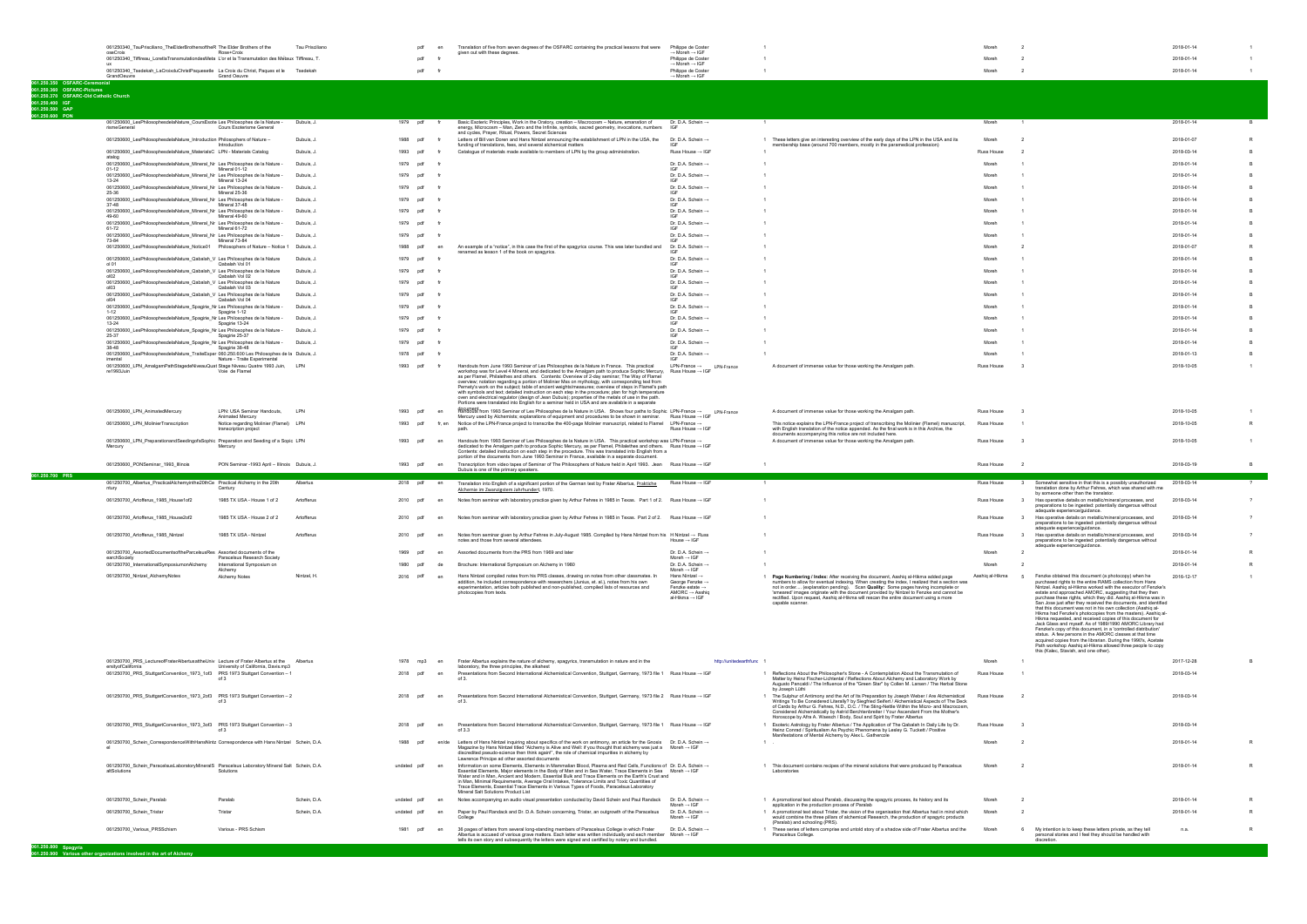**061.250.800**

|                                                           | 061250340_TauPrisciliano_TheElderBrothersoftheR The Elder Brothers of the                                     |                                                | Tau Prisciliano |                        |        | Translation of five from seven degrees of the OSFARC containing the practical lessons that were                                                                                                                                                                                                                                                                                                                                                                                                                                                                                                                                               | Philippe de Coster                                                                 |                                                                                                                                                                                                                                                                                                                                                                                             |                   |                                                                                                                                                                                                                                                                                                                         | 2018-01-14 |  |
|-----------------------------------------------------------|---------------------------------------------------------------------------------------------------------------|------------------------------------------------|-----------------|------------------------|--------|-----------------------------------------------------------------------------------------------------------------------------------------------------------------------------------------------------------------------------------------------------------------------------------------------------------------------------------------------------------------------------------------------------------------------------------------------------------------------------------------------------------------------------------------------------------------------------------------------------------------------------------------------|------------------------------------------------------------------------------------|---------------------------------------------------------------------------------------------------------------------------------------------------------------------------------------------------------------------------------------------------------------------------------------------------------------------------------------------------------------------------------------------|-------------------|-------------------------------------------------------------------------------------------------------------------------------------------------------------------------------------------------------------------------------------------------------------------------------------------------------------------------|------------|--|
|                                                           | oseCroix<br>061250340_Tiffireau_LoretlaTransmutationdesMeta L'or et la Transmutation des Metaux Tiffireau, T. | Rose+Croix                                     |                 |                        | pdf    | given out with these degrees.                                                                                                                                                                                                                                                                                                                                                                                                                                                                                                                                                                                                                 | $\rightarrow$ Moreh $\rightarrow$ IGF<br>Philippe de Coster                        |                                                                                                                                                                                                                                                                                                                                                                                             |                   |                                                                                                                                                                                                                                                                                                                         | 2018-01-14 |  |
|                                                           |                                                                                                               |                                                |                 |                        |        |                                                                                                                                                                                                                                                                                                                                                                                                                                                                                                                                                                                                                                               | $\rightarrow$ Moreh $\rightarrow$ IGF                                              |                                                                                                                                                                                                                                                                                                                                                                                             |                   |                                                                                                                                                                                                                                                                                                                         |            |  |
|                                                           | 061250340_Tsedekah_LaCroixduChristPaquesetle La Croix du Christ, Paques et le Tsedekah                        |                                                |                 |                        | pdf    |                                                                                                                                                                                                                                                                                                                                                                                                                                                                                                                                                                                                                                               | Philippe de Coster                                                                 |                                                                                                                                                                                                                                                                                                                                                                                             | Moreh             | $\overline{2}$                                                                                                                                                                                                                                                                                                          | 2018-01-14 |  |
|                                                           | GrandOeuvre                                                                                                   | <b>Grand Oeuvre</b>                            |                 |                        |        |                                                                                                                                                                                                                                                                                                                                                                                                                                                                                                                                                                                                                                               | $\rightarrow$ Moreh $\rightarrow$ IGF                                              |                                                                                                                                                                                                                                                                                                                                                                                             |                   |                                                                                                                                                                                                                                                                                                                         |            |  |
| 061.250.350 OSFARC-Ceremonial                             |                                                                                                               |                                                |                 |                        |        |                                                                                                                                                                                                                                                                                                                                                                                                                                                                                                                                                                                                                                               |                                                                                    |                                                                                                                                                                                                                                                                                                                                                                                             |                   |                                                                                                                                                                                                                                                                                                                         |            |  |
| 061.250.360 OSFARC-Pictures                               |                                                                                                               |                                                |                 |                        |        |                                                                                                                                                                                                                                                                                                                                                                                                                                                                                                                                                                                                                                               |                                                                                    |                                                                                                                                                                                                                                                                                                                                                                                             |                   |                                                                                                                                                                                                                                                                                                                         |            |  |
| 061.250.370 OSFARC-Old Catholic Church<br>061.250.400 IGF |                                                                                                               |                                                |                 |                        |        |                                                                                                                                                                                                                                                                                                                                                                                                                                                                                                                                                                                                                                               |                                                                                    |                                                                                                                                                                                                                                                                                                                                                                                             |                   |                                                                                                                                                                                                                                                                                                                         |            |  |
| 061.250.500 GAP                                           |                                                                                                               |                                                |                 |                        |        |                                                                                                                                                                                                                                                                                                                                                                                                                                                                                                                                                                                                                                               |                                                                                    |                                                                                                                                                                                                                                                                                                                                                                                             |                   |                                                                                                                                                                                                                                                                                                                         |            |  |
| 061.250.600 PON                                           |                                                                                                               |                                                |                 |                        |        |                                                                                                                                                                                                                                                                                                                                                                                                                                                                                                                                                                                                                                               |                                                                                    |                                                                                                                                                                                                                                                                                                                                                                                             |                   |                                                                                                                                                                                                                                                                                                                         |            |  |
|                                                           | 061250600_LesPhilosophesdelaNature_CoursEsote Les Philosophes de la Nature -                                  |                                                | Dubuis, J.      | 1979 pdf               |        | Basic Esoteric Principles, Work in the Oratory, creation - Macrocosm - Nature, emanation of                                                                                                                                                                                                                                                                                                                                                                                                                                                                                                                                                   | Dr. D.A. Schein $\rightarrow$                                                      |                                                                                                                                                                                                                                                                                                                                                                                             | Moreh             |                                                                                                                                                                                                                                                                                                                         | 2018-01-14 |  |
|                                                           | rismeGeneral                                                                                                  | Cours Esoterisme General                       |                 |                        |        | energy, Microcosm - Man. Zero and the Infinite, symbols, sacred geometry, invocations, numbers                                                                                                                                                                                                                                                                                                                                                                                                                                                                                                                                                | IGE                                                                                |                                                                                                                                                                                                                                                                                                                                                                                             |                   |                                                                                                                                                                                                                                                                                                                         |            |  |
|                                                           | 061250600_LesPhilosophesdelaNature_Introduction Philosophers of Nature -                                      |                                                | Dubuis, J.      | 1988<br>pdf            |        | and cycles, Prayer, Ritual, Powers, Secret Sciences<br>Letters of Bill van Doren and Hans Nintzel announcing the establishment of LPN in the USA, the                                                                                                                                                                                                                                                                                                                                                                                                                                                                                         | Dr. D.A. Schein →                                                                  | 1 These letters give an interesting overview of the early days of the LPN in the USA and its                                                                                                                                                                                                                                                                                                | Moreh             |                                                                                                                                                                                                                                                                                                                         | 2018-01-07 |  |
|                                                           |                                                                                                               | Introduction                                   |                 |                        |        | funding of translations, fees, and several alchemical matters                                                                                                                                                                                                                                                                                                                                                                                                                                                                                                                                                                                 | <b>IGE</b>                                                                         | membership base (around 700 members, mostly in the paramedical profession)                                                                                                                                                                                                                                                                                                                  |                   |                                                                                                                                                                                                                                                                                                                         |            |  |
|                                                           | 061250600_LesPhilosophesdelaNature_MaterialsC LPN - Materials Catalog                                         |                                                | Dubuis, J.      | 1993<br>ndf            |        | Catalogue of materials made available to members of LPN by the group administration.                                                                                                                                                                                                                                                                                                                                                                                                                                                                                                                                                          | Russ House $\rightarrow$ IGF                                                       |                                                                                                                                                                                                                                                                                                                                                                                             | Russ House        |                                                                                                                                                                                                                                                                                                                         | 2018-03-14 |  |
|                                                           | atalog                                                                                                        |                                                |                 |                        |        |                                                                                                                                                                                                                                                                                                                                                                                                                                                                                                                                                                                                                                               |                                                                                    |                                                                                                                                                                                                                                                                                                                                                                                             |                   |                                                                                                                                                                                                                                                                                                                         |            |  |
|                                                           | 061250600_LesPhilosophesdelaNature_Mineral_Nr Les Philosophes de la Nature -<br>$01-12$                       | Mineral 01-12                                  | Dubuis, J.      | 1979<br>pdf            |        |                                                                                                                                                                                                                                                                                                                                                                                                                                                                                                                                                                                                                                               | Dr. D.A. Schein $\rightarrow$                                                      |                                                                                                                                                                                                                                                                                                                                                                                             | Moreh             |                                                                                                                                                                                                                                                                                                                         | 2018-01-14 |  |
|                                                           | 061250600_LesPhilosophesdelaNature_Mineral_Nr Les Philosophes de la Nature -                                  |                                                | Dubuis, J.      | 1979<br>pdf            |        |                                                                                                                                                                                                                                                                                                                                                                                                                                                                                                                                                                                                                                               | Dr. D.A. Schein $\rightarrow$                                                      |                                                                                                                                                                                                                                                                                                                                                                                             | More              |                                                                                                                                                                                                                                                                                                                         | 2018-01-14 |  |
|                                                           | 13-24                                                                                                         | Mineral 13-24                                  |                 |                        |        |                                                                                                                                                                                                                                                                                                                                                                                                                                                                                                                                                                                                                                               |                                                                                    |                                                                                                                                                                                                                                                                                                                                                                                             |                   |                                                                                                                                                                                                                                                                                                                         |            |  |
|                                                           | 061250600_LesPhilosophesdelaNature_Mineral_Nr Les Philosophes de la Nature -<br>25-36                         | Mineral 25-36                                  | Dubuis, J.      | 1979<br>. pd           |        |                                                                                                                                                                                                                                                                                                                                                                                                                                                                                                                                                                                                                                               | Dr. D.A. Schein $\rightarrow$                                                      |                                                                                                                                                                                                                                                                                                                                                                                             |                   |                                                                                                                                                                                                                                                                                                                         | 2018-01-14 |  |
|                                                           | 061250600_LesPhilosophesdelaNature_Mineral_Nr Les Philosophes de la Nature -                                  |                                                | Dubuis, J.      | 1979<br>ndf            |        |                                                                                                                                                                                                                                                                                                                                                                                                                                                                                                                                                                                                                                               | Dr. D.A. Schein $\rightarrow$                                                      |                                                                                                                                                                                                                                                                                                                                                                                             | Moreh             |                                                                                                                                                                                                                                                                                                                         | 2018-01-14 |  |
|                                                           | 37-48                                                                                                         | Mineral 37-48                                  |                 |                        |        |                                                                                                                                                                                                                                                                                                                                                                                                                                                                                                                                                                                                                                               | IGF                                                                                |                                                                                                                                                                                                                                                                                                                                                                                             |                   |                                                                                                                                                                                                                                                                                                                         |            |  |
|                                                           | 061250600_LesPhilosophesdelaNature_Mineral_Nr Les Philosophes de la Nature -<br>49-60                         | Mineral 49-60                                  | Dubuis, J       | 1979                   |        |                                                                                                                                                                                                                                                                                                                                                                                                                                                                                                                                                                                                                                               | Dr. D.A. Schein $\rightarrow$                                                      |                                                                                                                                                                                                                                                                                                                                                                                             |                   |                                                                                                                                                                                                                                                                                                                         | 2018-01-14 |  |
|                                                           | 061250600_LesPhilosophesdelaNature_Mineral_Nr_Les Philosophes de la Nature -                                  |                                                | Dubuis, J.      | 1979<br>pdf            |        |                                                                                                                                                                                                                                                                                                                                                                                                                                                                                                                                                                                                                                               | Dr. D.A. Schein ->                                                                 |                                                                                                                                                                                                                                                                                                                                                                                             |                   |                                                                                                                                                                                                                                                                                                                         | 2018-01-14 |  |
|                                                           | 61-72                                                                                                         | Mineral 61-72                                  |                 |                        |        |                                                                                                                                                                                                                                                                                                                                                                                                                                                                                                                                                                                                                                               |                                                                                    |                                                                                                                                                                                                                                                                                                                                                                                             |                   |                                                                                                                                                                                                                                                                                                                         |            |  |
|                                                           | 061250600_LesPhilosophesdelaNature_Mineral_Nr Les Philosophes de la Nature -                                  |                                                | Dubuis, J       | 1979 pdf               |        |                                                                                                                                                                                                                                                                                                                                                                                                                                                                                                                                                                                                                                               | Dr. D.A. Schein →                                                                  |                                                                                                                                                                                                                                                                                                                                                                                             | Moreh             |                                                                                                                                                                                                                                                                                                                         | 2018-01-14 |  |
|                                                           | 73-84                                                                                                         | Mineral 73-84                                  |                 |                        |        |                                                                                                                                                                                                                                                                                                                                                                                                                                                                                                                                                                                                                                               |                                                                                    |                                                                                                                                                                                                                                                                                                                                                                                             |                   |                                                                                                                                                                                                                                                                                                                         |            |  |
|                                                           | 061250600_LesPhilosophesdelaNature_Notice01    Philosophers of Nature - Notice 1    Dubuis, J.                |                                                |                 | 1988<br><sub>D</sub> d |        | An example of a "notice", in this case the first of the spagyrics course. This was later bundled and<br>renamed as lesson 1 of the book on spagyrics.                                                                                                                                                                                                                                                                                                                                                                                                                                                                                         | Dr. D.A. Schein →                                                                  |                                                                                                                                                                                                                                                                                                                                                                                             |                   |                                                                                                                                                                                                                                                                                                                         | 2018-01-07 |  |
|                                                           | 061250600_LesPhilosophesdelaNature_Qabalah_V Les Philosophes de la Nature                                     |                                                | Dubuis, J.      | 1979<br>pdf            |        |                                                                                                                                                                                                                                                                                                                                                                                                                                                                                                                                                                                                                                               | Dr. D.A. Schein ->                                                                 |                                                                                                                                                                                                                                                                                                                                                                                             |                   |                                                                                                                                                                                                                                                                                                                         | 2018-01-14 |  |
|                                                           | ol 01                                                                                                         | Qabalah Vol 01                                 |                 |                        |        |                                                                                                                                                                                                                                                                                                                                                                                                                                                                                                                                                                                                                                               |                                                                                    |                                                                                                                                                                                                                                                                                                                                                                                             |                   |                                                                                                                                                                                                                                                                                                                         |            |  |
|                                                           | 061250600_LesPhilosophesdelaNature_Qabalah_V Les Philosophes de la Nature<br><b>0102</b>                      | Qabalah Vol 02                                 | Dubuis, J       | pdf<br>1979            |        |                                                                                                                                                                                                                                                                                                                                                                                                                                                                                                                                                                                                                                               | Dr. D.A. Schein ->                                                                 |                                                                                                                                                                                                                                                                                                                                                                                             | More              |                                                                                                                                                                                                                                                                                                                         | 2018-01-14 |  |
|                                                           | 061250600_LesPhilosophesdelaNature_Qabalah_V Les Philosophes de la Nature                                     |                                                | Dubuis, J.      | 1979<br>ndf            |        |                                                                                                                                                                                                                                                                                                                                                                                                                                                                                                                                                                                                                                               | Dr. D.A. Schein ->                                                                 |                                                                                                                                                                                                                                                                                                                                                                                             |                   |                                                                                                                                                                                                                                                                                                                         | 2018-01-14 |  |
|                                                           | ol <sub>03</sub>                                                                                              | Qabalah Vol 03                                 |                 |                        |        |                                                                                                                                                                                                                                                                                                                                                                                                                                                                                                                                                                                                                                               |                                                                                    |                                                                                                                                                                                                                                                                                                                                                                                             |                   |                                                                                                                                                                                                                                                                                                                         |            |  |
|                                                           | 061250600_LesPhilosophesdelaNature_Qabalah_V Les Philosophes de la Nature<br>പറ4                              | Qabalah Vol 04                                 | Dubuis, J       | 1979<br>ndf            |        |                                                                                                                                                                                                                                                                                                                                                                                                                                                                                                                                                                                                                                               | Dr. D.A. Schein $\rightarrow$                                                      |                                                                                                                                                                                                                                                                                                                                                                                             | More              |                                                                                                                                                                                                                                                                                                                         | 2018-01-14 |  |
|                                                           | 061250600_LesPhilosophesdelaNature_Spagirie_Nr Les Philosophes de la Nature -                                 |                                                | Dubuis, J.      | 1979                   |        |                                                                                                                                                                                                                                                                                                                                                                                                                                                                                                                                                                                                                                               | Dr. D.A. Schein $\rightarrow$                                                      |                                                                                                                                                                                                                                                                                                                                                                                             |                   |                                                                                                                                                                                                                                                                                                                         | 2018-01-14 |  |
|                                                           | $1 - 12$                                                                                                      | Spagirie 1-12                                  |                 |                        |        |                                                                                                                                                                                                                                                                                                                                                                                                                                                                                                                                                                                                                                               |                                                                                    |                                                                                                                                                                                                                                                                                                                                                                                             |                   |                                                                                                                                                                                                                                                                                                                         |            |  |
|                                                           | 061250600_LesPhilosophesdelaNature_Spagirie_Nr Les Philosophes de la Nature -<br>$13 - 24$                    | Spagirie 13-24                                 | Dubuis, J.      | 1979<br>ndf            |        |                                                                                                                                                                                                                                                                                                                                                                                                                                                                                                                                                                                                                                               | Dr. D.A. Schein →                                                                  |                                                                                                                                                                                                                                                                                                                                                                                             | More              |                                                                                                                                                                                                                                                                                                                         | 2018-01-14 |  |
|                                                           | 061250600_LesPhilosophesdelaNature_Spagirie_Nr Les Philosophes de la Nature -                                 |                                                | Dubuis, J       | 1979<br>nd             |        |                                                                                                                                                                                                                                                                                                                                                                                                                                                                                                                                                                                                                                               | Dr. D.A. Schein $\rightarrow$                                                      |                                                                                                                                                                                                                                                                                                                                                                                             |                   |                                                                                                                                                                                                                                                                                                                         | 2018-01-14 |  |
|                                                           | 25-37                                                                                                         | Spagirie 25-37                                 |                 |                        |        |                                                                                                                                                                                                                                                                                                                                                                                                                                                                                                                                                                                                                                               |                                                                                    |                                                                                                                                                                                                                                                                                                                                                                                             |                   |                                                                                                                                                                                                                                                                                                                         |            |  |
|                                                           | 061250600_LesPhilosophesdelaNature_Spagirie_Nr Les Philosophes de la Nature -<br>38-48                        | Spagirie 38-48                                 | Dubuis, J       | 1979<br>pdf            |        |                                                                                                                                                                                                                                                                                                                                                                                                                                                                                                                                                                                                                                               | Dr. D.A. Schein ->                                                                 |                                                                                                                                                                                                                                                                                                                                                                                             |                   |                                                                                                                                                                                                                                                                                                                         | 2018-01-14 |  |
|                                                           | 061250600_LesPhilosophesdelaNature_TraiteExper 060.250.600 Les Philosophes de la Dubuis, J.                   |                                                |                 | 1978 ndf               |        |                                                                                                                                                                                                                                                                                                                                                                                                                                                                                                                                                                                                                                               | Dr. D.A. Schein →                                                                  |                                                                                                                                                                                                                                                                                                                                                                                             | Moreh             |                                                                                                                                                                                                                                                                                                                         | 2018-01-13 |  |
|                                                           | imental                                                                                                       | Nature - Traite Experimental                   |                 |                        |        |                                                                                                                                                                                                                                                                                                                                                                                                                                                                                                                                                                                                                                               |                                                                                    |                                                                                                                                                                                                                                                                                                                                                                                             |                   |                                                                                                                                                                                                                                                                                                                         |            |  |
|                                                           | 061250600_LPN_AmalgamPathStagedeNiveauQuat Stage Niveau Quatre 1993 Juin,<br>re1993.luin                      | Voie de Flamel                                 |                 | 1993<br>pdf            |        | Handouts from June 1993 Seminar of Les Philosophes de la Nature in France. This practical                                                                                                                                                                                                                                                                                                                                                                                                                                                                                                                                                     | $LPN$ -France $\rightarrow$ LPN-France                                             | A document of immense value for those working the Amalgam path.                                                                                                                                                                                                                                                                                                                             | Russ House        |                                                                                                                                                                                                                                                                                                                         | 2018-10-05 |  |
|                                                           |                                                                                                               |                                                |                 |                        |        | workshop was for Level 4 Mineral, and dedicated to the Amalgam path to produce Sophic Mercury, Russ House -> IGF<br>as per Flamel, Philalethes and others. Contents: Overview of 2-day seminar; The Way of Flamel<br>overview; notation regarding a portion of Molinier Mss on mythology, with corresponding text from<br>Pernety's work on the subject; table of ancient weights/measures; overview of steps in Flamel's path<br>with symbols and text; detailed instruction on each step in the procedure; plan for high temperature<br>oven and electrical regulator (design of Jean Dubuis); properties of the metals of use in the path. |                                                                                    |                                                                                                                                                                                                                                                                                                                                                                                             |                   |                                                                                                                                                                                                                                                                                                                         |            |  |
|                                                           |                                                                                                               |                                                |                 |                        |        | Portions were translated into English for a seminar held in USA and are available in a separate                                                                                                                                                                                                                                                                                                                                                                                                                                                                                                                                               |                                                                                    |                                                                                                                                                                                                                                                                                                                                                                                             |                   |                                                                                                                                                                                                                                                                                                                         |            |  |
|                                                           | 061250600_LPN_AnimatedMercury                                                                                 | LPN: USA Seminar Handouts,<br>Animated Mercury | LPN             | 1993<br>pdf            |        | document.<br>Handouts from 1993 Seminar of Les Philosophes de la Nature in USA. Shows four paths to Sophic LPN-France →<br>Mercury used by Alchemists; explanations of equipment and procedures to be shown in seminar. Russ House → IGF                                                                                                                                                                                                                                                                                                                                                                                                      | LPN-France                                                                         | A document of immense value for those working the Amalgam path.                                                                                                                                                                                                                                                                                                                             | Russ House        |                                                                                                                                                                                                                                                                                                                         | 2018-10-05 |  |
|                                                           | 061250600_LPN_MolinierTranscription                                                                           | Notice regarding Molinier (Flamel) LPN         |                 | 1993<br>pdf            | fr. en | Notice of the LPN-France project to transcribe the 400-page Molinier manuscript, related to Flamel LPN-France →                                                                                                                                                                                                                                                                                                                                                                                                                                                                                                                               |                                                                                    | This notice explains the LPN-France project of transcribing the Molinier (Flamel) manuscript.                                                                                                                                                                                                                                                                                               | <b>Russ House</b> |                                                                                                                                                                                                                                                                                                                         | 2018-10-05 |  |
|                                                           |                                                                                                               | transcription project                          |                 |                        |        |                                                                                                                                                                                                                                                                                                                                                                                                                                                                                                                                                                                                                                               | Russ House $\rightarrow$ IGF                                                       | with English translation of the notice appended. As the final work is in this Archive, the                                                                                                                                                                                                                                                                                                  |                   |                                                                                                                                                                                                                                                                                                                         |            |  |
|                                                           |                                                                                                               |                                                |                 | 1993<br>pdf            | en     |                                                                                                                                                                                                                                                                                                                                                                                                                                                                                                                                                                                                                                               |                                                                                    | documents accompanying this notice are not included here.                                                                                                                                                                                                                                                                                                                                   | Russ House        |                                                                                                                                                                                                                                                                                                                         |            |  |
|                                                           | 061250600_LPN_PreparationandSeedingofaSophic Preparation and Seeding of a Sopic LPN<br>Mercury                | Mercury                                        |                 |                        |        | Handouts from 1993 Seminar of Les Philosophes de la Nature in USA. This practical workshop was LPN-France -<br>dedicated to the Amalgam path to produce Sophic Mercury, as per Flamel, Philalethes and others. Russ House → IGF                                                                                                                                                                                                                                                                                                                                                                                                               |                                                                                    | A document of immense value for those working the Amalgam path.                                                                                                                                                                                                                                                                                                                             |                   |                                                                                                                                                                                                                                                                                                                         | 2018-10-05 |  |
|                                                           |                                                                                                               |                                                |                 |                        |        | Contents: detailed instruction on each step in the procedure. This was translated into English from a                                                                                                                                                                                                                                                                                                                                                                                                                                                                                                                                         |                                                                                    |                                                                                                                                                                                                                                                                                                                                                                                             |                   |                                                                                                                                                                                                                                                                                                                         |            |  |
|                                                           |                                                                                                               |                                                |                 | 1993<br>pdf            |        | portion of the documents from June 1993 Seminar in France, available in a separate document                                                                                                                                                                                                                                                                                                                                                                                                                                                                                                                                                   |                                                                                    |                                                                                                                                                                                                                                                                                                                                                                                             |                   | $\overline{2}$                                                                                                                                                                                                                                                                                                          |            |  |
|                                                           | 061250600_PONSeminar_1993_Illinois                                                                            | PON Seminar -1993 April - Illinois Dubuis, J.  |                 |                        |        | Transcription from video tapes of Seminar of The Philosophers of Nature held in April 1993. Jean Russ House → IGF<br>Dubuis is one of the primary speakers.                                                                                                                                                                                                                                                                                                                                                                                                                                                                                   |                                                                                    |                                                                                                                                                                                                                                                                                                                                                                                             | Russ House        |                                                                                                                                                                                                                                                                                                                         | 2018-03-19 |  |
| 061.250.700 PRS                                           |                                                                                                               |                                                |                 |                        |        |                                                                                                                                                                                                                                                                                                                                                                                                                                                                                                                                                                                                                                               |                                                                                    |                                                                                                                                                                                                                                                                                                                                                                                             |                   |                                                                                                                                                                                                                                                                                                                         |            |  |
|                                                           | 061250700_Albertus_PracticalAlchemyinthe20thCe Practical Alchemy in the 20th                                  |                                                | Albertus        | 2018 pdf               | en     | Translation into English of a significant portion of the German text by Frater Albertus, Praktiche                                                                                                                                                                                                                                                                                                                                                                                                                                                                                                                                            | Russ House $\rightarrow$ IGF                                                       |                                                                                                                                                                                                                                                                                                                                                                                             | Russ House        | Somewhat sensitive in that this is a possibly unauthorized                                                                                                                                                                                                                                                              | 2018-03-14 |  |
|                                                           |                                                                                                               | Century                                        |                 |                        |        | Alchemie im Zwanzigstem Jahrhundert, 1970.                                                                                                                                                                                                                                                                                                                                                                                                                                                                                                                                                                                                    |                                                                                    |                                                                                                                                                                                                                                                                                                                                                                                             |                   | translation done by Arthur Fehres, which was shared with me<br>by someone other than the translator.                                                                                                                                                                                                                    |            |  |
|                                                           | 061250700_Artofferus_1985_House1of2                                                                           | 1985 TX USA - House 1 of 2                     | Artofferus      | 2010<br>ndf            | en     | Notes from seminar with laboratory practice given by Arthur Fehres in 1985 in Texas. Part 1 of 2. Russ House → IGF                                                                                                                                                                                                                                                                                                                                                                                                                                                                                                                            |                                                                                    |                                                                                                                                                                                                                                                                                                                                                                                             | Russ House        | Has operative details on metallic/mineral processes, and<br>$\mathbf{3}$                                                                                                                                                                                                                                                | 2018-03-14 |  |
|                                                           |                                                                                                               |                                                |                 |                        |        |                                                                                                                                                                                                                                                                                                                                                                                                                                                                                                                                                                                                                                               |                                                                                    |                                                                                                                                                                                                                                                                                                                                                                                             |                   | preparations to be ingested: potentially dangerous without                                                                                                                                                                                                                                                              |            |  |
|                                                           |                                                                                                               |                                                |                 |                        |        |                                                                                                                                                                                                                                                                                                                                                                                                                                                                                                                                                                                                                                               |                                                                                    |                                                                                                                                                                                                                                                                                                                                                                                             |                   | adequate experience/quidance.                                                                                                                                                                                                                                                                                           |            |  |
|                                                           | 061250700_Artofferus_1985_House2of2                                                                           | 1985 TX USA - House 2 of 2                     | Artofferus      | 2010<br>ndf            |        | Notes from seminar with laboratory practice given by Arthur Fehres in 1985 in Texas. Part 2 of 2. Russ House → IGF                                                                                                                                                                                                                                                                                                                                                                                                                                                                                                                            |                                                                                    |                                                                                                                                                                                                                                                                                                                                                                                             | <b>Russ House</b> | $\overline{\mathbf{3}}$<br>Has operative details on metallic/mineral processes, and<br>preparations to be ingested: potentially dangerous without                                                                                                                                                                       | 2018-03-14 |  |
|                                                           |                                                                                                               |                                                |                 |                        |        |                                                                                                                                                                                                                                                                                                                                                                                                                                                                                                                                                                                                                                               |                                                                                    |                                                                                                                                                                                                                                                                                                                                                                                             |                   | adequate experience/guidance                                                                                                                                                                                                                                                                                            |            |  |
|                                                           | 061250700_Artofferus_1985_Nintzel                                                                             | 1985 TX USA - Nintzel                          | Artofferus      | 2010 ndf               |        | Notes from seminar given by Arthur Fehres in July-August 1985. Compiled by Hans Nintzel from his H Nintzel → Russ                                                                                                                                                                                                                                                                                                                                                                                                                                                                                                                             |                                                                                    |                                                                                                                                                                                                                                                                                                                                                                                             | Russ House        | Has operative details on metallic/mineral processes, and<br>$\mathbf{3}$                                                                                                                                                                                                                                                | 2018-03-14 |  |
|                                                           |                                                                                                               |                                                |                 |                        |        | notes and those from several attendees                                                                                                                                                                                                                                                                                                                                                                                                                                                                                                                                                                                                        | House $\rightarrow$ IGF                                                            |                                                                                                                                                                                                                                                                                                                                                                                             |                   | preparations to be ingested: potentially dangerous without                                                                                                                                                                                                                                                              |            |  |
|                                                           | 061250700 AssortedDocumentsoftheParcelsusRes Assorted documents of the                                        |                                                |                 | 1969<br>nd             |        | Assorted documents from the PRS from 1969 and later                                                                                                                                                                                                                                                                                                                                                                                                                                                                                                                                                                                           | Dr. D.A. Schein $\rightarrow$                                                      |                                                                                                                                                                                                                                                                                                                                                                                             | Moreh             | adequate experience/guidance.<br>$\overline{2}$                                                                                                                                                                                                                                                                         | 2018-01-14 |  |
|                                                           | earchSociety                                                                                                  | Paracelsus Research Society                    |                 |                        |        |                                                                                                                                                                                                                                                                                                                                                                                                                                                                                                                                                                                                                                               | Moreh $\rightarrow$ IGF                                                            |                                                                                                                                                                                                                                                                                                                                                                                             |                   |                                                                                                                                                                                                                                                                                                                         |            |  |
|                                                           | 061250700_InternationalSymposiumonAlchemy                                                                     | International Symposium on                     |                 | 1980                   | nd     | Brochure: International Symposium on Alchemy in 1980                                                                                                                                                                                                                                                                                                                                                                                                                                                                                                                                                                                          | Dr. D.A. Schein ->                                                                 |                                                                                                                                                                                                                                                                                                                                                                                             | Moreh             |                                                                                                                                                                                                                                                                                                                         | 2018-01-14 |  |
|                                                           | 061250700_Nintzel_AlchemyNotes                                                                                | Alchemy<br>Alchemy Notes                       | Nintzel, H      | 2016<br>ndf            | en     | Hans Nintzel compiled notes from his PRS classes, drawing on notes from other classmates. In                                                                                                                                                                                                                                                                                                                                                                                                                                                                                                                                                  | Moreh $\rightarrow$ IGF<br>Hans Nintzel $\rightarrow$                              | 1 Page Numbering / Index: After receiving the document, Aashia al-Hikma added page                                                                                                                                                                                                                                                                                                          | Aashig al-Hikma   | Fenzke obtained this document (a photocopy) when he<br>- 5                                                                                                                                                                                                                                                              | 2016-12-17 |  |
|                                                           |                                                                                                               |                                                |                 |                        |        | addition, he included correspondence with researchers (Junius, et. al.), notes from his own<br>experimentation, articles both published and non-published, compiled lists of resources and<br>photocopies from texts.                                                                                                                                                                                                                                                                                                                                                                                                                         | George Fenzke →<br>Fenzke estate -<br>AMORC $\rightarrow$ Aashio<br>al-Hikma → IGF | numbers to allow for eventual indexing. When creating the index, I realized that a section was<br>not in order (explanation pending). Scan Quality: Some pages having incomplete or<br>'smeared' images originate with the document provided by Nintzel to Fenzke and cannot be<br>rectified. Upon request, Aashiq al-Hikma will rescan the entire document using a more<br>capable scanner |                   | purchased rights to the entire RAMS collection from Hans<br>Nintzel. Aashiq al-Hikma worked with the executor of Fenzke's<br>estate and approached AMORC, suggesting that they then<br>purchase these rights, which they did. Aashig al-Hikma was in<br>San Jose just after they received the documents, and identified |            |  |

| 061250700 PRS LectureofFraterAlbertusattheUniv Lecture of Frater Albertus at the                              |                                     | Albertus     | 1978 mp3    |     |         | Frater Albertus explains the nature of alchemy, spagyrics, transmutation in nature and in the                                                                                                                                                                                                                                                                                                                                                                                                                                                                                    | http://unitedearthfunc |                                                                                                                                                                                                                                                                                                                                                                                                                                                                  | Moreh      |                                                                                                                                       | 2017-12-28 |  |
|---------------------------------------------------------------------------------------------------------------|-------------------------------------|--------------|-------------|-----|---------|----------------------------------------------------------------------------------------------------------------------------------------------------------------------------------------------------------------------------------------------------------------------------------------------------------------------------------------------------------------------------------------------------------------------------------------------------------------------------------------------------------------------------------------------------------------------------------|------------------------|------------------------------------------------------------------------------------------------------------------------------------------------------------------------------------------------------------------------------------------------------------------------------------------------------------------------------------------------------------------------------------------------------------------------------------------------------------------|------------|---------------------------------------------------------------------------------------------------------------------------------------|------------|--|
| ersitvofCalifornia                                                                                            | University of California, Davis.mp3 |              |             |     |         | laboratory, the three principles, the alkahest                                                                                                                                                                                                                                                                                                                                                                                                                                                                                                                                   |                        |                                                                                                                                                                                                                                                                                                                                                                                                                                                                  |            |                                                                                                                                       |            |  |
| 061250700_PRS_StuttgartConvention_1973_1of3 PRS 1973 Stuttgart Convention - 1                                 |                                     |              | 2018        | pdf |         | Presentations from Second International Alchemistical Convention, Stuttgart, Germany, 1973 file 1 Russ House → IGF                                                                                                                                                                                                                                                                                                                                                                                                                                                               |                        | Reflections About the Philosopher's Stone - A Contemplation About the Transmutation of<br>Matter by Heinz Fischer-Lichtental / Reflections About Alchemy and Laboratory Work by<br>Augusto Pancaldi / The Influence of the "Green Star" by Collen M. Larsen / The Herbal Stone<br>by Joseph Lüthi                                                                                                                                                                | Russ House |                                                                                                                                       | 2018-03-14 |  |
| 061250700 PRS StuttgartConvention 1973 2of3 PRS 1973 Stuttgart Convention - 2                                 |                                     |              | 2018        | ndf |         | Presentations from Second International Alchemistical Convention, Stuttgart, Germany, 1973 file 2 Russ House $\rightarrow$ IGF                                                                                                                                                                                                                                                                                                                                                                                                                                                   |                        | The Sulphur of Antimony and the Art of Its Preparation by Joseph Weber / Are Alchemistical<br>Writings To Be Considered Literally? by Siegfried Seifert / Alchemistical Aspects of The Deck<br>of Cards by Arthur G. Fehres, N.D., D.C. / The Sting-Nettle Within the Micro- and Macrocosm.<br>Considered Alchemistically by Astrid Berchtenbreiter / Your Ascendant From the Mother's<br>Horoscope by Afra A. Waesch / Body, Soul and Spirit by Frater Albertus | Russ House |                                                                                                                                       | 2018-03-14 |  |
| 061250700 PRS StuttgartConvention 1973 3of3 PRS 1973 Stuttgart Convention - 3                                 |                                     |              | 2018        |     |         | Presentations from Second International Alchemistical Convention, Stuttgart, Germany, 1973 file 1 Russ House $\rightarrow$ IGF                                                                                                                                                                                                                                                                                                                                                                                                                                                   |                        | Esoteric Astrology by Frater Albertus / The Application of The Qabalah In Daily Life by Dr.<br>Heinz Conrad / Spiritualism As Psychic Phenomena by Lesley G. Tuckett / Positive<br>Manifestations of Mental Alchemy by Alex L. Gathercole                                                                                                                                                                                                                        | Russ House |                                                                                                                                       | 2018-03-14 |  |
| 061250700 Schein CorrespondenceWithHansNintz Correspondence with Hans Nintzel Schein, D.A.                    |                                     |              | 1988        |     |         | Letters of Hans Nintzel inquiring about specifics of the work on antimony, an article for the Gnosis<br>Dr. D.A. Schein $\rightarrow$<br>Magazine by Hans Nintzel titled "Alchemy is Alive and Well: if you thought that alchemy was just a Moreh → IGF<br>discredited pseudo-science then think again!", the role of chemical impurities in alchemy by<br>Lawrence Principe ad other assorted documents                                                                                                                                                                         |                        |                                                                                                                                                                                                                                                                                                                                                                                                                                                                  | Moreh      |                                                                                                                                       | 2018-01-14 |  |
| 061250700 Schein ParacelsusLaboratoryMineralS Paracelsus Laboratory Mineral Salt Schein, D.A.<br>altSolutions | Solutions                           |              | undated pdf |     |         | Information on some Elements. Elements in Mammalian Blood. Plasma and Red Cells. Functions of Dr. D.A. Schein →<br>Essential Elements. Maior elements in the Body of Man and in Sea Water. Trace Elements in Sea Moreh $\rightarrow$ IGF<br>Water and in Man. Ancient and Modern, Essential Bulk and Trace Elements on the Earth's Crust and<br>in Man, Minimal Requirements, Average Oral Intakes, Tolerance Limits and Toxic Quantities of<br>Trace Elements, Essential Trace Elements in Various Types of Foods, Paracelsus Laboratory<br>Mineral Salt Solutions Product List |                        | This document contains recipes of the mineral solutions that were produced by Paracelsus<br>I aboratories                                                                                                                                                                                                                                                                                                                                                        | Moreh      |                                                                                                                                       | 2018-01-14 |  |
| 061250700 Schein Paralab                                                                                      | Paralab                             | Schein, D.A. | undated     |     |         | Notes accompanying an audio visual presentation conducted by David Schein and Paul Randack<br>Dr. D.A. Schein →<br>Moreh $\rightarrow$ IGF                                                                                                                                                                                                                                                                                                                                                                                                                                       |                        | A promotional text about Paralab, discussing the spagyric process, its history and its<br>application in the production process of Paralab                                                                                                                                                                                                                                                                                                                       | Moreh      |                                                                                                                                       | 2018-01-14 |  |
| 061250700 Schein Tristar                                                                                      | Tristar                             | Schein, D.A. | undated     |     | College | Paper by Paul Randack and Dr. D.A. Schein concerning, Tristar, an outgrowth of the Paracelsus<br>Dr. D.A. Schein<br>Moreh $\rightarrow$ IGF                                                                                                                                                                                                                                                                                                                                                                                                                                      |                        | A promotional text about Tristar, the vision of the organisation that Albertus had in mind which<br>would combine the three pillars of alchemical Research, the production of spagyric products<br>(Paralab) and schooling (PRS).                                                                                                                                                                                                                                | Moreh      |                                                                                                                                       | 2018-01-14 |  |
| 061250700 Various PRSSchism                                                                                   | Various - PRS Schism                |              | 1981        | pdf |         | Dr. D.A. Schein $\rightarrow$<br>86 pages of letters from several long-standing members of Paracelsus College in which Frater<br>Albertus is accused of various grave matters. Each letter was written individually and each member Moreh $\rightarrow$ IGF<br>tells its own story and subsequently the letters were signed and certified by notary and bundled.                                                                                                                                                                                                                 |                        | These series of letters comprise and untold story of a shadow side of Frater Albertus and the<br>Paracelsus College.                                                                                                                                                                                                                                                                                                                                             | Moreh      | My intention is to keep these letters private, as they tell<br>personal stories and I feel they should be handled with<br>discretion. | n.a.       |  |
|                                                                                                               |                                     |              |             |     |         |                                                                                                                                                                                                                                                                                                                                                                                                                                                                                                                                                                                  |                        |                                                                                                                                                                                                                                                                                                                                                                                                                                                                  |            |                                                                                                                                       |            |  |

| Moreh<br>$\mathcal{P}$<br>2018-01-14<br>1<br>Moreh<br>$\overline{\mathbf{c}}$<br>2018-01-14<br>1<br>Moreh<br>1<br>2018-01-14<br>B<br>Moreh<br>$\overline{\mathbf{c}}$<br>2018-01-07<br>R<br>Russ House<br>$\overline{\mathbf{c}}$<br>2018-03-14<br>B<br>Moreh<br>1<br>2018-01-14<br><sub>B</sub><br>Moreh<br>1<br>2018-01-14<br>B<br>Moreh<br>2018-01-14<br>B<br>1<br>Moreh<br>2018-01-14<br>B<br>1<br>Moreh<br>2018-01-14<br>B<br>1<br>Moreh<br>2018-01-14<br><sub>B</sub><br>1<br>Moreh<br>1<br>2018-01-14<br>B<br>Moreh<br>$\overline{\mathbf{c}}$<br>2018-01-07<br>R<br>Moreh<br>1<br>2018-01-14<br>B<br>Moreh<br>2018-01-14<br>1<br>B<br>Moreh<br>1<br>2018-01-14<br>B<br>Moreh<br>2018-01-14<br>B<br>1<br>Moreh<br>2018-01-14<br>B<br>1<br>2018-01-14<br>Moreh<br>1<br>B<br>Moreh<br>1<br>2018-01-14<br>B<br>Moreh<br>2018-01-14<br>B<br>1<br>Moreh<br>2018-01-13<br>B<br>1<br>2018-10-05<br>Russ House<br>3<br>1<br>Russ House<br>2018-10-05<br>3<br>1<br>Russ House<br>2018-10-05<br>R<br>1<br>Russ House<br>3<br>2018-10-05<br>1<br>Russ House<br>$\overline{\mathbf{c}}$<br>2018-03-19<br>B<br>$\overline{\mathbf{r}}$<br>Russ House<br>3<br>Somewhat sensitive in that this is a possibly unauthorized<br>2018-03-14<br>translation done by Arthur Fehres, which was shared with me<br>by someone other than the translator.<br>Russ House<br>Has operative details on metallic/mineral processes, and<br>2018-03-14<br>3<br>?<br>preparations to be ingested: potentially dangerous without<br>adequate experience/guidance.<br>Has operative details on metallic/mineral processes, and<br>2018-03-14<br>2<br>Russ House<br>3<br>preparations to be ingested: potentially dangerous without<br>adequate experience/quidance<br>3<br>Has operative details on metallic/mineral processes, and<br>2018-03-14<br>$\overline{\phantom{a}}$<br>Russ House<br>preparations to be ingested: potentially dangerous without<br>adequate experience/guidance.<br>Moreh<br>$\overline{\mathbf{c}}$<br>2018-01-14<br>R<br>Moreh<br>$\overline{\mathbf{c}}$<br>2018-01-14<br>R<br>Fenzke obtained this document (a photocopy) when he<br>5<br>2016-12-17<br>1<br>purchased rights to the entire RAMS collection from Hans<br>Nintzel. Aashiq al-Hikma worked with the executor of Fenzke's<br>estate and approached AMORC, suggesting that they then<br>purchase these rights, which they did. Aashiq al-Hikma was in<br>San Jose just after they received the documents, and identified<br>that this document was not in his own collection (Aashiq al-<br>Hikma had Fenzke's photocopies from the masters). Aashiq al-<br>Hikma requested, and received copies of this document for<br>Jack Glass and myself. As of 1989/1990 AMORC Library had<br>Fenzke's copy of this document, in a 'controlled distribution'<br>status. A few persons in the AMORC classes at that time<br>acquired copies from the librarian. During the 1990's, Acetate<br>Path workshop Aashiq al-Hikma allowed three people to copy<br>this (Kalec, Stavish, and one other).<br>Moreh<br>1<br>2017-12-28<br>B<br>Russ House<br>2018-03-14<br>1<br>Russ House<br>$\overline{\mathbf{c}}$<br>2018-03-14<br>Russ House<br>3<br>2018-03-14<br>Moreh<br>$\overline{\mathbf{c}}$<br>2018-01-14<br>R<br>$\overline{\mathbf{c}}$<br>2018-01-14<br>R<br>Moreh<br>Moreh<br>$\mathbf 2$<br>2018-01-14<br>R<br>$\overline{\mathbf{c}}$<br>2018-01-14<br>R<br>Moreh<br>6<br>My intention is to keep these letters private, as they tell<br>R<br>Moreh<br>n.a.<br>personal stories and I feel they should be handled with<br>discretion. | Moreh           | $\overline{2}$ | 2018-01-14 | 1 |
|-------------------------------------------------------------------------------------------------------------------------------------------------------------------------------------------------------------------------------------------------------------------------------------------------------------------------------------------------------------------------------------------------------------------------------------------------------------------------------------------------------------------------------------------------------------------------------------------------------------------------------------------------------------------------------------------------------------------------------------------------------------------------------------------------------------------------------------------------------------------------------------------------------------------------------------------------------------------------------------------------------------------------------------------------------------------------------------------------------------------------------------------------------------------------------------------------------------------------------------------------------------------------------------------------------------------------------------------------------------------------------------------------------------------------------------------------------------------------------------------------------------------------------------------------------------------------------------------------------------------------------------------------------------------------------------------------------------------------------------------------------------------------------------------------------------------------------------------------------------------------------------------------------------------------------------------------------------------------------------------------------------------------------------------------------------------------------------------------------------------------------------------------------------------------------------------------------------------------------------------------------------------------------------------------------------------------------------------------------------------------------------------------------------------------------------------------------------------------------------------------------------------------------------------------------------------------------------------------------------------------------------------------------------------------------------------------------------------------------------------------------------------------------------------------------------------------------------------------------------------------------------------------------------------------------------------------------------------------------------------------------------------------------------------------------------------------------------------------------------------------------------------------------------------------------------------------------------------------------------------------------------------------------------------------------------------------------------------------------------------------------------------------------------------------------------------------------------------------------------------------------------------------------------------------------------------------------------------------------|-----------------|----------------|------------|---|
|                                                                                                                                                                                                                                                                                                                                                                                                                                                                                                                                                                                                                                                                                                                                                                                                                                                                                                                                                                                                                                                                                                                                                                                                                                                                                                                                                                                                                                                                                                                                                                                                                                                                                                                                                                                                                                                                                                                                                                                                                                                                                                                                                                                                                                                                                                                                                                                                                                                                                                                                                                                                                                                                                                                                                                                                                                                                                                                                                                                                                                                                                                                                                                                                                                                                                                                                                                                                                                                                                                                                                                                                       |                 |                |            |   |
|                                                                                                                                                                                                                                                                                                                                                                                                                                                                                                                                                                                                                                                                                                                                                                                                                                                                                                                                                                                                                                                                                                                                                                                                                                                                                                                                                                                                                                                                                                                                                                                                                                                                                                                                                                                                                                                                                                                                                                                                                                                                                                                                                                                                                                                                                                                                                                                                                                                                                                                                                                                                                                                                                                                                                                                                                                                                                                                                                                                                                                                                                                                                                                                                                                                                                                                                                                                                                                                                                                                                                                                                       |                 |                |            |   |
|                                                                                                                                                                                                                                                                                                                                                                                                                                                                                                                                                                                                                                                                                                                                                                                                                                                                                                                                                                                                                                                                                                                                                                                                                                                                                                                                                                                                                                                                                                                                                                                                                                                                                                                                                                                                                                                                                                                                                                                                                                                                                                                                                                                                                                                                                                                                                                                                                                                                                                                                                                                                                                                                                                                                                                                                                                                                                                                                                                                                                                                                                                                                                                                                                                                                                                                                                                                                                                                                                                                                                                                                       |                 |                |            |   |
|                                                                                                                                                                                                                                                                                                                                                                                                                                                                                                                                                                                                                                                                                                                                                                                                                                                                                                                                                                                                                                                                                                                                                                                                                                                                                                                                                                                                                                                                                                                                                                                                                                                                                                                                                                                                                                                                                                                                                                                                                                                                                                                                                                                                                                                                                                                                                                                                                                                                                                                                                                                                                                                                                                                                                                                                                                                                                                                                                                                                                                                                                                                                                                                                                                                                                                                                                                                                                                                                                                                                                                                                       |                 |                |            |   |
|                                                                                                                                                                                                                                                                                                                                                                                                                                                                                                                                                                                                                                                                                                                                                                                                                                                                                                                                                                                                                                                                                                                                                                                                                                                                                                                                                                                                                                                                                                                                                                                                                                                                                                                                                                                                                                                                                                                                                                                                                                                                                                                                                                                                                                                                                                                                                                                                                                                                                                                                                                                                                                                                                                                                                                                                                                                                                                                                                                                                                                                                                                                                                                                                                                                                                                                                                                                                                                                                                                                                                                                                       |                 |                |            |   |
|                                                                                                                                                                                                                                                                                                                                                                                                                                                                                                                                                                                                                                                                                                                                                                                                                                                                                                                                                                                                                                                                                                                                                                                                                                                                                                                                                                                                                                                                                                                                                                                                                                                                                                                                                                                                                                                                                                                                                                                                                                                                                                                                                                                                                                                                                                                                                                                                                                                                                                                                                                                                                                                                                                                                                                                                                                                                                                                                                                                                                                                                                                                                                                                                                                                                                                                                                                                                                                                                                                                                                                                                       |                 |                |            |   |
|                                                                                                                                                                                                                                                                                                                                                                                                                                                                                                                                                                                                                                                                                                                                                                                                                                                                                                                                                                                                                                                                                                                                                                                                                                                                                                                                                                                                                                                                                                                                                                                                                                                                                                                                                                                                                                                                                                                                                                                                                                                                                                                                                                                                                                                                                                                                                                                                                                                                                                                                                                                                                                                                                                                                                                                                                                                                                                                                                                                                                                                                                                                                                                                                                                                                                                                                                                                                                                                                                                                                                                                                       |                 |                |            |   |
|                                                                                                                                                                                                                                                                                                                                                                                                                                                                                                                                                                                                                                                                                                                                                                                                                                                                                                                                                                                                                                                                                                                                                                                                                                                                                                                                                                                                                                                                                                                                                                                                                                                                                                                                                                                                                                                                                                                                                                                                                                                                                                                                                                                                                                                                                                                                                                                                                                                                                                                                                                                                                                                                                                                                                                                                                                                                                                                                                                                                                                                                                                                                                                                                                                                                                                                                                                                                                                                                                                                                                                                                       |                 |                |            |   |
|                                                                                                                                                                                                                                                                                                                                                                                                                                                                                                                                                                                                                                                                                                                                                                                                                                                                                                                                                                                                                                                                                                                                                                                                                                                                                                                                                                                                                                                                                                                                                                                                                                                                                                                                                                                                                                                                                                                                                                                                                                                                                                                                                                                                                                                                                                                                                                                                                                                                                                                                                                                                                                                                                                                                                                                                                                                                                                                                                                                                                                                                                                                                                                                                                                                                                                                                                                                                                                                                                                                                                                                                       |                 |                |            |   |
|                                                                                                                                                                                                                                                                                                                                                                                                                                                                                                                                                                                                                                                                                                                                                                                                                                                                                                                                                                                                                                                                                                                                                                                                                                                                                                                                                                                                                                                                                                                                                                                                                                                                                                                                                                                                                                                                                                                                                                                                                                                                                                                                                                                                                                                                                                                                                                                                                                                                                                                                                                                                                                                                                                                                                                                                                                                                                                                                                                                                                                                                                                                                                                                                                                                                                                                                                                                                                                                                                                                                                                                                       |                 |                |            |   |
|                                                                                                                                                                                                                                                                                                                                                                                                                                                                                                                                                                                                                                                                                                                                                                                                                                                                                                                                                                                                                                                                                                                                                                                                                                                                                                                                                                                                                                                                                                                                                                                                                                                                                                                                                                                                                                                                                                                                                                                                                                                                                                                                                                                                                                                                                                                                                                                                                                                                                                                                                                                                                                                                                                                                                                                                                                                                                                                                                                                                                                                                                                                                                                                                                                                                                                                                                                                                                                                                                                                                                                                                       |                 |                |            |   |
|                                                                                                                                                                                                                                                                                                                                                                                                                                                                                                                                                                                                                                                                                                                                                                                                                                                                                                                                                                                                                                                                                                                                                                                                                                                                                                                                                                                                                                                                                                                                                                                                                                                                                                                                                                                                                                                                                                                                                                                                                                                                                                                                                                                                                                                                                                                                                                                                                                                                                                                                                                                                                                                                                                                                                                                                                                                                                                                                                                                                                                                                                                                                                                                                                                                                                                                                                                                                                                                                                                                                                                                                       |                 |                |            |   |
|                                                                                                                                                                                                                                                                                                                                                                                                                                                                                                                                                                                                                                                                                                                                                                                                                                                                                                                                                                                                                                                                                                                                                                                                                                                                                                                                                                                                                                                                                                                                                                                                                                                                                                                                                                                                                                                                                                                                                                                                                                                                                                                                                                                                                                                                                                                                                                                                                                                                                                                                                                                                                                                                                                                                                                                                                                                                                                                                                                                                                                                                                                                                                                                                                                                                                                                                                                                                                                                                                                                                                                                                       |                 |                |            |   |
|                                                                                                                                                                                                                                                                                                                                                                                                                                                                                                                                                                                                                                                                                                                                                                                                                                                                                                                                                                                                                                                                                                                                                                                                                                                                                                                                                                                                                                                                                                                                                                                                                                                                                                                                                                                                                                                                                                                                                                                                                                                                                                                                                                                                                                                                                                                                                                                                                                                                                                                                                                                                                                                                                                                                                                                                                                                                                                                                                                                                                                                                                                                                                                                                                                                                                                                                                                                                                                                                                                                                                                                                       |                 |                |            |   |
|                                                                                                                                                                                                                                                                                                                                                                                                                                                                                                                                                                                                                                                                                                                                                                                                                                                                                                                                                                                                                                                                                                                                                                                                                                                                                                                                                                                                                                                                                                                                                                                                                                                                                                                                                                                                                                                                                                                                                                                                                                                                                                                                                                                                                                                                                                                                                                                                                                                                                                                                                                                                                                                                                                                                                                                                                                                                                                                                                                                                                                                                                                                                                                                                                                                                                                                                                                                                                                                                                                                                                                                                       |                 |                |            |   |
|                                                                                                                                                                                                                                                                                                                                                                                                                                                                                                                                                                                                                                                                                                                                                                                                                                                                                                                                                                                                                                                                                                                                                                                                                                                                                                                                                                                                                                                                                                                                                                                                                                                                                                                                                                                                                                                                                                                                                                                                                                                                                                                                                                                                                                                                                                                                                                                                                                                                                                                                                                                                                                                                                                                                                                                                                                                                                                                                                                                                                                                                                                                                                                                                                                                                                                                                                                                                                                                                                                                                                                                                       |                 |                |            |   |
|                                                                                                                                                                                                                                                                                                                                                                                                                                                                                                                                                                                                                                                                                                                                                                                                                                                                                                                                                                                                                                                                                                                                                                                                                                                                                                                                                                                                                                                                                                                                                                                                                                                                                                                                                                                                                                                                                                                                                                                                                                                                                                                                                                                                                                                                                                                                                                                                                                                                                                                                                                                                                                                                                                                                                                                                                                                                                                                                                                                                                                                                                                                                                                                                                                                                                                                                                                                                                                                                                                                                                                                                       |                 |                |            |   |
|                                                                                                                                                                                                                                                                                                                                                                                                                                                                                                                                                                                                                                                                                                                                                                                                                                                                                                                                                                                                                                                                                                                                                                                                                                                                                                                                                                                                                                                                                                                                                                                                                                                                                                                                                                                                                                                                                                                                                                                                                                                                                                                                                                                                                                                                                                                                                                                                                                                                                                                                                                                                                                                                                                                                                                                                                                                                                                                                                                                                                                                                                                                                                                                                                                                                                                                                                                                                                                                                                                                                                                                                       |                 |                |            |   |
|                                                                                                                                                                                                                                                                                                                                                                                                                                                                                                                                                                                                                                                                                                                                                                                                                                                                                                                                                                                                                                                                                                                                                                                                                                                                                                                                                                                                                                                                                                                                                                                                                                                                                                                                                                                                                                                                                                                                                                                                                                                                                                                                                                                                                                                                                                                                                                                                                                                                                                                                                                                                                                                                                                                                                                                                                                                                                                                                                                                                                                                                                                                                                                                                                                                                                                                                                                                                                                                                                                                                                                                                       |                 |                |            |   |
|                                                                                                                                                                                                                                                                                                                                                                                                                                                                                                                                                                                                                                                                                                                                                                                                                                                                                                                                                                                                                                                                                                                                                                                                                                                                                                                                                                                                                                                                                                                                                                                                                                                                                                                                                                                                                                                                                                                                                                                                                                                                                                                                                                                                                                                                                                                                                                                                                                                                                                                                                                                                                                                                                                                                                                                                                                                                                                                                                                                                                                                                                                                                                                                                                                                                                                                                                                                                                                                                                                                                                                                                       |                 |                |            |   |
|                                                                                                                                                                                                                                                                                                                                                                                                                                                                                                                                                                                                                                                                                                                                                                                                                                                                                                                                                                                                                                                                                                                                                                                                                                                                                                                                                                                                                                                                                                                                                                                                                                                                                                                                                                                                                                                                                                                                                                                                                                                                                                                                                                                                                                                                                                                                                                                                                                                                                                                                                                                                                                                                                                                                                                                                                                                                                                                                                                                                                                                                                                                                                                                                                                                                                                                                                                                                                                                                                                                                                                                                       |                 |                |            |   |
|                                                                                                                                                                                                                                                                                                                                                                                                                                                                                                                                                                                                                                                                                                                                                                                                                                                                                                                                                                                                                                                                                                                                                                                                                                                                                                                                                                                                                                                                                                                                                                                                                                                                                                                                                                                                                                                                                                                                                                                                                                                                                                                                                                                                                                                                                                                                                                                                                                                                                                                                                                                                                                                                                                                                                                                                                                                                                                                                                                                                                                                                                                                                                                                                                                                                                                                                                                                                                                                                                                                                                                                                       |                 |                |            |   |
|                                                                                                                                                                                                                                                                                                                                                                                                                                                                                                                                                                                                                                                                                                                                                                                                                                                                                                                                                                                                                                                                                                                                                                                                                                                                                                                                                                                                                                                                                                                                                                                                                                                                                                                                                                                                                                                                                                                                                                                                                                                                                                                                                                                                                                                                                                                                                                                                                                                                                                                                                                                                                                                                                                                                                                                                                                                                                                                                                                                                                                                                                                                                                                                                                                                                                                                                                                                                                                                                                                                                                                                                       |                 |                |            |   |
|                                                                                                                                                                                                                                                                                                                                                                                                                                                                                                                                                                                                                                                                                                                                                                                                                                                                                                                                                                                                                                                                                                                                                                                                                                                                                                                                                                                                                                                                                                                                                                                                                                                                                                                                                                                                                                                                                                                                                                                                                                                                                                                                                                                                                                                                                                                                                                                                                                                                                                                                                                                                                                                                                                                                                                                                                                                                                                                                                                                                                                                                                                                                                                                                                                                                                                                                                                                                                                                                                                                                                                                                       |                 |                |            |   |
|                                                                                                                                                                                                                                                                                                                                                                                                                                                                                                                                                                                                                                                                                                                                                                                                                                                                                                                                                                                                                                                                                                                                                                                                                                                                                                                                                                                                                                                                                                                                                                                                                                                                                                                                                                                                                                                                                                                                                                                                                                                                                                                                                                                                                                                                                                                                                                                                                                                                                                                                                                                                                                                                                                                                                                                                                                                                                                                                                                                                                                                                                                                                                                                                                                                                                                                                                                                                                                                                                                                                                                                                       |                 |                |            |   |
|                                                                                                                                                                                                                                                                                                                                                                                                                                                                                                                                                                                                                                                                                                                                                                                                                                                                                                                                                                                                                                                                                                                                                                                                                                                                                                                                                                                                                                                                                                                                                                                                                                                                                                                                                                                                                                                                                                                                                                                                                                                                                                                                                                                                                                                                                                                                                                                                                                                                                                                                                                                                                                                                                                                                                                                                                                                                                                                                                                                                                                                                                                                                                                                                                                                                                                                                                                                                                                                                                                                                                                                                       |                 |                |            |   |
|                                                                                                                                                                                                                                                                                                                                                                                                                                                                                                                                                                                                                                                                                                                                                                                                                                                                                                                                                                                                                                                                                                                                                                                                                                                                                                                                                                                                                                                                                                                                                                                                                                                                                                                                                                                                                                                                                                                                                                                                                                                                                                                                                                                                                                                                                                                                                                                                                                                                                                                                                                                                                                                                                                                                                                                                                                                                                                                                                                                                                                                                                                                                                                                                                                                                                                                                                                                                                                                                                                                                                                                                       |                 |                |            |   |
|                                                                                                                                                                                                                                                                                                                                                                                                                                                                                                                                                                                                                                                                                                                                                                                                                                                                                                                                                                                                                                                                                                                                                                                                                                                                                                                                                                                                                                                                                                                                                                                                                                                                                                                                                                                                                                                                                                                                                                                                                                                                                                                                                                                                                                                                                                                                                                                                                                                                                                                                                                                                                                                                                                                                                                                                                                                                                                                                                                                                                                                                                                                                                                                                                                                                                                                                                                                                                                                                                                                                                                                                       |                 |                |            |   |
|                                                                                                                                                                                                                                                                                                                                                                                                                                                                                                                                                                                                                                                                                                                                                                                                                                                                                                                                                                                                                                                                                                                                                                                                                                                                                                                                                                                                                                                                                                                                                                                                                                                                                                                                                                                                                                                                                                                                                                                                                                                                                                                                                                                                                                                                                                                                                                                                                                                                                                                                                                                                                                                                                                                                                                                                                                                                                                                                                                                                                                                                                                                                                                                                                                                                                                                                                                                                                                                                                                                                                                                                       |                 |                |            |   |
|                                                                                                                                                                                                                                                                                                                                                                                                                                                                                                                                                                                                                                                                                                                                                                                                                                                                                                                                                                                                                                                                                                                                                                                                                                                                                                                                                                                                                                                                                                                                                                                                                                                                                                                                                                                                                                                                                                                                                                                                                                                                                                                                                                                                                                                                                                                                                                                                                                                                                                                                                                                                                                                                                                                                                                                                                                                                                                                                                                                                                                                                                                                                                                                                                                                                                                                                                                                                                                                                                                                                                                                                       |                 |                |            |   |
|                                                                                                                                                                                                                                                                                                                                                                                                                                                                                                                                                                                                                                                                                                                                                                                                                                                                                                                                                                                                                                                                                                                                                                                                                                                                                                                                                                                                                                                                                                                                                                                                                                                                                                                                                                                                                                                                                                                                                                                                                                                                                                                                                                                                                                                                                                                                                                                                                                                                                                                                                                                                                                                                                                                                                                                                                                                                                                                                                                                                                                                                                                                                                                                                                                                                                                                                                                                                                                                                                                                                                                                                       |                 |                |            |   |
|                                                                                                                                                                                                                                                                                                                                                                                                                                                                                                                                                                                                                                                                                                                                                                                                                                                                                                                                                                                                                                                                                                                                                                                                                                                                                                                                                                                                                                                                                                                                                                                                                                                                                                                                                                                                                                                                                                                                                                                                                                                                                                                                                                                                                                                                                                                                                                                                                                                                                                                                                                                                                                                                                                                                                                                                                                                                                                                                                                                                                                                                                                                                                                                                                                                                                                                                                                                                                                                                                                                                                                                                       |                 |                |            |   |
|                                                                                                                                                                                                                                                                                                                                                                                                                                                                                                                                                                                                                                                                                                                                                                                                                                                                                                                                                                                                                                                                                                                                                                                                                                                                                                                                                                                                                                                                                                                                                                                                                                                                                                                                                                                                                                                                                                                                                                                                                                                                                                                                                                                                                                                                                                                                                                                                                                                                                                                                                                                                                                                                                                                                                                                                                                                                                                                                                                                                                                                                                                                                                                                                                                                                                                                                                                                                                                                                                                                                                                                                       |                 |                |            |   |
|                                                                                                                                                                                                                                                                                                                                                                                                                                                                                                                                                                                                                                                                                                                                                                                                                                                                                                                                                                                                                                                                                                                                                                                                                                                                                                                                                                                                                                                                                                                                                                                                                                                                                                                                                                                                                                                                                                                                                                                                                                                                                                                                                                                                                                                                                                                                                                                                                                                                                                                                                                                                                                                                                                                                                                                                                                                                                                                                                                                                                                                                                                                                                                                                                                                                                                                                                                                                                                                                                                                                                                                                       |                 |                |            |   |
|                                                                                                                                                                                                                                                                                                                                                                                                                                                                                                                                                                                                                                                                                                                                                                                                                                                                                                                                                                                                                                                                                                                                                                                                                                                                                                                                                                                                                                                                                                                                                                                                                                                                                                                                                                                                                                                                                                                                                                                                                                                                                                                                                                                                                                                                                                                                                                                                                                                                                                                                                                                                                                                                                                                                                                                                                                                                                                                                                                                                                                                                                                                                                                                                                                                                                                                                                                                                                                                                                                                                                                                                       |                 |                |            |   |
|                                                                                                                                                                                                                                                                                                                                                                                                                                                                                                                                                                                                                                                                                                                                                                                                                                                                                                                                                                                                                                                                                                                                                                                                                                                                                                                                                                                                                                                                                                                                                                                                                                                                                                                                                                                                                                                                                                                                                                                                                                                                                                                                                                                                                                                                                                                                                                                                                                                                                                                                                                                                                                                                                                                                                                                                                                                                                                                                                                                                                                                                                                                                                                                                                                                                                                                                                                                                                                                                                                                                                                                                       |                 |                |            |   |
|                                                                                                                                                                                                                                                                                                                                                                                                                                                                                                                                                                                                                                                                                                                                                                                                                                                                                                                                                                                                                                                                                                                                                                                                                                                                                                                                                                                                                                                                                                                                                                                                                                                                                                                                                                                                                                                                                                                                                                                                                                                                                                                                                                                                                                                                                                                                                                                                                                                                                                                                                                                                                                                                                                                                                                                                                                                                                                                                                                                                                                                                                                                                                                                                                                                                                                                                                                                                                                                                                                                                                                                                       |                 |                |            |   |
|                                                                                                                                                                                                                                                                                                                                                                                                                                                                                                                                                                                                                                                                                                                                                                                                                                                                                                                                                                                                                                                                                                                                                                                                                                                                                                                                                                                                                                                                                                                                                                                                                                                                                                                                                                                                                                                                                                                                                                                                                                                                                                                                                                                                                                                                                                                                                                                                                                                                                                                                                                                                                                                                                                                                                                                                                                                                                                                                                                                                                                                                                                                                                                                                                                                                                                                                                                                                                                                                                                                                                                                                       |                 |                |            |   |
|                                                                                                                                                                                                                                                                                                                                                                                                                                                                                                                                                                                                                                                                                                                                                                                                                                                                                                                                                                                                                                                                                                                                                                                                                                                                                                                                                                                                                                                                                                                                                                                                                                                                                                                                                                                                                                                                                                                                                                                                                                                                                                                                                                                                                                                                                                                                                                                                                                                                                                                                                                                                                                                                                                                                                                                                                                                                                                                                                                                                                                                                                                                                                                                                                                                                                                                                                                                                                                                                                                                                                                                                       |                 |                |            |   |
|                                                                                                                                                                                                                                                                                                                                                                                                                                                                                                                                                                                                                                                                                                                                                                                                                                                                                                                                                                                                                                                                                                                                                                                                                                                                                                                                                                                                                                                                                                                                                                                                                                                                                                                                                                                                                                                                                                                                                                                                                                                                                                                                                                                                                                                                                                                                                                                                                                                                                                                                                                                                                                                                                                                                                                                                                                                                                                                                                                                                                                                                                                                                                                                                                                                                                                                                                                                                                                                                                                                                                                                                       |                 |                |            |   |
|                                                                                                                                                                                                                                                                                                                                                                                                                                                                                                                                                                                                                                                                                                                                                                                                                                                                                                                                                                                                                                                                                                                                                                                                                                                                                                                                                                                                                                                                                                                                                                                                                                                                                                                                                                                                                                                                                                                                                                                                                                                                                                                                                                                                                                                                                                                                                                                                                                                                                                                                                                                                                                                                                                                                                                                                                                                                                                                                                                                                                                                                                                                                                                                                                                                                                                                                                                                                                                                                                                                                                                                                       |                 |                |            |   |
|                                                                                                                                                                                                                                                                                                                                                                                                                                                                                                                                                                                                                                                                                                                                                                                                                                                                                                                                                                                                                                                                                                                                                                                                                                                                                                                                                                                                                                                                                                                                                                                                                                                                                                                                                                                                                                                                                                                                                                                                                                                                                                                                                                                                                                                                                                                                                                                                                                                                                                                                                                                                                                                                                                                                                                                                                                                                                                                                                                                                                                                                                                                                                                                                                                                                                                                                                                                                                                                                                                                                                                                                       |                 |                |            |   |
|                                                                                                                                                                                                                                                                                                                                                                                                                                                                                                                                                                                                                                                                                                                                                                                                                                                                                                                                                                                                                                                                                                                                                                                                                                                                                                                                                                                                                                                                                                                                                                                                                                                                                                                                                                                                                                                                                                                                                                                                                                                                                                                                                                                                                                                                                                                                                                                                                                                                                                                                                                                                                                                                                                                                                                                                                                                                                                                                                                                                                                                                                                                                                                                                                                                                                                                                                                                                                                                                                                                                                                                                       |                 |                |            |   |
|                                                                                                                                                                                                                                                                                                                                                                                                                                                                                                                                                                                                                                                                                                                                                                                                                                                                                                                                                                                                                                                                                                                                                                                                                                                                                                                                                                                                                                                                                                                                                                                                                                                                                                                                                                                                                                                                                                                                                                                                                                                                                                                                                                                                                                                                                                                                                                                                                                                                                                                                                                                                                                                                                                                                                                                                                                                                                                                                                                                                                                                                                                                                                                                                                                                                                                                                                                                                                                                                                                                                                                                                       | Aashiq al-Hikma |                |            |   |
|                                                                                                                                                                                                                                                                                                                                                                                                                                                                                                                                                                                                                                                                                                                                                                                                                                                                                                                                                                                                                                                                                                                                                                                                                                                                                                                                                                                                                                                                                                                                                                                                                                                                                                                                                                                                                                                                                                                                                                                                                                                                                                                                                                                                                                                                                                                                                                                                                                                                                                                                                                                                                                                                                                                                                                                                                                                                                                                                                                                                                                                                                                                                                                                                                                                                                                                                                                                                                                                                                                                                                                                                       |                 |                |            |   |
|                                                                                                                                                                                                                                                                                                                                                                                                                                                                                                                                                                                                                                                                                                                                                                                                                                                                                                                                                                                                                                                                                                                                                                                                                                                                                                                                                                                                                                                                                                                                                                                                                                                                                                                                                                                                                                                                                                                                                                                                                                                                                                                                                                                                                                                                                                                                                                                                                                                                                                                                                                                                                                                                                                                                                                                                                                                                                                                                                                                                                                                                                                                                                                                                                                                                                                                                                                                                                                                                                                                                                                                                       |                 |                |            |   |
|                                                                                                                                                                                                                                                                                                                                                                                                                                                                                                                                                                                                                                                                                                                                                                                                                                                                                                                                                                                                                                                                                                                                                                                                                                                                                                                                                                                                                                                                                                                                                                                                                                                                                                                                                                                                                                                                                                                                                                                                                                                                                                                                                                                                                                                                                                                                                                                                                                                                                                                                                                                                                                                                                                                                                                                                                                                                                                                                                                                                                                                                                                                                                                                                                                                                                                                                                                                                                                                                                                                                                                                                       |                 |                |            |   |
|                                                                                                                                                                                                                                                                                                                                                                                                                                                                                                                                                                                                                                                                                                                                                                                                                                                                                                                                                                                                                                                                                                                                                                                                                                                                                                                                                                                                                                                                                                                                                                                                                                                                                                                                                                                                                                                                                                                                                                                                                                                                                                                                                                                                                                                                                                                                                                                                                                                                                                                                                                                                                                                                                                                                                                                                                                                                                                                                                                                                                                                                                                                                                                                                                                                                                                                                                                                                                                                                                                                                                                                                       |                 |                |            |   |
|                                                                                                                                                                                                                                                                                                                                                                                                                                                                                                                                                                                                                                                                                                                                                                                                                                                                                                                                                                                                                                                                                                                                                                                                                                                                                                                                                                                                                                                                                                                                                                                                                                                                                                                                                                                                                                                                                                                                                                                                                                                                                                                                                                                                                                                                                                                                                                                                                                                                                                                                                                                                                                                                                                                                                                                                                                                                                                                                                                                                                                                                                                                                                                                                                                                                                                                                                                                                                                                                                                                                                                                                       |                 |                |            |   |
|                                                                                                                                                                                                                                                                                                                                                                                                                                                                                                                                                                                                                                                                                                                                                                                                                                                                                                                                                                                                                                                                                                                                                                                                                                                                                                                                                                                                                                                                                                                                                                                                                                                                                                                                                                                                                                                                                                                                                                                                                                                                                                                                                                                                                                                                                                                                                                                                                                                                                                                                                                                                                                                                                                                                                                                                                                                                                                                                                                                                                                                                                                                                                                                                                                                                                                                                                                                                                                                                                                                                                                                                       |                 |                |            |   |
|                                                                                                                                                                                                                                                                                                                                                                                                                                                                                                                                                                                                                                                                                                                                                                                                                                                                                                                                                                                                                                                                                                                                                                                                                                                                                                                                                                                                                                                                                                                                                                                                                                                                                                                                                                                                                                                                                                                                                                                                                                                                                                                                                                                                                                                                                                                                                                                                                                                                                                                                                                                                                                                                                                                                                                                                                                                                                                                                                                                                                                                                                                                                                                                                                                                                                                                                                                                                                                                                                                                                                                                                       |                 |                |            |   |
|                                                                                                                                                                                                                                                                                                                                                                                                                                                                                                                                                                                                                                                                                                                                                                                                                                                                                                                                                                                                                                                                                                                                                                                                                                                                                                                                                                                                                                                                                                                                                                                                                                                                                                                                                                                                                                                                                                                                                                                                                                                                                                                                                                                                                                                                                                                                                                                                                                                                                                                                                                                                                                                                                                                                                                                                                                                                                                                                                                                                                                                                                                                                                                                                                                                                                                                                                                                                                                                                                                                                                                                                       |                 |                |            |   |
|                                                                                                                                                                                                                                                                                                                                                                                                                                                                                                                                                                                                                                                                                                                                                                                                                                                                                                                                                                                                                                                                                                                                                                                                                                                                                                                                                                                                                                                                                                                                                                                                                                                                                                                                                                                                                                                                                                                                                                                                                                                                                                                                                                                                                                                                                                                                                                                                                                                                                                                                                                                                                                                                                                                                                                                                                                                                                                                                                                                                                                                                                                                                                                                                                                                                                                                                                                                                                                                                                                                                                                                                       |                 |                |            |   |
|                                                                                                                                                                                                                                                                                                                                                                                                                                                                                                                                                                                                                                                                                                                                                                                                                                                                                                                                                                                                                                                                                                                                                                                                                                                                                                                                                                                                                                                                                                                                                                                                                                                                                                                                                                                                                                                                                                                                                                                                                                                                                                                                                                                                                                                                                                                                                                                                                                                                                                                                                                                                                                                                                                                                                                                                                                                                                                                                                                                                                                                                                                                                                                                                                                                                                                                                                                                                                                                                                                                                                                                                       |                 |                |            |   |
|                                                                                                                                                                                                                                                                                                                                                                                                                                                                                                                                                                                                                                                                                                                                                                                                                                                                                                                                                                                                                                                                                                                                                                                                                                                                                                                                                                                                                                                                                                                                                                                                                                                                                                                                                                                                                                                                                                                                                                                                                                                                                                                                                                                                                                                                                                                                                                                                                                                                                                                                                                                                                                                                                                                                                                                                                                                                                                                                                                                                                                                                                                                                                                                                                                                                                                                                                                                                                                                                                                                                                                                                       |                 |                |            |   |
|                                                                                                                                                                                                                                                                                                                                                                                                                                                                                                                                                                                                                                                                                                                                                                                                                                                                                                                                                                                                                                                                                                                                                                                                                                                                                                                                                                                                                                                                                                                                                                                                                                                                                                                                                                                                                                                                                                                                                                                                                                                                                                                                                                                                                                                                                                                                                                                                                                                                                                                                                                                                                                                                                                                                                                                                                                                                                                                                                                                                                                                                                                                                                                                                                                                                                                                                                                                                                                                                                                                                                                                                       |                 |                |            |   |
|                                                                                                                                                                                                                                                                                                                                                                                                                                                                                                                                                                                                                                                                                                                                                                                                                                                                                                                                                                                                                                                                                                                                                                                                                                                                                                                                                                                                                                                                                                                                                                                                                                                                                                                                                                                                                                                                                                                                                                                                                                                                                                                                                                                                                                                                                                                                                                                                                                                                                                                                                                                                                                                                                                                                                                                                                                                                                                                                                                                                                                                                                                                                                                                                                                                                                                                                                                                                                                                                                                                                                                                                       |                 |                |            |   |
|                                                                                                                                                                                                                                                                                                                                                                                                                                                                                                                                                                                                                                                                                                                                                                                                                                                                                                                                                                                                                                                                                                                                                                                                                                                                                                                                                                                                                                                                                                                                                                                                                                                                                                                                                                                                                                                                                                                                                                                                                                                                                                                                                                                                                                                                                                                                                                                                                                                                                                                                                                                                                                                                                                                                                                                                                                                                                                                                                                                                                                                                                                                                                                                                                                                                                                                                                                                                                                                                                                                                                                                                       |                 |                |            |   |
|                                                                                                                                                                                                                                                                                                                                                                                                                                                                                                                                                                                                                                                                                                                                                                                                                                                                                                                                                                                                                                                                                                                                                                                                                                                                                                                                                                                                                                                                                                                                                                                                                                                                                                                                                                                                                                                                                                                                                                                                                                                                                                                                                                                                                                                                                                                                                                                                                                                                                                                                                                                                                                                                                                                                                                                                                                                                                                                                                                                                                                                                                                                                                                                                                                                                                                                                                                                                                                                                                                                                                                                                       |                 |                |            |   |
|                                                                                                                                                                                                                                                                                                                                                                                                                                                                                                                                                                                                                                                                                                                                                                                                                                                                                                                                                                                                                                                                                                                                                                                                                                                                                                                                                                                                                                                                                                                                                                                                                                                                                                                                                                                                                                                                                                                                                                                                                                                                                                                                                                                                                                                                                                                                                                                                                                                                                                                                                                                                                                                                                                                                                                                                                                                                                                                                                                                                                                                                                                                                                                                                                                                                                                                                                                                                                                                                                                                                                                                                       |                 |                |            |   |
|                                                                                                                                                                                                                                                                                                                                                                                                                                                                                                                                                                                                                                                                                                                                                                                                                                                                                                                                                                                                                                                                                                                                                                                                                                                                                                                                                                                                                                                                                                                                                                                                                                                                                                                                                                                                                                                                                                                                                                                                                                                                                                                                                                                                                                                                                                                                                                                                                                                                                                                                                                                                                                                                                                                                                                                                                                                                                                                                                                                                                                                                                                                                                                                                                                                                                                                                                                                                                                                                                                                                                                                                       |                 |                |            |   |
|                                                                                                                                                                                                                                                                                                                                                                                                                                                                                                                                                                                                                                                                                                                                                                                                                                                                                                                                                                                                                                                                                                                                                                                                                                                                                                                                                                                                                                                                                                                                                                                                                                                                                                                                                                                                                                                                                                                                                                                                                                                                                                                                                                                                                                                                                                                                                                                                                                                                                                                                                                                                                                                                                                                                                                                                                                                                                                                                                                                                                                                                                                                                                                                                                                                                                                                                                                                                                                                                                                                                                                                                       |                 |                |            |   |
|                                                                                                                                                                                                                                                                                                                                                                                                                                                                                                                                                                                                                                                                                                                                                                                                                                                                                                                                                                                                                                                                                                                                                                                                                                                                                                                                                                                                                                                                                                                                                                                                                                                                                                                                                                                                                                                                                                                                                                                                                                                                                                                                                                                                                                                                                                                                                                                                                                                                                                                                                                                                                                                                                                                                                                                                                                                                                                                                                                                                                                                                                                                                                                                                                                                                                                                                                                                                                                                                                                                                                                                                       |                 |                |            |   |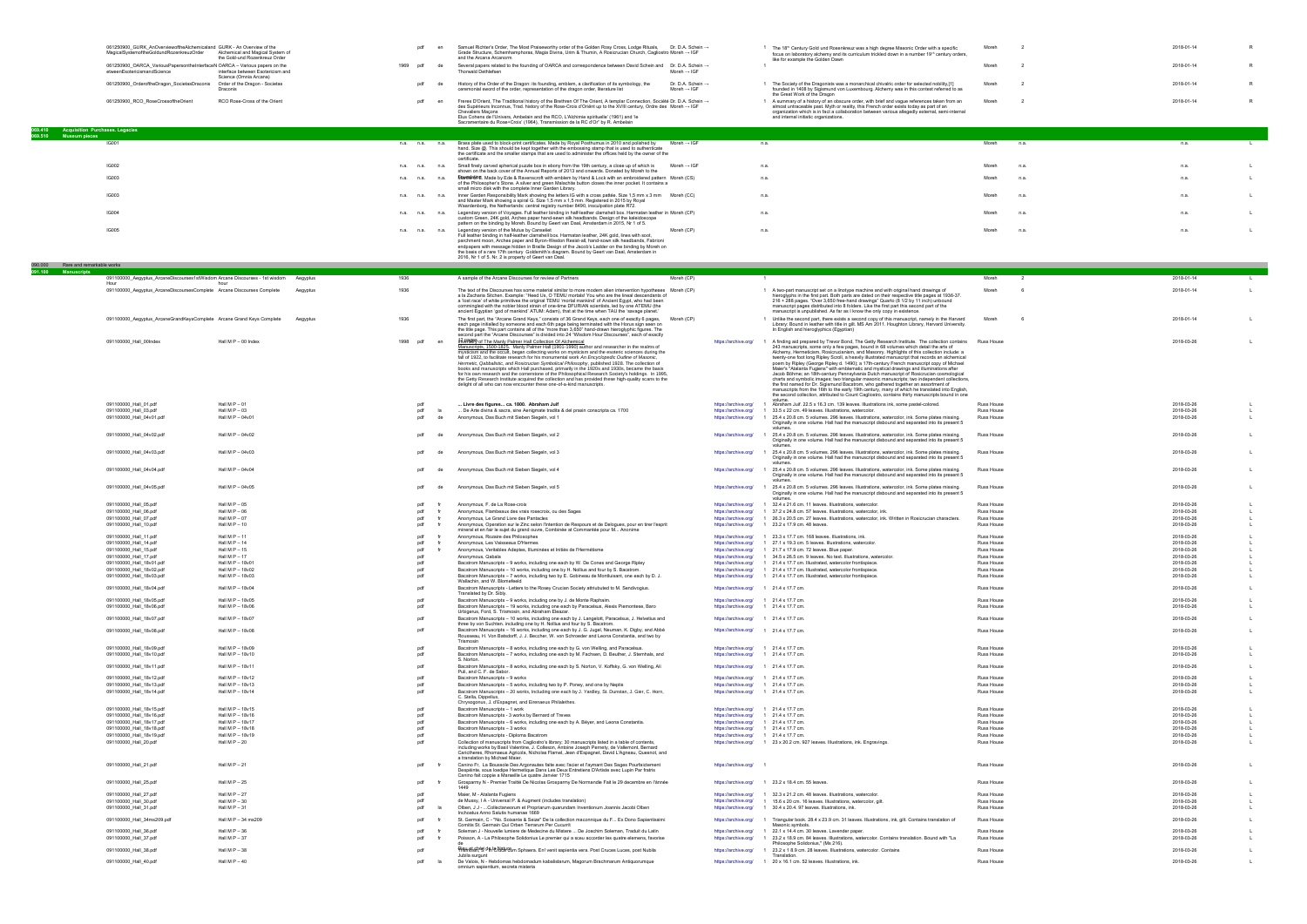|                                                                  | 061250900 GURK AnOverviewoftheAlchemicaland GURK - An Overview of the<br>MagicalSystemoftheGoldundRozenkreuzOrder | Alchemical and Magical System of                                                     | pdf               | Samuel Richter's Order. The Most Praiseworthy order of the Golden Rosy Cross. Lodge Rituals. Dr. D.A. Schein →<br>Grade Structure, Schemhamphoras, Magia Divina, Urim & Thumin, A Rosicrucian Church, Cagliostro Moreh → IGF                                                                                 |                                              |                                                                                  | <sup>1</sup> The 18 <sup>th</sup> Century Gold und Rosenkreuz was a high degree Masonic Order with a specific                                                                                                                                                                           | Moreh                                  |                          | 2018-01-14               |                |
|------------------------------------------------------------------|-------------------------------------------------------------------------------------------------------------------|--------------------------------------------------------------------------------------|-------------------|--------------------------------------------------------------------------------------------------------------------------------------------------------------------------------------------------------------------------------------------------------------------------------------------------------------|----------------------------------------------|----------------------------------------------------------------------------------|-----------------------------------------------------------------------------------------------------------------------------------------------------------------------------------------------------------------------------------------------------------------------------------------|----------------------------------------|--------------------------|--------------------------|----------------|
|                                                                  | 061250900_OARCA_VariousPapersontheInterfaceN OARCA - Various papers on the                                        | the Gold-und Rozenkreuz Order                                                        | 1969<br>pdf<br>de | and the Arcana Arcanorm                                                                                                                                                                                                                                                                                      |                                              |                                                                                  | focus on laboratory alchemy and its curriculum trickled down in a number 19th century orders,<br>like for example the Golden Dawn                                                                                                                                                       | Moreh                                  |                          | 2018-01-14               | $\mathsf{R}$   |
|                                                                  | etweenEsotericismandScience                                                                                       | interface between Esotericism and<br>Science (Omnia Arcana)                          |                   | Several papers related to the founding of OARCA and correspondence between David Schein and Dr. D.A. Schein →<br><b>Thorwald Dethlefser</b>                                                                                                                                                                  | Moreh $\rightarrow$ IGF                      |                                                                                  |                                                                                                                                                                                                                                                                                         |                                        |                          |                          |                |
|                                                                  | 061250900_OrderoftheDragon_SocietasDraconis                                                                       | Order of the Dragon - Societas<br>Draconis                                           | pdf<br>de         | History of the Order of the Dragon: its founding, emblem, a clarification of its symbology, the<br>ceremonial sword of the order, representation of the dragon order, literature list                                                                                                                        | Dr. D.A. Schein →<br>Moreh $\rightarrow$ IGF |                                                                                  | 1 The Society of the Dragonists was a monarchical chivalric order for selected nobility,[1]<br>founded in 1408 by Sigismund von Luxembourg. Alchemy was in this context referred to as                                                                                                  | Moreh                                  |                          | 2018-01-14               | R.             |
|                                                                  | 061250900_RCO_RoseCrossoftheOrient                                                                                | RCO Rose-Cross of the Orient                                                         | pdf               | Freres D'Orient, The Traditional history of the Brethren Of The Orient, A templar Connection, Société Dr. D.A. Schein →                                                                                                                                                                                      |                                              |                                                                                  | the Great Work of the Dragon<br>1 A summary of a history of an obscure order, with brief and vague references taken from an                                                                                                                                                             | Moreh                                  |                          | 2018-01-14               | $\mathsf{R}$   |
|                                                                  |                                                                                                                   |                                                                                      |                   | des Supérieurs Inconnus. Trad. history of the Rose-Croix d'Oriënt up to the XVIII century. Ordre des Moreh → IGF<br><b>Chevaliers Macons</b>                                                                                                                                                                 |                                              |                                                                                  | almost untraceable past. Myth or reality, this French order exists today as part of an<br>organization which is in fact a collaboration between various allegedly external, semi-internal                                                                                               |                                        |                          |                          |                |
|                                                                  |                                                                                                                   |                                                                                      |                   | Elus Cohens de l'Univers, Ambelain and the RCO, L'Alchimie spirituelle' (1961) and 'le<br>Sacramentaire du Rose+Croix' (1964), Transmission de la RC d'Or" by R. Ambelain                                                                                                                                    |                                              |                                                                                  | and internal initiatic organizations.                                                                                                                                                                                                                                                   |                                        |                          |                          |                |
| 069.410 Acquisition Purchases. Legacies<br>069.510 Museum pieces |                                                                                                                   |                                                                                      |                   |                                                                                                                                                                                                                                                                                                              |                                              |                                                                                  |                                                                                                                                                                                                                                                                                         |                                        |                          |                          |                |
|                                                                  | IG001                                                                                                             |                                                                                      | n.a. n.a.<br>n.a. | Brass plate used to block-print certificates. Made by Royal Posthumus in 2010 and polished by<br>hand. Size @. This should be kept together with the embossing stamp that is used to authenticate<br>the certificate and the smaller stamps that are used to administer the offices held by the owner of the | Moreh $\rightarrow$ IGF                      |                                                                                  | n.a.                                                                                                                                                                                                                                                                                    | Moreh                                  | n.a.                     | n.a.                     |                |
|                                                                  | <b>IG002</b>                                                                                                      |                                                                                      | n.a. n.a. n.a.    | certificate.<br>Small finely carved spherical puzzle box in ebony from the 19th century, a close up of which is Moreh $\rightarrow$ IGF                                                                                                                                                                      |                                              |                                                                                  | n.a.                                                                                                                                                                                                                                                                                    | Moreh                                  | n.a.                     | n.a.                     |                |
|                                                                  | <b>IG003</b>                                                                                                      |                                                                                      | n.a.<br>n.a. n.a. | shown on the back cover of the Annual Reports of 2013 and onwards. Donated by Moreh to the<br><b>Mainterbre</b> . Made by Ede & Ravenscroft with emblem by Hand & Lock with an embroidered pattern Moreh (CS)                                                                                                |                                              |                                                                                  | n.a.                                                                                                                                                                                                                                                                                    | Moreh                                  | n.a                      | n.a.                     |                |
|                                                                  |                                                                                                                   |                                                                                      |                   | of the Philosopher's Stone. A silver and green Malachite button closes the inner pocket. It contains a<br>small micro disk with the complete Inner Garden Library                                                                                                                                            |                                              |                                                                                  |                                                                                                                                                                                                                                                                                         |                                        |                          |                          |                |
|                                                                  | IG003                                                                                                             |                                                                                      | n.a. n.a. n.a.    | Inner Garden Responsibility Mark showing the letters IG with a cross pattée. Size 1,5 mm x 3 mm Moreh (CC)<br>and Master Mark showing a spiral G. Size 1,5 mm x 1,5 mm. Registered in 2015 by Royal                                                                                                          |                                              |                                                                                  | n.a.                                                                                                                                                                                                                                                                                    | Moreh                                  | n.a                      | n.a.                     | $\mathbf{1}$   |
|                                                                  | <b>IG004</b>                                                                                                      |                                                                                      | n.a. n.a. n.a.    | Waardenborg, the Netherlands: central registry number 8490, insculpation plate R72.<br>Legendary version of Voyages. Full leather binding in half-leather clamshell box. Harmatan leather in Moreh (CP)                                                                                                      |                                              | n.a.                                                                             |                                                                                                                                                                                                                                                                                         | Moreh                                  | n.a.                     | n.a.                     |                |
|                                                                  | <b>IG005</b>                                                                                                      |                                                                                      | n.a. n.a. n.a.    | custom Green, 24K gold, Arches paper hand-sewn silk headbands. Design of the kaleidoscope<br>pattern on the binding by Moreh. Bound by Geert van Daal, Amsterdam in 2015, Nr 1 of 5.<br>Legendary version of the Mutus by Canseliet                                                                          | Moreh (CP)                                   |                                                                                  | n.a.                                                                                                                                                                                                                                                                                    | Moreh                                  | n.a                      | n.a.                     |                |
|                                                                  |                                                                                                                   |                                                                                      |                   | Full leather binding in half-leather clamshell box. Harmatan leather, 24K gold, lines with soot,<br>parchment moon, Arches paper and Byron-Weston Resist-all, hand-sown silk headbands, Fabrioni                                                                                                             |                                              |                                                                                  |                                                                                                                                                                                                                                                                                         |                                        |                          |                          |                |
|                                                                  |                                                                                                                   |                                                                                      |                   | endpapers with message hidden in Braille Design of the Jacob's Ladder on the binding by Moreh on<br>the basis of a rare 17th century Goldsmith's diagram. Bound by Geert van Daal, Amsterdam in                                                                                                              |                                              |                                                                                  |                                                                                                                                                                                                                                                                                         |                                        |                          |                          |                |
| 090.000 Rare and remarkable works                                |                                                                                                                   |                                                                                      |                   | 2016, Nr 1 of 5. Nr. 2 is property of Geert van Daal                                                                                                                                                                                                                                                         |                                              |                                                                                  |                                                                                                                                                                                                                                                                                         |                                        |                          |                          |                |
| 091.100 Manuscripts                                              |                                                                                                                   | 091100000_Aegyptus_ArcaneDiscourses1stWisdom Arcane Discourses - 1st wisdom Aegyptus | 1936              | A sample of the Arcane Discourses for review of Partners                                                                                                                                                                                                                                                     | Moreh (CP)                                   |                                                                                  | $\blacksquare$                                                                                                                                                                                                                                                                          | Moreh                                  | $\overline{\phantom{a}}$ | 2018-01-14               | $\mathsf{L}$   |
|                                                                  | 091100000_Aegyptus_ArcaneDiscoursesComplete Arcane Discourses Complete                                            | Aegyptus                                                                             | 1936              | The text of the Discourses has some material similar to more modern alien intervention hypotheses Moreh (CP)                                                                                                                                                                                                 |                                              |                                                                                  | 1 A two-part manuscript set on a linotype machine and with original hand drawings of                                                                                                                                                                                                    | Moreh                                  |                          | 2018-01-14               |                |
|                                                                  |                                                                                                                   |                                                                                      |                   | a la Zacharia Sitchen. Example: "Heed Us, O TEMU mortals! You who are the lineal descendants of<br>a 'lost race' of white primitives the original TEMU 'mortal mankind' of Ancient Egypt, who had been<br>commingled with the nobler blood strain of one-time DFURIAN scientists, led by one ATEMU (the      |                                              |                                                                                  | hieroglyphs in the first part. Both parts are dated on their respective title pages at 1936-37.<br>216 + 288 pages. "Over 3,650 free-hand drawings" Quarto (8 1/2 by 11 inch) unbound<br>manuscript pages distributed into 8 folders. Like the first part this second part of the       |                                        |                          |                          |                |
|                                                                  | 091100000_Aegyptus_ArcaneGrandKeysComplete Arcane Grand Keys Complete                                             | Aegyptus                                                                             | 1936              | ancient Egyptian 'god of mankind' ATUM: Adam), that at the time when TAU the 'savage planet.'                                                                                                                                                                                                                | Moreh (CP)                                   |                                                                                  | manuscript is unpublished. As far as I know the only copy in existence.                                                                                                                                                                                                                 | Moreh                                  |                          | 2018-01-14               |                |
|                                                                  |                                                                                                                   |                                                                                      |                   | The first part, the "Arcane Grand Keys," consists of 36 Grand Keys, each one of exactly 6 pages,<br>each page initialled by someone and each 6th page being terminated with the Horus sign seen on<br>the title page. This part contains all of the "more than 3,650" hand-drawn hieroglyphic figures. The   |                                              |                                                                                  | 1 Unlike the second part, there exists a second copy of this manuscript, namely in the Harvard<br>Library: Bound in leather with title in gilt. MS Am 2011. Houghton Library, Harvard University.<br>In English and hieroglyphics (Egyptian)                                            |                                        |                          |                          |                |
|                                                                  | 091100000_Hall_00Index                                                                                            | Hall M P - 00 Index                                                                  | 1998<br>pdf<br>en | second part the "Arcane Discourses" is divided into 24 "Wisdom Hour Discourses", each of exactly<br><b>IK PARTY</b> of The Manly Palmer Hall Collection Of Alchemical                                                                                                                                        |                                              |                                                                                  | https://archive.org/ 1 A finding aid prepared by Trevor Bond, The Getty Research Institute. The collection contains                                                                                                                                                                     | Russ House                             |                          | 2018-03-26               |                |
|                                                                  |                                                                                                                   |                                                                                      |                   | Manuscripts, 1500-1825. Manly Palmer Hall (1901-1990) author and researcher in the realms of<br>mysticism and the occult, began collecting works on mysticism and the esoteric sciences during the                                                                                                           |                                              |                                                                                  | 243 manuscripts, some only a few pages, bound in 68 volumes which detail the arts of<br>Alchemy, Hermeticism, Rosicrucianism, and Masonry. Highlights of this collection include: a                                                                                                     |                                        |                          |                          |                |
|                                                                  |                                                                                                                   |                                                                                      |                   | fall of 1922, to facilitate research for his monumental work An Encyclopedic Outline of Masonic,<br>Hermetic, Qabbalistic, and Rosicrucian Symbolical Philosophy, published 1928. The collection of<br>books and manuscripts which Hall purchased, primarily in the 1920s and 1930s, became the basis        |                                              |                                                                                  | twenty-one foot long Ripley Scroll, a heavily illustrated manuscript that records an alchemical<br>poem by Ripley (George Ripley d. 1490); a 17th-century French manuscript copy of Michael<br>Maier's "Atalanta Fugiens" with emblematic and mystical drawings and illuminations after |                                        |                          |                          |                |
|                                                                  |                                                                                                                   |                                                                                      |                   | for his own research and the cornerstone of the Philosophical Research Society's holdings. In 1995,<br>the Getty Research Institute acquired the collection and has provided these high-quality scans to the                                                                                                 |                                              |                                                                                  | Jacob Böhme; an 18th-century Pennsylvania Dutch manuscript of Rosicrucian cosmological<br>charts and symbolic images; two triangular masonic manuscripts; two independent collections,                                                                                                  |                                        |                          |                          |                |
|                                                                  |                                                                                                                   |                                                                                      |                   | delight of all who can now encounter these one-of-a-kind manuscripts                                                                                                                                                                                                                                         |                                              |                                                                                  | the first named for Dr. Sigismund Bacstrom, who gathered together an assortment of<br>manuscripts from the 16th to the early 19th century, many of which he translated into English,                                                                                                    |                                        |                          |                          |                |
|                                                                  | 091100000_Hall_01.pdf                                                                                             | Hall $M P - 01$                                                                      | pdf               | Livre des figures ca. 1800. Abraham Juif                                                                                                                                                                                                                                                                     |                                              | https://archive.org/                                                             | the second collection, attributed to Count Cagliostro, contains thirty manuscripts bound in one<br>Abraham Juif. 22.5 x 16.3 cm. 139 leaves. Illustrations ink, some pastel-colored.                                                                                                    | Russ House                             |                          | 2018-03-26               |                |
|                                                                  | 091100000_Hall_03.pdf<br>091100000_Hall_04v01.pdf                                                                 | Hall M $P - 03$<br>Hall M $P - 04v01$                                                | pdf<br>pdf<br>de  | De Arte divina & sacra, sine Aenigmate tradita & del praxin conscripta ca. 1700<br>Anonymous, Das Buch mit Sieben Siegeln, vol 1                                                                                                                                                                             |                                              | https://archive.org/<br>https://archive.org/                                     | 1 33.5 x 22 cm. 49 leaves. Illustrations, watercolor.<br>25.4 x 20.8 cm. 5 volumes. 296 leaves. Illustrations, watercolor, ink. Some plates missing.                                                                                                                                    | <b>Russ House</b><br><b>Russ House</b> |                          | 2018-03-26<br>2018-03-26 |                |
|                                                                  |                                                                                                                   |                                                                                      |                   |                                                                                                                                                                                                                                                                                                              |                                              |                                                                                  | Originally in one volume. Hall had the manuscript disbound and separated into its present 5                                                                                                                                                                                             |                                        |                          |                          |                |
|                                                                  | 091100000_Hall_04v02.pdf                                                                                          | Hall M P - 04v02                                                                     | pdf               | Anonymous, Das Buch mit Sieben Siegeln, vol 2                                                                                                                                                                                                                                                                |                                              |                                                                                  | https://archive.org/ 1 25.4 x 20.8 cm. 5 volumes. 296 leaves. Illustrations, watercolor, ink. Some plates missing.<br>Originally in one volume. Hall had the manuscript disbound and separated into its present 5                                                                       | <b>Russ House</b>                      |                          | 2018-03-26               |                |
|                                                                  | 091100000_Hall_04v03.pdf                                                                                          | Hall M $P - 04v03$                                                                   |                   | Anonymous, Das Buch mit Sieben Siegeln, vol 3                                                                                                                                                                                                                                                                |                                              |                                                                                  | volumes<br>https://archive.org/ 1 25.4 x 20.8 cm. 5 volumes. 296 leaves. Illustrations, watercolor, ink. Some plates missing.                                                                                                                                                           | Russ House                             |                          | 2018-03-26               |                |
|                                                                  |                                                                                                                   |                                                                                      |                   |                                                                                                                                                                                                                                                                                                              |                                              |                                                                                  | Originally in one volume. Hall had the manuscript disbound and separated into its present 5                                                                                                                                                                                             |                                        |                          |                          |                |
|                                                                  | 091100000_Hall_04v04.pdf                                                                                          | Hall M P - 04v04                                                                     |                   | Anonymous, Das Buch mit Sieben Siegeln, vol 4                                                                                                                                                                                                                                                                |                                              |                                                                                  | https://archive.org/ 1 25.4 x 20.8 cm. 5 volumes. 296 leaves. Illustrations, watercolor, ink. Some plates missing.<br>Originally in one volume. Hall had the manuscript disbound and separated into its present 5<br>volumes                                                            | Russ House                             |                          | 2018-03-26               |                |
|                                                                  | 091100000_Hall_04v05.pdf                                                                                          | Hall M P - 04v05                                                                     |                   | Anonymous, Das Buch mit Sieben Siegeln, vol 5                                                                                                                                                                                                                                                                |                                              | https://archive.org/                                                             | 1 25.4 x 20.8 cm. 5 volumes. 296 leaves. Illustrations, watercolor, ink. Some plates missing.<br>Originally in one volume. Hall had the manuscript disbound and separated into its present 5                                                                                            | Russ House                             |                          | 2018-03-26               |                |
|                                                                  | 091100000_Hall_05.pdf                                                                                             | Hall M $P - 05$                                                                      | pdf               | Anonymous, F. de La Rose-croix                                                                                                                                                                                                                                                                               |                                              | https://archive.org/                                                             | volumes<br>1 32.4 x 21.6 cm. 11 leaves. Illustrations, watercolor.                                                                                                                                                                                                                      | Russ House                             |                          | 2018-03-26               |                |
|                                                                  | 091100000_Hall_06.pdf<br>091100000_Hall_07.pdf                                                                    | Hall M $P - 06$<br>Hall M $P - 07$                                                   | pdf<br>pdf        | Anonymous, Flambeaux des vrais rosecroix, ou des Sages<br>Anonymous, Le Grand Livre des Pantacles                                                                                                                                                                                                            |                                              | https://archive.org/                                                             | 1 37.2 x 24.8 cm. 57 leaves. Illustrations, watercolor, ink.<br>https://archive.org/ 1 26.3 x 20.5 cm. 27 leaves. Illustrations, watercolor, ink. Written in Rosicrucian characters.                                                                                                    | Russ House<br>Russ House               |                          | 2018-03-26<br>2018-03-26 |                |
|                                                                  | 091100000_Hall_10.pdf                                                                                             | Hall M $P - 10$                                                                      | pdf               | Anonymous, Operation sur le Zinc selon l'intention de Respours et de Delogues, pour en tirer l'esprit<br>nineral et en fair le sujet du grand ouvre, Combinee at Commantee pour M… Anonime                                                                                                                   |                                              |                                                                                  | https://archive.org/ 1 23.2 x 17.9 cm. 48 leaves.                                                                                                                                                                                                                                       | Russ House                             |                          | 2018-03-26               |                |
|                                                                  | 091100000_Hall_11.pdf<br>091100000_Hall_14.pdf                                                                    | Hall $M P - 11$<br>Hall M $P - 14$                                                   | pdf<br>pdf        | Anonymous, Rozaire des Philosophes<br>Anonymous, Les Vaisseaux D'Hermes                                                                                                                                                                                                                                      |                                              | https://archive.org/                                                             | https://archive.org/ 1 23.3 x 17.7 cm. 168 leaves. Illustrations, ink.<br>1 27.1 x 19.3 cm. 5 leaves. Illustrations, watercolor.                                                                                                                                                        | Russ House<br>Russ House               |                          | 2018-03-26<br>2018-03-26 |                |
|                                                                  | 091100000_Hall_15.pdf<br>091100000_Hall_17.pdf                                                                    | Hall M $P - 15$<br>Hall M $P - 17$                                                   | pdf<br>pdf        | Anonymous, Veritables Adeptes, Illuminées et Initiés de l'Hermétisme<br>Anonymous, Qabala                                                                                                                                                                                                                    |                                              | https://archive.org/<br>https://archive.org/                                     | 1 21.7 x 17.9 cm. 72 leaves. Blue paper.<br>1 34.5 x 26.5 cm. 9 leaves. No text. Illustrations, watercolor.                                                                                                                                                                             | <b>Russ House</b><br><b>Russ House</b> |                          | 2018-03-26<br>2018-03-26 |                |
|                                                                  | 091100000_Hall_18v01.pdf<br>091100000_Hall_18v02.pdf                                                              | Hall M P - 18v01<br>Hall M P - 18v02                                                 | pdf<br>pdf        | Bacstrom Manuscripts - 9 works, including one each by W. De Cones and George Ripley<br>Bacstrom Manuscripts - 10 works, including one by H. Nollius and four by S. Bacstrom.                                                                                                                                 |                                              | https://archive.org/<br>https://archive.org/                                     | 1 21.4 x 17.7 cm. Illustrated, watercolor frontispiece.<br>1 21.4 x 17.7 cm. Illustrated, watercolor frontispiece.                                                                                                                                                                      | Russ House<br><b>Russ House</b>        |                          | 2018-03-26<br>2018-03-26 |                |
|                                                                  | 091100000_Hall_18v03.pdf                                                                                          | Hall M P - 18v03                                                                     | pdf               | Bacstrom Manuscripts - 7 works, including two by E. Gobineau de Montluisant, one each by D. J.<br>Wallachin, and W. Blomefeeld                                                                                                                                                                               |                                              | https://archive.org/                                                             | 1 21.4 x 17.7 cm. Illustrated, watercolor frontispiece.                                                                                                                                                                                                                                 | Russ House                             |                          | 2018-03-26               |                |
|                                                                  | 091100000_Hall_18v04.pdf                                                                                          | Hall M P - 18v04                                                                     | pdf               | Bacstrom Manuscripts - Letters to the Rosey Crucian Society attriubuted to M. Sendivogius.<br>Translated by Dr. Sibly                                                                                                                                                                                        |                                              | https://archive.org/ 1 21.4 x 17.7 cm.                                           |                                                                                                                                                                                                                                                                                         | Russ House                             |                          | 2018-03-26               | $\blacksquare$ |
|                                                                  | 091100000_Hall_18v05.pdf<br>091100000_Hall_18v06.pdf                                                              | Hall M P - 18y05<br>Hall M P - 18v06                                                 | pdf<br>pdf        | Bacstrom Manuscripts - 9 works, including one by J. de Monte Raphaim.<br>Bacstrom Manuscripts - 19 works, including one each by Paracelsus, Alexis Piemontese, Baro                                                                                                                                          |                                              | https://archive.org/ 1 21.4 x 17.7 cm.<br>https://archive.org/ 1 21.4 x 17.7 cm. |                                                                                                                                                                                                                                                                                         | <b>Russ House</b><br>Russ House        |                          | 2018-03-26<br>2018-03-26 | $\mathbf{1}$   |
|                                                                  | 091100000_Hall_18v07.pdf                                                                                          | Hall M P - 18v07                                                                     | pdf               | Urbigerus, Ford, S. Trismosin, and Abraham Eleazar<br>Bacstrom Manuscripts - 10 works, including one each by J. Langelott, Paracelsus, J. Helvetius and                                                                                                                                                      |                                              | https://archive.org/ 1 21.4 x 17.7 cm.                                           |                                                                                                                                                                                                                                                                                         | Russ House                             |                          | 2018-03-26               |                |
|                                                                  | 091100000 Hall 18v08.pdf                                                                                          | Hall M P - 18v08                                                                     | pdf               | three by von Suchten. including one by H. Nollius and four by S. Bacstrom.<br>Bacstrom Manuscripts - 16 works, including one each by J. G. Jugel, Neuman, K. Digby, and Abbé                                                                                                                                 |                                              | https://archive.org/ 1 21.4 x 17.7 cm.                                           |                                                                                                                                                                                                                                                                                         | Russ House                             |                          | 2018-03-26               | $\mathbf{I}$   |
|                                                                  |                                                                                                                   |                                                                                      |                   | Rousseau, H. Von Batsdorff, J. J. Beccher, W. von Schroeder and Leona Constantia, and two by<br>Trismosin                                                                                                                                                                                                    |                                              |                                                                                  |                                                                                                                                                                                                                                                                                         |                                        |                          |                          |                |
|                                                                  | 091100000_Hall_18v09.pdf<br>091100000_Hall_18v10.pdf                                                              | Hall M P - 18v09<br>Hall M P - 18v10                                                 | pdf<br>pdf        | Bacstrom Manuscripts - 8 works, including one each by G. von Welling, and Paracelsus.<br>Bacstrom Manuscripts - 7 works, including one each by M. Fachsen, D. Beuther, J. Sternhals, and                                                                                                                     |                                              | https://archive.org/ 1 21.4 x 17.7 cm.<br>https://archive.org/ 1 21.4 x 17.7 cm. |                                                                                                                                                                                                                                                                                         | <b>Russ House</b><br>Russ House        |                          | 2018-03-26<br>2018-03-26 |                |
|                                                                  | 091100000_Hall_18v11.pdf                                                                                          | Hall M P - 18v11                                                                     | pdf               | S. Norton.<br>Bacstrom Manuscripts - 8 works, including one each by S. Norton, V. Koffsky, G. von Welling, Ali                                                                                                                                                                                               |                                              | https://archive.org/ 1 21.4 x 17.7 cm.                                           |                                                                                                                                                                                                                                                                                         | Russ House                             |                          | 2018-03-26               | $\mathsf{L}$   |
|                                                                  | 091100000_Hall_18v12.pdf                                                                                          | Hall M P - 18v12                                                                     | pdf               | Puli, and C. F. de Sabor<br>Bacstrom Manuscripts - 9 works                                                                                                                                                                                                                                                   |                                              | https://archive.org/ 1 21.4 x 17.7 cm.                                           |                                                                                                                                                                                                                                                                                         | Russ House                             |                          | 2018-03-26               |                |
|                                                                  | 091100000_Hall_18v13.pdf<br>091100000_Hall_18v14.pdf                                                              | Hall M P - 18v13<br>Hall M P - 18v14                                                 | pdf<br>pdf        | Bacstrom Manuscripts - 5 works, including two by P. Poney, and one by Neptis<br>Bacstrom Manuscripts - 20 works, Including one each by J. Yardley, St. Dunstan, J. Gier, C. Horn,                                                                                                                            |                                              | https://archive.org/ 1 21.4 x 17.7 cm.<br>https://archive.org/ 1 21.4 x 17.7 cm. |                                                                                                                                                                                                                                                                                         | <b>Russ House</b><br><b>Russ House</b> |                          | 2018-03-26<br>2018-03-26 |                |
|                                                                  |                                                                                                                   |                                                                                      |                   | C. Stella, Dippelius<br>Chrysogonus, J. d'Espagnet, and Eirenaeus Philalethes.                                                                                                                                                                                                                               |                                              |                                                                                  |                                                                                                                                                                                                                                                                                         |                                        |                          |                          |                |
|                                                                  | 091100000_Hall_18v15.pdf<br>091100000_Hall_18v16.pdf                                                              | Hall M P - 18v15<br>Hall M P - 18v16                                                 | pdf<br>pdf        | Bacstrom Manuscripts - 1 work<br>Bacstrom Manuscripts - 3 works by Bernard of Treves                                                                                                                                                                                                                         |                                              | https://archive.org/ 1 21.4 x 17.7 cm.<br>https://archive.org/ 1 21.4 x 17.7 cm. |                                                                                                                                                                                                                                                                                         | Russ House<br>Russ House               |                          | 2018-03-26<br>2018-03-26 |                |
|                                                                  | 091100000_Hall_18v17.pdf<br>091100000_Hall_18v18.pdf                                                              | Hall M P - 18v17<br>Hall M P - 18v18                                                 | pdf<br>pdf        | Bacstrom Manuscripts - 6 works, including one each by A. Bëyer, and Leona Constantia.<br>Bacstrom Manuscripts - 3 works                                                                                                                                                                                      |                                              | https://archive.org/ 1 21.4 x 17.7 cm.<br>https://archive.org/ 1 21.4 x 17.7 cm. |                                                                                                                                                                                                                                                                                         | Russ House<br>Russ House               |                          | 2018-03-26<br>2018-03-26 |                |
|                                                                  | 091100000_Hall_18v19.pdf<br>091100000_Hall_20.pdf                                                                 | Hall M P - 18v19<br>Hall M $P - 20$                                                  | pdf<br>pdf        | Bacstrom Manuscripts - Diploma Bacstrom<br>Collection of manuscripts from Cagliostro's library; 30 manuscripts listed in a table of contents,                                                                                                                                                                |                                              | https://archive.org/ 1 21.4 x 17.7 cm.                                           | https://archive.org/ 1 23 x 20.2 cm. 927 leaves. Illustrations, ink. Engravings.                                                                                                                                                                                                        | Russ House<br>Russ House               |                          | 2018-03-26<br>2018-03-26 | -L<br><b>L</b> |
|                                                                  |                                                                                                                   |                                                                                      |                   | including works by Basil Valentine, J. Colleson, Antoine Joseph Pernety, de Vallemont, Bernard<br>Carictheres, Rhomaeus Agricola, Nicholas Flamel, Jean d'Espagnet, David L'Agneau, Quesnot, and<br>a translation by Michael Maier.                                                                          |                                              |                                                                                  |                                                                                                                                                                                                                                                                                         |                                        |                          |                          |                |
|                                                                  | 091100000_Hall_21.pdf                                                                                             | Hall M $P - 21$                                                                      | pdf               | Canino Fr, La Boussole Des Argonautes faite avec l'acier et l'aymant Des Sages Pourfaictement<br>Despéinte, sous loedipe Hermetique Dans Les Deux Entretiens D'Artiste avec Lupin Par fratris                                                                                                                |                                              | https://archive.org/                                                             |                                                                                                                                                                                                                                                                                         | Russ House                             |                          | 2018-03-26               | <b>L</b>       |
|                                                                  | 091100000_Hall_25.pdf                                                                                             | Hall M $P - 25$                                                                      | pdf               | Canino fait coppie a Marseille Le quatre Janvier 1715<br>Grosparmy N - Premier Traitté De Nicolas Grosparmy De Normandie Fait le 29 decembre en l'ánnée                                                                                                                                                      |                                              |                                                                                  | https://archive.org/ 1 23.2 x 18.4 cm. 55 leaves.                                                                                                                                                                                                                                       | Russ House                             |                          | 2018-03-26               | <b>L</b>       |
|                                                                  | 091100000_Hall_27.pdf                                                                                             | Hall M $P - 27$                                                                      | pdf               | Maier, M - Atalanta Fugiens                                                                                                                                                                                                                                                                                  |                                              |                                                                                  | https://archive.org/ 1 32.3 x 21.2 cm. 48 leaves. Illustrations, watercolor.                                                                                                                                                                                                            | Russ House                             |                          | 2018-03-26               |                |
|                                                                  | 091100000_Hall_30.pdf<br>091100000_Hall_31.pdf                                                                    | Hall M $P - 30$<br>Hall M $P - 31$                                                   | pdf<br>pdf        | de Mussy, I A - Universal P. & Augment (includes translation)<br>Olben, J J - Collectaneorum et Propriarum quarundam Inventionum Joannis Jacobi Olben                                                                                                                                                        |                                              |                                                                                  | https://archive.org/ 1 15.6 x 20 cm. 16 leaves. Illustrations, watercolor, gilt.<br>https://archive.org/ 1 30.4 x 20.4. 97 leaves. Illustrations, ink.                                                                                                                                  | Russ House<br>Russ House               |                          | 2018-03-26<br>2018-03-26 | $\mathsf{L}$   |
|                                                                  | 091100000_Hall_34ms209.pdf                                                                                        | Hall M P - 34 ms209                                                                  | pdf               | Inchoatus Anno Salutis humanae 1669<br>St. Germain, C - "No. Soixante & Seize" De la collection maconnique du F Ex Dono Sapientissimi                                                                                                                                                                        |                                              | https://archive.org/                                                             | Triangular book. 28.4 x 23.9 cm. 31 leaves. Illustrations, ink, gilt. Contains translation of                                                                                                                                                                                           | Russ House                             |                          | 2018-03-26               |                |
|                                                                  | 091100000_Hall_36.pdf                                                                                             | Hall M $P - 36$                                                                      | pdf               | Comitis St. Germain Qui Orben Terrarum Per Cucurrit<br>Soleman J - Nouvelle lumiere de Medecine du Mistere  De Joachim Soleman, Traduit du Latin                                                                                                                                                             |                                              | https://archive.org/                                                             | Masonic symbols.<br>1 22.1 x 14.4 cm. 30 leaves. Lavender paper.                                                                                                                                                                                                                        | Russ House                             |                          | 2018-03-26               |                |
|                                                                  | 091100000_Hall_37.pdf                                                                                             | Hall M $P - 37$                                                                      | pdf               | Poisson, A - La Philosophe Solidonius Le premier qui a sceu accorder les quatre elemens, favorise                                                                                                                                                                                                            |                                              | https://archive.org/                                                             | 23.2 x 18.9 cm. 84 leaves. Illustrations, watercolor. Contains translation. Bound with "La<br>Philosophe Solidonius," (Ms 216).                                                                                                                                                         | Russ House                             |                          | 2018-03-26               |                |
|                                                                  | 091100000_Hall_38.pdf                                                                                             | Hall M $P - 38$                                                                      | pdf               | Pist Post, ost Nubila<br>Jubila surgunt                                                                                                                                                                                                                                                                      |                                              | https://archive.org/                                                             | 23.2 x 1 8.9 cm. 28 leaves. Illustrations, watercolor. Contains<br>Translation                                                                                                                                                                                                          | Russ House                             |                          | 2018-03-26               | -L             |
|                                                                  | 091100000_Hall_40.pdf                                                                                             | Hall M $P - 40$                                                                      | pdf               | De Valois, N - Hebdomas hebdomadum kabalistarum, Magorum Brachmarum Antiquorumque<br>omnium sapientium, secreta misteria                                                                                                                                                                                     |                                              |                                                                                  | https://archive.org/ 1 20 x 16.1 cm. 52 leaves. Illustrations, ink.                                                                                                                                                                                                                     | Russ House                             |                          | 2018-03-26               | <b>L</b>       |
|                                                                  |                                                                                                                   |                                                                                      |                   |                                                                                                                                                                                                                                                                                                              |                                              |                                                                                  |                                                                                                                                                                                                                                                                                         |                                        |                          |                          |                |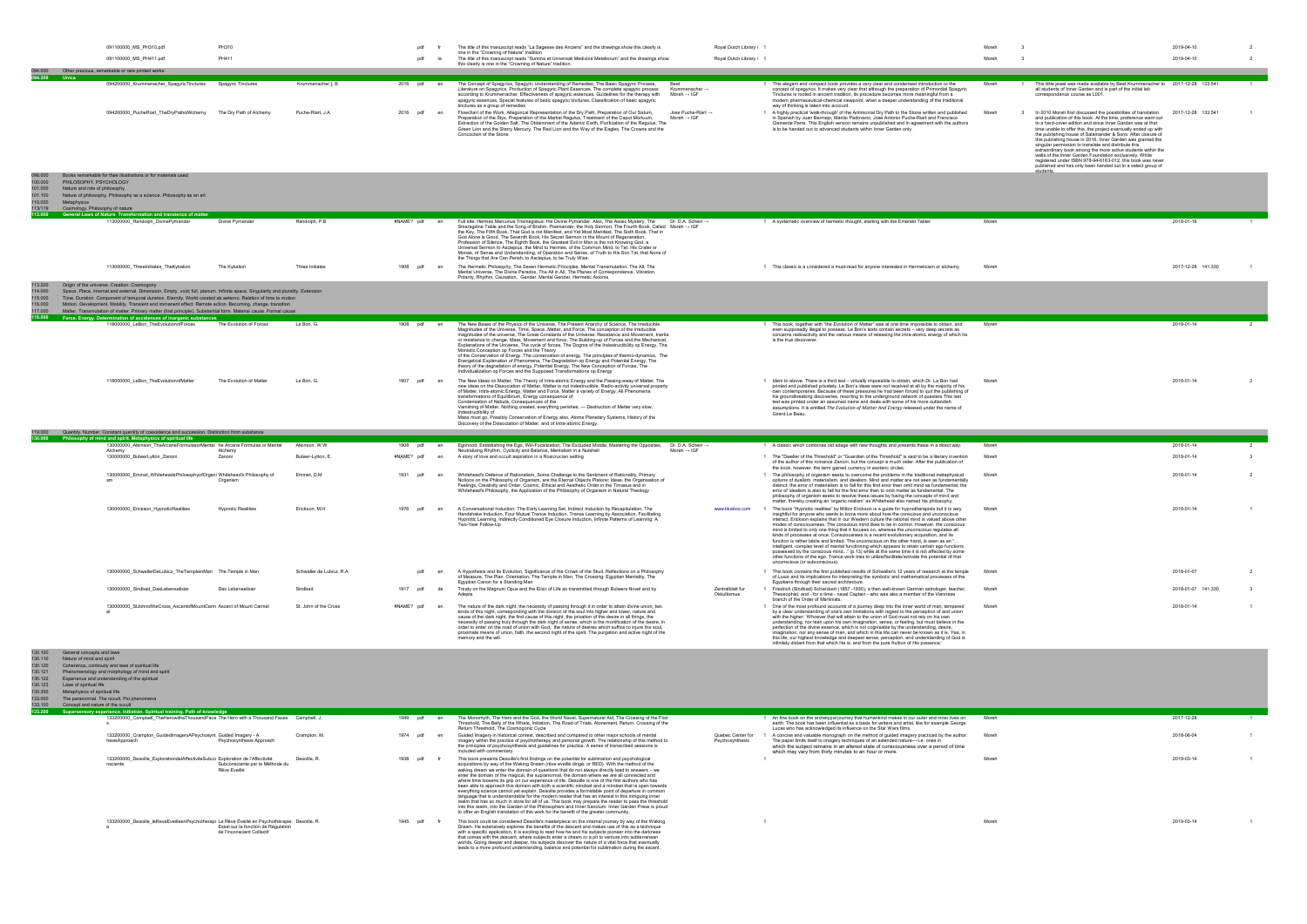|         | 091100000 MS PH310.pdf                           | PH310                   |                   |             | pdf | The title of this manuscript reads "La Sagesse des Anciens" and the drawings show this clearly is<br>one in the "Crowning of Nature" tradition.                                                                                                                                                                                                                                                                                                                       |                                                           | Royal Dutch Library i 1                                                                                                                                                                                                                                                                                                                                                                                                 |
|---------|--------------------------------------------------|-------------------------|-------------------|-------------|-----|-----------------------------------------------------------------------------------------------------------------------------------------------------------------------------------------------------------------------------------------------------------------------------------------------------------------------------------------------------------------------------------------------------------------------------------------------------------------------|-----------------------------------------------------------|-------------------------------------------------------------------------------------------------------------------------------------------------------------------------------------------------------------------------------------------------------------------------------------------------------------------------------------------------------------------------------------------------------------------------|
|         | 091100000 MS PH411.pdf                           | PH411                   |                   |             | pdf | The title of this manuscript reads "Summa et Universali Medicina Metallorum" and the drawings show<br>this clearly is one in the "Crowning of Nature" tradition.                                                                                                                                                                                                                                                                                                      |                                                           | Royal Dutch Library i 1                                                                                                                                                                                                                                                                                                                                                                                                 |
| 000.490 | Other precious, remarkable or rare printed works |                         |                   |             |     |                                                                                                                                                                                                                                                                                                                                                                                                                                                                       |                                                           |                                                                                                                                                                                                                                                                                                                                                                                                                         |
| 94.200  | <b>Unica</b>                                     |                         |                   |             |     |                                                                                                                                                                                                                                                                                                                                                                                                                                                                       |                                                           |                                                                                                                                                                                                                                                                                                                                                                                                                         |
|         | 094200000 Krummenacher SpagyricTinctures         | Spagyric Tinctures      | Krummenacher.], B | 2016 pdf en |     | The Concept of Spagyrics, Spagyric Understanding of Remedies, The Basic Spagyric Process,<br>Beat<br>Literature on Spagyrics, Production of Spagyric Plant Essences, The complete spagyric process<br>according to Krummenacher. Effectiveness of spagyric essences. Guidelines for the therapy with Moreh $\rightarrow$ IGF<br>spagyric essences, Special features of basic spagyric tinctures, Classification of basic spagyric<br>tinctures as a group of remedies | Krummenacher →                                            | This elegant and compact book provides a very clear and condensed introduction to the<br>concept of spagyrics. It makes very clear that although the preparation of Primordial Spagyric<br>Tinctures is rooted in ancient tradition, its procedure becomes more meaningful from a<br>modern pharmaceutical-chemical viewpoint, when a deeper understanding of the traditional<br>way of thinking is taken into account. |
|         | 094200000 PucheRiart TheDrvPathofAlchemv         | The Dry Path of Alchemy | Puche-Riart, J.A  | 2016 pdf en |     | Flowchart of the Work, Allegorical Representation of the Dry Path, Preparation of Our Saturn,<br>Preparation of the Styx, Preparation of the Martial Regulus, Treatment of the Caput Mortuum,<br>Extraction of the Golden Salt. The Obtainment of the Adamic Earth. Purification of the Regulus. The<br>Green Lion and the Starry Mercury, The Red Lion and the Way of the Eagles, The Crowns and the<br>Concoction of the Stone                                      | Jose Puche-Riart $\rightarrow$<br>Moreh $\rightarrow$ IGF | A highly practical 'walk-through' of the Antimonial Dry Path to the Stone written and published<br>in Spanish by Juan Bermeio, Manlio Padovano, José Antonio Puche-Riart and Francisco<br>Clemente Parra. This English version remains unpublished and in agreement with the authors<br>is to be handed out to advanced students within Inner Garden only.                                                              |

|                                                                  | 091100000 MS PH310.pdf                                                                                                                                                                                                                                                                                                                                                                                                                                                                                                                                                                                   | PH310                     |                           | pdf         |    | The title of this manuscript reads "La Sagesse des Anciens" and the drawings show this clearly is<br>one in the "Crowning of Nature" tradition                                                                                                                                                                                                                                                                                                                                                                                                                                                                                                                                                                                                                                                                                                                                                                                                                                                                                                       | Royal Dutch Library i 1         |                                                                                                                                                                                                                                                                                                                                                                                                                                                                                                                                                                                                                                                                                                                                                                                                                                                                                                                                                                                                                         |       |                                                                                                                                                                                                                                                                                                                                                                                                                                                                                                                                                                                                                                                                                                                              | 2019-04-10         |                         |
|------------------------------------------------------------------|----------------------------------------------------------------------------------------------------------------------------------------------------------------------------------------------------------------------------------------------------------------------------------------------------------------------------------------------------------------------------------------------------------------------------------------------------------------------------------------------------------------------------------------------------------------------------------------------------------|---------------------------|---------------------------|-------------|----|------------------------------------------------------------------------------------------------------------------------------------------------------------------------------------------------------------------------------------------------------------------------------------------------------------------------------------------------------------------------------------------------------------------------------------------------------------------------------------------------------------------------------------------------------------------------------------------------------------------------------------------------------------------------------------------------------------------------------------------------------------------------------------------------------------------------------------------------------------------------------------------------------------------------------------------------------------------------------------------------------------------------------------------------------|---------------------------------|-------------------------------------------------------------------------------------------------------------------------------------------------------------------------------------------------------------------------------------------------------------------------------------------------------------------------------------------------------------------------------------------------------------------------------------------------------------------------------------------------------------------------------------------------------------------------------------------------------------------------------------------------------------------------------------------------------------------------------------------------------------------------------------------------------------------------------------------------------------------------------------------------------------------------------------------------------------------------------------------------------------------------|-------|------------------------------------------------------------------------------------------------------------------------------------------------------------------------------------------------------------------------------------------------------------------------------------------------------------------------------------------------------------------------------------------------------------------------------------------------------------------------------------------------------------------------------------------------------------------------------------------------------------------------------------------------------------------------------------------------------------------------------|--------------------|-------------------------|
|                                                                  | 091100000 MS PH411.pdf                                                                                                                                                                                                                                                                                                                                                                                                                                                                                                                                                                                   | PH411                     |                           | ndf         |    | The title of this manuscript reads "Summa et Universali Medicina Metallorum" and the drawings show                                                                                                                                                                                                                                                                                                                                                                                                                                                                                                                                                                                                                                                                                                                                                                                                                                                                                                                                                   | Royal Dutch Library i 1         |                                                                                                                                                                                                                                                                                                                                                                                                                                                                                                                                                                                                                                                                                                                                                                                                                                                                                                                                                                                                                         | Moreh |                                                                                                                                                                                                                                                                                                                                                                                                                                                                                                                                                                                                                                                                                                                              | 2019-04-10         |                         |
|                                                                  | 094.000 Other precious, remarkable or rare printed works                                                                                                                                                                                                                                                                                                                                                                                                                                                                                                                                                 |                           |                           |             |    | this clearly is one in the "Crowning of Nature" tradition.                                                                                                                                                                                                                                                                                                                                                                                                                                                                                                                                                                                                                                                                                                                                                                                                                                                                                                                                                                                           |                                 |                                                                                                                                                                                                                                                                                                                                                                                                                                                                                                                                                                                                                                                                                                                                                                                                                                                                                                                                                                                                                         |       |                                                                                                                                                                                                                                                                                                                                                                                                                                                                                                                                                                                                                                                                                                                              |                    |                         |
| 094.200 Unica                                                    |                                                                                                                                                                                                                                                                                                                                                                                                                                                                                                                                                                                                          |                           |                           |             |    |                                                                                                                                                                                                                                                                                                                                                                                                                                                                                                                                                                                                                                                                                                                                                                                                                                                                                                                                                                                                                                                      |                                 |                                                                                                                                                                                                                                                                                                                                                                                                                                                                                                                                                                                                                                                                                                                                                                                                                                                                                                                                                                                                                         |       |                                                                                                                                                                                                                                                                                                                                                                                                                                                                                                                                                                                                                                                                                                                              |                    |                         |
|                                                                  | 094200000_Krummenacher_SpagyricTinctures                                                                                                                                                                                                                                                                                                                                                                                                                                                                                                                                                                 | Spagyric Tinctures        | Krummenacher.], B         | 2016 pdf en |    | The Concept of Spagyrics, Spagyric Understanding of Remedies, The Basic Spagyric Process,<br>Beat<br>Literature on Spagyrics, Production of Spagyric Plant Essences, The complete spagyric process<br>Krummenacher-<br>according to Krummenacher, Effectiveness of spagyric essences, Guidelines for the therapy with<br>Moreh $\rightarrow$ IGF<br>spagyric essences, Special features of basic spagyric tinctures, Classification of basic spagyric<br>tinctures as a group of remedies                                                                                                                                                                                                                                                                                                                                                                                                                                                                                                                                                            |                                 | 1 This elegant and compact book provides a very clear and condensed introduction to the<br>concept of spagyrics. It makes very clear that although the preparation of Primordial Spagyric<br>Tinctures is rooted in ancient tradition, its procedure becomes more meaningful from a<br>modern pharmaceutical-chemical viewpoint, when a deeper understanding of the traditional<br>way of thinking is taken into account.                                                                                                                                                                                                                                                                                                                                                                                                                                                                                                                                                                                               | Moreh | This little jewel was made available by Beat Krummenacher to 2017-12-28 133.541<br>all students of Inner Garden and is part of the initial lab<br>correspondence course as L001.                                                                                                                                                                                                                                                                                                                                                                                                                                                                                                                                             |                    |                         |
|                                                                  | 094200000 PucheRiart TheDryPathofAlchemy The Dry Path of Alchemy                                                                                                                                                                                                                                                                                                                                                                                                                                                                                                                                         |                           | Puche-Riart, J.A          | 2016<br>pdf | en | Flowchart of the Work, Allegorical Representation of the Dry Path, Preparation of Our Saturn,<br>Jose Puche-Riart $\rightarrow$<br>Preparation of the Styx, Preparation of the Martial Regulus, Treatment of the Caput Mortuum,<br>Moreh $\rightarrow$ IGF<br>Extraction of the Golden Salt, The Obtainment of the Adamic Earth, Purification of the Regulus, The<br>Green Lion and the Starry Mercury, The Red Lion and the Way of the Eagles, The Crowns and the<br>Concoction of the Stone                                                                                                                                                                                                                                                                                                                                                                                                                                                                                                                                                        |                                 | 1 A highly practical 'walk-through' of the Antimonial Dry Path to the Stone written and published<br>in Spanish by Juan Bermejo, Manlio Padovano, José Antonio Puche-Riart and Francisco<br>Clemente Parra. This English version remains unpublished and in agreement with the authors<br>is to be handed out to advanced students within Inner Garden only.                                                                                                                                                                                                                                                                                                                                                                                                                                                                                                                                                                                                                                                            | Moreh | In 2010 Moreh first discussed the possibilities of translation<br>and publication of this book. At the time, preference went out<br>to a hard-cover edition and since Inner Garden was at that<br>time unable to offer this, the project eventually ended up with<br>the publishing house of Salamander & Sons. After closure of<br>this publishing house in 2016, Inner Garden was granted the<br>singular permission to translate and distribute this<br>extraordinary book among the more active students within the<br>walls of the Inner Garden Foundation exclusively. While<br>registered under ISBN 978-94-6163-012, this book was never<br>published and has only been handed out to a select group of<br>students. | 2017-12-28 133.541 |                         |
| , 000.890<br>100.000<br>101.000<br>101.100<br>110.000<br>113/119 | Books remarkable for their illustrations or for materials used<br>PHILOSOPHY, PSYCHOLOGY<br>Nature and role of philosophy<br>Nature of philosophy. Philosophy as a science. Philosophy as an art<br>Metaphysics<br>Cosmology. Philosophy of nature                                                                                                                                                                                                                                                                                                                                                       |                           |                           |             |    |                                                                                                                                                                                                                                                                                                                                                                                                                                                                                                                                                                                                                                                                                                                                                                                                                                                                                                                                                                                                                                                      |                                 |                                                                                                                                                                                                                                                                                                                                                                                                                                                                                                                                                                                                                                                                                                                                                                                                                                                                                                                                                                                                                         |       |                                                                                                                                                                                                                                                                                                                                                                                                                                                                                                                                                                                                                                                                                                                              |                    |                         |
|                                                                  | 113.000 General Laws of Nature Transformation and transience of matter<br>113000000 Randolph DivinePymander                                                                                                                                                                                                                                                                                                                                                                                                                                                                                              | Divine Pymander           | Randolph, P.B             | #NAME? pdf  | en | Full title: Hermes Mercurius Trismegistus: His Divine Pymander. Also, The Asiaic Mystery, The Dr. D.A. Schein →                                                                                                                                                                                                                                                                                                                                                                                                                                                                                                                                                                                                                                                                                                                                                                                                                                                                                                                                      |                                 | 1 A systematic overview of hermetic thought, starting with the Emerald Tablet                                                                                                                                                                                                                                                                                                                                                                                                                                                                                                                                                                                                                                                                                                                                                                                                                                                                                                                                           | Moreh |                                                                                                                                                                                                                                                                                                                                                                                                                                                                                                                                                                                                                                                                                                                              | 2018-01-16         |                         |
|                                                                  |                                                                                                                                                                                                                                                                                                                                                                                                                                                                                                                                                                                                          |                           |                           |             |    | Smaragdine Table and the Song of Brahm. Poemander, the Holy Sermon, The Fourth Book, Called Moreh → IGF<br>the Key, The Fifth Book, That God is not Manifest, and Yet Most Manifest, The Sixth Book, That in<br>God Alone is Good, The Seventh Book, His Secret Sermon in the Mount of Regeneration,<br>Profession of Silence, The Eighth Book, the Greatest Evil in Man is the not Knowing God, a<br>Universal Sermon to Asclepius, the Mind to Hermes, of the Common Mind, to Tat. His Crater or<br>Monas, of Sense and Understanding, of Operation and Sense, of Truth to His Son Tat, that None of<br>the Things that Are Can Perish, to Asclepius, to be Truly Wise.                                                                                                                                                                                                                                                                                                                                                                            |                                 |                                                                                                                                                                                                                                                                                                                                                                                                                                                                                                                                                                                                                                                                                                                                                                                                                                                                                                                                                                                                                         |       |                                                                                                                                                                                                                                                                                                                                                                                                                                                                                                                                                                                                                                                                                                                              |                    |                         |
|                                                                  | 113000000 ThreeInitiates TheKybalion                                                                                                                                                                                                                                                                                                                                                                                                                                                                                                                                                                     | The Kybalion              | Three Initiates           | 1908<br>pdf | en | The Hermetic Philosophy, The Seven Hermetic Principles, Mental Transmutation, The All, The<br>Mental Universe, The Divine Paradox, The All in All, The Planes of Correspondence, Vibration,<br>Polarity, Rhythm, Causation. Gender, Mental Gender, Hermetic Axioms                                                                                                                                                                                                                                                                                                                                                                                                                                                                                                                                                                                                                                                                                                                                                                                   |                                 | 1 This classic is a considered a must-read for anyone interested in Hermeticism or alchemy.                                                                                                                                                                                                                                                                                                                                                                                                                                                                                                                                                                                                                                                                                                                                                                                                                                                                                                                             | Moreh |                                                                                                                                                                                                                                                                                                                                                                                                                                                                                                                                                                                                                                                                                                                              | 2017-12-28 141.330 |                         |
| 113.200<br>114.000<br>115.000<br>116.000<br>117.000<br>118.000   | Origin of the universe. Creation. Cosmogony<br>Space. Place, internal and external. Dimension. Empty, void; full, plenum. Infinite space. Singularity and plurality. Extension<br>Time. Duration. Component of temporal duration. Eternity. World created ab aeterno. Relation of time to motion<br>Motion. Development. Mobility. Transient and immanent effect. Remote action. Becoming, change, transition<br>Matter. Transmutation of matter. Primary matter (first principle). Substantial form. Material cause. Formal cause<br>Force. Energy. Determination of accidences of inorganic substances |                           |                           |             |    |                                                                                                                                                                                                                                                                                                                                                                                                                                                                                                                                                                                                                                                                                                                                                                                                                                                                                                                                                                                                                                                      |                                 |                                                                                                                                                                                                                                                                                                                                                                                                                                                                                                                                                                                                                                                                                                                                                                                                                                                                                                                                                                                                                         |       |                                                                                                                                                                                                                                                                                                                                                                                                                                                                                                                                                                                                                                                                                                                              |                    |                         |
|                                                                  | 18000000_LeBon_TheEvolutionofForces                                                                                                                                                                                                                                                                                                                                                                                                                                                                                                                                                                      | The Evolution of Forces   | Le Bon, G.                | 1908 pdf    |    | The New Bases of the Physics of the Universe, The Present Anarchy of Science, The Irreducible                                                                                                                                                                                                                                                                                                                                                                                                                                                                                                                                                                                                                                                                                                                                                                                                                                                                                                                                                        |                                 | 1 This book, together with "the Evolution of Matter" was at one time impossible to obtain, and                                                                                                                                                                                                                                                                                                                                                                                                                                                                                                                                                                                                                                                                                                                                                                                                                                                                                                                          | Moreh |                                                                                                                                                                                                                                                                                                                                                                                                                                                                                                                                                                                                                                                                                                                              | 2018-01-14         | $\overline{2}$          |
|                                                                  | 118000000 LeBon TheEvolutionofMatter                                                                                                                                                                                                                                                                                                                                                                                                                                                                                                                                                                     | The Evolution of Matter   | Le Bon, G.                | 1907<br>ndf |    | Magnitudes of the Universe, Time, Space, Matter, and Force, The conception of the irreducible<br>magnitudes of the universe, The Great Constants of the Universe: Resistance and Movement, Inertia<br>or resistance to change, Mass, Movement and force, The Building-up of Forces and the Mechanical,<br>Explanations of the Universe, The cycle of forces, The Dogma of the Indestructibility op Energy, The<br>Monistic Conception op Forces and the Theory<br>of the Conservation of Energy, The conservation of energy, The principles of thermo-dynamics, The<br>Energetical Explanation of Phenomena, The Degradation op Energy and Potential Energy, The<br>theory of the degradation of energy, Potential Energy, The New Conception of Forces, The<br>Individualization op Forces and the Supposed Transformations op Energy<br>The New Ideas on Matter, The Theory of Intra-atomic Energy and the Passing-away of Matter, The<br>new ideas on the Dissociation of Matter, Matter is not indestructible, Radio-activity universal property |                                 | even supposedly illegal to possess. Le Bon's texts contain secrets - very deep secrets as<br>concerns radioactivity and the various means of releasing the intra-atomic energy of which he<br>is the true discoverer.<br>1 Idem to above. There is a third text - virtually impossible to obtain, which Dr. Le Bon had<br>printed and published privately. Le Bon's ideas were not received at all by the majority of his                                                                                                                                                                                                                                                                                                                                                                                                                                                                                                                                                                                               | Moreh |                                                                                                                                                                                                                                                                                                                                                                                                                                                                                                                                                                                                                                                                                                                              | 2018-01-14         |                         |
|                                                                  |                                                                                                                                                                                                                                                                                                                                                                                                                                                                                                                                                                                                          |                           |                           |             |    | of Matter, Intra-atomic Energy, Matter and Force, Matter a variety of Energy, All Phenomena<br>transformations of Equilibrium, Energy consequence of<br>Condensation of Nebula, Consequences of the<br>Vanishing of Matter, Nothing created, everything perishes, - Destruction of Matter very slow,<br>Indestructibility of<br>Mass must go, Possibly Conservation of Energy also, Atoms Planetary Systems, History of the<br>Discovery of the Dissociation of Matter, and of Intra-atomic Energy.                                                                                                                                                                                                                                                                                                                                                                                                                                                                                                                                                  |                                 | own contemporaries. Because of these pressures he had been forced to quit the publishing of<br>his groundbreaking discoveries, resorting to the underground network of questers This last<br>text was printed under an assumed name and deals with some of his more outlandish<br>assumptions. It is entitled The Evolution of Matter And Energy released under the name of<br>Girard Le Beau                                                                                                                                                                                                                                                                                                                                                                                                                                                                                                                                                                                                                           |       |                                                                                                                                                                                                                                                                                                                                                                                                                                                                                                                                                                                                                                                                                                                              |                    |                         |
|                                                                  | 119.000 Quantity. Number. Constant quantity of coexistence and succession. Distinction from substance                                                                                                                                                                                                                                                                                                                                                                                                                                                                                                    |                           |                           |             |    |                                                                                                                                                                                                                                                                                                                                                                                                                                                                                                                                                                                                                                                                                                                                                                                                                                                                                                                                                                                                                                                      |                                 |                                                                                                                                                                                                                                                                                                                                                                                                                                                                                                                                                                                                                                                                                                                                                                                                                                                                                                                                                                                                                         |       |                                                                                                                                                                                                                                                                                                                                                                                                                                                                                                                                                                                                                                                                                                                              |                    |                         |
|                                                                  | 130.000 Philosophy of mind and spirit. Metaphysics of spiritual life<br>130000000 Atkinson TheArcaneFormulasorMental he Arcane Formulas or Mental                                                                                                                                                                                                                                                                                                                                                                                                                                                        |                           | Atkinson, W.W.            | 1908 pdf    |    | Egohood, Establishing the Ego, Will-Focalization, The Excluded Middle, Mastering the Opposites,<br>Dr. D.A. Schein →                                                                                                                                                                                                                                                                                                                                                                                                                                                                                                                                                                                                                                                                                                                                                                                                                                                                                                                                 |                                 | 1 A classic which combines old adage with new thoughts and presents these in a direct way.                                                                                                                                                                                                                                                                                                                                                                                                                                                                                                                                                                                                                                                                                                                                                                                                                                                                                                                              | Moreh |                                                                                                                                                                                                                                                                                                                                                                                                                                                                                                                                                                                                                                                                                                                              | 2018-01-14         |                         |
|                                                                  | Alchemy<br>130000000_BulwerLytton_Zanoni                                                                                                                                                                                                                                                                                                                                                                                                                                                                                                                                                                 | Alchemy<br>Zanoni         | Bulwer-Lytton, E.         | #NAME? pdf  | en | Neutralizing Rhythm, Cyclicity and Balance, Mentalism in a Nutshell<br>Moreh $\rightarrow$ IGF<br>A story of love and occult aspiration in a Rosicrucian setting                                                                                                                                                                                                                                                                                                                                                                                                                                                                                                                                                                                                                                                                                                                                                                                                                                                                                     |                                 | 1 The "Dweller of the Threshold" or "Guardian of the Threshold" is said to be a literary invention<br>of the author of this romance Zanoni, but the concept is much older. After the publication of<br>the book, however, the term gained currency in esoteric circles                                                                                                                                                                                                                                                                                                                                                                                                                                                                                                                                                                                                                                                                                                                                                  | Moreh |                                                                                                                                                                                                                                                                                                                                                                                                                                                                                                                                                                                                                                                                                                                              | 2018-01-14         | $\overline{\mathbf{3}}$ |
|                                                                  | 130000000 Emmet WhiteheadsPhilosophyofOrgani Whitehead's Philosophy of                                                                                                                                                                                                                                                                                                                                                                                                                                                                                                                                   | Organism                  | Emmet, D.M.               | 1931<br>ndf | en | Whitehead's Defence of Rationalism, Some Challenge to the Sentiment of Rationality, Primary<br>Notions on the Philosophy of Organism, are the Eternal Objects Platonic Ideas, the Organisation of<br>Feelings, Creativity and Order, Cosmic, Ethical and Aesthetic Order in the Timaeus and in<br>Whitehead's Philosophy, the Application of the Philosophy of Organism in Natural Theology                                                                                                                                                                                                                                                                                                                                                                                                                                                                                                                                                                                                                                                          |                                 | 1 The philosophy of organism seeks to overcome the problems in the traditional metaphysical<br>options of dualism, materialism, and idealism. Mind and matter are not seen as fundamentally<br>distinct; the error of materialism is to fall for this first error then omit mind as fundamental; the<br>error of idealism is also to fall for the first error then to omit matter as fundamental. The<br>philosophy of organism seeks to resolve these issues by fusing the concepts of mind and<br>matter, thereby creating an 'organic realism' as Whitehead also named his philosophy.                                                                                                                                                                                                                                                                                                                                                                                                                               | Moreh |                                                                                                                                                                                                                                                                                                                                                                                                                                                                                                                                                                                                                                                                                                                              | 2018-01-14         |                         |
|                                                                  | 130000000_Erickson_HypnoticRealities                                                                                                                                                                                                                                                                                                                                                                                                                                                                                                                                                                     | <b>Hypnotic Realities</b> | Erickson, M.H             | 1976        |    | A Conversational Induction: The Early Learning Set, Indirect Induction by Recapitulation, The<br>Handshake Induction, Four Mutual Trance Induction, Trance Learning by Association, Facilitating<br>Hypnotic Learning, Indirectly Conditioned Eye Closure Induction, Infinite Patterns of Learning: A<br>Two-Year Follow-Up                                                                                                                                                                                                                                                                                                                                                                                                                                                                                                                                                                                                                                                                                                                          | www.tikaboo.com                 | 1 The book "Hypnotic realities" by Milton Erickson is a guide for hypnotherapists but it is very<br>insightful for anyone who wants to know more about how the conscious and unconscious<br>interact. Erickson explains that in our Western culture the rational mind is valued above other<br>modes of consciousness. The conscious mind likes to be in control. However, the conscious<br>mind is limited to only one thing that it focuses on, whereas the unconscious regulates all<br>kinds of processes at once. Consciousness is a recent evolutionary acquisition, and its<br>function is rather labile and limited. The unconscious on the other hand, is seen as an ".<br>intelligent, complex level of mental functioning which appears to retain certain ego functions<br>possessed by the conscious mind" (p.13) while at the same time it is not affected by some<br>other functions of the ego. Trance work tries to utilize/facilitate/activate the potential of that<br>unconscious (or subconscious). | Moreh |                                                                                                                                                                                                                                                                                                                                                                                                                                                                                                                                                                                                                                                                                                                              | 2018-01-14         |                         |
|                                                                  | 130000000_SchwallerDeLubicz_TheTempleinMan The Temple in Man                                                                                                                                                                                                                                                                                                                                                                                                                                                                                                                                             |                           | Schwaller de Lubicz, R.A. | pdf         |    | A Hypothesis and Its Evolution, Significance of the Crown of the Skull, Reflections on a Philosophy<br>of Measure, The Plan, Orientation, The Temple in Man, The Crossing: Eqyptian Mentality, The<br>Egyptian Canon for a Standing Man                                                                                                                                                                                                                                                                                                                                                                                                                                                                                                                                                                                                                                                                                                                                                                                                              |                                 | 1 This book contains the first published results of Schwaller's 12 years of research at the temple<br>of Luxor and its implications for interpreting the symbolic and mathematical processes of the<br>Eqyptians through their sacred architecture.                                                                                                                                                                                                                                                                                                                                                                                                                                                                                                                                                                                                                                                                                                                                                                     | Moreh |                                                                                                                                                                                                                                                                                                                                                                                                                                                                                                                                                                                                                                                                                                                              | 2018-01-07         |                         |
|                                                                  | 130000000_Sindbad_DasLebenselixier                                                                                                                                                                                                                                                                                                                                                                                                                                                                                                                                                                       | Das Lebenselixier         | Sindbad                   | 1917 pdf    | de | Treaty on the Magnum Opus and the Elixir of Life as transmitted through Bulwers Novel and by                                                                                                                                                                                                                                                                                                                                                                                                                                                                                                                                                                                                                                                                                                                                                                                                                                                                                                                                                         | Zentralblatt fur<br>Okkultismus | 1 Friedrich (Sindbad) Schwickert (1857 -1930), a then well-known German astrologer, teacher,<br>Theosophist, and - for a time - naval Captain - who was also a member of the Viennese<br>branch of the Order of Martinists                                                                                                                                                                                                                                                                                                                                                                                                                                                                                                                                                                                                                                                                                                                                                                                              | Moreh |                                                                                                                                                                                                                                                                                                                                                                                                                                                                                                                                                                                                                                                                                                                              | 2018-01-07 141.330 |                         |
|                                                                  | 130000000_StJohnoftheCross_AscentofMountCarm Ascent of Mount Carmel                                                                                                                                                                                                                                                                                                                                                                                                                                                                                                                                      |                           | St. John of the Cross     | #NAME? pdf  | en | The nature of the dark night, the necessity of passing through it in order to attain divine union, two<br>kinds of this night, corresponding with the division of the soul into higher and lower, nature and<br>cause of the dark night, the first cause of this night, the privation of the desire in all things, the<br>necessity of passing truly through the dark night of sense, which is the mortification of the desire, in<br>order to enter on the road of union with God, the nature of desires which suffice to injure the soul,<br>proximate means of union, faith, the second night of the spirit. The purgation and active night of the<br>memory and the will.                                                                                                                                                                                                                                                                                                                                                                        |                                 | 1 One of the most profound accounts of a journey deep into the inner world of man, tempered<br>by a clear understanding of one's own limitations with regard to the perception of and union<br>with the higher: 'Whoever that will attain to the union of God must not rely on his own<br>understanding, nor lean upon his own imagination, sense, or feeling, but must believe in the<br>perfection of the divine essence, which is not cognisable by the understanding, desire,<br>imagination, nor any sense of man, and which in this life can never be known as it is. Yea, in<br>this life, our highest knowledge and deepest sense, perception, and understanding of God is<br>infinitely distant from that which He is, and from the pure fruition of His presence."                                                                                                                                                                                                                                            | Moreh |                                                                                                                                                                                                                                                                                                                                                                                                                                                                                                                                                                                                                                                                                                                              | 2018-01-14         |                         |

| 130.100 | General concepts and laws                                                                                                                                            |             |                                                                                                                                                                                                                                                                                                                                                                                                                                                                                                                                                                                                                                                                                                                                                                                                                                                                                                                                                                                                                                                                                                                                        |                                      |                                                                                                                                                                                                                                                                                                                                 |       |            |  |
|---------|----------------------------------------------------------------------------------------------------------------------------------------------------------------------|-------------|----------------------------------------------------------------------------------------------------------------------------------------------------------------------------------------------------------------------------------------------------------------------------------------------------------------------------------------------------------------------------------------------------------------------------------------------------------------------------------------------------------------------------------------------------------------------------------------------------------------------------------------------------------------------------------------------------------------------------------------------------------------------------------------------------------------------------------------------------------------------------------------------------------------------------------------------------------------------------------------------------------------------------------------------------------------------------------------------------------------------------------------|--------------------------------------|---------------------------------------------------------------------------------------------------------------------------------------------------------------------------------------------------------------------------------------------------------------------------------------------------------------------------------|-------|------------|--|
| 130.110 | Nature of mind and spirit                                                                                                                                            |             |                                                                                                                                                                                                                                                                                                                                                                                                                                                                                                                                                                                                                                                                                                                                                                                                                                                                                                                                                                                                                                                                                                                                        |                                      |                                                                                                                                                                                                                                                                                                                                 |       |            |  |
| 130.120 | Coherence, continuity and laws of spiritual life                                                                                                                     |             |                                                                                                                                                                                                                                                                                                                                                                                                                                                                                                                                                                                                                                                                                                                                                                                                                                                                                                                                                                                                                                                                                                                                        |                                      |                                                                                                                                                                                                                                                                                                                                 |       |            |  |
| 130.121 | Phenomenology and morphology of mind and spirit                                                                                                                      |             |                                                                                                                                                                                                                                                                                                                                                                                                                                                                                                                                                                                                                                                                                                                                                                                                                                                                                                                                                                                                                                                                                                                                        |                                      |                                                                                                                                                                                                                                                                                                                                 |       |            |  |
| 130.122 | Experience and understanding of the spiritual                                                                                                                        |             |                                                                                                                                                                                                                                                                                                                                                                                                                                                                                                                                                                                                                                                                                                                                                                                                                                                                                                                                                                                                                                                                                                                                        |                                      |                                                                                                                                                                                                                                                                                                                                 |       |            |  |
| 130.123 | Laws of spiritual life                                                                                                                                               |             |                                                                                                                                                                                                                                                                                                                                                                                                                                                                                                                                                                                                                                                                                                                                                                                                                                                                                                                                                                                                                                                                                                                                        |                                      |                                                                                                                                                                                                                                                                                                                                 |       |            |  |
| 130.300 | Metaphysics of spiritual life                                                                                                                                        |             |                                                                                                                                                                                                                                                                                                                                                                                                                                                                                                                                                                                                                                                                                                                                                                                                                                                                                                                                                                                                                                                                                                                                        |                                      |                                                                                                                                                                                                                                                                                                                                 |       |            |  |
| 133,000 | The paranormal. The occult. Psi phenomena                                                                                                                            |             |                                                                                                                                                                                                                                                                                                                                                                                                                                                                                                                                                                                                                                                                                                                                                                                                                                                                                                                                                                                                                                                                                                                                        |                                      |                                                                                                                                                                                                                                                                                                                                 |       |            |  |
| 133.100 | Concept and nature of the occult                                                                                                                                     |             |                                                                                                                                                                                                                                                                                                                                                                                                                                                                                                                                                                                                                                                                                                                                                                                                                                                                                                                                                                                                                                                                                                                                        |                                      |                                                                                                                                                                                                                                                                                                                                 |       |            |  |
| 133.200 | Supersensory experience, Initiation, Spiritual training, Path of knowledge                                                                                           |             |                                                                                                                                                                                                                                                                                                                                                                                                                                                                                                                                                                                                                                                                                                                                                                                                                                                                                                                                                                                                                                                                                                                                        |                                      |                                                                                                                                                                                                                                                                                                                                 |       |            |  |
|         | 133200000_Campbell_TheHerowithaThousandFace The Hero with a Thousand Faces Campbell,                                                                                 | 1949<br>pdf | The Monomyth. The Hero and the God, the World Navel, Supernatural Aid, The Crossing of the First<br>Threshold, The Belly of the Whale, Initiation, The Road of Trials, Atonement, Return, Crossing of the<br>Return Threshold, The Cosmogonic Cycle                                                                                                                                                                                                                                                                                                                                                                                                                                                                                                                                                                                                                                                                                                                                                                                                                                                                                    |                                      | An fine book on the archetypal journey that humankind makes in our outer and inner lives on<br>earth. The book has been influential as a basis for writers and artist, like for example George<br>Lucas who has acknowledged its influence on the Star Wars films                                                               | Moreh | 2017-12-28 |  |
|         | Crampton, M.<br>133200000 Crampton GuidedImagervAPsychosynt Guided Imagery - A<br>hesisApproach<br>Psychosynthesis Approach                                          | 1974 pdf en | Guided Imagery in historical context, described and compared to other major schools of mental<br>imagery within the practice of psychotherapy and personal growth. The relationship of this method to<br>the principles of psychosynthesis and quidelines for practice. A series of transcribed sessions is<br>included with commentary.                                                                                                                                                                                                                                                                                                                                                                                                                                                                                                                                                                                                                                                                                                                                                                                               | Quebec Center for<br>Psychosynthesis | A concise and valuable monograph on the method of guided imagery practiced by the author.<br>The paper limits itself to imagery techniques of an extended nature-i.e. ones in<br>which the subject remains in an altered state of consciousness over a period of time<br>which may vary from thirty minutes to an hour or more. | Moreh | 2018-06-04 |  |
|         | 133200000 Desoille ExplorationdelAffectiviteSubco Exploration de l'Affectivité<br>Desoille, R.<br>Subconsciente par la Méthode di<br>nsciente<br>Rêve Eveillé        | 1938 pdf    | This book presents Desoille's first findings on the potential for sublimation and psychological<br>acquisitions by way of the Waking Dream (rêve eveillé dirigé, or RED). With the method of the<br>waking dream we enter the domain of questions that do not always directly lead to answers - we<br>enter the domain of the magical, the supranormal, the domain where we are all connected and<br>where time loosens its grip on our experience of life. Desoille is one of the first authors who has<br>been able to approach this domain with both a scientific mindset and a mindset that is open towards<br>everything science cannot vet explain. Desoille provides a formidable point of departure in common<br>language that is understandable for the modern reader that has an interest in this intriguing inner<br>realm that has so much in store for all of us. This book may prepare the reader to pass the threshold<br>into this realm, into the Garden of the Philosophers and Inner Sanctum, Inner Garden Press is proud<br>to offer an English translation of this work for the benefit of the greater community. |                                      |                                                                                                                                                                                                                                                                                                                                 | Moreh | 2019-03-14 |  |
|         | 133200000 Desoille leReveEveilleenPsvchotherapi Le Rêve Éveillé en Psvchothérapie: Desoille, R.<br>Essai sur la fonction de Régulation<br>de l'Inconscient Collectif | 1945 pdf    | This book could be considered Desoille's masterpiece on the internal iourney by way of the Waking<br>Dream. He extensively explores the benefits of the descent and makes use of this as a technique<br>with a specific application. It is exciting to read how he and his subjects pioneer into the darkness<br>that comes with the descent, where subjects enter a chasm or a pit to venture into subterranean<br>worlds. Going deeper and deeper, his subjects discover the nature of a vital force that eventually<br>leads to a more profound understanding, balance and potential for sublimation during the ascent.                                                                                                                                                                                                                                                                                                                                                                                                                                                                                                             |                                      |                                                                                                                                                                                                                                                                                                                                 | Moreh | 2019-03-14 |  |
|         |                                                                                                                                                                      |             |                                                                                                                                                                                                                                                                                                                                                                                                                                                                                                                                                                                                                                                                                                                                                                                                                                                                                                                                                                                                                                                                                                                                        |                                      |                                                                                                                                                                                                                                                                                                                                 |       |            |  |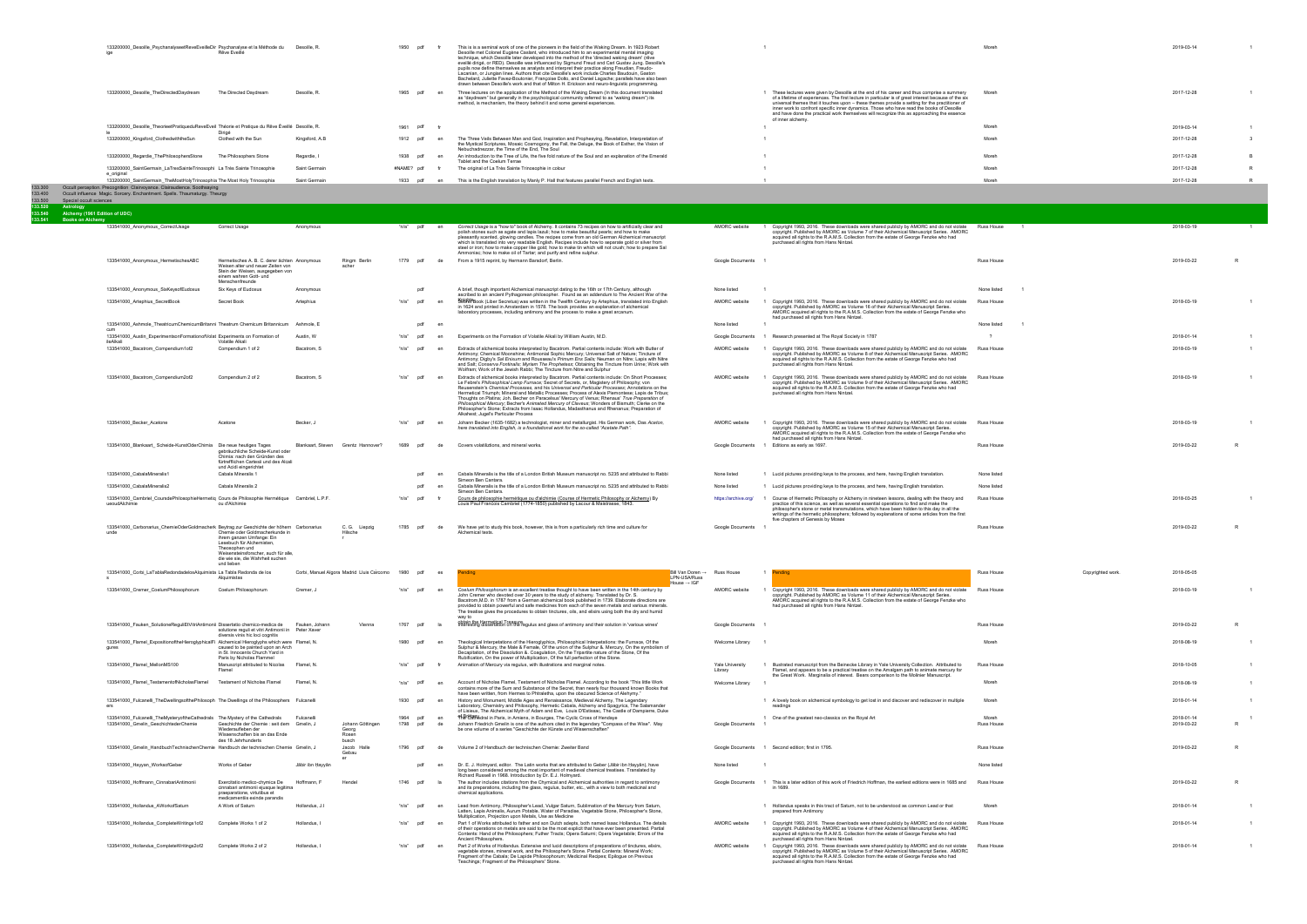|                                | 133200000 Desoille PsychanalyseetReveEveilleDir Psychanalyse et la Méthode du<br>Rêve Eveillé<br>iae                                                                              | Desoille, R.   | 1950<br>pdf    | This is is a seminal work of one of the pioneers in the field of the Waking Dream. In 1923 Robert<br>Desoille met Colonel Eugène Caslant, who introduced him to an experimental mental imaging<br>technique, which Desoille later developed into the method of the 'directed waking dream' (rêve<br>eveillé dirigé, or RED). Desoille was influenced by Sigmund Freud and Carl Gustav Jung. Desoille's<br>pupils now define themselves as analysts and interpret their practice along Freudian, Freudo-<br>Lacanian, or Jungian lines, Authors that cite Desoille's work include Charles Baudouin, Gaston<br>Bachelard, Juliette Favez-Boutonier, Françoise Dolto, and Daniel Lagache; parallels have also been<br>drawn between Desoille's work and that of Milton H. Erickson and neuro-linguistic programming. |                                                                                                                                                                                                                                                                                                                                                                                                                                                                                                                       | Moreh | 2019-03-14 |  |
|--------------------------------|-----------------------------------------------------------------------------------------------------------------------------------------------------------------------------------|----------------|----------------|-------------------------------------------------------------------------------------------------------------------------------------------------------------------------------------------------------------------------------------------------------------------------------------------------------------------------------------------------------------------------------------------------------------------------------------------------------------------------------------------------------------------------------------------------------------------------------------------------------------------------------------------------------------------------------------------------------------------------------------------------------------------------------------------------------------------|-----------------------------------------------------------------------------------------------------------------------------------------------------------------------------------------------------------------------------------------------------------------------------------------------------------------------------------------------------------------------------------------------------------------------------------------------------------------------------------------------------------------------|-------|------------|--|
|                                | 133200000 Desoille TheDirectedDaydream<br>The Directed Daydream                                                                                                                   | Desoille, R.   | 1965<br>pdf en | Three lectures on the application of the Method of the Waking Dream (In this document translated<br>as "daydream" but generally in the psychological community referred to as "waking dream") its<br>method, is mechanism, the theory behind it and some general experiences.                                                                                                                                                                                                                                                                                                                                                                                                                                                                                                                                     | These lectures were given by Desoille at the end of his career and thus comprise a summery<br>of a lifetime of experiences. The first lecture in particular is of great interest because of the six<br>universal themes that it touches upon - these themes provide a setting for the practitioner of<br>inner work to confront specific inner dynamics. Those who have read the books of Desoille<br>and have done the practical work themselves will recognize this as approaching the essence<br>of inner alchemy. | Moreh | 2017-12-28 |  |
|                                | 133200000 Desoille TheorieetPratiqueduReveEveil Théorie et Pratique du Rêve Éveillé Desoille, R.<br>Dirigé                                                                        |                | 1961<br>pdf    |                                                                                                                                                                                                                                                                                                                                                                                                                                                                                                                                                                                                                                                                                                                                                                                                                   |                                                                                                                                                                                                                                                                                                                                                                                                                                                                                                                       | Moreh | 2019-03-14 |  |
|                                | 133200000_Kingsford_ClothedwiththeSun<br>Clothed with the Sun                                                                                                                     | Kingsford, A.B | 1912 pdf       | The Three Veils Between Man and God, Inspiration and Prophesying, Revelation, Interpretation of<br>the Mystical Scriptures, Mosaic Cosmogony, the Fall, the Deluge, the Book of Esther, the Vision of<br>Nebuchadnezzar, the Time of the End. The Soul                                                                                                                                                                                                                                                                                                                                                                                                                                                                                                                                                            |                                                                                                                                                                                                                                                                                                                                                                                                                                                                                                                       | Moreh | 2017-12-28 |  |
|                                | 133200000_Regardie_ThePhilosophersStone<br>The Philosophers Stone                                                                                                                 | Regardie, I    | 1938<br>pdf    | An introduction to the Tree of Life, the five fold nature of the Soul and an explanation of the Emerald<br>Tablet and the Coelum Terrae                                                                                                                                                                                                                                                                                                                                                                                                                                                                                                                                                                                                                                                                           |                                                                                                                                                                                                                                                                                                                                                                                                                                                                                                                       | Moreh | 2017-12-28 |  |
|                                | 133200000_SaintGermain_LaTresSainteTrinosophi La Très Sainte Trinosophie<br>e_original                                                                                            | Saint Germain  | #NAME? pdf     | The original of La Très Sainte Trinosophie in colour                                                                                                                                                                                                                                                                                                                                                                                                                                                                                                                                                                                                                                                                                                                                                              |                                                                                                                                                                                                                                                                                                                                                                                                                                                                                                                       | Moreh | 2017-12-28 |  |
|                                | 133200000 SaintGermain TheMostHolyTrinosophia The Most Holy Trinosophia                                                                                                           | Saint Germain  | 1933<br>pdf    | This is the English translation by Manly P. Hall that features parallel French and English texts.                                                                                                                                                                                                                                                                                                                                                                                                                                                                                                                                                                                                                                                                                                                 |                                                                                                                                                                                                                                                                                                                                                                                                                                                                                                                       | Moreh | 2017-12-28 |  |
| 133,300<br>133.400<br>133.500  | Occult perception. Precognition Clairvoyance. Clairaudience. Soothsaying<br>Occult influence Magic. Sorcery. Enchantment. Spells. Thaumaturgy. Theurgy<br>Special occult sciences |                |                |                                                                                                                                                                                                                                                                                                                                                                                                                                                                                                                                                                                                                                                                                                                                                                                                                   |                                                                                                                                                                                                                                                                                                                                                                                                                                                                                                                       |       |            |  |
| 133,520<br>Astrology<br>33.540 | Alchemy (1961 Edition of UDC)                                                                                                                                                     |                |                |                                                                                                                                                                                                                                                                                                                                                                                                                                                                                                                                                                                                                                                                                                                                                                                                                   |                                                                                                                                                                                                                                                                                                                                                                                                                                                                                                                       |       |            |  |
| 133.541                        | <b>Books on Alchemy</b>                                                                                                                                                           |                |                |                                                                                                                                                                                                                                                                                                                                                                                                                                                                                                                                                                                                                                                                                                                                                                                                                   |                                                                                                                                                                                                                                                                                                                                                                                                                                                                                                                       |       |            |  |

|                                                                                                                      | Correct Usage                                                                                                                                                      | Anonymous                    |                                                | "n/a" pdf          | en              | Correct Usage is a "how to" book of Alchemy. It contains 73 recipes on how to artificially clear and                                                                                                                                                                                                                                                                                                                                                                                                                                                                                                                                                                                                                                                    | AMORC website                  |                                                                                                                                                                                                                                                                                                                                                                                                                                                  | Russ House                 |                   | 2018-03-19               |    |
|----------------------------------------------------------------------------------------------------------------------|--------------------------------------------------------------------------------------------------------------------------------------------------------------------|------------------------------|------------------------------------------------|--------------------|-----------------|---------------------------------------------------------------------------------------------------------------------------------------------------------------------------------------------------------------------------------------------------------------------------------------------------------------------------------------------------------------------------------------------------------------------------------------------------------------------------------------------------------------------------------------------------------------------------------------------------------------------------------------------------------------------------------------------------------------------------------------------------------|--------------------------------|--------------------------------------------------------------------------------------------------------------------------------------------------------------------------------------------------------------------------------------------------------------------------------------------------------------------------------------------------------------------------------------------------------------------------------------------------|----------------------------|-------------------|--------------------------|----|
| 133541000_Anonymous_CorrectUsage                                                                                     |                                                                                                                                                                    |                              |                                                |                    |                 | polish stones such as agate and lapis lazuli; how to make beautiful pearls; and how to make<br>pleasantly scented, glowing candles. The recipes come from an old German Alchemical manuscript<br>which is translated into very readable English. Recipes include how to separate gold or silver from<br>steel or iron; how to make copper like gold; how to make tin which will not crush; how to prepare Sal<br>Ammoniac; how to make oil of Tartar; and purify and refine sulphur.                                                                                                                                                                                                                                                                    |                                | 1 Copyright 1993, 2016. These downloads were shared publicly by AMORC and do not violate<br>copyright. Published by AMORC as Volume 7 of their Alchemical Manuscript Series. AMORC<br>acquired all rights to the R.A.M.S. Collection from the estate of George Fenzke who had<br>purchased all rights from Hans Nintzel.                                                                                                                         |                            |                   |                          |    |
| 133541000_Anonymous_HermetischesABC                                                                                  | Hermetisches A. B. C. derer ächten Anonymous<br>Weisen alter und neuer Zeiten von<br>Stein der Weisen, ausgegeben von<br>einem wahren Gott- und<br>Menschenfreunde |                              | Ringm Berlin<br>acher                          | 1779 pdf           | de              | From a 1915 reprint, by Hermann Barsdorf, Berlin.                                                                                                                                                                                                                                                                                                                                                                                                                                                                                                                                                                                                                                                                                                       | Google Documents               |                                                                                                                                                                                                                                                                                                                                                                                                                                                  | <b>Russ House</b>          |                   | 2019-03-22               |    |
| 133541000_Anonymous_SixKeysofEudoxus                                                                                 | Six Keys of Eudoxus                                                                                                                                                | Anonymous                    |                                                |                    | pdf             | A brief, though important Alchemical manuscript dating to the 16th or 17th Century, although<br>ascribed to an ancient Pythagorean philosopher. Found as an addendum to The Ancient War of the                                                                                                                                                                                                                                                                                                                                                                                                                                                                                                                                                          | None listed                    |                                                                                                                                                                                                                                                                                                                                                                                                                                                  | None listed                |                   |                          |    |
| 133541000_Artephius_SecretBook                                                                                       | Secret Book                                                                                                                                                        | Artephius                    |                                                | n/a                | pdf<br>en       | SBBBBBook (Liber Secretus) was written in the Twelfth Century by Artephius, translated into English<br>in 1624 and printed in Amsterdam in 1578. The book provides an explanation of alchemical<br>laboratory processes, including antimony and the process to make a great arcanum.                                                                                                                                                                                                                                                                                                                                                                                                                                                                    | AMORC website                  | 1 Copyright 1993, 2016. These downloads were shared publicly by AMORC and do not violate Russ House<br>copyright. Published by AMORC as Volume 16 of their Alchemical Manuscript Series.<br>AMORC acquired all rights to the R.A.M.S. Collection from the estate of George Fenzke who<br>had purchased all rights from Hans Nintzel.                                                                                                             |                            |                   | 2018-03-19               |    |
| 133541000_Ashmole_TheatricumChemicumBritanni Theatrum Chemicum Britannicum Ashmole, E                                |                                                                                                                                                                    |                              |                                                |                    | pdf<br>en       |                                                                                                                                                                                                                                                                                                                                                                                                                                                                                                                                                                                                                                                                                                                                                         | None listed                    |                                                                                                                                                                                                                                                                                                                                                                                                                                                  | None listed                |                   |                          |    |
| 133541000 Austin ExperimentsonFormationofVolat Experiments on Formation of<br>ileAlkal                               | Volatile Alkali                                                                                                                                                    | Austin, W                    |                                                | "n/a"              | pdf<br>en       | Experiments on the Formation of Volatile Alkali by William Austin, M.D.                                                                                                                                                                                                                                                                                                                                                                                                                                                                                                                                                                                                                                                                                 | Google Documents               | 1 Research presented at The Royal Society in 1787                                                                                                                                                                                                                                                                                                                                                                                                |                            |                   | 2018-01-14               |    |
| 133541000_Bacstrom_Compendium1of2                                                                                    | Compendium 1 of 2                                                                                                                                                  | Bacstrom, S                  |                                                | "n/a"              | pdf<br>en       | Extracts of alchemical books interpreted by Bacstrom. Partial contents include: Work with Butter of<br>Antimony; Chemical Moonshine; Antimonial Sophic Mercury; Universal Salt of Nature; Tincture of<br>Antimony; Digby's Sal Enixum and Rousseau's Primum Ens Salis; Neuman on Nitre; Lapis with Nitre<br>and Salt; Conserva Fontinalis; Myriam The Prophetess; Obtaining the Tincture from Urine; Work with<br>Wolfram; Work of the Jewish Rabbi; The Tincture from Nitre and Sulphur                                                                                                                                                                                                                                                                | AMORC website                  | Copyright 1993, 2016. These downloads were shared publicly by AMORC and do not violate<br>copyright. Published by AMORC as Volume 8 of their Alchemical Manuscript Series. AMORC<br>acquired all rights to the R.A.M.S. Collection from the estate of George Fenzke who had<br>purchased all rights from Hans Nintzel.                                                                                                                           | <b>Russ House</b>          |                   | 2018-03-19               |    |
| 133541000_Bacstrom_Compendium2of2                                                                                    | Compendium 2 of 2                                                                                                                                                  | Bacstrom, S                  |                                                | "n/a"              | pdf<br>en       | Extracts of alchemical books interpreted by Bacstrom. Partial contents include: On Short Processes;<br>Le Febre's Philosophical Lamp Furnace; Secret of Secrets, or, Magistery of Philosophy; von<br>Reusenstein's Chemical Processes, and his Universal and Particular Processes; Annotations on the<br>Hermetical Triumph; Mineral and Metallic Processes; Process of Alexis Piemontese; Lapis de Tribus;<br>Thoughts on Platina; Joh. Becher on Paracelsus' Mercury of Venus; Rhenaus' True Preparation of<br>Philosophical Mercury; Becher's Animated Mercury of Claveus; Wonders of Bismuth; Clerke on the<br>Philosopher's Stone; Extracts from Isaac Hollandus, Madasthanus and Rhenanus; Preparation of<br>Alkahest; Jugel's Particular Process | AMORC website                  | Copyright 1993, 2016. These downloads were shared publicly by AMORC and do not violate<br>copyright. Published by AMORC as Volume 9 of their Alchemical Manuscript Series. AMORC<br>acquired all rights to the R.A.M.S. Collection from the estate of George Fenzke who had<br>purchased all rights from Hans Nintzel.                                                                                                                           | <b>Russ House</b>          |                   | 2018-03-19               |    |
| 133541000_Becker_Acetone                                                                                             | Acetone                                                                                                                                                            | Becker.                      |                                                | n/a                | pdf<br>en       | Johann Becker (1635-1682) a technologist, miner and metallurgist. His German work, Das Aceton,<br>here translated into English, is a foundational work for the so-called "Acetate Path".                                                                                                                                                                                                                                                                                                                                                                                                                                                                                                                                                                | AMORC website                  | Copyright 1993, 2016. These downloads were shared publicly by AMORC and do not violate<br>copyright. Published by AMORC as Volume 15 of their Alchemical Manuscript Series.<br>AMORC acquired all rights to the R.A.M.S. Collection from the estate of George Fenzke who<br>had purchased all rights from Hans Nintzel.                                                                                                                          | Russ House                 |                   | 2018-03-19               |    |
| 133541000_Blankaart_ Scheide-KunstOderChimia   Die neue heutiges Tages                                               | gebräuchliche Šcheide-Kunst oder<br>Chimia: nach den Gründen des<br>fürtrefflichen Cartesii und des Alcali<br>und Acidi eingerichtet                               |                              | Blankaart, Steven Grentz Hannover?             | 1689               | pdf<br>de       | Covers volatiliztions, and mineral works.                                                                                                                                                                                                                                                                                                                                                                                                                                                                                                                                                                                                                                                                                                               |                                | Google Documents 1 Editions as early as 1697.                                                                                                                                                                                                                                                                                                                                                                                                    | Russ House                 |                   | 2019-03-22               |    |
| 133541000_CabalaMineralis1                                                                                           | Cabala Mineralis 1                                                                                                                                                 |                              |                                                |                    | pdf<br>en       | Cabala Mineralis is the title of a London British Museum manuscript no. 5235 and attributed to Rabbi<br>Simeon Ben Cantara.                                                                                                                                                                                                                                                                                                                                                                                                                                                                                                                                                                                                                             | None listed                    | 1 Lucid pictures providing keys to the process, and here, having English translation.                                                                                                                                                                                                                                                                                                                                                            | None listed                |                   |                          |    |
| 133541000_CabalaMineralis2                                                                                           | Cabala Mineralis 2                                                                                                                                                 |                              |                                                |                    | pdf             | Cabala Mineralis is the title of a London British Museum manuscript no. 5235 and attributed to Rabbi<br>Simeon Ben Cantara.                                                                                                                                                                                                                                                                                                                                                                                                                                                                                                                                                                                                                             | None listed                    | 1 Lucid pictures providing keys to the process, and here, having English translation.                                                                                                                                                                                                                                                                                                                                                            | None listed                |                   |                          |    |
| 133541000 Cambriel CoursdePhilosophieHermetiq Cours de Philosophie Hermétique Cambriel, L.P.F.<br>ueoudAlchimie      | ou d'Alchimie                                                                                                                                                      |                              |                                                | "n/a"              | pdf             | Cours de philosophie hermétique ou d'alchimie (Course of Hermetic Philosophy or Alchemy) By<br>Louis Paul Francois Cambriel (1774-1850) published by Lacour & Maistrasse, 1843.                                                                                                                                                                                                                                                                                                                                                                                                                                                                                                                                                                         |                                | https://archive.org/ 1 Course of Hermetic Philosophy or Alchemy in nineteen lessons, dealing with the theory and<br>practice of this science, as well as several essential operations to find and make the<br>philosopher's stone or metal transmutations, which have been hidden to this day in all the<br>writings of the hermetic philosophers; followed by explanations of some articles from the first<br>five chapters of Genesis by Moses | <b>Russ House</b>          |                   | 2018-03-25               |    |
| 133541000_Carbonarius_ChemieOderGoldmacherk Beytrag zur Geschichte der höhern Carbonarius<br>unde                    | Chemie oder Goldmacherkunde in<br>ihrem ganzen Umfange: Ein<br>Lesebuch für Alchemisten,<br>Theosophen und                                                         |                              | C. G. Liepzig<br>Hilsche<br>$\Gamma$           | 1785               | pdf<br>de       | We have yet to study this book, however, this is from a particularly rich time and culture for<br>Alchemical texts.                                                                                                                                                                                                                                                                                                                                                                                                                                                                                                                                                                                                                                     | Google Documents               |                                                                                                                                                                                                                                                                                                                                                                                                                                                  | <b>Russ House</b>          |                   | 2019-03-22               |    |
|                                                                                                                      | Weisensteinsforscher, auch für alle.<br>die wie sie, die Wahrheit suchen<br>und lieben                                                                             |                              |                                                |                    |                 |                                                                                                                                                                                                                                                                                                                                                                                                                                                                                                                                                                                                                                                                                                                                                         |                                |                                                                                                                                                                                                                                                                                                                                                                                                                                                  |                            |                   |                          |    |
| 133541000_Corbi_LaTablaRedondadelosAlquimista La Tabla Redonda de los                                                | Alguimistas                                                                                                                                                        |                              | Corbi, Manuel Algora Madrid Lluis Carcomo 1980 |                    | pdf<br>es       | Bill Van Doren -> Russ House<br>Pending<br>LPN-USA/Russ<br>House $\rightarrow$ IGF                                                                                                                                                                                                                                                                                                                                                                                                                                                                                                                                                                                                                                                                      |                                | 1 <b>Pending</b>                                                                                                                                                                                                                                                                                                                                                                                                                                 | <b>Russ House</b>          | Copyrighted work. | 2018-05-05               |    |
| 133541000_Cremer_CoelumPhilosophorum                                                                                 | Coelum Philosophorum                                                                                                                                               | Cremer, J                    |                                                | "n/a"              | pdf<br>en       | Coelum Philosophorum is an excellent treatise thought to have been written in the 14th century by<br>John Cremer who devoted over 30 years to the study of alchemy. Translated by Dr. S.<br>Bacstrom, M.D. in 1787 from a German alchemical book published in 1739. Elaborate directions are<br>provided to obtain powerful and safe medicines from each of the seven metals and various minerals<br>The treatise gives the procedures to obtain tinctures, oils, and elixirs using both the dry and humid<br>way to                                                                                                                                                                                                                                    | AMORC website                  | Copyright 1993, 2016. These downloads were shared publicly by AMORC and do not violate<br>copyright. Published by AMORC as Volume 11 of their Alchemical Manuscript Series.<br>AMORC acquired all rights to the R.A.M.S. Collection from the estate of George Fenzke who<br>had purchased all rights from Hans Nintzel.                                                                                                                          | Russ House                 |                   | 2018-03-19               |    |
| 133541000_Fauken_SolutioneReguliEtVitriAntimonii Dissertatio chemico-medica de                                       | solutione reguli et vitri Antimonii in Peter Xaver<br>diversis vinis hic loci cognitis                                                                             | Fauken, Johann               | Vienna                                         | 1767               | pdf<br>- la     | obtain the Hermetical Treasure<br>Interesting dissertation on the regulus and glass of antimony and their solution in 'various wines'                                                                                                                                                                                                                                                                                                                                                                                                                                                                                                                                                                                                                   | Google Documents               |                                                                                                                                                                                                                                                                                                                                                                                                                                                  | <b>Russ House</b>          |                   | 2019-03-22               |    |
| 133541000_Flamel_ExpositionoftheHieroglyphicalFi Alchemical Hieroglyphs which were Flamel, N.<br>gures               | caused to be painted upon an Arch<br>n St. Innocents Church Yard in                                                                                                |                              |                                                | 1980 pdf           | en              | Theological Interpetations of the Hieroglyphics, Philosophical Interpetations: the Furnace, Of the<br>Sulphur & Mercury, the Male & Female, Of the union of the Sulphur &. Mercury, On the symbolism of<br>Decapitation, of the Dissolution &. Coagulation, On the Tripartite nature of the Stone, Of the                                                                                                                                                                                                                                                                                                                                                                                                                                               | Welcome Library                |                                                                                                                                                                                                                                                                                                                                                                                                                                                  | Moreh                      |                   | 2018-08-19               |    |
| 133541000_Flamel_MellonMS100                                                                                         | Paris by Nicholas Flammel<br>Manuscript attributed to Nicolas<br>Flamel                                                                                            | Flamel, N                    |                                                | "n/a"              | pdf             | Rubification, On the power of Multiplication, Of the full perfection of the Stone.<br>Animation of Mercury via regulus, with illustrations and marginal notes.                                                                                                                                                                                                                                                                                                                                                                                                                                                                                                                                                                                          | Yale University<br>Library     | Illustrated manuscript from the Beinecke Library in Yale University Collection. Attributed to<br>Flamel, and appears to be a practical treatise on the Amalgam path to animate mercury for<br>the Great Work. Marginalia of interest. Bears comparison to the Molinier Manuscript.                                                                                                                                                               | Russ House                 |                   | 2018-10-05               |    |
| 133541000_Flamel_TestamentofNicholasFlamel Testament of Nicholas Flamel                                              |                                                                                                                                                                    | Flamel, N                    |                                                | "n/a" pdf          | en              | Account of Nicholas Flamel, Testament of Nicholas Flamel. According to the book "This little Work<br>contains more of the Sum and Substance of the Secret, than nearly four thousand known Books that<br>have been written, from Hermes to Phtraletha, upon the obscured Science of Alehymy."                                                                                                                                                                                                                                                                                                                                                                                                                                                           | Welcome Library                |                                                                                                                                                                                                                                                                                                                                                                                                                                                  | Moreh                      |                   | 2018-08-19               |    |
| 133541000_Fulcanelli_TheDwellingsofthePhilosoph The Dwellings of the Philosophers Fulcanelli                         |                                                                                                                                                                    |                              |                                                | 1930 pdf           | en              | History and Monument, Middle Ages and Renaissance, Medieval Alchemy, The Legendary<br>Laboratory, Chemistry and Philosophy, Hermetic Cabala, Alchemy and Spagyrics, The Salamander<br>of Lisieux. The Alchemical Myth of Adam and Eve, Louis D'Estissac, The Castle of Dampierre, Duke                                                                                                                                                                                                                                                                                                                                                                                                                                                                  |                                | 1 A lovely book on alchemical symbology to get lost in and discover and rediscover in multiple<br>readings                                                                                                                                                                                                                                                                                                                                       | Moreh                      |                   | 2018-01-14               |    |
| 133541000_Fulcanelli_TheMysteryoftheCathedrals The Mystery of the Cathedrals<br>133541000_Gmelin_GeschichtederChemie | Geschichte der Chemie : seit dem Gmelin, J<br>Wiederaufleben der<br>Wissenschaften bis an das Ende<br>des 18 Jehrhunderts                                          | Fulcanelli                   | Johann Göttingen<br>Georg<br>Rosen<br>busch    | 1964 pdf<br>1798   | en<br>pdf<br>de | of Bretan Learn in Paris, in Amiens, in Bourges, The Cyclic Cross of Hendaye<br>Johann Friedrich Gmelin is one of the authors cited in the legendary "Compass of the Wise". May<br>be one volume of a series "Geschichte der Künste und Wissenschaften"                                                                                                                                                                                                                                                                                                                                                                                                                                                                                                 | Google Documents               | 1 One of the greatest neo-classics on the Royal Art                                                                                                                                                                                                                                                                                                                                                                                              | Moreh<br><b>Russ House</b> |                   | 2018-01-14<br>2019-03-22 | R  |
| 133541000 Gmelin HandbuchTechnischenChemie Handbuch der technischen Chemie Gmelin, J                                 |                                                                                                                                                                    |                              | Jacob Halle<br>Gebau                           | 1796 pdf           | de              | Volume 2 of Handbuch der technischen Chemie: Zweiter Band                                                                                                                                                                                                                                                                                                                                                                                                                                                                                                                                                                                                                                                                                               |                                | Google Documents 1 Second edition: first in 1795                                                                                                                                                                                                                                                                                                                                                                                                 | <b>Russ House</b>          |                   | 2019-03-22               | R  |
| 133541000_Hayyan_WorksofGeber                                                                                        | Works of Geber                                                                                                                                                     | Jābir ibn Hayyān             |                                                |                    | pdf<br>en       | Dr. E. J. Holmyard, editor. The Latin works that are attributed to Geber (Jābir ibn Hayyān), have<br>long been considered among the most important of medieval chemical treatises. Translated by<br>Richard Russell in 1968. Introduction by Dr. E.J. Holmyard.                                                                                                                                                                                                                                                                                                                                                                                                                                                                                         | None listed                    |                                                                                                                                                                                                                                                                                                                                                                                                                                                  | None listed                |                   |                          |    |
| 133541000 Hoffmann CinnabariAntimonii                                                                                | Exercitatio medico-chymica De<br>cinnabari antimonii ejusque legitima<br>praeparatione, virtutibus et<br>medicamentiis exinde parandis                             | Hoffmann, F                  | Hendel                                         | 1746 pdf           |                 | The author includes citations from the Chymical and Alchemical authorities in regard to antimony<br>and its preparations, including the glass, regulus, butter, etc., with a view to both medicinal and<br>chemical applications.                                                                                                                                                                                                                                                                                                                                                                                                                                                                                                                       |                                | Google Documents 1 This is a later edition of this work of Friedrich Hoffman, the earliest editions were in 1685 and<br>in 1689.                                                                                                                                                                                                                                                                                                                 | <b>Russ House</b>          |                   | 2019-03-22               | R. |
| 133541000_Hollandus_AWorkofSaturn                                                                                    | A Work of Saturn                                                                                                                                                   | Hollandus, J.I               |                                                | "n/a"              | pdf<br>en       | Lead from Antimony, Philosopher's Lead, Vulgar Saturn, Sublimation of the Mercury from Saturn,<br>Latten, Lapis Animalis, Aurum Potable, Water of Paradise, Vegetable Stone, Philosopher's Stone,<br>Multiplication, Projection upon Metals, Use as Medicine                                                                                                                                                                                                                                                                                                                                                                                                                                                                                            |                                | 1 Hollandus speaks in this tract of Saturn, not to be understood as common Lead or that<br>prepared from Antimony                                                                                                                                                                                                                                                                                                                                | Moreh                      |                   | 2018-01-14               |    |
| 133541000_Hollandus_CompleteWritings1of2<br>133541000_Hollandus_CompleteWritings2of2                                 | Complete Works 1 of 2<br>Complete Works 2 of 2                                                                                                                     | Hollandus, I<br>Hollandus, I |                                                | "n/a" pdf<br>"n/a" | en<br>pdf<br>en | Part 1 of Works attributed to father and son Dutch adepts, both named Isaac Hollandus. The details<br>of their operations on metals are said to be the most explicit that have ever been presented. Partial<br>Contents: Hand of the Philosophers; Futher Tracts; Opera Saturni; Opera Vegetabile; Errors of the<br>Ancient Philosophers.<br>Part 2 of Works of Hollandus. Extensive and lucid descriptions of preparations of tinctures, elixirs,                                                                                                                                                                                                                                                                                                      | AMORC website<br>AMORC website | 1 Copyright 1993, 2016. These downloads were shared publicly by AMORC and do not violate<br>copyright. Published by AMORC as Volume 4 of their Alchemical Manuscript Series. AMORC<br>acquired all rights to the R.A.M.S. Collection from the estate of George Fenzke who had<br>purchased all rights from Hans Nintzel.<br>Copyright 1993, 2016. These downloads were shared publicly by AMORC and do not violate                               | Russ House<br>Russ House   |                   | 2018-01-14<br>2018-01-14 |    |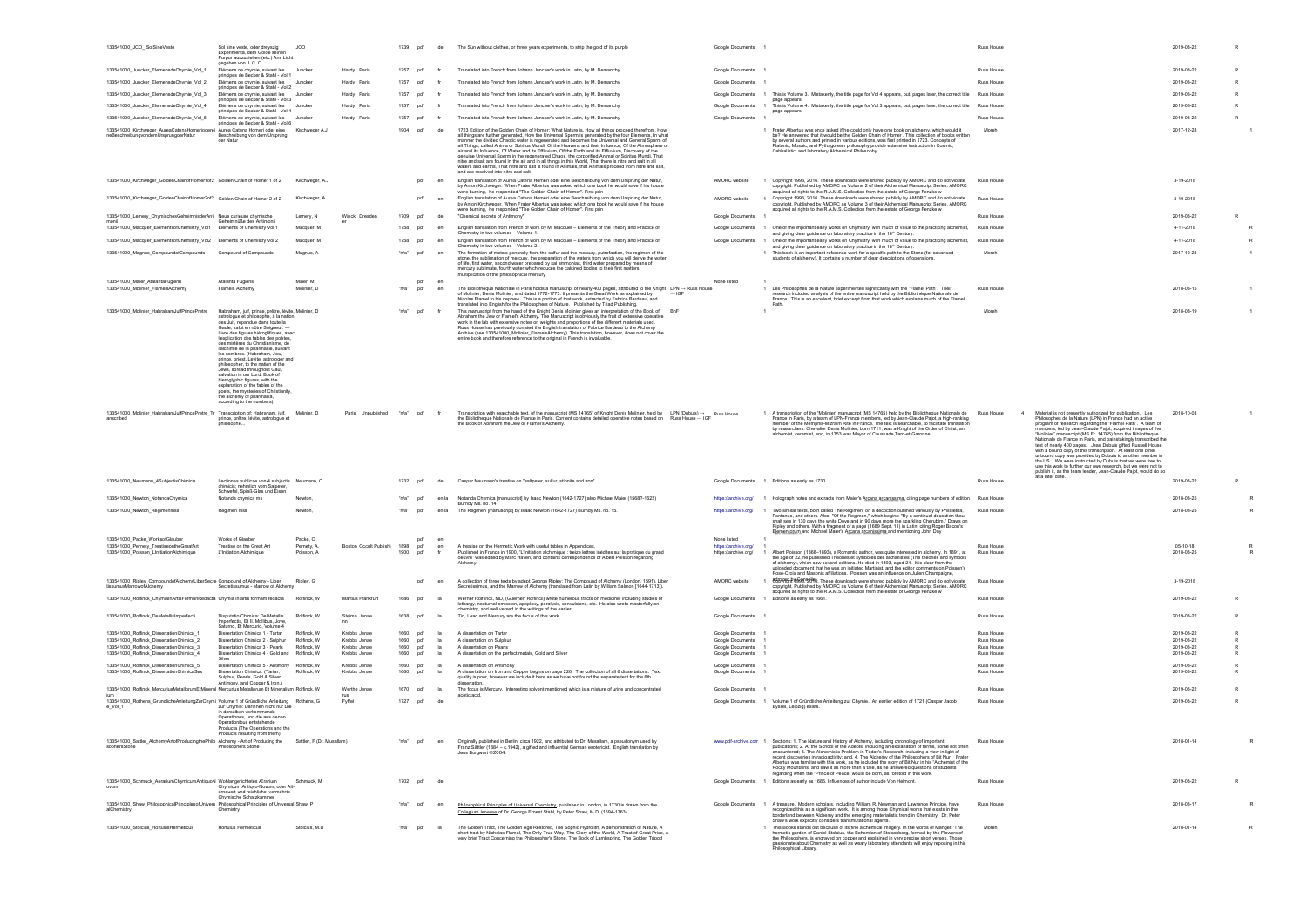| 133541000_JCO_SolSineVeste                                                                                                        | Sol sine veste, oder dreyszig<br>Experimenta, dem Golde seinen<br>Purpur auszuziehen (etc.) Ans Licht<br>gegeben von J. C. O                                                                                                                                                                                                                                                                                                                                                                                                                                                                                                                                                                  | JCO                        |                              | 1739 pdf                   | de           | The Sun without clothes, or three years experimenta, to strip the gold of its purple                                                                                                                                                                                                                                                                                                                                                                                                                                                                                                                                                                                                                                                                                                                                                                                                       | Google Documents                     |                                                                                                                                                                                                                                                                                                                                                                                                                                                                                                                                                                                                                                                                      | Russ House                      |                                                                                                                                                                                                                                                                                                                                                                                                                                                                                                                                                                                                                                                                                                                                                                          | 2019-03-22               |                   |
|-----------------------------------------------------------------------------------------------------------------------------------|-----------------------------------------------------------------------------------------------------------------------------------------------------------------------------------------------------------------------------------------------------------------------------------------------------------------------------------------------------------------------------------------------------------------------------------------------------------------------------------------------------------------------------------------------------------------------------------------------------------------------------------------------------------------------------------------------|----------------------------|------------------------------|----------------------------|--------------|--------------------------------------------------------------------------------------------------------------------------------------------------------------------------------------------------------------------------------------------------------------------------------------------------------------------------------------------------------------------------------------------------------------------------------------------------------------------------------------------------------------------------------------------------------------------------------------------------------------------------------------------------------------------------------------------------------------------------------------------------------------------------------------------------------------------------------------------------------------------------------------------|--------------------------------------|----------------------------------------------------------------------------------------------------------------------------------------------------------------------------------------------------------------------------------------------------------------------------------------------------------------------------------------------------------------------------------------------------------------------------------------------------------------------------------------------------------------------------------------------------------------------------------------------------------------------------------------------------------------------|---------------------------------|--------------------------------------------------------------------------------------------------------------------------------------------------------------------------------------------------------------------------------------------------------------------------------------------------------------------------------------------------------------------------------------------------------------------------------------------------------------------------------------------------------------------------------------------------------------------------------------------------------------------------------------------------------------------------------------------------------------------------------------------------------------------------|--------------------------|-------------------|
| 133541000_Juncker_ElemensdeChymie_Vol_1                                                                                           | Élémens de chymie, suivant les<br>principes de Becker & Stahl - Vol 1                                                                                                                                                                                                                                                                                                                                                                                                                                                                                                                                                                                                                         | Juncker                    | Hardy Paris                  | 1757<br>pdf                | - fr         | Translated into French from Johann Juncker's work in Latin, by M. Demanchy                                                                                                                                                                                                                                                                                                                                                                                                                                                                                                                                                                                                                                                                                                                                                                                                                 | Google Documents                     |                                                                                                                                                                                                                                                                                                                                                                                                                                                                                                                                                                                                                                                                      | Russ House                      |                                                                                                                                                                                                                                                                                                                                                                                                                                                                                                                                                                                                                                                                                                                                                                          | 2019-03-22               | $\mathsf{R}$      |
| 133541000_Juncker_ElemensdeChymie_Vol_2                                                                                           | Élémens de chymie, suivant les                                                                                                                                                                                                                                                                                                                                                                                                                                                                                                                                                                                                                                                                | <b>Juncker</b>             | Hardy Paris                  | 1757 pdf                   |              | Translated into French from Johann Juncker's work in Latin, by M. Demanchy                                                                                                                                                                                                                                                                                                                                                                                                                                                                                                                                                                                                                                                                                                                                                                                                                 | Google Documents                     |                                                                                                                                                                                                                                                                                                                                                                                                                                                                                                                                                                                                                                                                      | Russ House                      |                                                                                                                                                                                                                                                                                                                                                                                                                                                                                                                                                                                                                                                                                                                                                                          | 2019-03-22               | $\mathsf{R}$      |
| 133541000_Juncker_ElemensdeChymie_Vol_3                                                                                           | principes de Becker & Stahl - Vol 2<br>Élémens de chymie, suivant les                                                                                                                                                                                                                                                                                                                                                                                                                                                                                                                                                                                                                         | Juncker                    | Hardy Paris                  | 1757 pdf                   |              | Translated into French from Johann Juncker's work in Latin, by M. Demanchy                                                                                                                                                                                                                                                                                                                                                                                                                                                                                                                                                                                                                                                                                                                                                                                                                 | Google Documents 1                   | This is Volume 3. Mistakenly, the title page for Vol 4 appears, but, pages later, the correct title                                                                                                                                                                                                                                                                                                                                                                                                                                                                                                                                                                  | Russ House                      |                                                                                                                                                                                                                                                                                                                                                                                                                                                                                                                                                                                                                                                                                                                                                                          | 2019-03-22               | R                 |
| 133541000_Juncker_ElemensdeChymie_Vol_4                                                                                           | principes de Becker & Stahl - Vol 3<br>Élémens de chymie, suivant les                                                                                                                                                                                                                                                                                                                                                                                                                                                                                                                                                                                                                         | Juncke                     | Hardy Paris                  | 1757<br>pdf                |              | Translated into French from Johann Juncker's work in Latin, by M. Demanchy                                                                                                                                                                                                                                                                                                                                                                                                                                                                                                                                                                                                                                                                                                                                                                                                                 | Google Documents                     | page appears.<br>This is Volume 4. Mistakenly, the title page for Vol 3 appears, but, pages later, the correct title Russ House                                                                                                                                                                                                                                                                                                                                                                                                                                                                                                                                      |                                 |                                                                                                                                                                                                                                                                                                                                                                                                                                                                                                                                                                                                                                                                                                                                                                          | 2019-03-22               | R                 |
| 133541000_Juncker_ElemensdeChymie_Vol_6                                                                                           | principes de Becker & Stahl - Vol 4<br>Élémens de chymie, suivant les                                                                                                                                                                                                                                                                                                                                                                                                                                                                                                                                                                                                                         | Juncke                     | Hardy Paris                  | 1757<br>pdf                | fr           | Translated into French from Johann Juncker's work in Latin, by M. Demanchy                                                                                                                                                                                                                                                                                                                                                                                                                                                                                                                                                                                                                                                                                                                                                                                                                 | Google Documents                     | page appears.                                                                                                                                                                                                                                                                                                                                                                                                                                                                                                                                                                                                                                                        | Russ House                      |                                                                                                                                                                                                                                                                                                                                                                                                                                                                                                                                                                                                                                                                                                                                                                          | 2019-03-22               | $\mathsf{R}$      |
| 133541000_Kirchweger_AureaCatenaHomerioderei Aurea Catena Homeri oder eine Kirchweger A.J<br>neBeschreibungvondemUrsprungderNatur | principes de Becker & Stahl - Vol 6<br>Beschreibung von dem Ursprung<br>der Natur                                                                                                                                                                                                                                                                                                                                                                                                                                                                                                                                                                                                             |                            |                              | 1904<br>pdf                | de           | 1723 Edition of the Golden Chain of Homer: What Nature is, How all things proceed therefrom, How<br>all things are further generated, How the Universal Sperm is generated by the four Elements, In what<br>manner the divided Chaotic water is regenerated and becomes the Universal and General Sperm of<br>all Things, called Anima or Spiritus Mundi, Of the Heavens and their Influence, Of the Atmosphere or<br>air and its Influence, Of Water and its Effluvium, Of the Earth and its Effluvium. Discovery of the<br>genuine Universal Sperm in the regenerated Chaos, the corporified Animal or Spiritus Mundi, That<br>nitre and salt are found in the air and in all things in this World, That there is nitre and salt in all<br>waters and earths, That nitre and salt is found in Animals, that Animals proceed from nitre and salt,<br>and are resolved into nitre and salt |                                      | 1 Frater Albertus was once asked if he could only have one book on alchemy, which would it<br>be? He answered that it would be the Golden Chain of Homer . This collection of books written<br>by several authors and printed in various editions, was first printed in 1723. Concepts of<br>Platonic, Mosaic, and Pythagorean philosophy provide extensive instruction in Cosmic,<br>Cabbalistic, and laboratory Alchemical Philosophy                                                                                                                                                                                                                              | Moreh                           |                                                                                                                                                                                                                                                                                                                                                                                                                                                                                                                                                                                                                                                                                                                                                                          | 2017-12-28               |                   |
| 133541000 Kirchweger GoldenChainofHomer1of2 Golden Chain of Homer 1 of 2                                                          |                                                                                                                                                                                                                                                                                                                                                                                                                                                                                                                                                                                                                                                                                               | Kirchweger, A.J            |                              | pdf                        |              | English translation of Aurea Catena Homeri oder eine Beschreibung von dem Ursprung der Natur,<br>by Anton Kirchweger. When Frater Albertus was asked which one book he would save if his house                                                                                                                                                                                                                                                                                                                                                                                                                                                                                                                                                                                                                                                                                             | AMORC website<br>$\mathbf{1}$        | Copyright 1993, 2016. These downloads were shared publicly by AMORC and do not violate<br>copyright. Published by AMORC as Volume 2 of their Alchemical Manuscript Series. AMORC                                                                                                                                                                                                                                                                                                                                                                                                                                                                                     | Russ House                      |                                                                                                                                                                                                                                                                                                                                                                                                                                                                                                                                                                                                                                                                                                                                                                          | 3-19-2018                |                   |
| 133541000_Kirchweger_GoldenChainofHomer2of2 Golden Chain of Homer 2 of 2                                                          |                                                                                                                                                                                                                                                                                                                                                                                                                                                                                                                                                                                                                                                                                               | Kirchweger, A.J            |                              | pdf                        | en           | were burning, he responded "The Golden Chain of Homer". First prin<br>English translation of Aurea Catena Homeri oder eine Beschreibung von dem Ursprung der Natur,<br>by Anton Kirchweger. When Frater Albertus was asked which one book he would save if his house                                                                                                                                                                                                                                                                                                                                                                                                                                                                                                                                                                                                                       | AMORC website<br>$\overline{1}$      | acquired all rights to the R.A.M.S. Collection from the estate of George Fenzke w<br>Copyright 1993, 2016. These downloads were shared publicly by AMORC and do not violate<br>copyright. Published by AMORC as Volume 3 of their Alchemical Manuscript Series. AMORC                                                                                                                                                                                                                                                                                                                                                                                                | Russ House                      |                                                                                                                                                                                                                                                                                                                                                                                                                                                                                                                                                                                                                                                                                                                                                                          | 3-19-2018                |                   |
| 133541000_Lemery_ChymischesGeheimnisderAnti Neue curieuse chymische                                                               |                                                                                                                                                                                                                                                                                                                                                                                                                                                                                                                                                                                                                                                                                               | Lemery, N                  | Winckl Dresden               | 1709 pdf                   | de           | were burning, he responded "The Golden Chain of Homer". First prin<br>"Chemical secrets of Antimony"                                                                                                                                                                                                                                                                                                                                                                                                                                                                                                                                                                                                                                                                                                                                                                                       | Google Documents                     | acquired all rights to the R.A.M.S. Collection from the estate of George Fenzke w                                                                                                                                                                                                                                                                                                                                                                                                                                                                                                                                                                                    | Russ House                      |                                                                                                                                                                                                                                                                                                                                                                                                                                                                                                                                                                                                                                                                                                                                                                          | 2019-03-22               | $\mathsf{R}$      |
| 133541000 Macquer ElementsofChemistry Vol1 Elements of Chemistry Vol 1                                                            | Geheimnüße des Antimonii                                                                                                                                                                                                                                                                                                                                                                                                                                                                                                                                                                                                                                                                      | Macquer, M                 |                              | 1758 pdf                   | en           | English translation from French of work by M. Macquer - Elements of the Theory and Practice of                                                                                                                                                                                                                                                                                                                                                                                                                                                                                                                                                                                                                                                                                                                                                                                             | Google Documents 1                   | One of the important early works on Chymistry, with much of value to the practicing alchemist,                                                                                                                                                                                                                                                                                                                                                                                                                                                                                                                                                                       | Russ House                      |                                                                                                                                                                                                                                                                                                                                                                                                                                                                                                                                                                                                                                                                                                                                                                          | 4-11-2018                |                   |
| 133541000_Macquer_ElementsofChemistry_Vol2 Elements of Chemistry Vol 2                                                            |                                                                                                                                                                                                                                                                                                                                                                                                                                                                                                                                                                                                                                                                                               | Macquer, M                 |                              | 1758<br>pdf                | en           | Chemistry in two volumes - Volume 1<br>English translation from French of work by M. Macquer - Elements of the Theory and Practice of                                                                                                                                                                                                                                                                                                                                                                                                                                                                                                                                                                                                                                                                                                                                                      | Google Documents                     | and giving clear guidance on laboratory practice in the 18th Century.<br>One of the important early works on Chymistry, with much of value to the practicing alchemist,                                                                                                                                                                                                                                                                                                                                                                                                                                                                                              | Russ House                      |                                                                                                                                                                                                                                                                                                                                                                                                                                                                                                                                                                                                                                                                                                                                                                          | 4-11-2018                |                   |
| 133541000_Magnus_CompoundofCompounds                                                                                              | Compound of Compounds                                                                                                                                                                                                                                                                                                                                                                                                                                                                                                                                                                                                                                                                         | Magnus, A                  |                              | "n/a"<br>pdf               | en           | Chemistry in two volumes - Volume 2.<br>The formation of metals generally from the sulfur and the mercury, putrefaction, the regimen of the                                                                                                                                                                                                                                                                                                                                                                                                                                                                                                                                                                                                                                                                                                                                                |                                      | and giving clear guidance on laboratory practice in the 18th Century.<br>1 This book is an important reference work for a specific path to the Stone (for advanced                                                                                                                                                                                                                                                                                                                                                                                                                                                                                                   | Moreh                           |                                                                                                                                                                                                                                                                                                                                                                                                                                                                                                                                                                                                                                                                                                                                                                          | 2017-12-28               |                   |
|                                                                                                                                   |                                                                                                                                                                                                                                                                                                                                                                                                                                                                                                                                                                                                                                                                                               |                            |                              |                            |              | stone, the sublimation of mercury, the preparation of the waters from which you will derive the water<br>of life, first water, second water prepared by sal ammoniac, third water prepared by means of<br>mercury sublimate, fourth water which reduces the calcined bodies to their first matters,<br>multiplication of the philosophical mercury                                                                                                                                                                                                                                                                                                                                                                                                                                                                                                                                         |                                      | students of alchemy). It contains a number of clear descriptions of operations.                                                                                                                                                                                                                                                                                                                                                                                                                                                                                                                                                                                      |                                 |                                                                                                                                                                                                                                                                                                                                                                                                                                                                                                                                                                                                                                                                                                                                                                          |                          |                   |
| 133541000_Maier_AtalantaFugiens<br>133541000_Molinier_FlamelsAlchemy                                                              | Atalanta Fugiens<br>Flamels Alchemy                                                                                                                                                                                                                                                                                                                                                                                                                                                                                                                                                                                                                                                           | Maier, M<br>Molinier, D    |                              | pdf<br>pdf<br>n/a          | en<br>en     | The Bibliothèque Nationale in Paris holds a manuscript of nearly 400 pages, attributed to the Knight LPN → Russ House<br>of Molinier, Denis Molinier, and dated 1772-1773. It presents the Great Work as explained by<br>$\rightarrow$ IGF<br>Nicolas Flamel to his nephew. This is a portion of that work, extracted by Fabrice Bardeau, and<br>translated into English for the Philosophers of Nature. Published by Triad Publishing.                                                                                                                                                                                                                                                                                                                                                                                                                                                    | None listed                          | 1 Les Philosophes de la Nature experimented significantly with the "Flamel Path". Their<br>research included analysis of the entire manuscript held by the Bibliothèque Nationale de<br>France. This is an excellent, brief excerpt from that work which explains much of the Flamel<br>Path                                                                                                                                                                                                                                                                                                                                                                         | Russ House                      |                                                                                                                                                                                                                                                                                                                                                                                                                                                                                                                                                                                                                                                                                                                                                                          | 2018-03-15               |                   |
| 133541000 Molinier HabrahamJuifPrincePretre                                                                                       | Habraham, juif, prince, prêtre, lévite, Molinier, D<br>astrologue et philosophe, à la nation<br>des Juif, répandue dans toute la<br>Gaule, salut en nôtre Seigneur. -<br>Livre des figures hiéroglifiques, avec<br>l'explication des fables des poètes,<br>des mistères du Christianisme, de<br>l'alchimie de la pharmasie, suivant<br>les nombres. (Habraham, Jew,<br>prince, priest, Levite, astrologer and<br>philosopher, to the nation of the<br>Jews, spread throughout Gaul.<br>salvation in our Lord. Book of<br>hieroglyphic figures, with the<br>explanation of the fables of the<br>poets, the mysteries of Christianity,<br>the alchemy of pharmasia<br>according to the numbers) |                            |                              | "n/a"<br>pdf               | $f_{\Gamma}$ | This manuscript from the hand of the Knight Denis Molinier gives an interpretation of the Book of BnF<br>Abraham the Jew or Flamel's Alchemy. The Manuscript is obviously the fruit of extensive operative<br>work in the lab with extensive notes on weights and proportions of the different materials used.<br>Russ House has previously donated the English translation of Fabrice Bardeau to the Alchemy<br>Archive (see 133541000 Molinier FlamelsAlchemy). This translation, however, does not cover the<br>entire book and therefore reference to the original in French is invaluable.                                                                                                                                                                                                                                                                                            |                                      |                                                                                                                                                                                                                                                                                                                                                                                                                                                                                                                                                                                                                                                                      | Moreh                           |                                                                                                                                                                                                                                                                                                                                                                                                                                                                                                                                                                                                                                                                                                                                                                          | 2018-08-19               |                   |
| 133541000_Molinier_HabrahamJuifPrincePretre_Tr Transcription of: Habraham, juif,<br>anscribed                                     | prince, prêtre, lévite, astrologue et<br>philosophe.                                                                                                                                                                                                                                                                                                                                                                                                                                                                                                                                                                                                                                          | Molinier, D                | Paris Unpublished            | pdf<br>"n/a"               |              | Transcription with searchable text, of the manuscript (MS 14765) of Knight Denis Molinier, held by LPN (Dubuis) →<br>the Bibliotheque Nationale de France in Paris. Content contains detailed operative notes based on Russ House → IGF<br>the Book of Abraham the Jew or Flamel's Alchemy.                                                                                                                                                                                                                                                                                                                                                                                                                                                                                                                                                                                                | <b>Russ House</b>                    | 1 A transcription of the "Molinier" manuscript (MS 14765) held by the Bibliotheque Nationale de<br>France in Paris, by a team of LPN-France members, led by Jean-Claude Pajot, a high-ranking<br>member of the Memphis-Mizraim Rite in France. The text is searchable, to facilitate translation<br>by researchers. Chevalier Denis Molinier, born 1711, was a Knight of the Order of Christ, an<br>alchemist, ceramist, and, in 1753 was Mayor of Caussade, Tarn-et-Garonne.                                                                                                                                                                                        | Russ House                      | Material is not presently authorized for publication. Les<br>Philosophes de la Nature (LPN) in France had an active<br>program of research regarding the "Flamel Path". A team of<br>members, led by Jean-Claude Pajot, acquired images of the<br>"Molinier" manuscript (MS Fr. 14765) from the Bibliotheque<br>Nationale de France in Paris, and painstakingly transcribed the<br>text of nearly 400 pages. Jean Dubuis gifted Russell House<br>with a bound copy of this transcription. At least one other<br>unbound copy was provided by Dubuis to another member in<br>the US. We were instructed by Dubuis that we were free to<br>use this work to further our own research, but we were not to<br>publish it, as the team leader. Jean-Claude Paiot, would do so | 2018-10-03               |                   |
| 133541000 Neumann 4SubjectisChimicis                                                                                              | Lectiones publicae von 4 subjectis Neumann, C<br>chimicis: nehmlich vom Salpeter.                                                                                                                                                                                                                                                                                                                                                                                                                                                                                                                                                                                                             |                            |                              | 1732 pdf                   | de           | Caspar Neumann's treatise on "saltpeter, sulfur, stibnite and iron"                                                                                                                                                                                                                                                                                                                                                                                                                                                                                                                                                                                                                                                                                                                                                                                                                        |                                      | Google Documents 1 Editions as early as 1730.                                                                                                                                                                                                                                                                                                                                                                                                                                                                                                                                                                                                                        | Russ House                      | at a later date.                                                                                                                                                                                                                                                                                                                                                                                                                                                                                                                                                                                                                                                                                                                                                         | 2019-03-22               | $\mathbb{R}$      |
| 133541000_Newton_NotandaChymica                                                                                                   | Schwefel, Spieß-Glas und Eisen<br>Notanda chymica ms                                                                                                                                                                                                                                                                                                                                                                                                                                                                                                                                                                                                                                          | Newton, I                  |                              | n/a<br>ndf                 | en la        | Notanda Chymica [manuscript] by Isaac Newton (1642-1727) also Michael Maier (1568?-1622)                                                                                                                                                                                                                                                                                                                                                                                                                                                                                                                                                                                                                                                                                                                                                                                                   | https://archive.org/                 | 1 Holograph notes and extracts from Maier's Arcana arcanissima, citing page numbers of edition Russ House                                                                                                                                                                                                                                                                                                                                                                                                                                                                                                                                                            |                                 |                                                                                                                                                                                                                                                                                                                                                                                                                                                                                                                                                                                                                                                                                                                                                                          | 2018-03-25               |                   |
| 133541000_Newton_Regimenmss                                                                                                       | Regimen mss                                                                                                                                                                                                                                                                                                                                                                                                                                                                                                                                                                                                                                                                                   | Newton, I                  |                              | n/a<br>ndf                 | en la        | Burndy Ms. no. 14<br>The Regimen [manuscript] by Isaac Newton (1642-1727) Burndy Ms. no. 15.                                                                                                                                                                                                                                                                                                                                                                                                                                                                                                                                                                                                                                                                                                                                                                                               | https://archive.org/                 | Two similar texts, both called The Regimen, on a decoction outlined variously by Philaletha,<br>Pontanus, and others. Also, "Of the Regimen," which begins: "By a continual decoction thou<br>shalt see in 130 days the white Dove and in 90 days more the sparkling Cherubim." Draws on<br>Ripley and others. With a fragment of a page (1689 Sept. 11) in Latin, citing Roger Bacon's<br>Elementorum and Michael Maier's Arcana arcanissima and mentioning John Day                                                                                                                                                                                                | Russ House                      |                                                                                                                                                                                                                                                                                                                                                                                                                                                                                                                                                                                                                                                                                                                                                                          | 2018-03-25               |                   |
| 133541000_Packe_WorksofGlauber<br>133541000_Pernety_TreatiseontheGreatArt                                                         | Works of Glauber<br>Treatise on the Great Art                                                                                                                                                                                                                                                                                                                                                                                                                                                                                                                                                                                                                                                 | Packe, C<br>Pernety, A.    | Boston Occult Publishi 1898  | pdf<br>pdf                 | en<br>en     | A treatise on the Hermetic Work with useful tables in Appendices.                                                                                                                                                                                                                                                                                                                                                                                                                                                                                                                                                                                                                                                                                                                                                                                                                          | None listed<br>https://archive.org/  |                                                                                                                                                                                                                                                                                                                                                                                                                                                                                                                                                                                                                                                                      | <b>Russ House</b>               |                                                                                                                                                                                                                                                                                                                                                                                                                                                                                                                                                                                                                                                                                                                                                                          | 05-10-18                 |                   |
| 133541000 Poisson LInitiationAlchimique                                                                                           | <b>L'Initiation Alchimique</b>                                                                                                                                                                                                                                                                                                                                                                                                                                                                                                                                                                                                                                                                | Poisson, A                 |                              | 1900<br>pdf                | fr           | Published in France in 1900, "L'initiation alchimique : treize lettres inédites sur la pratique du grand<br>oeuvre" was edited by Marc Haven, and contains correspondence of Albert Poisson regarding<br>Alchemy                                                                                                                                                                                                                                                                                                                                                                                                                                                                                                                                                                                                                                                                           | https://archive.org/                 | Albert Poisson (1868-1893), a Romantic author, was quite interested in alchemy. In 1891, at<br>the age of 22, he published Théories et symboles des alchimistes (The theories and symbols<br>of alchemy), which saw several editions. He died in 1893, aged 24. It is clear from the<br>uploaded document that he was an initiated Martinist, and the editor comments on Poisson's<br>Rose-Croix and Masonic affiliations. Poisson was an influence on Julien Champaigne                                                                                                                                                                                             | <b>Russ House</b>               |                                                                                                                                                                                                                                                                                                                                                                                                                                                                                                                                                                                                                                                                                                                                                                          | 2018-03-25               |                   |
| 133541000_Ripley_CompoundofAlchemyLiberSecre Compound of Alchemy - Liber<br>tissumusMarrowofAlchemv                               | Secretissumus - Marrow of Alchemy                                                                                                                                                                                                                                                                                                                                                                                                                                                                                                                                                                                                                                                             | Ripley, G                  |                              | pdf                        |              | A collection of three texts by adept George Ripley: The Compound of Alchemy (London, 1591), Liber<br>Secretissimus, and the Marrow of Alchemy (translated from Latin by William Salmon [1644-1713]).                                                                                                                                                                                                                                                                                                                                                                                                                                                                                                                                                                                                                                                                                       | AMORC website                        | edpined by Gost sellers. These downloads were shared publicly by AMORC and do not violate<br>copyright. Published by AMORC as Volume 6 of their Alchemical Manuscript Series. AMORC<br>acquired all rights to the R.A.M.S. Collection from the estate of George Fenzke w                                                                                                                                                                                                                                                                                                                                                                                             | <b>Russ House</b>               |                                                                                                                                                                                                                                                                                                                                                                                                                                                                                                                                                                                                                                                                                                                                                                          | 3-19-2018                |                   |
| 133541000_Rolfinck_ChymiaInArtisFormanRedacta Chymia in artis formam redacta                                                      |                                                                                                                                                                                                                                                                                                                                                                                                                                                                                                                                                                                                                                                                                               | Rolfinck, V                | Martius Frankfurt            | 1686<br>pdf                | la           | Werner Rolflinck, MD, (Guerneri Rolfincii) wrote numerous tracts on medicine, including studies of<br>lethargy, nocturnal emission, apoplexy, paralysis, convulsions, etc. He also wrote masterfully on<br>chemistry, and well versed in the writings of the earlier                                                                                                                                                                                                                                                                                                                                                                                                                                                                                                                                                                                                                       |                                      | Google Documents 1 Editions as early as 1661.                                                                                                                                                                                                                                                                                                                                                                                                                                                                                                                                                                                                                        | Russ House                      |                                                                                                                                                                                                                                                                                                                                                                                                                                                                                                                                                                                                                                                                                                                                                                          | 2019-03-22               | $\mathsf{R}$      |
| 133541000_Rolfinck_DeMetallisImperfecti                                                                                           | Disputatio Chimica: De Metallis<br>Imperfectis. Et II. Mollibus. Jove.                                                                                                                                                                                                                                                                                                                                                                                                                                                                                                                                                                                                                        | Rolfinck, W                | Steima Jenae                 | 1638 pdf                   | la           | Tin, Lead and Mercury are the focus of this work.                                                                                                                                                                                                                                                                                                                                                                                                                                                                                                                                                                                                                                                                                                                                                                                                                                          | Google Documents                     |                                                                                                                                                                                                                                                                                                                                                                                                                                                                                                                                                                                                                                                                      | Russ House                      |                                                                                                                                                                                                                                                                                                                                                                                                                                                                                                                                                                                                                                                                                                                                                                          | 2019-03-22               | $\mathsf{R}$      |
| 133541000_Rolfinck_DissertationChimica_1                                                                                          | Saturno, Et Mercurio, Volume 4<br>Dissertation Chimica 1 - Tartar                                                                                                                                                                                                                                                                                                                                                                                                                                                                                                                                                                                                                             | Rolfinck, W                | Krebbs Jenae                 | 1660<br>pdf                | la           | A dissertation on Tartar                                                                                                                                                                                                                                                                                                                                                                                                                                                                                                                                                                                                                                                                                                                                                                                                                                                                   | Google Documents                     |                                                                                                                                                                                                                                                                                                                                                                                                                                                                                                                                                                                                                                                                      | Russ House                      |                                                                                                                                                                                                                                                                                                                                                                                                                                                                                                                                                                                                                                                                                                                                                                          | 2019-03-22               |                   |
| 133541000_Rolfinck_DissertationChimica_2<br>133541000 Rolfinck DissertationChimica 3                                              | Dissertation Chimica 2 - Sulphur<br>Dissertation Chimica 3 - Pearls                                                                                                                                                                                                                                                                                                                                                                                                                                                                                                                                                                                                                           | Rolfinck, W<br>Rolfinck, W | Krebbs Jenae<br>Krebbs Jenae | 1660<br>pdf<br>1660<br>pdf | la<br>la     | A dissertation on Sulphu<br>A dissertation on Pearls                                                                                                                                                                                                                                                                                                                                                                                                                                                                                                                                                                                                                                                                                                                                                                                                                                       | Google Documents<br>Google Documents |                                                                                                                                                                                                                                                                                                                                                                                                                                                                                                                                                                                                                                                                      | <b>Russ House</b><br>Russ House |                                                                                                                                                                                                                                                                                                                                                                                                                                                                                                                                                                                                                                                                                                                                                                          | 2019-03-22<br>2019-03-22 | R<br>R            |
| 133541000_Rolfinck_DissertationChimica_4                                                                                          | Dissertation Chimica 4 - Gold and Rolfinck, W                                                                                                                                                                                                                                                                                                                                                                                                                                                                                                                                                                                                                                                 |                            | Krebbs Jenae                 | 1660 pdf                   | la           | A dissertation on the perfect metals, Gold and Silver                                                                                                                                                                                                                                                                                                                                                                                                                                                                                                                                                                                                                                                                                                                                                                                                                                      | Google Documents                     |                                                                                                                                                                                                                                                                                                                                                                                                                                                                                                                                                                                                                                                                      | Russ House                      |                                                                                                                                                                                                                                                                                                                                                                                                                                                                                                                                                                                                                                                                                                                                                                          | 2019-03-22               | R                 |
| 133541000 Rolfinck DissertationChimica 5<br>133541000_Rolfinck_DissertationChimicaSex                                             | Dissertation Chimica 5 - Antimony Rolfinck, W<br>Dissertation Chimica: (Tartar.<br>Sulphur, Pearls, Gold & Silver<br>Antimony, and Copper & Iron.)                                                                                                                                                                                                                                                                                                                                                                                                                                                                                                                                            | Rolfinck, W                | Krebbs Jenae<br>Krebbs Jenae | 1660 pdf<br>1660 pdf       | la<br>la     | A dissertation on Antimony<br>A dissertation on Iron and Copper begins on page 226. The collection of all 6 dissertations. Text<br>quality is poor, however we include it here as we have not found the separate text for the 6th<br>dissertation                                                                                                                                                                                                                                                                                                                                                                                                                                                                                                                                                                                                                                          | Google Documents<br>Google Documents |                                                                                                                                                                                                                                                                                                                                                                                                                                                                                                                                                                                                                                                                      | Russ House<br>Russ House        |                                                                                                                                                                                                                                                                                                                                                                                                                                                                                                                                                                                                                                                                                                                                                                          | 2019-03-22<br>2019-03-22 | $\mathsf{R}$<br>R |
| 133541000_Rolfinck_MercuriusMetallorumEtMineral Mercurius Metallorum Et Mineralium Rolfinck, W                                    |                                                                                                                                                                                                                                                                                                                                                                                                                                                                                                                                                                                                                                                                                               |                            | Werthe Jenae                 | 1670 pdf                   | la           | The focus is Mercury. Interesting solvent mentioned which is a mixture of urine and concentrated<br>acetic acid.                                                                                                                                                                                                                                                                                                                                                                                                                                                                                                                                                                                                                                                                                                                                                                           | Google Documents                     |                                                                                                                                                                                                                                                                                                                                                                                                                                                                                                                                                                                                                                                                      | Russ House                      |                                                                                                                                                                                                                                                                                                                                                                                                                                                                                                                                                                                                                                                                                                                                                                          | 2019-03-22               | $\mathsf{R}$      |
| 133541000_Rothens_GrundlicheAnleitungZurChymi Volume 1 of Gründliche Anleitung Rothens, G<br>e Vol 1                              | zur Chymie: Darinnen nicht nur Die<br>in derselben vorkommende<br>Operationes, und die aus denen<br>Operationibus entstehende<br>Producta (The Operations and the                                                                                                                                                                                                                                                                                                                                                                                                                                                                                                                             |                            | Fyffel                       | 1727 pdf                   | de           |                                                                                                                                                                                                                                                                                                                                                                                                                                                                                                                                                                                                                                                                                                                                                                                                                                                                                            | Google Documents                     | Volume 1 of Gründliche Anleitung zur Chymie. An earlier edition of 1721 (Caspar Jacob<br>Eyssel, Leipzig) exists.                                                                                                                                                                                                                                                                                                                                                                                                                                                                                                                                                    | Russ House                      |                                                                                                                                                                                                                                                                                                                                                                                                                                                                                                                                                                                                                                                                                                                                                                          | 2019-03-22               | $\mathsf{R}$      |
| 133541000_Sattler_AlchemyArtofProducingthePhilo Alchemy - Art of Producing the<br>sophersStone                                    | Products resulting from them).<br>Philosophers Stone                                                                                                                                                                                                                                                                                                                                                                                                                                                                                                                                                                                                                                          | Sattler, F (Dr. Musallam)  |                              | "n/a"<br>pdf               | en           | Originally published in Berlin, circa 1922, and attributed to Dr. Musallam, a pseudonym used by<br>Franz Sättler (1884 - c.1942), a gifted and influential German esotericist. English translation by<br>Jens Borgwart ©2004.                                                                                                                                                                                                                                                                                                                                                                                                                                                                                                                                                                                                                                                              | www.pdf-archive.com 1                | Sections: 1. The Nature and History of Alchemy, including chronology of important<br>publications; 2. At the School of the Adepts, including an explanation of terms, some not often<br>encountered; 3. The Alchemistic Problem in Today's Research, including a view in light of<br>recent discoveries in radioactivity; and, 4. The Alchemy of the Philosophers of Bit Nur. Frater<br>Albertus was familiar with this work, as he included the story of Bit Nur in his "Alchemist of the<br>Rocky Mountains, and saw it as more than a tale, as he answered questions of students<br>regarding when the "Prince of Peace" would be born, as foretold in this work. | <b>Russ House</b>               |                                                                                                                                                                                                                                                                                                                                                                                                                                                                                                                                                                                                                                                                                                                                                                          | 2018-01-14               |                   |
| 133541000_Schmuck_AerariumChymicumAntiquoN Wohlangerichtetes Ærarium                                                              | Chymicum Antiqvo-Novum, oder Alt-<br>erneuert-und reichlichst vermehrte<br>Chymische Schatzkammer                                                                                                                                                                                                                                                                                                                                                                                                                                                                                                                                                                                             | Schmuck, M                 |                              | 1702<br>pdf                | de de        |                                                                                                                                                                                                                                                                                                                                                                                                                                                                                                                                                                                                                                                                                                                                                                                                                                                                                            |                                      | Google Documents 1 Editions as early as 1686. Influences of author include Von Helmont.                                                                                                                                                                                                                                                                                                                                                                                                                                                                                                                                                                              | Russ House                      |                                                                                                                                                                                                                                                                                                                                                                                                                                                                                                                                                                                                                                                                                                                                                                          | 2019-03-22               | R                 |
| 133541000_Shaw_PhilosophicalPrinciplesofUnivers Philosophical Principles of Universal Shaw, P<br>alChemistry                      | Chemistry                                                                                                                                                                                                                                                                                                                                                                                                                                                                                                                                                                                                                                                                                     |                            |                              | "n/a"<br>pdf               | en           | Philosophical Principles of Universal Chemistry, published in London, in 1730 is drawn from the<br>Collegium Jenense of Dr. George Ernest Stahl, by Peter Shaw, M.D. (1694-1763).                                                                                                                                                                                                                                                                                                                                                                                                                                                                                                                                                                                                                                                                                                          |                                      | Google Documents 1 A treasure. Modern scholars, including William R. Newman and Lawrence Principe, have<br>recognized this as a significant work. It is among those Chymical works that exists in the<br>borderland between Alchemy and the emerging materialistic trend in Chemistry. Dr. Peter<br>Shaw's work explicitly considers transmutational agents.                                                                                                                                                                                                                                                                                                         | Russ House                      |                                                                                                                                                                                                                                                                                                                                                                                                                                                                                                                                                                                                                                                                                                                                                                          | 2018-03-17               |                   |
| 133541000_Stolcius_HortulusHermeticus                                                                                             | Hortulus Hermeticus                                                                                                                                                                                                                                                                                                                                                                                                                                                                                                                                                                                                                                                                           | Stolcius, M.D              |                              | "n/a"<br>pdf               | la           | The Golden Tract, The Golden Age Restored, The Sophic Hydrolith, A demonstration of Nature, A<br>short tract by Nicholas Flamel, The Only True Way, The Glory of the World, A Tract of Great Price, A<br>very brief Tract Concerning the Philosopher's Stone, The Book of Lambspring, The Golden Tripod                                                                                                                                                                                                                                                                                                                                                                                                                                                                                                                                                                                    |                                      | 1 This Books stands out because of its fine alchemical imagery. In the words of Manget: 'The<br>hermetic garden of Daniel Stolcius, the Bohemian of Stolcenberg, formed by the Flowers of<br>the Philosophers, is engraved on copper and explained in very precise short verses. Those<br>passionate about Chemistry as well as weary laboratory attendants will enjoy reposing in this<br>Philosophical Library.                                                                                                                                                                                                                                                    | Moreh                           |                                                                                                                                                                                                                                                                                                                                                                                                                                                                                                                                                                                                                                                                                                                                                                          | 2018-01-14               |                   |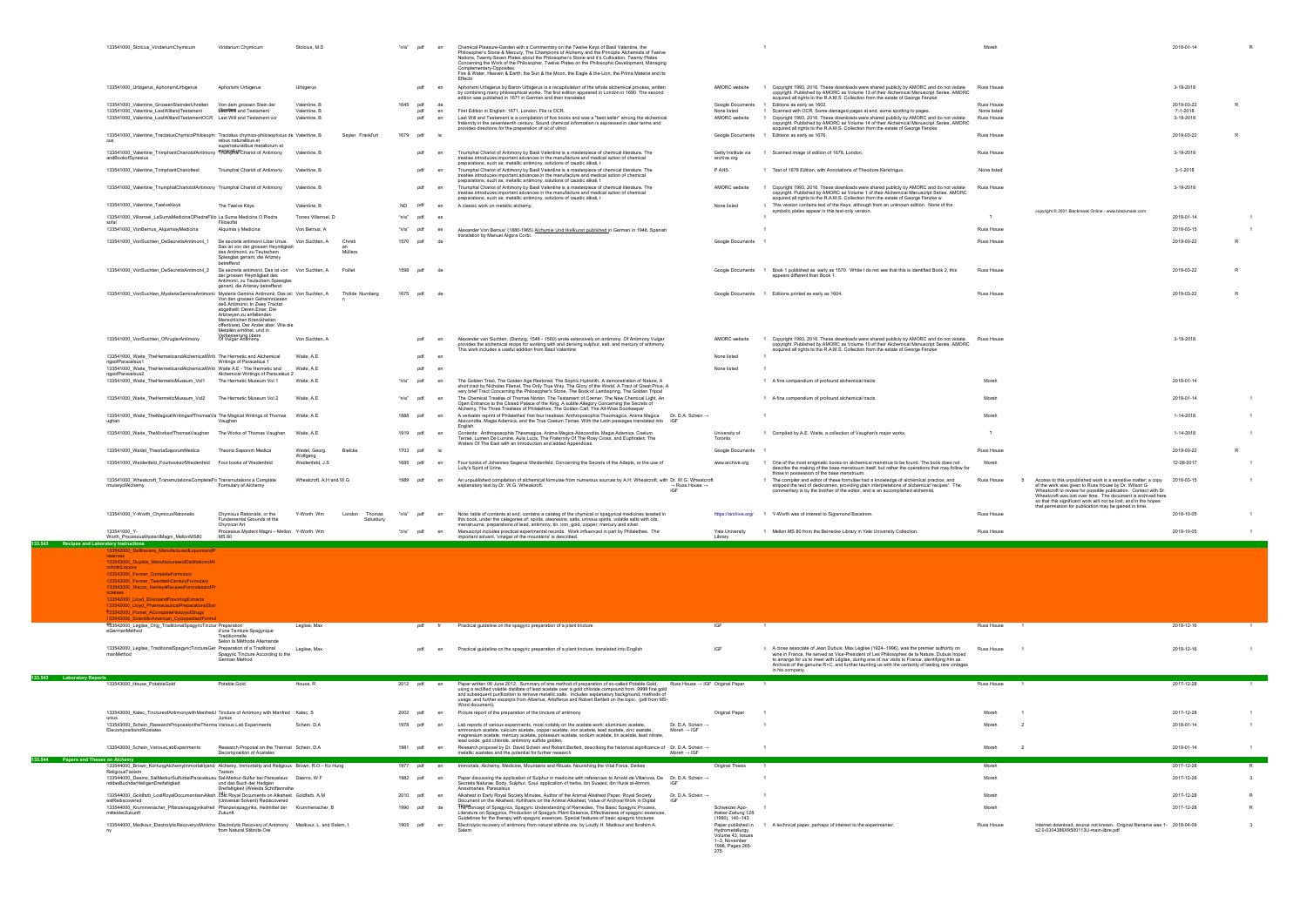|                                                | 133541000_Stolcius_ViridariumChymicum                                                                                           | Viridarium Chymicum                                                                                               | Stolcius, M.D                |                  | "n/a" pdf          | en       | Chemical Pleasure-Garden with a Commentary on the Twelve Keys of Basil Valentine, the<br>Philosopher's Stone & Mercury, The Champions of Alchemy and the Principle Alchemists of Twelve<br>Nations, Twenty Seven Plates about the Philosopher's Stone and it's Cultivation, Twenty Plates<br>Concerning the Work of the Philosopher, Twelve Plates on the Philosophic Development, Managing<br>Complementary-Opposites: |                                                        |                                                                                                                                                                                                                                                                        | Moreh                     |                                                                                                                                                                                        | 2018-01-14             |              |
|------------------------------------------------|---------------------------------------------------------------------------------------------------------------------------------|-------------------------------------------------------------------------------------------------------------------|------------------------------|------------------|--------------------|----------|-------------------------------------------------------------------------------------------------------------------------------------------------------------------------------------------------------------------------------------------------------------------------------------------------------------------------------------------------------------------------------------------------------------------------|--------------------------------------------------------|------------------------------------------------------------------------------------------------------------------------------------------------------------------------------------------------------------------------------------------------------------------------|---------------------------|----------------------------------------------------------------------------------------------------------------------------------------------------------------------------------------|------------------------|--------------|
|                                                |                                                                                                                                 |                                                                                                                   |                              |                  |                    |          | Fire & Water, Heaven & Earth, the Sun & the Moon, the Eagle & the Lion, the Prima Materia and its                                                                                                                                                                                                                                                                                                                       |                                                        |                                                                                                                                                                                                                                                                        |                           |                                                                                                                                                                                        |                        |              |
|                                                | 133541000_Urbigerus_AphorismiUrbigerus                                                                                          | Aphorismi Urbigerus                                                                                               | Urbigerus                    |                  | pdf                | en       | Aphorismi Urbigerus by Baron Urbigerus is a recapitulation of the whole alchemical process, written<br>by combining many philosophical works. The first edition appeared in London in 1690. The second<br>edition was published in 1671 in German and then translated                                                                                                                                                   | AMORC website                                          | 1 Copyright 1993, 2016. These downloads were shared publicly by AMORC and do not violate<br>copyright. Published by AMORC as Volume 13 of their Alchemical Manuscript Series. AMORC<br>acquired all rights to the R.A.M.S. Collection from the estate of George Fenzke | Russ House                |                                                                                                                                                                                        | 3-19-2018              |              |
|                                                | 133541000 Valentine GrossenSteinderUhralten<br>133541000_Valentine_LastWillandTestament                                         | Von dem grossen Stein der<br>Laseven and Testament                                                                | Valentine, B<br>Valentine, B |                  | pdf<br>1645<br>pdf | de<br>en | First Edition in English: 1671, London. File is OCR.                                                                                                                                                                                                                                                                                                                                                                    | Google Documents<br>None listed                        | 1 Editions as early as 1602.<br>1 Scanned with OCR. Some damaged pages at end, some spotting to pages.                                                                                                                                                                 | Russ House<br>None listed |                                                                                                                                                                                        | 2019-03-22<br>7-1-2018 |              |
|                                                | 133541000_Valentine_LastWillandTestamentOCR    Last Will and Testament ocr                                                      |                                                                                                                   | Valentine, B                 |                  | pdf                | en       | Last Will and Testament is a compilation of five books and was a "best seller" among the alchemical                                                                                                                                                                                                                                                                                                                     | AMORC website                                          | 1 Copyright 1993, 2016. These downloads were shared publicly by AMORC and do not violate                                                                                                                                                                               | <b>Russ House</b>         |                                                                                                                                                                                        | 3-19-2018              |              |
|                                                |                                                                                                                                 |                                                                                                                   |                              |                  |                    |          | fraternity in the seventeenth century. Sound chemical information is expressed in clear terms and<br>provides directions for the preparation of oil of vitriol                                                                                                                                                                                                                                                          |                                                        | copyright. Published by AMORC as Volume 14 of their Alchemical Manuscript Series. AMORC<br>acquired all rights to the R.A.M.S. Collection from the estate of George Fenzke                                                                                             |                           |                                                                                                                                                                                        |                        |              |
|                                                | 133541000_Valentine_TractatusChymicoPhilosophi Tractatus chymico-philosophicus de Valentine, B<br>cus                           | rebus naturalibus et                                                                                              |                              | Seyler Frankfurt | 1679               | pdf la   |                                                                                                                                                                                                                                                                                                                                                                                                                         |                                                        | Google Documents 1 Editions as early as 1676.                                                                                                                                                                                                                          | Russ House                |                                                                                                                                                                                        | 2019-03-22             |              |
|                                                |                                                                                                                                 | supernaturalibus metallorum et                                                                                    |                              |                  |                    |          | Triumphal Chariot of Antimony by Basil Valentine is a masterpiece of chemical literature. The                                                                                                                                                                                                                                                                                                                           |                                                        |                                                                                                                                                                                                                                                                        |                           |                                                                                                                                                                                        |                        |              |
|                                                | 133541000_Valentine_TrimphantChariotofAntimony THORFPHATChariot of Antimony Valentine, B<br>andBookofSynesius                   |                                                                                                                   |                              |                  | pdf                |          | treatise introduces important advances in the manufacture and medical action of chemical                                                                                                                                                                                                                                                                                                                                | Getty Institute via<br>archive.org                     | 1 Scanned image of edition of 1678, London.                                                                                                                                                                                                                            | Russ House                |                                                                                                                                                                                        | 3-19-2018              |              |
|                                                | 133541000 Valentine TrimphantChariottext                                                                                        | Triumphal Chariot of Antimony                                                                                     | Valentine, B                 |                  | pdf                |          | preparations, such as, metallic antimony, solutions of caustic alkali, t<br>Triumphal Chariot of Antimony by Basil Valentine is a masterpiece of chemical literature. The                                                                                                                                                                                                                                               | P AHS                                                  | 1 Text of 1678 Edition, with Annotations of Theodore Kerkringus.                                                                                                                                                                                                       | None listed               |                                                                                                                                                                                        | 3-1-2018               |              |
|                                                |                                                                                                                                 |                                                                                                                   |                              |                  |                    |          | treatise introduces important advances in the manufacture and medical action of chemical<br>preparations, such as, metallic antimony, solutions of caustic alkali, t                                                                                                                                                                                                                                                    |                                                        |                                                                                                                                                                                                                                                                        |                           |                                                                                                                                                                                        |                        |              |
|                                                | 133541000 Valentine TriumphalChariotofAntimony Triumphal Chariot of Antimony                                                    |                                                                                                                   | Valentine, B                 |                  | pdf                | en       | Triumphal Chariot of Antimony by Basil Valentine is a masterpiece of chemical literature. The                                                                                                                                                                                                                                                                                                                           | AMORC website                                          | Copyright 1993, 2016. These downloads were shared publicly by AMORC and do not violate                                                                                                                                                                                 | Russ House                |                                                                                                                                                                                        | 3-19-2018              |              |
|                                                |                                                                                                                                 |                                                                                                                   |                              |                  |                    |          | treatise introduces important advances in the manufacture and medical action of chemical<br>preparations, such as, metallic antimony, solutions of caustic alkali, t                                                                                                                                                                                                                                                    |                                                        | copyright. Published by AMORC as Volume 1 of their Alchemical Manuscript Series. AMORC<br>acquired all rights to the R.A.M.S. Collection from the estate of George Fenzke w                                                                                            |                           |                                                                                                                                                                                        |                        |              |
|                                                | 133541000_Valentine_TwelveKeys                                                                                                  | The Twelve Keys                                                                                                   | Valentine, B                 |                  | <b>ND</b>          |          | A classic work on metallic alchemy.                                                                                                                                                                                                                                                                                                                                                                                     | None listed                                            | 1 This version contains text of the Keys, although from an unknown edition. None of the<br>symbolic plates appear in this text-only version.                                                                                                                           |                           | copyright @ 2001 Blackmask Online - www.blackmask.com                                                                                                                                  |                        |              |
|                                                | 133541000_Villarroel_LaSumaMedicinaOPiedraFlilo La Suma Medicina O Piedra<br>sofal                                              | Flilosofal                                                                                                        | Torres Villarroel, D         |                  | "n/a"<br>pdf       |          |                                                                                                                                                                                                                                                                                                                                                                                                                         |                                                        |                                                                                                                                                                                                                                                                        | $\overline{\phantom{a}}$  |                                                                                                                                                                                        | 2018-01-14             |              |
|                                                | 133541000_VonBernus_AlquimiayMedicina                                                                                           | Alquimia y Medicina                                                                                               | Von Bernus, A                |                  | "n/a"<br>pdf       | es       | Alexander Von Bernus' (1880-1965) Alchymie Und Hielkunst published in German in 1948. Spanish                                                                                                                                                                                                                                                                                                                           | $\overline{1}$                                         |                                                                                                                                                                                                                                                                        | Russ House                |                                                                                                                                                                                        | 2018-03-15             |              |
|                                                | 133541000_VonSuchten_DeSecretisAntimonii_1                                                                                      | De secretis antimonii Liber Unus. Von Suchten, A                                                                  |                              | Christ           | 1570<br>pdf        |          | translation by Manuel Algora Corbi.                                                                                                                                                                                                                                                                                                                                                                                     | Google Documents                                       |                                                                                                                                                                                                                                                                        | Russ House                |                                                                                                                                                                                        | 2019-03-22             | $\mathsf{R}$ |
|                                                |                                                                                                                                 | Das ist von der grossen Heymligkeit<br>des Antimonii, zu Teutschem<br>Spiesglas genant, die Artzney<br>betreffend |                              | Müllers          |                    |          |                                                                                                                                                                                                                                                                                                                                                                                                                         |                                                        |                                                                                                                                                                                                                                                                        |                           |                                                                                                                                                                                        |                        |              |
|                                                | 133541000_VonSuchten_DeSecretisAntimonii_2  De secretis antimonii. Das ist von Von Suchten, A                                   |                                                                                                                   |                              | Foillet          | 1598<br>pdf        | de)      |                                                                                                                                                                                                                                                                                                                                                                                                                         |                                                        | Google Documents 1 Book 1 published as early as 1570. While I do not see that this is identified Book 2, this                                                                                                                                                          | <b>Russ House</b>         |                                                                                                                                                                                        | 2019-03-22             |              |
|                                                |                                                                                                                                 | der grossen Heymligkeit des<br>Antimonii, zu Teutschem Spiesglas                                                  |                              |                  |                    |          |                                                                                                                                                                                                                                                                                                                                                                                                                         |                                                        | appears different than Book 1                                                                                                                                                                                                                                          |                           |                                                                                                                                                                                        |                        |              |
|                                                | 133541000_VonSuchten_MysteriaGeminaAntimonii Mysteria Gemina Antimonii, Das ist: Von Suchten, A                                 | genant, die Artzney betreffend<br>Von den grossen Geheimnüssen                                                    |                              | Thölde Nurnberg  | 1675<br>pdf        |          |                                                                                                                                                                                                                                                                                                                                                                                                                         |                                                        | Google Documents 1 Editions printed as early as 1604.                                                                                                                                                                                                                  | Russ House                |                                                                                                                                                                                        | 2019-03-22             | R            |
|                                                |                                                                                                                                 | deß Antimonii: In Zwey Tractat<br>abgetheilt: Deren Einer, Die                                                    |                              |                  |                    |          |                                                                                                                                                                                                                                                                                                                                                                                                                         |                                                        |                                                                                                                                                                                                                                                                        |                           |                                                                                                                                                                                        |                        |              |
|                                                |                                                                                                                                 | Artzneyen zu anfallenden<br>Menschlichen Kranckheiten                                                             |                              |                  |                    |          |                                                                                                                                                                                                                                                                                                                                                                                                                         |                                                        |                                                                                                                                                                                                                                                                        |                           |                                                                                                                                                                                        |                        |              |
|                                                |                                                                                                                                 | offenbaret, Der Ander aber, Wie die<br>Metallen erhöhet, und in                                                   |                              |                  |                    |          |                                                                                                                                                                                                                                                                                                                                                                                                                         |                                                        |                                                                                                                                                                                                                                                                        |                           |                                                                                                                                                                                        |                        |              |
|                                                | 133541000_VonSuchten_OfVuglarAntimony                                                                                           | Verbesserung übers<br>Of Vulgar Antimony                                                                          | Von Suchten, A               |                  | pdf                | en       | Alexander van Suchten, (Dantzig, 1546 - 1560) wrote extensively on antimony. Of Antimony Vulgar                                                                                                                                                                                                                                                                                                                         | AMORC website                                          | 1 Copyright 1993, 2016. These downloads were shared publicly by AMORC and do not violate                                                                                                                                                                               | <b>Russ House</b>         |                                                                                                                                                                                        | 3-19-2018              |              |
|                                                |                                                                                                                                 |                                                                                                                   |                              |                  |                    |          | provides the alchemical recipe for working with and deriving sulphur, salt, and mercury of antimony.<br>This work includes a useful addition from Basil Valentine                                                                                                                                                                                                                                                       |                                                        | copyright. Published by AMORC as Volume 10 of their Alchemical Manuscript Series. AMORC<br>acquired all rights to the R.A.M.S. Collection from the estate of George Fenzke                                                                                             |                           |                                                                                                                                                                                        |                        |              |
|                                                | 133541000_Waite_TheHermeticandAlchemicalWriti The Hermetic and Alchemical<br>ngsofParacelsus1                                   | Writings of Paracelsus 1                                                                                          | Waite, A.E.                  |                  | pdf                |          |                                                                                                                                                                                                                                                                                                                                                                                                                         | None listed                                            |                                                                                                                                                                                                                                                                        |                           |                                                                                                                                                                                        |                        |              |
|                                                | 133541000 Waite TheHermeticandAlchemicalWriti Waite A.E - The Hermetic and                                                      |                                                                                                                   | Waite, A.E                   |                  | pdf                |          |                                                                                                                                                                                                                                                                                                                                                                                                                         | None listed                                            |                                                                                                                                                                                                                                                                        |                           |                                                                                                                                                                                        |                        |              |
|                                                | ngsofParacelsus2<br>133541000_Waite_TheHermeticMuseum_Vol1                                                                      | Alchemical Writings of Paracelsus 2<br>The Hermetic Museum Vol 1                                                  | Waite, A.E                   |                  | "n/a"<br>pdf       | en       | The Golden Tract, The Golden Age Restored, The Sophic Hydrolith, A demonstration of Nature, A                                                                                                                                                                                                                                                                                                                           |                                                        | 1 A fine compendium of profound alchemical tracts                                                                                                                                                                                                                      | Moreh                     |                                                                                                                                                                                        | 2018-01-14             |              |
|                                                |                                                                                                                                 |                                                                                                                   |                              |                  |                    |          | short tract by Nicholas Flamel, The Only True Way, The Glory of the World, A Tract of Great Price, A<br>very brief Tract Concerning the Philosopher's Stone, The Book of Lambspring, The Golden Tripod                                                                                                                                                                                                                  |                                                        |                                                                                                                                                                                                                                                                        |                           |                                                                                                                                                                                        |                        |              |
|                                                | 133541000 Waite TheHermeticMuseum Vol2                                                                                          | The Hermetic Museum Vol 2                                                                                         | Waite, A.E                   |                  | n/a<br>pdf         | en       | The Chemical Treatise of Thomas Norton, The Testament of Cremer, The New Chemical Light, An<br>Open Entrance to the Closed Palace of the King, A subtle Allegory Concerning the Secrets of                                                                                                                                                                                                                              |                                                        | 1 A fine compendium of profound alchemical tracts                                                                                                                                                                                                                      | Moreh                     |                                                                                                                                                                                        | 2018-01-14             |              |
|                                                | 133541000_Waite_TheMagicalWritingsofThomasVa The Magical Writings of Thomas Waite, A.E                                          |                                                                                                                   |                              |                  | 1888 pdf           | en       | Alchemy, The Three Treatises of Philalethes, The Golden Calf, The All-Wise Doorkeeper<br>A verbatim reprint of Philalethes' first four treatises: Anthroposophia Theomagica, Anima Magica Dr. D.A. Schein →                                                                                                                                                                                                             |                                                        |                                                                                                                                                                                                                                                                        | Moreh                     |                                                                                                                                                                                        | 1-14-2018              |              |
|                                                | ughan                                                                                                                           | Vaughan                                                                                                           |                              |                  |                    |          | Abscondita, Magia Adamica, and the True Coelum Terrae. With the Latin passages translated into IGF<br>English                                                                                                                                                                                                                                                                                                           |                                                        |                                                                                                                                                                                                                                                                        |                           |                                                                                                                                                                                        |                        |              |
|                                                | 133541000_Waite_TheWorksofThomasVaughan The Works of Thomas Vaughan Waite, A.E                                                  |                                                                                                                   |                              |                  | 1919<br>pdf        | en       | Contents: Anthroposophia Theomagica, Anima Magica Abscondita, Magia Adamica, Coelum<br>Terrae, Lumen De Lumine, Aula Lucis, The Fraternity Of The Rosy Cross, and Euphrates: The                                                                                                                                                                                                                                        | University of<br>Toronto                               | 1 Compiled by A.E. Waite, a collection of Vaughan's major works.                                                                                                                                                                                                       |                           |                                                                                                                                                                                        | 1-14-2018              |              |
|                                                |                                                                                                                                 |                                                                                                                   |                              |                  |                    |          |                                                                                                                                                                                                                                                                                                                                                                                                                         |                                                        |                                                                                                                                                                                                                                                                        |                           |                                                                                                                                                                                        |                        |              |
|                                                | 133541000_Wedel_TheoriaSaporumMedica                                                                                            | Theoria Saporvm Medica                                                                                            | Wedel, Georg                 | Bielcke          | 1703 pdf           |          | Waters Of The East with an Introduction and added Appendices.                                                                                                                                                                                                                                                                                                                                                           | Google Documents                                       |                                                                                                                                                                                                                                                                        | Russ House                |                                                                                                                                                                                        | 2019-03-22             |              |
|                                                |                                                                                                                                 |                                                                                                                   | Wolfgang                     |                  | pdf                | en       |                                                                                                                                                                                                                                                                                                                                                                                                                         | www.archive.org                                        |                                                                                                                                                                                                                                                                        |                           |                                                                                                                                                                                        |                        |              |
|                                                | 133541000_Weidenfeld_FourbooksofWeidenfeld Four books of Weidenfeld                                                             |                                                                                                                   | Weidenfeld, J.S.             |                  | 1685               |          | Four books of Johannes Segerus Weidenfeld. Concerning the Secrets of the Adepts, or the use of<br>Lully's Spirit of Urine                                                                                                                                                                                                                                                                                               |                                                        | One of the most enigmatic books on alchemical menstrua to be found. The book does not<br>describe the making of the base menstruum itself, but rather the operations that may follow for<br>those in possession of the base menstruum.                                 | Moreh                     |                                                                                                                                                                                        | 12-28-2017             |              |
|                                                | 133541000 Wheatcroft TransmutationsCompleteFo Transmutations a Complete<br>rmularvofAlchemv                                     |                                                                                                                   | Wheatcroft, A,H and W.G      |                  | 1989<br>pdf        |          | An unpublished compilation of alchemical formulae from numerous sources by A.H. Wheatcroft, with Dr. W.G. Wheatcroft<br>$\rightarrow$ Russ House $\rightarrow$                                                                                                                                                                                                                                                          |                                                        | 1 The compiler and editor of these formulae had a knowledge of alchemical practice, and                                                                                                                                                                                | Russ House                | Access to this unpublished work is a sensitive matter; a copy 2018-03-15                                                                                                               |                        |              |
|                                                |                                                                                                                                 | Formulary of Alchemy                                                                                              |                              |                  |                    |          | explanatory text by Dr. W.G. Wheatcroft.<br>IGF                                                                                                                                                                                                                                                                                                                                                                         |                                                        | stripped the text of decknamen, providing plain interpretations of alchemical 'recipes'. The<br>commentary is by the brother of the editor, and is an accomplished alchemist.                                                                                          |                           | of the work was given to Russ House by Dr. Wilson G<br>Wheatcroft to review for possible publication. Contact with Dr.<br>Wheatcroft was lost over time. The document is archived here |                        |              |
|                                                |                                                                                                                                 |                                                                                                                   |                              |                  |                    |          |                                                                                                                                                                                                                                                                                                                                                                                                                         |                                                        |                                                                                                                                                                                                                                                                        |                           | so that this significant work will not be lost, and in the hopes                                                                                                                       |                        |              |
|                                                | 133541000_Y-Worth_ChymicusRationalis                                                                                            | Chymicus Rationalis, or the                                                                                       | Y-Worth, Wm                  | London<br>Thomas | n/a                |          | Note: table of contents at end, contains a catalog of the chymical or spagyrical medicines tesated in                                                                                                                                                                                                                                                                                                                   |                                                        | https://archive.org/ 1 Y-Worth was of interest to Sigismond Bacstrom.                                                                                                                                                                                                  | <b>Russ House</b>         | that permission for publication may be gained in time.                                                                                                                                 | 2018-10-05             |              |
|                                                |                                                                                                                                 | Fundamental Grounds of the<br>Chymical Art                                                                        |                              | Salusbury        |                    |          | this book, under the categories of: spirits, oleoresins, salts, urinous spirits, volatile salts with oils,<br>menstruums, preparations of lead, antimony, tin, iron, gold, copper, mercury and silver.                                                                                                                                                                                                                  |                                                        |                                                                                                                                                                                                                                                                        |                           |                                                                                                                                                                                        |                        |              |
|                                                | 33541000 Y-                                                                                                                     | Processus Mysterii Magni - Mellon Y-Worth, Wm                                                                     |                              |                  |                    |          | Manuscript includes practical experimental records. Work influenced in part by Philalethes. The                                                                                                                                                                                                                                                                                                                         | Yale University                                        | 1 Mellon MS 80 from the Beinecke Library in Yale University Collection                                                                                                                                                                                                 | Russ House                |                                                                                                                                                                                        | 2018-10-05             |              |
| 133.542<br>Recipes and Laboratory Instructions | Worth_ProcessusMysteriiMagni_MellonMS80                                                                                         | MS 80                                                                                                             |                              |                  |                    |          | important solvent, 'vinegar of the mountains' is described.                                                                                                                                                                                                                                                                                                                                                             | Library                                                |                                                                                                                                                                                                                                                                        |                           |                                                                                                                                                                                        |                        |              |
|                                                | 3542000 DeBrevans ManufactureofLiquorsandF<br>reserves                                                                          |                                                                                                                   |                              |                  |                    |          |                                                                                                                                                                                                                                                                                                                                                                                                                         |                                                        |                                                                                                                                                                                                                                                                        |                           |                                                                                                                                                                                        |                        |              |
|                                                | 133542000 Duplais ManufactureandDistillationofAl                                                                                |                                                                                                                   |                              |                  |                    |          |                                                                                                                                                                                                                                                                                                                                                                                                                         |                                                        |                                                                                                                                                                                                                                                                        |                           |                                                                                                                                                                                        |                        |              |
|                                                | coholicLiquors<br>133542000_Fenner_CompleteFormulary                                                                            |                                                                                                                   |                              |                  |                    |          |                                                                                                                                                                                                                                                                                                                                                                                                                         |                                                        |                                                                                                                                                                                                                                                                        |                           |                                                                                                                                                                                        |                        |              |
|                                                | 133542000 Fenner TwentiethCenturyFormulary                                                                                      |                                                                                                                   |                              |                  |                    |          |                                                                                                                                                                                                                                                                                                                                                                                                                         |                                                        |                                                                                                                                                                                                                                                                        |                           |                                                                                                                                                                                        |                        |              |
|                                                | 133542000_Hiscox_HenleysRecipesFormulasandPr<br>ocesses                                                                         |                                                                                                                   |                              |                  |                    |          |                                                                                                                                                                                                                                                                                                                                                                                                                         |                                                        |                                                                                                                                                                                                                                                                        |                           |                                                                                                                                                                                        |                        |              |
|                                                | 133542000_Lloyd_ElixirsandFlavoringExtracts<br>133542000_Lloyd_PharmaceuticalPreparationsElixir                                 |                                                                                                                   |                              |                  |                    |          |                                                                                                                                                                                                                                                                                                                                                                                                                         |                                                        |                                                                                                                                                                                                                                                                        |                           |                                                                                                                                                                                        |                        |              |
|                                                | \$33542000_Pomet_ACompleteHistoryofDrugs                                                                                        |                                                                                                                   |                              |                  |                    |          |                                                                                                                                                                                                                                                                                                                                                                                                                         |                                                        |                                                                                                                                                                                                                                                                        |                           |                                                                                                                                                                                        |                        |              |
|                                                | 133542000 ScientificAmerican_CyclopediaofFormul<br>493542000_Leglise_Orig_TraditionalSpagyricTinctur Preparation                |                                                                                                                   | Leglise, Max                 |                  | pdf                |          | Practical guideline on the spagyric preparation of a plant tincture                                                                                                                                                                                                                                                                                                                                                     | IGF<br>$\overline{1}$                                  |                                                                                                                                                                                                                                                                        | Russ House<br>$\sim$ 1    |                                                                                                                                                                                        | 2018-12-16             |              |
|                                                | eGermanMethod                                                                                                                   | d'une Teinture Spagyrique<br>Traditionnelle                                                                       |                              |                  |                    |          |                                                                                                                                                                                                                                                                                                                                                                                                                         |                                                        |                                                                                                                                                                                                                                                                        |                           |                                                                                                                                                                                        |                        |              |
|                                                | 133542000_Leglise_TraditionalSpagyricTinctureGer Preparation of a Traditional                                                   | Selon la Méthode Allemande                                                                                        | Leglise, Max                 |                  | pdf                |          | Practical guideline on the spagyric preparation of a plant tincture, translated into English                                                                                                                                                                                                                                                                                                                            | IGF                                                    | 1 A close associate of Jean Dubuis, Max Léglise (1924-1996), was the premier authority on                                                                                                                                                                              | Russ House                |                                                                                                                                                                                        | 2018-12-16             |              |
|                                                | manMethod                                                                                                                       | Spagyric Tincture According to the<br>German Method                                                               |                              |                  |                    |          |                                                                                                                                                                                                                                                                                                                                                                                                                         |                                                        | wine in France. He served as Vice-President of Les Philosophes de la Nature. Dubuis hoped                                                                                                                                                                              |                           |                                                                                                                                                                                        |                        |              |
|                                                |                                                                                                                                 |                                                                                                                   |                              |                  |                    |          |                                                                                                                                                                                                                                                                                                                                                                                                                         |                                                        | to arrange for us to meet with Léglise, during one of our visits to France, identifying him as<br>Archivist of the genuine R+C, and further taunting us with the certainty of tasting rare vintages                                                                    |                           |                                                                                                                                                                                        |                        |              |
| 133.543 Laboratory Reports                     |                                                                                                                                 |                                                                                                                   |                              |                  |                    |          |                                                                                                                                                                                                                                                                                                                                                                                                                         |                                                        | in his company.                                                                                                                                                                                                                                                        |                           |                                                                                                                                                                                        |                        |              |
|                                                | 133543000_House_PotableGold                                                                                                     | Potable Gold                                                                                                      | House, R                     |                  | 2012 pdf en        |          | Paper written 06 June 2012. Summary of one method of preparation of so-called Potable Gold,<br>Russ House → IGF Original Paper<br>using a rectified volatile distillate of lead acetate over a gold chloride compound from .9999 fine gold                                                                                                                                                                              | $\overline{1}$                                         |                                                                                                                                                                                                                                                                        | Russ House                |                                                                                                                                                                                        | 2017-12-28             |              |
|                                                |                                                                                                                                 |                                                                                                                   |                              |                  |                    |          | and subsequent purification to remove metallic salts. Includes explanatory background, methods of<br>usage, and further excerpts from Albertus, Artofferus and Robert Bartlett on the topic. (pdf from MS-                                                                                                                                                                                                              |                                                        |                                                                                                                                                                                                                                                                        |                           |                                                                                                                                                                                        |                        |              |
|                                                |                                                                                                                                 |                                                                                                                   |                              |                  |                    |          | Word document).                                                                                                                                                                                                                                                                                                                                                                                                         |                                                        |                                                                                                                                                                                                                                                                        |                           |                                                                                                                                                                                        |                        |              |
|                                                | 133543000_Kalec_TinctureofAntimonywithManfredJ Tincture of Antimony with Manfred Kalec, S<br>unius                              | Junius                                                                                                            |                              |                  | 2002<br>pdf        | en       | Picture report of the preparation of the tincture of antimony                                                                                                                                                                                                                                                                                                                                                           | Original Paper                                         |                                                                                                                                                                                                                                                                        | Moreh                     |                                                                                                                                                                                        | 2017-12-28             |              |
|                                                | 133543000_Schein_ResearchProposalontheTherma Various Lab Experiments<br>IDecompositionofAcetates                                |                                                                                                                   | Schein, D.A                  |                  | 1978<br>pdf        | en       | Lab reports of various experiments, most notably on the acetate work: aluminium acetate,<br>Dr. D.A. Schein →<br>ammonium acetate, calcium acetate, copper acetate, iron acetate, lead acetate, zinc acetate,<br>Moreh $\rightarrow$ IGF                                                                                                                                                                                |                                                        |                                                                                                                                                                                                                                                                        | Moreh                     |                                                                                                                                                                                        | 2018-01-14             |              |
|                                                |                                                                                                                                 |                                                                                                                   |                              |                  |                    |          | magnesium acetate, mercury acetate, potassium acetate, sodium acetate, tin acetate, lead nitrate,<br>lead oxide, gold chloride, antimony sulfide golden,                                                                                                                                                                                                                                                                |                                                        |                                                                                                                                                                                                                                                                        |                           |                                                                                                                                                                                        |                        |              |
|                                                | 133543000_Schein_VariousLabExperiments                                                                                          | Research Proposal on the Thermal Schein, D.A<br>Decomposition of Acetates                                         |                              |                  | 1981<br>pdf        | en       | Research proposal by Dr. David Schein and Robert Bartlett, describing the historical significance of Dr. D.A. Schein →<br>metallic acetates and the potential for further research<br>Moreh $\rightarrow$ IGF                                                                                                                                                                                                           | $\mathbf{1}$                                           |                                                                                                                                                                                                                                                                        | Moreh<br>- 2              |                                                                                                                                                                                        | 2018-01-14             |              |
| 133.544 Papers and Theses on Alchemy           |                                                                                                                                 |                                                                                                                   |                              |                  |                    |          |                                                                                                                                                                                                                                                                                                                                                                                                                         |                                                        |                                                                                                                                                                                                                                                                        |                           |                                                                                                                                                                                        |                        |              |
|                                                | 133544000_Brown_KoHungAlchemyImmortalityand Alchemy, Immortality and Religious Brown, R.O - Ko Hung<br>ReligiousTaoism          | Taoism                                                                                                            |                              |                  | 1977 pdf           | en       | Immortals, Alchemy, Medicine, Mountains and Rituals, Nourishing the Vital Force, Deities                                                                                                                                                                                                                                                                                                                                | Original Thesis<br>$\overline{1}$                      |                                                                                                                                                                                                                                                                        | Moreh                     |                                                                                                                                                                                        | 2017-12-28             | R            |
|                                                | 133544000 Daems SalMerkurSulfurbeiParacelsusu Sal-Merkur-Sulfur bei Paracelsus Daems, W.F<br>nddasBuchderHeiligenDreifaltigkeit | und das Buch der Heiligen                                                                                         |                              |                  | 1982<br>pdf        | en       | Paper discussing the application of Sulphur in medicine with references to Arnold de Villanova, De Dr. D.A. Schein →<br>Secretis Naturae, Body, Sulphur, Soul, application of herbs, ibn Suwaid, ibn Hurai al-Ahmini,<br>IGF                                                                                                                                                                                            | $\overline{1}$                                         |                                                                                                                                                                                                                                                                        | Moreh                     |                                                                                                                                                                                        | 2017-12-28             | $\mathbf{3}$ |
|                                                | 133544000_Goldfarb_LostRoyalDocumentsonAlkah L&t Royal Documents on Alkahest Goldfarb, A.M                                      | Dreifaltigkeit (Weleda Schriftenreihe                                                                             |                              |                  | 2010<br>pdf        | en       | Anaximenes, Paracelsus<br>Alkahest in Early Royal Society Minutes, Author of the Animal Alkahest Paper, Royal Society<br>Dr. D.A. Schein →                                                                                                                                                                                                                                                                              |                                                        |                                                                                                                                                                                                                                                                        | Moreh                     |                                                                                                                                                                                        | 2017-12-28             |              |
|                                                | estRediscovered                                                                                                                 | (Universal Solvent) Rediscovered                                                                                  |                              |                  | 1990<br>pdf        | de       | Document on the Alkahest, Kohlhans on the Animal Alkahest, Value of Archival Work in Digital<br>IGF                                                                                                                                                                                                                                                                                                                     | Schweizer Apo-                                         |                                                                                                                                                                                                                                                                        | Moreh                     |                                                                                                                                                                                        | 2017-12-28             | $\mathsf{R}$ |
|                                                | 133544000_Krummenacher_PflanzenspagyrikaHeil Pflanzenspagyrika, Heilmittel der Krummenacher, B<br>mittelderZukunft              | Zukunft                                                                                                           |                              |                  |                    |          | THB <sup>eg</sup> oncept of Spagyrics, Spagyric Understanding of Remedies, The Basic Spagyric Process,<br>Literature on Spagyrics, Production of Spagyric Plant Essence, Effectiveness of spagyric essences,<br>Guidelines for the therapy with spagyric essences, Special features of basic spagyric tinctures                                                                                                         | theker-Zeitung 128<br>(1990), 140-143                  |                                                                                                                                                                                                                                                                        |                           |                                                                                                                                                                                        |                        |              |
|                                                | 133544000_Madkour_ElectrolyticRecoveryofAntimo Electrolytic Recovery of Antimony Madkour, L. and Salem, I.<br>nv                |                                                                                                                   |                              |                  | 1905<br>pdf        |          | Electrolytic recovery of antimony from natural stibnite ore, by Loutfy H. Madkour and Ibrahim A.                                                                                                                                                                                                                                                                                                                        | Paper published in                                     | 1 A technical paper, perhaps of interest to the experimenter.                                                                                                                                                                                                          | Russ House                | Internet download, source not known. Original filename was 1- 2018-04-09                                                                                                               |                        | $\mathbf{3}$ |
|                                                |                                                                                                                                 | from Natural Stibnite Ore                                                                                         |                              |                  |                    |          |                                                                                                                                                                                                                                                                                                                                                                                                                         | Hydrometallurgy,<br>Volume 43, Issues<br>1-3. November |                                                                                                                                                                                                                                                                        |                           | s2.0-0304386X9500113U-main-libre.pdf                                                                                                                                                   |                        |              |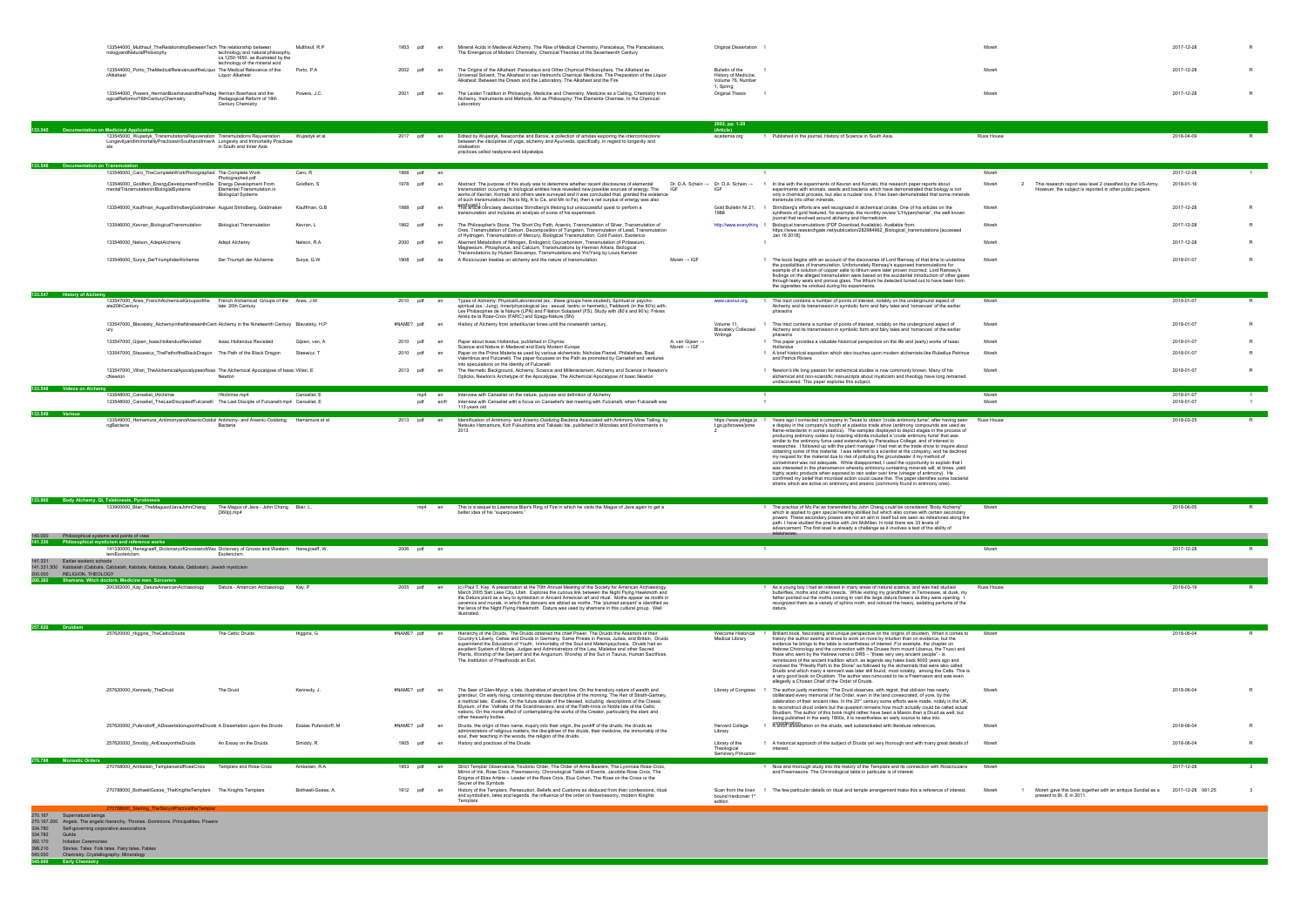334.782 Guilds 392.170 Initiation Ceremonies 398.210 Stories. Tales Folk tales. Fairy tales. Fables 540.000 Chemistry. Crystallography. Mineralogy **545.000 Early Chemistry**

| 133544000 Multhauf TheRelationshipBetweenTech The relationship between<br>nologyandNaturalPhilosophy<br>technology and natural philosophy.                                                                                                    | Multhauf, R.P<br>1953<br>ndf                      | en          | Mineral Acids in Medieval Alchemy, The Rise of Medical Chemistry, Paracelsus, The Paracelsians,<br>The Emergence of Modern Chemistry, Chemical Theories of the Seventeenth Century                                                                                                                                                                                                                                                                                                                                                                        |                                            | Original Dissertation 1                                                       |                                                                                                                                                                                                                                                                                                                                                                                                                                                                                                                                                                                                                                                                                                                                                                                                                                                                                                                                                                                                                                                                                                                                                             |                |                                                                                                          | 2017-12-28               |  |
|-----------------------------------------------------------------------------------------------------------------------------------------------------------------------------------------------------------------------------------------------|---------------------------------------------------|-------------|-----------------------------------------------------------------------------------------------------------------------------------------------------------------------------------------------------------------------------------------------------------------------------------------------------------------------------------------------------------------------------------------------------------------------------------------------------------------------------------------------------------------------------------------------------------|--------------------------------------------|-------------------------------------------------------------------------------|-------------------------------------------------------------------------------------------------------------------------------------------------------------------------------------------------------------------------------------------------------------------------------------------------------------------------------------------------------------------------------------------------------------------------------------------------------------------------------------------------------------------------------------------------------------------------------------------------------------------------------------------------------------------------------------------------------------------------------------------------------------------------------------------------------------------------------------------------------------------------------------------------------------------------------------------------------------------------------------------------------------------------------------------------------------------------------------------------------------------------------------------------------------|----------------|----------------------------------------------------------------------------------------------------------|--------------------------|--|
| ca.1250-1650, as illustrated by the<br>technology of the mineral acid                                                                                                                                                                         |                                                   |             |                                                                                                                                                                                                                                                                                                                                                                                                                                                                                                                                                           |                                            |                                                                               |                                                                                                                                                                                                                                                                                                                                                                                                                                                                                                                                                                                                                                                                                                                                                                                                                                                                                                                                                                                                                                                                                                                                                             |                |                                                                                                          |                          |  |
| 133544000_Porto_TheMedicalRelevanceoftheLiquo The Medical Relevance of the<br>Liquor Alkahest<br>rAlkahest                                                                                                                                    | Porto, P.A.<br>2002<br>pdf                        | en          | The Origins of the Alkahest: Paracelsus and Other Chymical Philosophers, The Alkahest as<br>Universal Solvent, The Alkahest in van Helmont's Chemical Medicine. The Preparation of the Liquor<br>Alkahest: Between the Dream and the Laboratory, The Alkahest and the Fire                                                                                                                                                                                                                                                                                |                                            | Bulletin of the<br>History of Medicine,<br>Volume 76, Number<br>1. Spring     |                                                                                                                                                                                                                                                                                                                                                                                                                                                                                                                                                                                                                                                                                                                                                                                                                                                                                                                                                                                                                                                                                                                                                             | Moreh          |                                                                                                          | 2017-12-28               |  |
| 133544000_Powers_HermanBoerhaveandthePedag Herman Boerhave and the<br>ogicalReformof18thCenturyChemistry<br>Pedagogical Reform of 18th<br>Century Chemistry                                                                                   | 2001<br>Powers, J.C.<br>pdf                       | en          | The Leiden Tradition in Philosophy, Medicine and Chemistry, Medicine as a Calling, Chemistry from<br>Alchemy, Instruments and Methods, Art as Philosophy: The Elementa Chemiae, In the Chemical<br>Laboratory                                                                                                                                                                                                                                                                                                                                             |                                            | Original Thesis                                                               |                                                                                                                                                                                                                                                                                                                                                                                                                                                                                                                                                                                                                                                                                                                                                                                                                                                                                                                                                                                                                                                                                                                                                             | Moreh          |                                                                                                          | 2017-12-28               |  |
|                                                                                                                                                                                                                                               |                                                   |             |                                                                                                                                                                                                                                                                                                                                                                                                                                                                                                                                                           |                                            | 2002, pp. 1-29<br>(Article)                                                   |                                                                                                                                                                                                                                                                                                                                                                                                                                                                                                                                                                                                                                                                                                                                                                                                                                                                                                                                                                                                                                                                                                                                                             |                |                                                                                                          |                          |  |
| <b>Documentation on Medicinal Application</b><br>133545000_Wujastyk_TransmutationsRejuvenation Transmutations Rejuvenation<br>LongevityandImmortalityPracticesinSouthandInnerA Longevity and Immortality Practices                            | Wujastyk et al<br>2017 pdf en                     |             | Edited by Wujastyk, Newcombe and Barois, a collection of articles exploring the interconnections                                                                                                                                                                                                                                                                                                                                                                                                                                                          |                                            | academia.org                                                                  | 1 Published in the journal, History of Science in South Asia.                                                                                                                                                                                                                                                                                                                                                                                                                                                                                                                                                                                                                                                                                                                                                                                                                                                                                                                                                                                                                                                                                               | Russ House     |                                                                                                          | 2018-04-09               |  |
| in South and Inner Asia                                                                                                                                                                                                                       |                                                   |             | between the disciplines of yoga, alchemy and Ayurveda, specifically, in regard to longevity and<br>vitalisation<br>practices called rasāyana and kāyakalpa.                                                                                                                                                                                                                                                                                                                                                                                               |                                            |                                                                               |                                                                                                                                                                                                                                                                                                                                                                                                                                                                                                                                                                                                                                                                                                                                                                                                                                                                                                                                                                                                                                                                                                                                                             |                |                                                                                                          |                          |  |
| 133.546 Documentation on Transmutation                                                                                                                                                                                                        |                                                   |             |                                                                                                                                                                                                                                                                                                                                                                                                                                                                                                                                                           |                                            |                                                                               |                                                                                                                                                                                                                                                                                                                                                                                                                                                                                                                                                                                                                                                                                                                                                                                                                                                                                                                                                                                                                                                                                                                                                             |                |                                                                                                          |                          |  |
| 133546000 Caro TheCompleteWorkPhotographed The Complete Work<br>hotographed.pdf<br>133546000_Goldfein_EnergyDevelopmentFromEle   Energy Development From                                                                                      | 1968 pdf en<br>Caro, R<br>Goldfein, S<br>1978 pdf | en          | Abstract: The purpose of this study was to determine whether recent disclosures of elemental                                                                                                                                                                                                                                                                                                                                                                                                                                                              |                                            | $\overline{1}$<br>Dr. D.A. Schein $\rightarrow$ Dr. D.A. Schein $\rightarrow$ | 1 In line with the experiments of Kevran and Komaki, this research paper reports about                                                                                                                                                                                                                                                                                                                                                                                                                                                                                                                                                                                                                                                                                                                                                                                                                                                                                                                                                                                                                                                                      | Moreh<br>Moreh | This research report was level 2 classified by the US-Army.                                              | 2017-12-28<br>2018-01-16 |  |
| mentalTransmutationinBiologialSystems<br>Elemental Transmutation in<br><b>Biological Systems</b>                                                                                                                                              |                                                   |             | transmutation occurring in biological entities have revealed new possible sources of energy. The<br>works of Kevran. Komaki and others were surveyed and it was concluded that, granted the existence<br>of such transmutations (Na to Mg, K to Ca, and Mn to Fe), then a net surplus of energy was also                                                                                                                                                                                                                                                  | IGF                                        |                                                                               | experiments with animals, seeds and bacteria which have demonstrated that biology is not<br>only a chemical process, but also a nuclear one. It has been demonstrated that some minerals<br>transmute into other minerals.                                                                                                                                                                                                                                                                                                                                                                                                                                                                                                                                                                                                                                                                                                                                                                                                                                                                                                                                  |                | However, the subject is reported in other public papers.                                                 |                          |  |
| 133546000_Kauffman_AugustStrindbergGoldmaker August Strindberg, Goldmaker                                                                                                                                                                     | Kauffman, G.B<br>1988                             |             | PHRSUPROLE concisely describes Strindberg's lifelong but unsuccessful quest to perform a<br>transmutation and includes an analysis of some of his experiment.                                                                                                                                                                                                                                                                                                                                                                                             |                                            |                                                                               | Gold Bulletin Nr 21, 1 Strindberg's efforts are well recognized in alchemical circles. One of his articles on the<br>synthesis of gold featured, for example, the monthly review "L'Hyperchemie", the well known                                                                                                                                                                                                                                                                                                                                                                                                                                                                                                                                                                                                                                                                                                                                                                                                                                                                                                                                            | Moreh          |                                                                                                          | 2017-12-28               |  |
| 133546000_Kevran_BiologicalTransmutation<br><b>Biological Transmutation</b>                                                                                                                                                                   | 1962<br>pdf<br>Kevran, L                          | en          | The Philosopher's Stone, The Short Dry Path, Arsenic, Transmutation of Silver, Transmutation of<br>Ores, Transmutation of Carbon, Decomposition of Tungsten, Transmutation of Lead, Transmutation                                                                                                                                                                                                                                                                                                                                                         |                                            | http://www.everythinc 1                                                       | journal that revolved around alchemy and Hermeticism<br>Biological transmutations (PDF Download Available). Available from:<br>https://www.researchgate.net/publication/282984962_Biological_transmutations [accessed                                                                                                                                                                                                                                                                                                                                                                                                                                                                                                                                                                                                                                                                                                                                                                                                                                                                                                                                       | Moreh          |                                                                                                          | 2017-12-28               |  |
| 133546000_Nelson_AdeptAlchemy<br>Adept Alchemy                                                                                                                                                                                                | Nelson, R.A.<br>2000 pdf                          | en          | of Hydrogen, Transmutation of Mercury, Biological Transmutation, Cold Fusion, Esoterica<br>Aberrant Metabolism of Nitrogen, Endogenic Oxycarbonism, Transmutation of Potassium,                                                                                                                                                                                                                                                                                                                                                                           |                                            |                                                                               | Jan 16 2018].                                                                                                                                                                                                                                                                                                                                                                                                                                                                                                                                                                                                                                                                                                                                                                                                                                                                                                                                                                                                                                                                                                                                               | Moreh          |                                                                                                          | 2017-12-28               |  |
| 133546000_Surya_DerTriumphderAlchemie<br>Der Triumph der Alchemie                                                                                                                                                                             | Surya, G.W<br>1908<br>ndf                         |             | Magnesium, Phosphorus, and Calcium, Transmutations by Herman Aihara, Biological<br>Transmutations by Hubert Descamps, Transmutations and Yin/Yang by Louis Kervran<br>A Rosicrucian treatise on alchemy and the nature of transmutation.                                                                                                                                                                                                                                                                                                                  | Moreh $\rightarrow$ IGF                    |                                                                               | 1 The book begins with an account of the discoveries of Lord Ramsay of that time to underline                                                                                                                                                                                                                                                                                                                                                                                                                                                                                                                                                                                                                                                                                                                                                                                                                                                                                                                                                                                                                                                               | Moreh          |                                                                                                          | 2018-01-07               |  |
|                                                                                                                                                                                                                                               |                                                   |             |                                                                                                                                                                                                                                                                                                                                                                                                                                                                                                                                                           |                                            |                                                                               | the possibilities of transmutation. Unfortunately Ramsay's supposed transmutations for<br>example of a solution of copper salts to lithium were later proven incorrect. Lord Ramsey's<br>findings on the alleged transmutation were based on the accidental introduction of other gases<br>through leaky seals and porous glass. The lithium he detected turned out to have been from<br>the cigarettes he smoked during his experiments.                                                                                                                                                                                                                                                                                                                                                                                                                                                                                                                                                                                                                                                                                                                   |                |                                                                                                          |                          |  |
| 33.547 History of Alchemy<br>133547000_Anes_FrenchAlchemicalGroupsofthe<br>French Alchemical Groups of the Anes, J.M                                                                                                                          | 2010 pdf                                          |             | Types of Alchemy: Physical/Laboratorial (ex.: these groups here studied), Spiritual or psycho-                                                                                                                                                                                                                                                                                                                                                                                                                                                            |                                            | www.cesnur.org                                                                | 1 This tract contains a number of points of interest, notably on the underground aspect of                                                                                                                                                                                                                                                                                                                                                                                                                                                                                                                                                                                                                                                                                                                                                                                                                                                                                                                                                                                                                                                                  | Moreh          |                                                                                                          | 2018-01-07               |  |
| ate20thCentury<br>late 20th Century                                                                                                                                                                                                           |                                                   |             | spiritual (ex.: Jung), Inner/physiological (ex.: sexual, tantric or hermetic), Fieldwork (in the 90's) with:<br>Les Philosophes de la Nature (LPN) and Filiation Solazaref (FS), Study with (80's and 90's): Frères<br>Ainés de la Rose-Croix (FARC) and Spagy-Nature (SN)                                                                                                                                                                                                                                                                                |                                            |                                                                               | Alchemy and its transmission in symbolic form and fairy tales and 'romances' of the earlier<br>pharaohs                                                                                                                                                                                                                                                                                                                                                                                                                                                                                                                                                                                                                                                                                                                                                                                                                                                                                                                                                                                                                                                     |                |                                                                                                          |                          |  |
| 133547000_Blavatsky_AlchemyintheNineteenthCent Alchemy in the Nineteenth Century Blavatsky, H.P<br>ury                                                                                                                                        | #NAME? pdf                                        | en          | History of Alchemy from antediluvian times until the nineteenth century.                                                                                                                                                                                                                                                                                                                                                                                                                                                                                  |                                            | Volume 11,<br><b>Blavatsky Collected</b><br>Writinas                          | 1 This tract contains a number of points of interest, notably on the underground aspect of<br>Alchemy and its transmission in symbolic form and fairy tales and 'romances' of the earlier<br>pharaohs                                                                                                                                                                                                                                                                                                                                                                                                                                                                                                                                                                                                                                                                                                                                                                                                                                                                                                                                                       | Moreh          |                                                                                                          | 2018-01-07               |  |
| 133547000_Gijsen_IsaacHollandusRevisited<br>Isaac Hollandus Revisited                                                                                                                                                                         | Gijsen, van, A<br>2010<br>pdf                     | en          | Paper about Isaac Hollandus, published in Chymia:<br>Science and Nature in Medieval and Early Modern Europe                                                                                                                                                                                                                                                                                                                                                                                                                                               | A. van Gijsen →<br>Moreh $\rightarrow$ IGF |                                                                               | 1 This paper provides a valuable historical perspective on the life and (early) works of Isaac<br>Hollandus                                                                                                                                                                                                                                                                                                                                                                                                                                                                                                                                                                                                                                                                                                                                                                                                                                                                                                                                                                                                                                                 | Moreh          |                                                                                                          | 2018-01-07               |  |
| 133547000_Stacewicz_ThePathoftheBlackDragon The Path of the Black Dragon                                                                                                                                                                      | Staewicz.<br>2010<br>ndf                          |             | Paper on the Prima Materia as used by various alchemists: Nicholas Flamel, Philalethes, Basil<br>Valentinus and Fulcanelli. The paper focusses on the Path as promoted by Canseliet and ventures<br>into speculations on the identity of Fulcanelli                                                                                                                                                                                                                                                                                                       |                                            |                                                                               | 1 A brief historical exposition which also touches upon modern alchemists like Rubellus Petrinus<br>and Patrick Riviere                                                                                                                                                                                                                                                                                                                                                                                                                                                                                                                                                                                                                                                                                                                                                                                                                                                                                                                                                                                                                                     | Moreh          |                                                                                                          | 2018-01-07               |  |
| 133547000_Villari_TheAlchemicalApocalypseoflsaa The Alchemical Apocalypse of Isaac Villari, E<br>cNewton<br>Newton                                                                                                                            | 2013 pdf                                          | en          | The Hermetic Background, Alchemy, Science and Millenarianism, Alchemy and Science in Newton's<br>Opticks, Newton's Archetype of the Apocalypse, The Alchemical Apocalypse of Isaac Newton                                                                                                                                                                                                                                                                                                                                                                 |                                            |                                                                               | 1 Newton's life long passion for alchemical studies is now commonly known. Many of his<br>alchemical and non-scientific manuscripts about mysticism and theology have long remained<br>undiscovered. This paper explores this subject.                                                                                                                                                                                                                                                                                                                                                                                                                                                                                                                                                                                                                                                                                                                                                                                                                                                                                                                      | Moreh          |                                                                                                          | 2018-01-07               |  |
| 133.548 Videos on Alchemy<br>133548000_Canseliet_IAlchimie<br>l'Alchimie.mp4<br>133548000_Canseliet_TheLastDiscipleofFulcanelli The Last Disciple of Fulcanelli.mp4 Canseliet, E                                                              | Canseliet, E<br>mp4<br>pdf                        | en<br>en/fr | Interview with Canseliet on the nature, purpose and definition of Alchemy<br>Interview with Canseliet with a focus on Canseliet's last meeting with Fulcanelli, when Fulcanelli was                                                                                                                                                                                                                                                                                                                                                                       |                                            |                                                                               |                                                                                                                                                                                                                                                                                                                                                                                                                                                                                                                                                                                                                                                                                                                                                                                                                                                                                                                                                                                                                                                                                                                                                             | Moreh<br>Moreh |                                                                                                          | 2018-01-07<br>2018-01-07 |  |
| 133.549 Various<br>133549000_Hamamura_AntimonyandArsenicOxidizi Antimony- and Arsenic-Oxidizing                                                                                                                                               | 2013 pdf<br>Hamamura et al                        | en          | 113 years old<br>Identification of Antimony- and Arsenic-Oxidizing Bacteria Associated with Antimony Mine Tailing, by                                                                                                                                                                                                                                                                                                                                                                                                                                     |                                            | https://www.jstage.js 1                                                       | Years ago I contacted a company in Texas to obtain 'crude antimony fume', after having seen Russ House                                                                                                                                                                                                                                                                                                                                                                                                                                                                                                                                                                                                                                                                                                                                                                                                                                                                                                                                                                                                                                                      |                |                                                                                                          | 2018-03-25               |  |
| ngBacteria<br>Bacteria                                                                                                                                                                                                                        |                                                   |             | Natsuko Hamamura, Koh Fukushima and Takaaki Itai, published in Microbes and Environments in<br>2013                                                                                                                                                                                                                                                                                                                                                                                                                                                       |                                            | t.go.jp/browse/jsme                                                           | a display in the company's booth at a plastics trade show (antimony compounds are used as<br>flame-retardants in some plastics). The samples displayed to depict stages in the process of<br>producing antimony oxides by roasting stibnite included a 'crude antimony fume' that was<br>similar to the antimony fume used extensively by Paracelsus College, and of interest to<br>researches. I followed up with the plant manager I had met at the trade show to inquire about<br>obtaining some of this material. I was referred to a scientist at the company, and he declined<br>my request for the material due to risk of polluting the groundwater if my method of<br>containment was not adequate. While disappointed, I used the opportunity to explain that I<br>was interested in the phenomenon whereby antimony-containing minerals will, at times, yield<br>highly acetic products when exposed to rain water over time (vinegar of antimony). He<br>confirmed my belief that microbial action could cause this. The paper identifies some bacterial<br>strains which are active on antimony and arsenic (commonly found in antimony ores). |                |                                                                                                          |                          |  |
| 133.900 Body Alchemy, Qi, Telekinesis, Pyrokinesis<br>133900000 Blair TheMagusofJavaJohnChang<br>The Magus of Java - John Chang Blair, L.<br>$[360p]$ .mp4                                                                                    |                                                   | mp4<br>en   | This is a sequel to Lawrence Blair's Ring of Fire in which he visits the Magus of Java again to get a<br>better idea of his "superpowers.                                                                                                                                                                                                                                                                                                                                                                                                                 |                                            |                                                                               | The practice of Mo Pai as transmitted by John Chang could be considered "Body Alchemy"<br>which is applied to gain special healing abilities but which also comes with certain secondary<br>powers. These secondary powers are not an aim in itself but are seen as milestones along the<br>path. I have studied the practice with Jim McMilan. In total there are 33 levels of<br>advancement. The first level is already a challenge as it involves a test of the ability of<br>telekineses.                                                                                                                                                                                                                                                                                                                                                                                                                                                                                                                                                                                                                                                              | Moreh          |                                                                                                          | 2018-06-05               |  |
| 140,000<br>Philosophical systems and points of view<br>141.330<br>Philosophical mysticism and reference works                                                                                                                                 |                                                   |             |                                                                                                                                                                                                                                                                                                                                                                                                                                                                                                                                                           |                                            |                                                                               |                                                                                                                                                                                                                                                                                                                                                                                                                                                                                                                                                                                                                                                                                                                                                                                                                                                                                                                                                                                                                                                                                                                                                             |                |                                                                                                          | 2017-12-28               |  |
| 141330000 Hanegraaff DictionaryofGnosisandWes Dictionary of Gnosis and Western Hanegraaff, W.<br>ternEsotericIsm<br>Esotericlsm<br>141.331<br>Earlier esoteric schools                                                                        | 2006 pdf en                                       |             |                                                                                                                                                                                                                                                                                                                                                                                                                                                                                                                                                           |                                            |                                                                               |                                                                                                                                                                                                                                                                                                                                                                                                                                                                                                                                                                                                                                                                                                                                                                                                                                                                                                                                                                                                                                                                                                                                                             | Moreh          |                                                                                                          |                          |  |
| 141.331.500 Kabbalah (Cabbala, Cabbalah, Kabbala, Kabbala, Kabala, Qabbalah). Jewish mysticism<br>RELIGION. THEOLOGY<br>200.000                                                                                                               |                                                   |             |                                                                                                                                                                                                                                                                                                                                                                                                                                                                                                                                                           |                                            |                                                                               |                                                                                                                                                                                                                                                                                                                                                                                                                                                                                                                                                                                                                                                                                                                                                                                                                                                                                                                                                                                                                                                                                                                                                             |                |                                                                                                          |                          |  |
| 200.382 Shamans. Witch doctors. Medicine men. Sorcerers<br>200382000_Kay_DaturaAmericanArchaeology<br>Datura - American Archaeology Kay, P                                                                                                    | 2005 pdf en                                       |             | (c) Paul T. Kay. A presentation at the 70th Annual Meeting of the Society for American Archaeology,<br>March 2005 Salt Lake City, Utah. Explores the curious link between the Night Flying Hawkmoth and<br>the Datura plant as a key to symbolism in Ancient American art and ritual. Moths appear as motifs in<br>ceramics and murals, in which the dancers are attired as moths. The 'plumed serpent' is identified as<br>the larva of the Night Flying Hawkmoth. Datura was used by shamans in this cultural group. Well<br>illustrated                |                                            |                                                                               | 1 As a young boy I had an interest in many areas of natural science, and was had studied<br>butterflies, moths and other insects. While visiting my grandfather in Tennessee, at dusk, my<br>father pointed out the moths coming to visit the large datura flowers as they were opening.<br>recognized them as a variety of sphinx moth, and noticed the heavy, sedating perfume of the<br>datura.                                                                                                                                                                                                                                                                                                                                                                                                                                                                                                                                                                                                                                                                                                                                                          | Russ House     |                                                                                                          | 2018-03-19               |  |
| 257.620 Druidism<br>257620000_Higgins_TheCelticDruids<br>The Celtic Druids                                                                                                                                                                    | #NAME? pdf<br>Higgins, G                          | en          | Hierarchy of the Druids, The Druids obtained the chief Power, The Druids the Assertors of their<br>Country's Liberty, Celtae and Druids in Germany, Same Priests in Persia, Judea, and Britain, Druids                                                                                                                                                                                                                                                                                                                                                    |                                            | Welcome Historical<br>Medical Library                                         | Brilliant book, fascinating and unique perspective on the origins of druidism. When it comes to<br>history the author seems at times to work on more by intuition than on evidence, but the                                                                                                                                                                                                                                                                                                                                                                                                                                                                                                                                                                                                                                                                                                                                                                                                                                                                                                                                                                 | Moreh          |                                                                                                          | 2018-06-04               |  |
|                                                                                                                                                                                                                                               |                                                   |             | superintend the Education of Youth, Immortality of the Soul and Metempsychosis, Druids had an<br>excellent System of Morals, Judges and Administrators of the Law, Misletoe and other Sacred<br>Plants, Worship of the Serpent and the Anguinum, Worship of the Sun in Taurus, Human Sacrifices,<br>The Institution of Priesthoods an Evil.                                                                                                                                                                                                               |                                            |                                                                               | evidence he brings to the table is nevertheless of interest .For example, the chapter on<br>Hebrew Chronology and the connection with the Druses from mount Libanus, the Trusci and<br>those who went by the Hebrew name o DRS - "these very very ancient people" - is<br>reminiscent of the ancient tradition which, as legends say hales back 9000 years ago and<br>involved the "Priestly Path to the Stone" as followed by the alchemists that were also called<br>Druids and which many a remnant was later still found, most notably, among the Celts. This is<br>a very good book on Druidism. The author was rumoured to be a Freemason and was even<br>allegedly a Chosen Chief of the Order of Druids.                                                                                                                                                                                                                                                                                                                                                                                                                                            |                |                                                                                                          |                          |  |
| 257620000_Kennedy_TheDruid<br>The Druid                                                                                                                                                                                                       | #NAME? pdf<br>Kennedy, J                          | en          | The Seer of Glen-Myvyr, a tale, illustrative of ancient lore, On the transitory nature of wealth and<br>grandeur, On early rising, containing stanzas descriptive of the morning, The Heir of Strath-Gartney,<br>a metrical tale, Evaline, On the future abode of the blessed, including descriptions of the Classic<br>Elysium, of the Valhalla of the Scandinavians, and of the Flath-Innis or Noble Isle of the Celtic<br>nations, On the moral effect of contemplating the works of the Creator, particularly the stars and<br>other heavenly bodies. |                                            |                                                                               | Library of Congress 1 The author justly mentions: "The Druid observes, with regret, that oblivion has nearly<br>obliterated every memorial of his Order, even in the land consecrated, of yore, by the<br>celebration of their ancient rites. In the 20 <sup>th</sup> century some efforts were made, notbly in the UK,<br>to reconstruct druid orders but the question remains how much actually could be called actual<br>Druidism. The author of this book might rather have been a Mason than a Druid as well, but<br>being published in the early 1800s, it is neverthelsss an early source to take into                                                                                                                                                                                                                                                                                                                                                                                                                                                                                                                                               | Moreh          |                                                                                                          | 2018-06-04               |  |
| 257620000_Pufendorff_ADissertationupontheDruids A Dissertation upon the Druids                                                                                                                                                                | Esaias Pufendorff, M<br>#NAME? pdf                | en          | Druids, the origin of their name, inquiry into their origin, the pontiff of the druids, the druids as<br>administrators of religious matters, the disciplines of the druids, their medicine, the immortality of the                                                                                                                                                                                                                                                                                                                                       |                                            | <b>Harvard College</b><br>Library                                             | 1 Consideration on the druids, well substantiated with literature references.                                                                                                                                                                                                                                                                                                                                                                                                                                                                                                                                                                                                                                                                                                                                                                                                                                                                                                                                                                                                                                                                               | Moreh          |                                                                                                          | 2018-06-04               |  |
| 257620000_Smiddy_AnEssayontheDruids<br>An Essay on the Druids                                                                                                                                                                                 | 1905<br>Smiddy, F<br>pdf                          | en          | soul, their teaching in the woods, the religion of the druids.<br>History and practices of the Druids                                                                                                                                                                                                                                                                                                                                                                                                                                                     |                                            | Library of the<br>Theological<br>Seminary Princeton                           | 1 A historical approach of the subject of Druids yet very thorough and with many great details of<br>interest.                                                                                                                                                                                                                                                                                                                                                                                                                                                                                                                                                                                                                                                                                                                                                                                                                                                                                                                                                                                                                                              | Moreh          |                                                                                                          | 2018-06-04               |  |
| 270.788 Monastic Orders<br>270768000_Ambelain_TemplarsandRoseCroix<br>Templars and Rose Croix                                                                                                                                                 | Ambelain, R.A<br>1953 pdf                         | en          | Strict Templar Observance, Teutonic Order, The Order of Arms Bearers, The Lyonnais Rose-Croix,<br>Mirror of Ink, Rose Croix, Freemasonry, Chronological Table of Events, Jacobite Rose Croix, The                                                                                                                                                                                                                                                                                                                                                         |                                            |                                                                               | 1 Nice and thorough study into the history of the Templars and its connection with Rosicrucians<br>and Freemasons. The Chronological table in particular is of interest.                                                                                                                                                                                                                                                                                                                                                                                                                                                                                                                                                                                                                                                                                                                                                                                                                                                                                                                                                                                    | Moreh          |                                                                                                          | 2017-12-28               |  |
| 270788000_BothwellGosse_TheKnightsTemplars The Knights Templars                                                                                                                                                                               | Bothwell-Gosse, A.<br>1912<br>pdf                 | en          | Enigma of Elias Artiste - Leader of the Rose Croix, Elus Cohen, The Rose on the Cross or the<br>Secret of the Symbols<br>History of the Templars, Persecution, Beliefs and Customs as deduced from their confessions, ritual<br>and symbolism, tales and legends, the influence of the order on freemasonry, modern Knights                                                                                                                                                                                                                               |                                            | bound hardcover 1st                                                           | Scan from the linen 1 The few particular details on ritual and temple arrangement make this a reference of interest.                                                                                                                                                                                                                                                                                                                                                                                                                                                                                                                                                                                                                                                                                                                                                                                                                                                                                                                                                                                                                                        | Moreh          | Moreh gave this book together with an antique Sundial as a 2017-12-28 061.25<br>present to Br. E in 2011 |                          |  |
| 0788000 Sterling_TheStoryofParzivaltheTemplar<br>270.167 Supernatural beings<br>270.167.200 Angels. The angelic hierarchy. Thrones. Dominions. Principalities. Powers<br>334.780 Self-governing corporative associations<br>334.782<br>Guilds |                                                   |             | Templars                                                                                                                                                                                                                                                                                                                                                                                                                                                                                                                                                  |                                            | edition.                                                                      |                                                                                                                                                                                                                                                                                                                                                                                                                                                                                                                                                                                                                                                                                                                                                                                                                                                                                                                                                                                                                                                                                                                                                             |                |                                                                                                          |                          |  |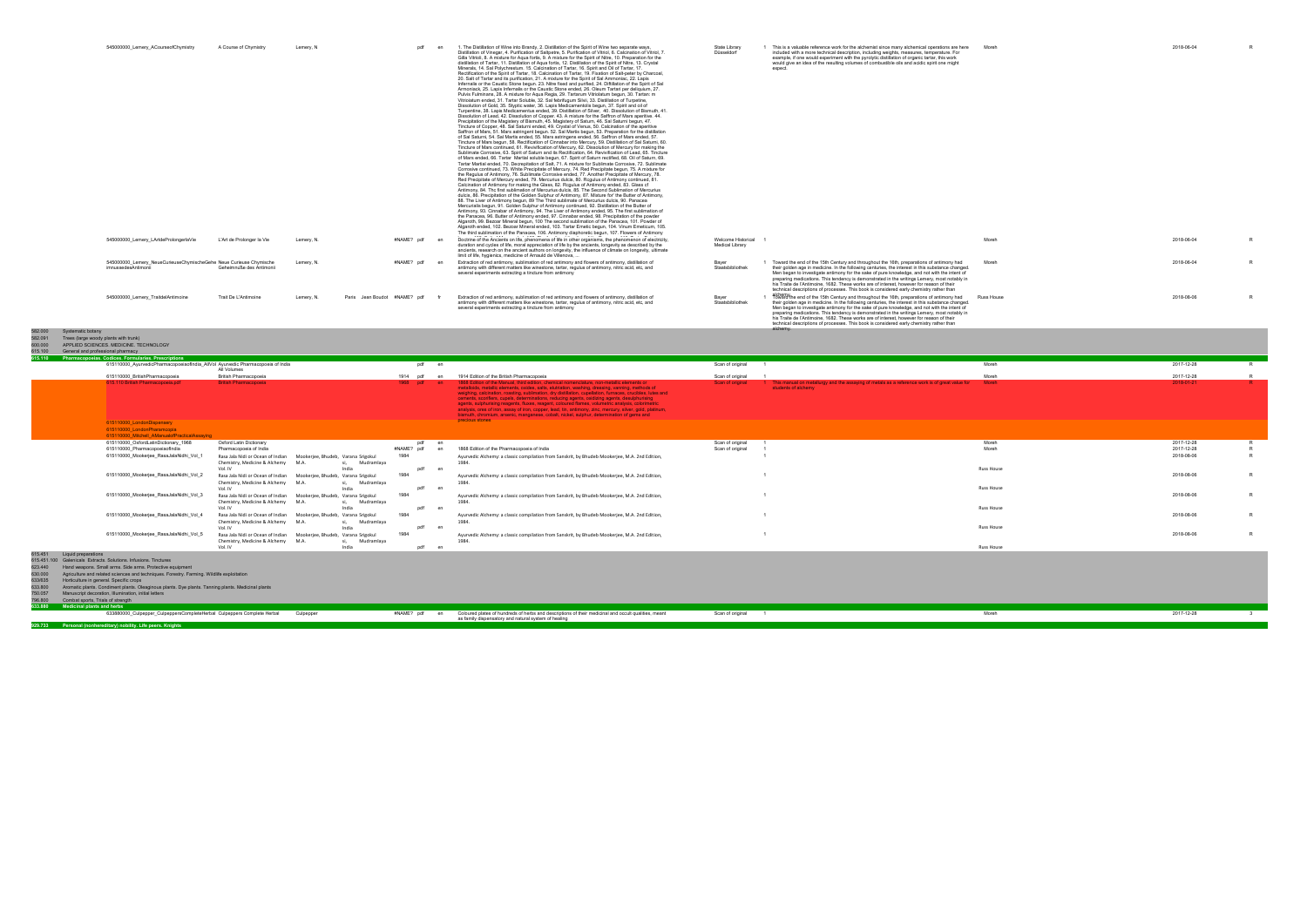R R R

582.000 Systematic botany 582.091 Trees (large woody plants with trunk)

| 545000000 Lemery ACourseofChymistry<br>pdf<br>1. The Distillation of Wine into Brandy, 2. Distillation of the Spirit of Wine two separate ways<br>State Library<br>This is a valuable reference work for the alchemist since many alchemical operations are here<br>A Course of Chymistry<br>Lemery, N<br>Distillation of Vinegar, 4. Purification of Saltpetre, 5. Purification of Vitriol, 6. Calcination of Vitriol, 7<br>Düsseldorf<br>included with a more technical description, including weights, measures, temperature. For                                                                                                                                                                                                                                                                                                                                                                                                                                                                                                                                                                                                                                                                                                                                                                                                                                                                                                                                                                                                                                                                                                                                                                                                                                                                                                                                                                                                                                                                                                                                                                                                                                                                                                                                                                                                                                                                                                                                                                                                                                                                                                                                                                                                                                                                                                                                                                                                                                                                                                                                                                                                                                                                                                                                                                                                                                                                                                                                                                                                                                                                                                                                                                                                                                                                       | Moreh      | 2018-06-04 |
|------------------------------------------------------------------------------------------------------------------------------------------------------------------------------------------------------------------------------------------------------------------------------------------------------------------------------------------------------------------------------------------------------------------------------------------------------------------------------------------------------------------------------------------------------------------------------------------------------------------------------------------------------------------------------------------------------------------------------------------------------------------------------------------------------------------------------------------------------------------------------------------------------------------------------------------------------------------------------------------------------------------------------------------------------------------------------------------------------------------------------------------------------------------------------------------------------------------------------------------------------------------------------------------------------------------------------------------------------------------------------------------------------------------------------------------------------------------------------------------------------------------------------------------------------------------------------------------------------------------------------------------------------------------------------------------------------------------------------------------------------------------------------------------------------------------------------------------------------------------------------------------------------------------------------------------------------------------------------------------------------------------------------------------------------------------------------------------------------------------------------------------------------------------------------------------------------------------------------------------------------------------------------------------------------------------------------------------------------------------------------------------------------------------------------------------------------------------------------------------------------------------------------------------------------------------------------------------------------------------------------------------------------------------------------------------------------------------------------------------------------------------------------------------------------------------------------------------------------------------------------------------------------------------------------------------------------------------------------------------------------------------------------------------------------------------------------------------------------------------------------------------------------------------------------------------------------------------------------------------------------------------------------------------------------------------------------------------------------------------------------------------------------------------------------------------------------------------------------------------------------------------------------------------------------------------------------------------------------------------------------------------------------------------------------------------------------------------------------------------------------------------------------------------------------------|------------|------------|
| Gilla Vitrioli, 8. A mixture for Agua fortis, 9. A mixture for the Spirit of Nitre, 10. Preparation for the<br>example, if one would experiment with the pyrolytic distillation of organic tartar, this work<br>distillation of Tartar, 11, Distillation of Agua fortis, 12, Distillation of the Spirit of Nitre, 13, Crystal<br>would give an idea of the resulting volumes of combustible oils and acidic spirit one might<br>Minerals, 14, Sal Polychrestum, 15, Calcination of Tartar, 16, Spirit and Oil of Tartar, 17,<br>expect<br>Rectification of the Spirit of Tartar, 18, Calcination of Tartar, 19, Fixation of Salt-peter by Charcoal.<br>20. Salt of Tartar and its purification, 21. A mixture for the Spirit of Sal Ammoniac, 22. Lapis<br>Infernalis or the Caustic Stone begun. 23. Nitre fixed and purified, 24. Diftillation of the Spirit of Sal<br>Armoniack, 25, Lapis Infernalis or the Caustic Stone ended, 26, Oleum Tartari per deliguium, 27.<br>Pulvis Fulminans, 28. A mixture for Agua Regia, 29. Tartarum Vitriolatum begun, 30. Tartan; m<br>Vitrioiatum ended, 31. Tartar Soluble, 32. Sal febrifugum Silvii, 33. Distillation of Turpetine.<br>Dissolution of Gold, 35, Styptic water, 36, Lapis Medicamentolis begun, 37, Spirit and oil of<br>Turpentine, 38. Lapis Medicamentus ended, 39. Distillation of Silver, 40. Dissolution of Bismuth, 41.<br>Dissolution of Lead, 42. Dissolution of Copper. 43. A mixture for the Saffron of Mars aperitive. 44.<br>Precipitation of the Magistery of Bismuth, 45. Magistery of Saturn, 46. Sal Saturni begun, 47.<br>Tincture of Copper, 48, Sal Saturni ended, 49, Crystal of Venus, 50, Calcination of the aperitive<br>Saffron of Mars, 51. Mars astringent begun. 52. Sal Martis begun, 53. Preparation for the distillation<br>of Sal Saturni, 54, Sal Martis ended, 55, Mars astringens ended, 56, Saffron of Mars ended, 57,<br>Tincture of Mars begun, 58. Rectification of Cinnabar into Mercury, 59. Distillation of Sal Saturni, 60.<br>Tincture of Mars continued, 61, Revivification of Mercury, 62, Dissolution of Mercury for making the<br>Sublimate Corrosive, 63, Spirit of Saturn and its Rectification, 64, Revivification of Lead, 65, Tincture<br>of Mars ended, 66. Tartar Martial soluble begun, 67. Spirit of Saturn rectified, 68. Oil of Saturn, 69.<br>Tartar Martial ended, 70. Decrepitation of Salt, 71. A mixture for Sublimate Corrosive, 72. Sublimate<br>Corrosive continued, 73. White Precipitate of Mercury, 74. Red Precipitate begun, 75. A mixture for<br>the Regulus of Antimony, 76. Sublimate Corrosive ended, 77. Another Precipitate of Mercury, 78.<br>Red Precipitate of Mercury ended, 79. Mercurius dulcis, 80. Regulus of Antimony continued, 81.<br>Calcination of Antimony for making the Glass, 82. Regulus of Antimony ended, 83. Glass of<br>Antimony, 84. The first sublimation of Mercurius dulcis, 85. The Second Sublimation of Mercurius<br>dulcis, 86. Precipitation of the Golden Sulphur of Antimony, 87. Mixture for' the Butter of Antimony.<br>88. The Liver of Antimony begun, 89 The Third sublimate of Mercurius dulcis, 90. Panacea<br>Mercurialis begun, 91. Golden Sulphur of Antimony continued, 92. Distillation of the Butter of<br>Antimony, 93. Cinnabar of Antimony, 94. The Liver of Antimony ended, 95. The first sublimation of<br>the Panacea, 96. Butter of Antimony ended, 97. Cinnabar ended, 98. Precipitation of the powder<br>Algaroth, 99. Bezoar Mineral begun, 100 The second sublimation of the Panacea, 101. Powder of<br>Algaroth ended, 102. Bezoar Mineral ended, 103. Tartar Emetic begun, 104. Vinum Emeticum, 105.<br>The third sublimation of the Panacea, 106. Antimony diaphoretic begun, 107. Flowers of Antimony |            |            |
| #NAME? pdf en<br>Doctrine of the Ancients on life, phenomena of life in other organisms, the phenomenon of electricity,<br>Welcome Historical<br>545000000 Lemery LArtdeProlongerlaVie<br>L'Art de Prolonger la Vie<br>Lemery, N.<br><b>Medical Library</b><br>duration and cycles of life, moral appreciation of life by the ancients, longevity as described by the<br>ancients, research on the ancient authors on longevity, the influence of climate on longevity, ultimate<br>limit of life, hygienics, medicine of Arnauld de Villenova, .                                                                                                                                                                                                                                                                                                                                                                                                                                                                                                                                                                                                                                                                                                                                                                                                                                                                                                                                                                                                                                                                                                                                                                                                                                                                                                                                                                                                                                                                                                                                                                                                                                                                                                                                                                                                                                                                                                                                                                                                                                                                                                                                                                                                                                                                                                                                                                                                                                                                                                                                                                                                                                                                                                                                                                                                                                                                                                                                                                                                                                                                                                                                                                                                                                                          | Moreh      | 2018-06-04 |
| #NAME? pdf<br>545000000 Lemery NeueCurieuseChymischeGehe Neue Curieuse Chymische<br>Extraction of red antimony, sublimation of red antimony and flowers of antimony, distillation of<br>1 Toward the end of the 15th Century and throughout the 16th, preparations of antimony had<br>Lemery, N.<br>en<br>Bayer<br>Geheimnuße des Antimonii<br>imnussedesAntimonii<br>Staatsbibliothek<br>antimony with different matters like winestone, tartar, regulus of antimony, nitric acid, etc, and<br>their golden age in medicine. In the following centuries, the interest in this substance changed.<br>several experiments extracting a tincture from antimony<br>Men began to investigate antimony for the sake of pure knowledge, and not with the intent of<br>preparing medications. This tendency is demonstrated in the writings Lemery, most notably in<br>his Traite de l'Antimoine, 1682. These works are of interest, however for reason of their<br>technical descriptions of processes. This book is considered early chemistry rather than                                                                                                                                                                                                                                                                                                                                                                                                                                                                                                                                                                                                                                                                                                                                                                                                                                                                                                                                                                                                                                                                                                                                                                                                                                                                                                                                                                                                                                                                                                                                                                                                                                                                                                                                                                                                                                                                                                                                                                                                                                                                                                                                                                                                                                                                                                                                                                                                                                                                                                                                                                                                                                                                                                                                                      | Moreh      | 2018-06-04 |
| alsward/the end of the 15th Century and throughout the 16th, preparations of antimony had<br>Paris Jean Boudot #NAME? pdf<br>Trait De L'Antimoine<br>Extraction of red antimony, sublimation of red antimony and flowers of antimony, distillation of<br>545000000 Lemery TraitdelAntimoine<br>Lemerv. N.<br>Bayer<br>antimony with different matters like winestone, tartar, regulus of antimony, nitric acid, etc. and<br>Staatsbibliothek<br>their golden age in medicine. In the following centuries, the interest in this substance changed.<br>several experiments extracting a tincture from antimony<br>Men began to investigate antimony for the sake of pure knowledge, and not with the intent of<br>preparing medications. This tendency is demonstrated in the writings Lemery, most notably in<br>his Traite de l'Antimoine. 1682. These works are of interest, however for reason of their<br>technical descriptions of processes. This book is considered early chemistry rather than<br>alchemy.                                                                                                                                                                                                                                                                                                                                                                                                                                                                                                                                                                                                                                                                                                                                                                                                                                                                                                                                                                                                                                                                                                                                                                                                                                                                                                                                                                                                                                                                                                                                                                                                                                                                                                                                                                                                                                                                                                                                                                                                                                                                                                                                                                                                                                                                                                                                                                                                                                                                                                                                                                                                                                                                                                                                                                                          | Russ House | 2018-08-06 |

| -----<br>APPLIED SCIENCES, MEDICINE, TECHNOLOGY<br>600.000                                                      |                                                                         |                  |                                                                                                                                                                                                                                                                                                                                                                                                                                                                                                                                                                                                                                                                                                                                                      |                    |                                                                                                                               |                   |            |                |
|-----------------------------------------------------------------------------------------------------------------|-------------------------------------------------------------------------|------------------|------------------------------------------------------------------------------------------------------------------------------------------------------------------------------------------------------------------------------------------------------------------------------------------------------------------------------------------------------------------------------------------------------------------------------------------------------------------------------------------------------------------------------------------------------------------------------------------------------------------------------------------------------------------------------------------------------------------------------------------------------|--------------------|-------------------------------------------------------------------------------------------------------------------------------|-------------------|------------|----------------|
| 615,100<br>General and professional pharmacy                                                                    |                                                                         |                  |                                                                                                                                                                                                                                                                                                                                                                                                                                                                                                                                                                                                                                                                                                                                                      |                    |                                                                                                                               |                   |            |                |
| 615.110 Pharmacopoeias. Codices. Formularies. Prescriptions                                                     |                                                                         |                  |                                                                                                                                                                                                                                                                                                                                                                                                                                                                                                                                                                                                                                                                                                                                                      |                    |                                                                                                                               |                   |            |                |
| 615110000_AyurvedicPharmacopoeiaofIndia_AllVol Ayurvedic Pharmacopoeia of India<br>All Volumes                  |                                                                         | pdf en           |                                                                                                                                                                                                                                                                                                                                                                                                                                                                                                                                                                                                                                                                                                                                                      | Scan of original 1 |                                                                                                                               | Moreh             | 2017-12-28 | R.             |
| 615110000 BritishPharmacopoeia                                                                                  | British Pharmacopoeia                                                   | 1914 pdf<br>en   | 1914 Edition of the British Pharmacopoeia                                                                                                                                                                                                                                                                                                                                                                                                                                                                                                                                                                                                                                                                                                            | Scan of original   |                                                                                                                               | Moreh             | 2017-12-28 |                |
| 615.110 British Pharmacopoeia.pdf                                                                               | <b>British Pharmacopoeia</b>                                            | 1968 pdf<br>en.  | 1868 Edition of the Manual, third edition, chemical nomenclature, non-metallic elements or<br>metalloids, metallic elements, oxides, salts, elutriation, washing, dressing, vanning, methods of<br>weighing, calcination, roasting, sublimation, dry distillation, cupellation, furnaces, crucibles, lutes and<br>cements, scorifiers, cupels, determinations, reducing agents, oxidizing agents, desulphurising<br>agents, sulphurising reagents, fluxes, reagent, coloured flames, volumetric analysis, colorimetric<br>analysis, ores of iron, assay of iron, copper, lead, tin, antimony, zinc, mercury, silver, gold, platinum,<br>bismuth, chromium, arsenic, manganese, cobalt, nickel, sulphur, determination of gems and<br>precious stones | Scan of original   | 1 This manual on metallurgy and the assaying of metals as a reference work is of great value for Moreh<br>students of alchemy |                   | 2018-01-21 | $R$ $\sim$     |
| 615110000 LondonDispensery<br>615110000 LondonPharamcopia                                                       |                                                                         |                  |                                                                                                                                                                                                                                                                                                                                                                                                                                                                                                                                                                                                                                                                                                                                                      |                    |                                                                                                                               |                   |            |                |
| 615110000 Mitchell AManualofPracticalAssaving                                                                   |                                                                         |                  |                                                                                                                                                                                                                                                                                                                                                                                                                                                                                                                                                                                                                                                                                                                                                      |                    |                                                                                                                               |                   |            |                |
| 615110000 OxfordLatinDictionary 1968                                                                            | Oxford Latin Dictionary                                                 | pdf<br>en        |                                                                                                                                                                                                                                                                                                                                                                                                                                                                                                                                                                                                                                                                                                                                                      | Scan of original   |                                                                                                                               | Moreh             | 2017-12-28 |                |
| 615110000 PharmacopoeiaofIndia                                                                                  | Pharmacopoeia of India                                                  | #NAME? pdf       | 1868 Edition of the Pharmacopoeia of India                                                                                                                                                                                                                                                                                                                                                                                                                                                                                                                                                                                                                                                                                                           | Scan of original   |                                                                                                                               | Moreh             | 2017-12-28 |                |
| 615110000 Mookerjee RasaJalaNidhi Vol 1                                                                         | Rasa Jala Nidi or Ocean of Indian Mookeriee, Bhudeb, Varana Srigokul    | 1984             | Ayurvedic Alchemy: a classic compilation from Sanskrit, by Bhudeb Mookerjee, M.A. 2nd Edition,                                                                                                                                                                                                                                                                                                                                                                                                                                                                                                                                                                                                                                                       |                    |                                                                                                                               |                   | 2018-08-06 |                |
|                                                                                                                 | Chemistry, Medicine & Alchemy M.A.<br>Mudramlaya<br>si.                 |                  | 1984.                                                                                                                                                                                                                                                                                                                                                                                                                                                                                                                                                                                                                                                                                                                                                |                    |                                                                                                                               |                   |            |                |
|                                                                                                                 | Vol. IV<br>India                                                        | pdf<br>en        |                                                                                                                                                                                                                                                                                                                                                                                                                                                                                                                                                                                                                                                                                                                                                      |                    |                                                                                                                               | <b>Russ House</b> |            |                |
| 615110000_Mookerjee_RasaJalaNidhi_Vol_2                                                                         | Rasa Jala Nidi or Ocean of Indian<br>Mookerjee, Bhudeb, Varana Srigokul | 1984             | Ayurvedic Alchemy: a classic compilation from Sanskrit, by Bhudeb Mookerjee, M.A. 2nd Edition,                                                                                                                                                                                                                                                                                                                                                                                                                                                                                                                                                                                                                                                       |                    |                                                                                                                               |                   | 2018-08-06 |                |
|                                                                                                                 | Chemistry, Medicine & Alchemy M.A.<br>Mudramlaya                        |                  | 1984.                                                                                                                                                                                                                                                                                                                                                                                                                                                                                                                                                                                                                                                                                                                                                |                    |                                                                                                                               |                   |            |                |
|                                                                                                                 | India<br>Vol. IV                                                        | pdf<br>er        |                                                                                                                                                                                                                                                                                                                                                                                                                                                                                                                                                                                                                                                                                                                                                      |                    |                                                                                                                               | <b>Russ House</b> |            |                |
| 615110000_Mookerjee_RasaJalaNidhi_Vol_3                                                                         | Rasa Jala Nidi or Ocean of Indian<br>Mookerjee, Bhudeb, Varana Srigokul | 1984             | Ayurvedic Alchemy: a classic compilation from Sanskrit, by Bhudeb Mookerjee, M.A. 2nd Edition,                                                                                                                                                                                                                                                                                                                                                                                                                                                                                                                                                                                                                                                       |                    |                                                                                                                               |                   | 2018-08-06 |                |
|                                                                                                                 | Chemistry, Medicine & Alchemy M.A.<br>Mudramlava                        |                  | 1984.                                                                                                                                                                                                                                                                                                                                                                                                                                                                                                                                                                                                                                                                                                                                                |                    |                                                                                                                               |                   |            |                |
|                                                                                                                 | Vol. IV<br>India                                                        | pdf              |                                                                                                                                                                                                                                                                                                                                                                                                                                                                                                                                                                                                                                                                                                                                                      |                    |                                                                                                                               | <b>Russ House</b> |            |                |
| 615110000 Mookerjee RasaJalaNidhi Vol 4                                                                         | Mookerjee, Bhudeb, Varana Srigokul<br>Rasa Jala Nidi or Ocean of Indian | 1984             | Ayurvedic Alchemy: a classic compilation from Sanskrit, by Bhudeb Mookerjee, M.A. 2nd Edition,                                                                                                                                                                                                                                                                                                                                                                                                                                                                                                                                                                                                                                                       |                    |                                                                                                                               |                   | 2018-08-06 |                |
|                                                                                                                 | Chemistry, Medicine & Alchemy M.A.<br>Mudramlava                        |                  | 1984.                                                                                                                                                                                                                                                                                                                                                                                                                                                                                                                                                                                                                                                                                                                                                |                    |                                                                                                                               |                   |            |                |
|                                                                                                                 | India<br>Vol. IV                                                        | pdf<br>en        |                                                                                                                                                                                                                                                                                                                                                                                                                                                                                                                                                                                                                                                                                                                                                      |                    |                                                                                                                               | <b>Russ House</b> |            |                |
| 615110000_Mookerjee_RasaJalaNidhi_Vol_5                                                                         | Rasa Jala Nidi or Ocean of Indian Mookerjee, Bhudeb, Varana Srigokul    | 1984             | Ayurvedic Alchemy: a classic compilation from Sanskrit, by Bhudeb Mookerjee, M.A. 2nd Edition,                                                                                                                                                                                                                                                                                                                                                                                                                                                                                                                                                                                                                                                       |                    |                                                                                                                               |                   | 2018-08-06 |                |
|                                                                                                                 | Chemistry, Medicine & Alchemy M.A.<br>Mudramlaya                        |                  | 1984.                                                                                                                                                                                                                                                                                                                                                                                                                                                                                                                                                                                                                                                                                                                                                |                    |                                                                                                                               |                   |            |                |
|                                                                                                                 | Vol. IV<br>India                                                        | pdf<br>en        |                                                                                                                                                                                                                                                                                                                                                                                                                                                                                                                                                                                                                                                                                                                                                      |                    |                                                                                                                               | <b>Russ House</b> |            |                |
| 615.451<br>Liquid preparations                                                                                  |                                                                         |                  |                                                                                                                                                                                                                                                                                                                                                                                                                                                                                                                                                                                                                                                                                                                                                      |                    |                                                                                                                               |                   |            |                |
| 615.451.100 Galenicals Extracts, Solutions, Infusions, Tinctures                                                |                                                                         |                  |                                                                                                                                                                                                                                                                                                                                                                                                                                                                                                                                                                                                                                                                                                                                                      |                    |                                                                                                                               |                   |            |                |
| Hand weapons, Small arms, Side arms, Protective equipment<br>623,440                                            |                                                                         |                  |                                                                                                                                                                                                                                                                                                                                                                                                                                                                                                                                                                                                                                                                                                                                                      |                    |                                                                                                                               |                   |            |                |
| Agriculture and related sciences and techniques. Forestry. Farming. Wildlife exploitation<br>630,000            |                                                                         |                  |                                                                                                                                                                                                                                                                                                                                                                                                                                                                                                                                                                                                                                                                                                                                                      |                    |                                                                                                                               |                   |            |                |
| 633/635<br>Horticulture in general. Specific crops                                                              |                                                                         |                  |                                                                                                                                                                                                                                                                                                                                                                                                                                                                                                                                                                                                                                                                                                                                                      |                    |                                                                                                                               |                   |            |                |
| Aromatic plants. Condiment plants. Oleaginous plants. Dye plants. Tanning plants. Medicinal plants<br>633,800   |                                                                         |                  |                                                                                                                                                                                                                                                                                                                                                                                                                                                                                                                                                                                                                                                                                                                                                      |                    |                                                                                                                               |                   |            |                |
| Manuscript decoration, Illumination, initial letters<br>750.057<br>796,800<br>Combat sports, Trials of strength |                                                                         |                  |                                                                                                                                                                                                                                                                                                                                                                                                                                                                                                                                                                                                                                                                                                                                                      |                    |                                                                                                                               |                   |            |                |
| 633.880                                                                                                         |                                                                         |                  |                                                                                                                                                                                                                                                                                                                                                                                                                                                                                                                                                                                                                                                                                                                                                      |                    |                                                                                                                               |                   |            |                |
| <b>Medicinal plants and herbs</b><br>633880000 Culpepper CulpeppersCompleteHerbal Culpeppers Complete Herbal    | Culpepper                                                               | #NAME? pdf<br>en | Coloured plates of hundreds of herbs and descriptions of their medicinal and occult qualities, meant<br>as family dispensatory and natural system of healing                                                                                                                                                                                                                                                                                                                                                                                                                                                                                                                                                                                         | Scan of original   |                                                                                                                               | Moreh             | 2017-12-28 | $\overline{3}$ |
| Personal (nonhereditary) nobility. Life peers. Knights<br>929.733                                               |                                                                         |                  |                                                                                                                                                                                                                                                                                                                                                                                                                                                                                                                                                                                                                                                                                                                                                      |                    |                                                                                                                               |                   |            |                |
|                                                                                                                 |                                                                         |                  |                                                                                                                                                                                                                                                                                                                                                                                                                                                                                                                                                                                                                                                                                                                                                      |                    |                                                                                                                               |                   |            |                |